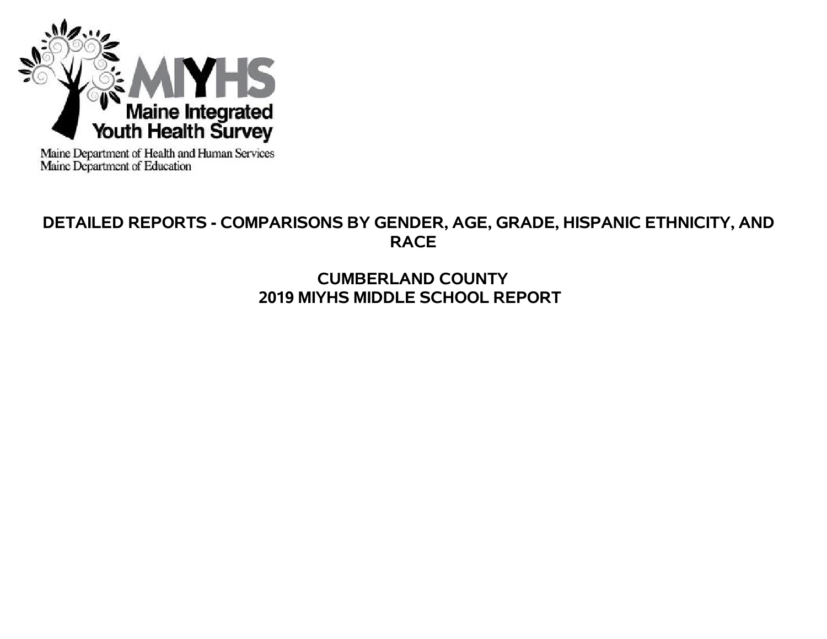

Maine Department of Health and Human Services<br>Maine Department of Education

# **DETAILED REPORTS - COMPARISONS BY GENDER, AGE, GRADE, HISPANIC ETHNICITY, AND RACE**

# **CUMBERLAND COUNTY 2019 MIYHS MIDDLE SCHOOL REPORT**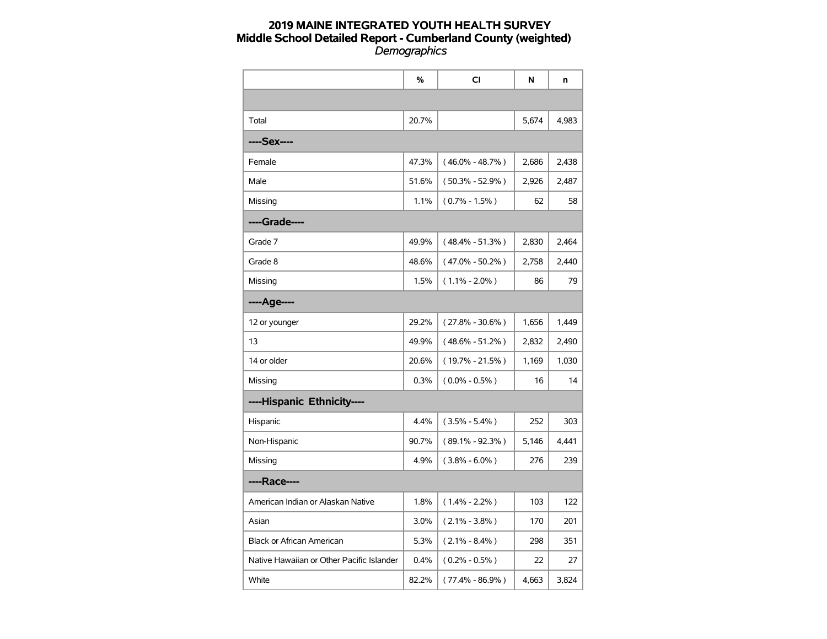|                                           | $\%$  | <b>CI</b>           | N     | n     |
|-------------------------------------------|-------|---------------------|-------|-------|
|                                           |       |                     |       |       |
| Total                                     | 20.7% |                     | 5,674 | 4,983 |
| ----Sex----                               |       |                     |       |       |
| Female                                    | 47.3% | $(46.0\% - 48.7\%)$ | 2,686 | 2,438 |
| Male                                      | 51.6% | $(50.3\% - 52.9\%)$ | 2,926 | 2,487 |
| Missing                                   | 1.1%  | $(0.7\% - 1.5\%)$   | 62    | 58    |
| ----Grade----                             |       |                     |       |       |
| Grade 7                                   | 49.9% | $(48.4\% - 51.3\%)$ | 2,830 | 2,464 |
| Grade 8                                   | 48.6% | $(47.0\% - 50.2\%)$ | 2,758 | 2,440 |
| Missing                                   | 1.5%  | $(1.1\% - 2.0\%)$   | 86    | 79    |
| ----Age----                               |       |                     |       |       |
| 12 or younger                             | 29.2% | $(27.8\% - 30.6\%)$ | 1,656 | 1,449 |
| 13                                        | 49.9% | $(48.6\% - 51.2\%)$ | 2,832 | 2,490 |
| 14 or older                               | 20.6% | $(19.7\% - 21.5\%)$ | 1,169 | 1,030 |
| Missing                                   | 0.3%  | $(0.0\% - 0.5\%)$   | 16    | 14    |
| ----Hispanic Ethnicity----                |       |                     |       |       |
| Hispanic                                  | 4.4%  | $(3.5\% - 5.4\%)$   | 252   | 303   |
| Non-Hispanic                              | 90.7% | $(89.1\% - 92.3\%)$ | 5,146 | 4,441 |
| Missing                                   | 4.9%  | $(3.8\% - 6.0\%)$   | 276   | 239   |
| ----Race----                              |       |                     |       |       |
| American Indian or Alaskan Native         | 1.8%  | $(1.4\% - 2.2\%)$   | 103   | 122   |
| Asian                                     | 3.0%  | $(2.1\% - 3.8\%)$   | 170   | 201   |
| Black or African American                 | 5.3%  | $(2.1\% - 8.4\%)$   | 298   | 351   |
| Native Hawaiian or Other Pacific Islander | 0.4%  | $(0.2\% - 0.5\%)$   | 22    | 27    |
| White                                     | 82.2% | $(77.4\% - 86.9\%)$ | 4,663 | 3,824 |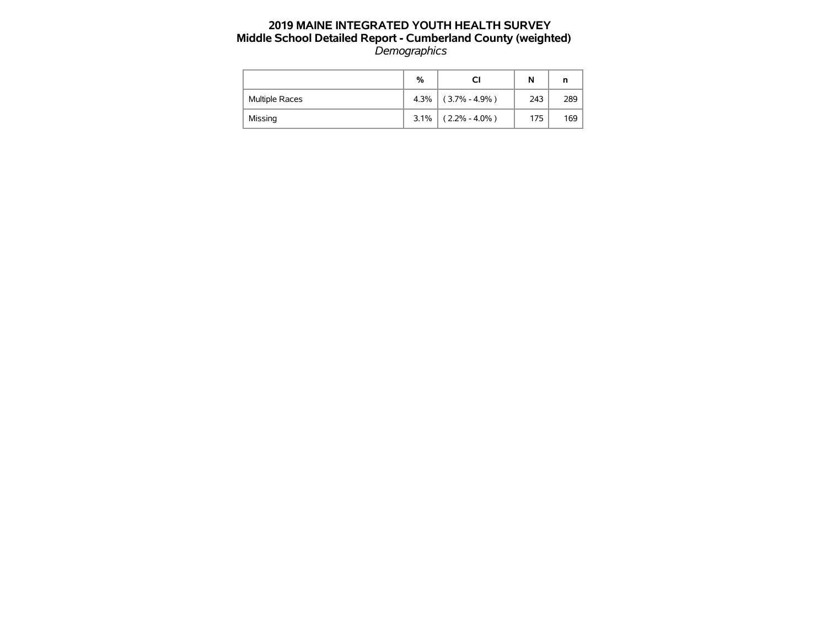|                | %       |                       | N   |     |
|----------------|---------|-----------------------|-----|-----|
| Multiple Races |         | $4.3\%$ (3.7% - 4.9%) | 243 | 289 |
| Missing        | $3.1\%$ | $(2.2\% - 4.0\%)$     | 175 | 169 |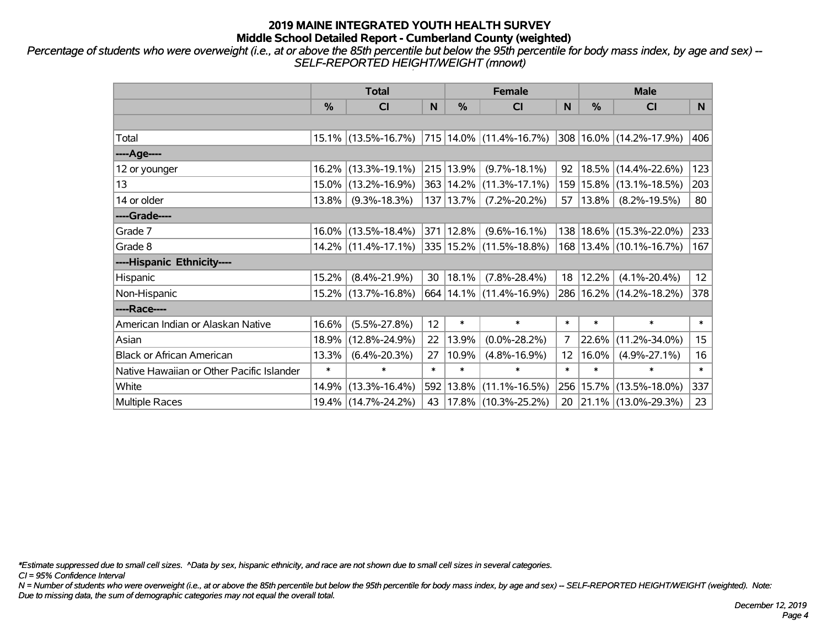*Percentage of students who were overweight (i.e., at or above the 85th percentile but below the 95th percentile for body mass index, by age and sex) -- SELF-REPORTED HEIGHT/WEIGHT (mnowt)*

|                                           |        | <b>Total</b>           |        |           | <b>Female</b>               |                   | <b>Male</b> |                             |        |  |
|-------------------------------------------|--------|------------------------|--------|-----------|-----------------------------|-------------------|-------------|-----------------------------|--------|--|
|                                           | $\%$   | <b>CI</b>              | N      | $\%$      | <b>CI</b>                   | N                 | %           | <b>CI</b>                   | N.     |  |
|                                           |        |                        |        |           |                             |                   |             |                             |        |  |
| Total                                     |        | $15.1\%$ (13.5%-16.7%) |        |           | 715 14.0% (11.4%-16.7%)     |                   |             | 308 16.0% (14.2%-17.9%)     | 406    |  |
| ----Age----                               |        |                        |        |           |                             |                   |             |                             |        |  |
| 12 or younger                             |        | 16.2% (13.3%-19.1%)    |        | 215 13.9% | $(9.7\% - 18.1\%)$          | 92                | 18.5%       | $(14.4\% - 22.6\%)$         | 123    |  |
| 13                                        |        | 15.0% (13.2%-16.9%)    |        |           | 363   14.2%   (11.3%-17.1%) |                   | 159 15.8%   | $(13.1\% - 18.5\%)$         | 203    |  |
| 14 or older                               | 13.8%  | $(9.3\% - 18.3\%)$     |        | 137 13.7% | $(7.2\% - 20.2\%)$          | 57                | $ 13.8\%$   | $(8.2\% - 19.5\%)$          | 80     |  |
| ----Grade----                             |        |                        |        |           |                             |                   |             |                             |        |  |
| Grade 7                                   |        | $16.0\%$ (13.5%-18.4%) |        | 371 12.8% | $(9.6\% - 16.1\%)$          |                   |             | 138 18.6% (15.3%-22.0%)     | 233    |  |
| Grade 8                                   |        | $14.2\%$ (11.4%-17.1%) |        |           | 335   15.2%   (11.5%-18.8%) |                   |             | 168   13.4%   (10.1%-16.7%) | 167    |  |
| ----Hispanic Ethnicity----                |        |                        |        |           |                             |                   |             |                             |        |  |
| Hispanic                                  | 15.2%  | $(8.4\% - 21.9\%)$     | 30     | 18.1%     | $(7.8\% - 28.4\%)$          | 18                | 12.2%       | $(4.1\% - 20.4\%)$          | 12     |  |
| Non-Hispanic                              |        | 15.2% (13.7%-16.8%)    |        |           | 664 14.1% (11.4%-16.9%)     |                   |             | 286 16.2% (14.2%-18.2%)     | 378    |  |
| ----Race----                              |        |                        |        |           |                             |                   |             |                             |        |  |
| American Indian or Alaskan Native         | 16.6%  | $(5.5\% - 27.8\%)$     | 12     | $\ast$    | $\ast$                      | $\ast$            | $\ast$      | $\ast$                      | $\ast$ |  |
| Asian                                     | 18.9%  | $(12.8\% - 24.9\%)$    | 22     | 13.9%     | $(0.0\% - 28.2\%)$          | 7                 | 22.6%       | $(11.2\% - 34.0\%)$         | 15     |  |
| <b>Black or African American</b>          | 13.3%  | $(6.4\% - 20.3\%)$     | 27     | 10.9%     | $(4.8\% - 16.9\%)$          | $12 \overline{ }$ | 16.0%       | $(4.9\% - 27.1\%)$          | 16     |  |
| Native Hawaiian or Other Pacific Islander | $\ast$ | $\ast$                 | $\ast$ | $\ast$    | $\ast$                      | $\ast$            | $\ast$      | $\ast$                      | $\ast$ |  |
| White                                     | 14.9%  | $(13.3\% - 16.4\%)$    | 592    | 13.8%     | $(11.1\% - 16.5\%)$         |                   | 256 15.7%   | $(13.5\% - 18.0\%)$         | 337    |  |
| <b>Multiple Races</b>                     |        | 19.4% (14.7%-24.2%)    | 43     |           | 17.8%  (10.3%-25.2%)        | 20                |             | $ 21.1\% $ (13.0%-29.3%)    | 23     |  |

*\*Estimate suppressed due to small cell sizes. ^Data by sex, hispanic ethnicity, and race are not shown due to small cell sizes in several categories.*

*CI = 95% Confidence Interval*

*N = Number of students who were overweight (i.e., at or above the 85th percentile but below the 95th percentile for body mass index, by age and sex) -- SELF-REPORTED HEIGHT/WEIGHT (weighted). Note: Due to missing data, the sum of demographic categories may not equal the overall total.*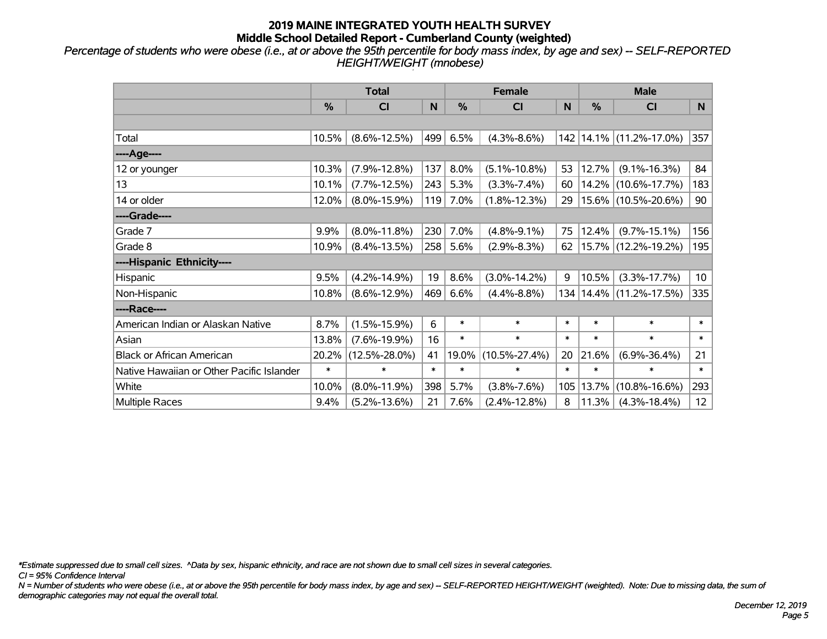*Percentage of students who were obese (i.e., at or above the 95th percentile for body mass index, by age and sex) -- SELF-REPORTED HEIGHT/WEIGHT (mnobese)*

|                                           |        | <b>Total</b>        |        |        | <b>Female</b>       |        | <b>Male</b> |                         |                 |  |
|-------------------------------------------|--------|---------------------|--------|--------|---------------------|--------|-------------|-------------------------|-----------------|--|
|                                           | %      | <b>CI</b>           | N      | %      | <b>CI</b>           | N      | %           | <b>CI</b>               | N               |  |
|                                           |        |                     |        |        |                     |        |             |                         |                 |  |
| Total                                     | 10.5%  | $(8.6\% - 12.5\%)$  | 499    | 6.5%   | $(4.3\% - 8.6\%)$   |        |             | 142 14.1% (11.2%-17.0%) | 357             |  |
| ----Age----                               |        |                     |        |        |                     |        |             |                         |                 |  |
| 12 or younger                             | 10.3%  | $(7.9\% - 12.8\%)$  | 137    | 8.0%   | $(5.1\% - 10.8\%)$  | 53     | 12.7%       | $(9.1\% - 16.3\%)$      | 84              |  |
| 13                                        | 10.1%  | $(7.7\% - 12.5\%)$  | 243    | 5.3%   | $(3.3\% - 7.4\%)$   | 60     | 14.2%       | $(10.6\% - 17.7\%)$     | 183             |  |
| 14 or older                               | 12.0%  | $(8.0\% - 15.9\%)$  | 119    | 7.0%   | $(1.8\% - 12.3\%)$  | 29     |             | 15.6% (10.5%-20.6%)     | 90              |  |
| ----Grade----                             |        |                     |        |        |                     |        |             |                         |                 |  |
| Grade 7                                   | 9.9%   | $(8.0\% - 11.8\%)$  | 230    | 7.0%   | $(4.8\% - 9.1\%)$   | 75     | 12.4%       | $(9.7\% - 15.1\%)$      | 156             |  |
| Grade 8                                   | 10.9%  | $(8.4\% - 13.5\%)$  | 258    | 5.6%   | $(2.9\% - 8.3\%)$   | 62     |             | 15.7% (12.2%-19.2%)     | 195             |  |
| ----Hispanic Ethnicity----                |        |                     |        |        |                     |        |             |                         |                 |  |
| Hispanic                                  | 9.5%   | $(4.2\% - 14.9\%)$  | 19     | 8.6%   | $(3.0\% - 14.2\%)$  | 9      | 10.5%       | $(3.3\% - 17.7\%)$      | 10 <sup>°</sup> |  |
| Non-Hispanic                              | 10.8%  | $(8.6\% - 12.9\%)$  | 469    | 6.6%   | $(4.4\% - 8.8\%)$   | 134    |             | 14.4% (11.2%-17.5%)     | 335             |  |
| ----Race----                              |        |                     |        |        |                     |        |             |                         |                 |  |
| American Indian or Alaskan Native         | 8.7%   | $(1.5\% - 15.9\%)$  | 6      | $\ast$ | $\ast$              | $\ast$ | $\ast$      | $\ast$                  | $\ast$          |  |
| Asian                                     | 13.8%  | $(7.6\% - 19.9\%)$  | 16     | $\ast$ | $\ast$              | $\ast$ | $\ast$      | $\ast$                  | $\ast$          |  |
| <b>Black or African American</b>          | 20.2%  | $(12.5\% - 28.0\%)$ | 41     | 19.0%  | $(10.5\% - 27.4\%)$ | 20     | 21.6%       | $(6.9\% - 36.4\%)$      | 21              |  |
| Native Hawaiian or Other Pacific Islander | $\ast$ | $\ast$              | $\ast$ | $\ast$ | $\ast$              | $\ast$ | $\ast$      | $\ast$                  | $\pmb{\ast}$    |  |
| White                                     | 10.0%  | $(8.0\% - 11.9\%)$  | 398    | 5.7%   | $(3.8\% - 7.6\%)$   | 105    | 13.7%       | $(10.8\% - 16.6\%)$     | 293             |  |
| Multiple Races                            | 9.4%   | $(5.2\% - 13.6\%)$  | 21     | 7.6%   | $(2.4\% - 12.8\%)$  | 8      | 11.3%       | $(4.3\% - 18.4\%)$      | 12              |  |

*\*Estimate suppressed due to small cell sizes. ^Data by sex, hispanic ethnicity, and race are not shown due to small cell sizes in several categories.*

*CI = 95% Confidence Interval*

*N = Number of students who were obese (i.e., at or above the 95th percentile for body mass index, by age and sex) -- SELF-REPORTED HEIGHT/WEIGHT (weighted). Note: Due to missing data, the sum of demographic categories may not equal the overall total.*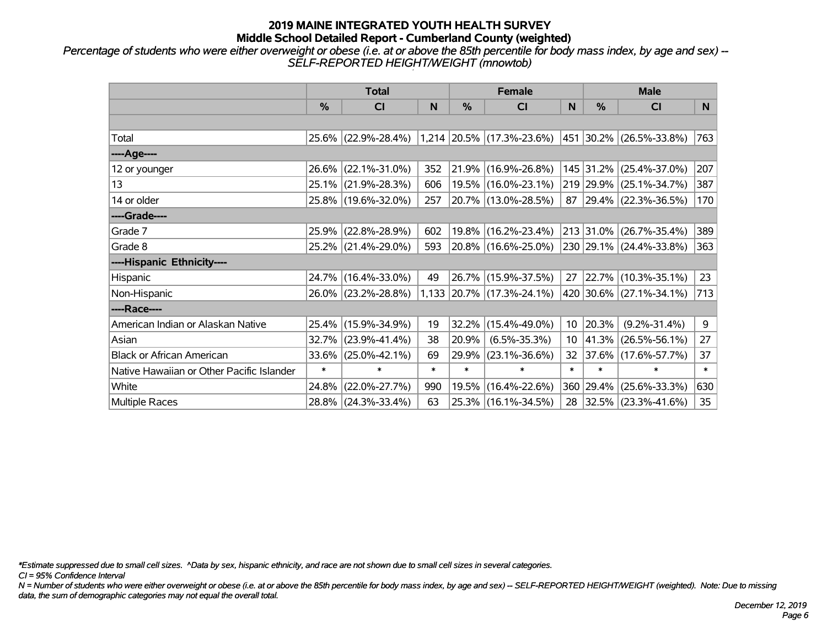*Percentage of students who were either overweight or obese (i.e. at or above the 85th percentile for body mass index, by age and sex) -- SELF-REPORTED HEIGHT/WEIGHT (mnowtob)*

|                                           |               | <b>Total</b>         |        |        | <b>Female</b>                                       |                 |            | <b>Male</b>              |        |  |
|-------------------------------------------|---------------|----------------------|--------|--------|-----------------------------------------------------|-----------------|------------|--------------------------|--------|--|
|                                           | $\frac{0}{0}$ | <b>CI</b>            | N      | %      | <b>CI</b>                                           | N               | %          | <b>CI</b>                | N      |  |
|                                           |               |                      |        |        |                                                     |                 |            |                          |        |  |
| Total                                     |               | 25.6% (22.9%-28.4%)  |        |        | $1,214$ 20.5% (17.3%-23.6%) 451 30.2% (26.5%-33.8%) |                 |            |                          | 763    |  |
| ----Age----                               |               |                      |        |        |                                                     |                 |            |                          |        |  |
| 12 or younger                             | 26.6%         | $(22.1\% - 31.0\%)$  | 352    | 21.9%  | $(16.9\% - 26.8\%)$                                 |                 |            | 145 31.2% (25.4%-37.0%)  | 207    |  |
| 13                                        |               | 25.1% (21.9%-28.3%)  | 606    |        | 19.5% (16.0%-23.1%)                                 |                 |            | 219 29.9% (25.1%-34.7%)  | 387    |  |
| 14 or older                               |               | 25.8% (19.6%-32.0%)  | 257    |        | 20.7% (13.0%-28.5%)                                 | 87              |            | $ 29.4\% $ (22.3%-36.5%) | 170    |  |
| ----Grade----                             |               |                      |        |        |                                                     |                 |            |                          |        |  |
| Grade 7                                   | 25.9%         | $(22.8\% - 28.9\%)$  | 602    |        | 19.8% (16.2%-23.4%)                                 |                 |            | 213 31.0% (26.7%-35.4%)  | 389    |  |
| Grade 8                                   |               | 25.2% (21.4%-29.0%)  | 593    |        | 20.8% (16.6%-25.0%)                                 |                 |            | 230 29.1% (24.4%-33.8%)  | 363    |  |
| ----Hispanic Ethnicity----                |               |                      |        |        |                                                     |                 |            |                          |        |  |
| Hispanic                                  | 24.7%         | $(16.4\% - 33.0\%)$  | 49     | 26.7%  | $(15.9\% - 37.5\%)$                                 | 27              |            | 22.7% (10.3%-35.1%)      | 23     |  |
| Non-Hispanic                              |               | 26.0% (23.2%-28.8%)  |        |        | 1,133 20.7% (17.3%-24.1%)                           |                 |            | 420 30.6% (27.1%-34.1%)  | 713    |  |
| ----Race----                              |               |                      |        |        |                                                     |                 |            |                          |        |  |
| American Indian or Alaskan Native         |               | 25.4% (15.9%-34.9%)  | 19     | 32.2%  | $(15.4\% - 49.0\%)$                                 | 10 <sub>1</sub> | 20.3%      | $(9.2\% - 31.4\%)$       | 9      |  |
| Asian                                     | 32.7%         | $ (23.9\% - 41.4\%)$ | 38     | 20.9%  | $(6.5\% - 35.3\%)$                                  | 10 <sup>°</sup> | $ 41.3\% $ | $(26.5\% - 56.1\%)$      | 27     |  |
| <b>Black or African American</b>          | 33.6%         | $(25.0\% - 42.1\%)$  | 69     | 29.9%  | $(23.1\% - 36.6\%)$                                 | 32              |            | $ 37.6\% $ (17.6%-57.7%) | 37     |  |
| Native Hawaiian or Other Pacific Islander | $\ast$        | $\ast$               | $\ast$ | $\ast$ | $\ast$                                              | $\ast$          | $\ast$     | $\ast$                   | $\ast$ |  |
| White                                     | 24.8%         | $(22.0\% - 27.7\%)$  | 990    | 19.5%  | $(16.4\% - 22.6\%)$                                 | 360             |            | 29.4% (25.6%-33.3%)      | 630    |  |
| Multiple Races                            |               | 28.8% (24.3%-33.4%)  | 63     |        | 25.3% (16.1%-34.5%)                                 | 28              |            | $ 32.5\% $ (23.3%-41.6%) | 35     |  |

*\*Estimate suppressed due to small cell sizes. ^Data by sex, hispanic ethnicity, and race are not shown due to small cell sizes in several categories.*

*CI = 95% Confidence Interval*

*N = Number of students who were either overweight or obese (i.e. at or above the 85th percentile for body mass index, by age and sex) -- SELF-REPORTED HEIGHT/WEIGHT (weighted). Note: Due to missing data, the sum of demographic categories may not equal the overall total.*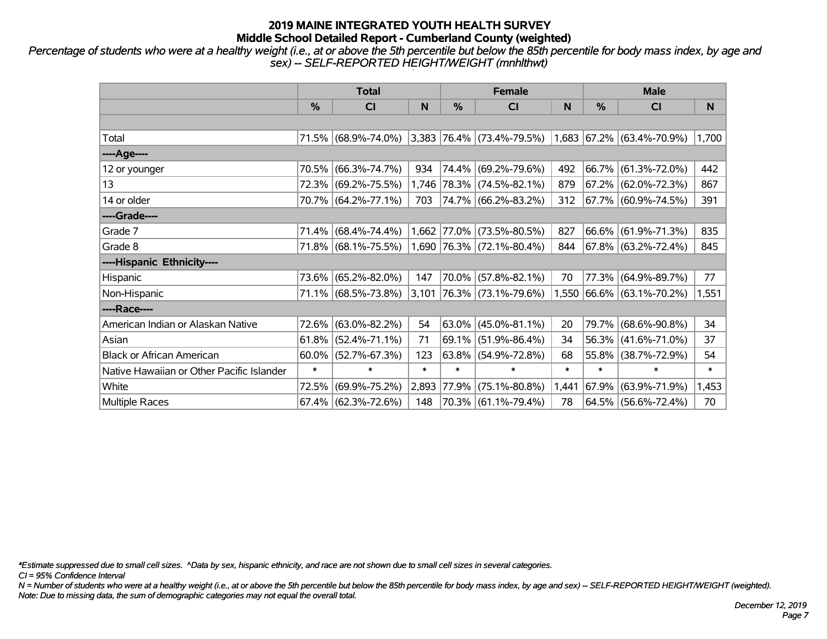*Percentage of students who were at a healthy weight (i.e., at or above the 5th percentile but below the 85th percentile for body mass index, by age and sex) -- SELF-REPORTED HEIGHT/WEIGHT (mnhlthwt)*

|                                           |        | <b>Total</b>           |        |             | <b>Female</b>                                                         |        | <b>Male</b> |                           |        |  |
|-------------------------------------------|--------|------------------------|--------|-------------|-----------------------------------------------------------------------|--------|-------------|---------------------------|--------|--|
|                                           | $\%$   | <b>CI</b>              | N      | %           | <b>CI</b>                                                             | N      | %           | <b>CI</b>                 | N      |  |
|                                           |        |                        |        |             |                                                                       |        |             |                           |        |  |
| Total                                     |        | 71.5% (68.9%-74.0%)    |        |             | $ 3,383 76.4\%  (73.4\% - 79.5\%)  1,683  67.2\%   (63.4\% - 70.9\%)$ |        |             |                           | 1,700  |  |
| ----Age----                               |        |                        |        |             |                                                                       |        |             |                           |        |  |
| 12 or younger                             | 70.5%  | $(66.3\% - 74.7\%)$    | 934    |             | 74.4% (69.2%-79.6%)                                                   | 492    | $ 66.7\% $  | $(61.3\% - 72.0\%)$       | 442    |  |
| 13                                        |        | 72.3% (69.2%-75.5%)    |        |             | 1,746 78.3% (74.5%-82.1%)                                             | 879    |             | 67.2% (62.0%-72.3%)       | 867    |  |
| 14 or older                               |        | 70.7% (64.2%-77.1%)    | 703    |             | 74.7% (66.2%-83.2%)                                                   | 312    |             | 67.7% (60.9%-74.5%)       | 391    |  |
| ----Grade----                             |        |                        |        |             |                                                                       |        |             |                           |        |  |
| Grade 7                                   |        | 71.4% (68.4%-74.4%)    |        | 1,662 77.0% | $(73.5\% - 80.5\%)$                                                   | 827    |             | 66.6% (61.9%-71.3%)       | 835    |  |
| Grade 8                                   |        | 71.8% (68.1%-75.5%)    |        |             | $1,690$ 76.3% (72.1%-80.4%)                                           | 844    |             | 67.8% (63.2%-72.4%)       | 845    |  |
| ----Hispanic Ethnicity----                |        |                        |        |             |                                                                       |        |             |                           |        |  |
| Hispanic                                  | 73.6%  | $(65.2\% - 82.0\%)$    | 147    | $70.0\%$    | $(57.8\% - 82.1\%)$                                                   | 70     | 77.3%       | $(64.9\% - 89.7\%)$       | 77     |  |
| Non-Hispanic                              |        | 71.1% (68.5%-73.8%)    | 3,101  |             | $ 76.3\% $ (73.1%-79.6%)                                              |        |             | 1,550 66.6% (63.1%-70.2%) | 1,551  |  |
| ----Race----                              |        |                        |        |             |                                                                       |        |             |                           |        |  |
| American Indian or Alaskan Native         | 72.6%  | $(63.0\% - 82.2\%)$    | 54     | $63.0\%$    | $(45.0\% - 81.1\%)$                                                   | 20     | 79.7%       | $(68.6\% - 90.8\%)$       | 34     |  |
| Asian                                     | 61.8%  | $(52.4\% - 71.1\%)$    | 71     | 69.1%       | $(51.9\% - 86.4\%)$                                                   | 34     | $ 56.3\% $  | $(41.6\% - 71.0\%)$       | 37     |  |
| <b>Black or African American</b>          | 60.0%  | $(52.7\% - 67.3\%)$    | 123    | $63.8\%$    | $(54.9\% - 72.8\%)$                                                   | 68     | 55.8%       | $(38.7\% - 72.9\%)$       | 54     |  |
| Native Hawaiian or Other Pacific Islander | $\ast$ | $\ast$                 | $\ast$ | $\ast$      | $\ast$                                                                | $\ast$ | $\ast$      | $\ast$                    | $\ast$ |  |
| White                                     | 72.5%  | $(69.9\% - 75.2\%)$    | 2,893  | $ 77.9\% $  | $(75.1\% - 80.8\%)$                                                   | 1,441  | $ 67.9\% $  | $(63.9\% - 71.9\%)$       | 1,453  |  |
| <b>Multiple Races</b>                     |        | $67.4\%$ (62.3%-72.6%) | 148    |             | 70.3% (61.1%-79.4%)                                                   | 78     |             | 64.5% (56.6%-72.4%)       | 70     |  |

*\*Estimate suppressed due to small cell sizes. ^Data by sex, hispanic ethnicity, and race are not shown due to small cell sizes in several categories.*

*CI = 95% Confidence Interval*

*N = Number of students who were at a healthy weight (i.e., at or above the 5th percentile but below the 85th percentile for body mass index, by age and sex) -- SELF-REPORTED HEIGHT/WEIGHT (weighted). Note: Due to missing data, the sum of demographic categories may not equal the overall total.*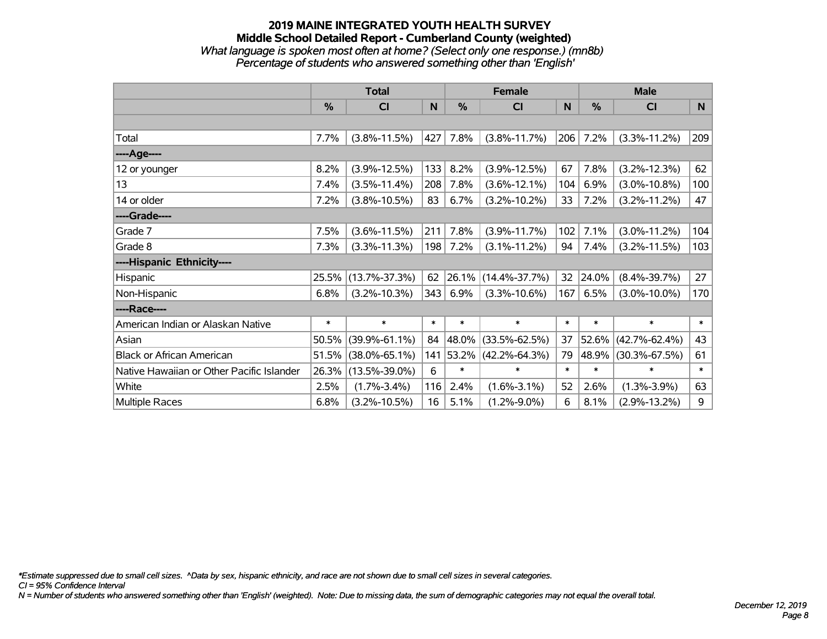## **2019 MAINE INTEGRATED YOUTH HEALTH SURVEY Middle School Detailed Report - Cumberland County (weighted)** *What language is spoken most often at home? (Select only one response.) (mn8b) Percentage of students who answered something other than 'English'*

|                                           |               | <b>Total</b>        |        |               | <b>Female</b>       |        | <b>Male</b> |                     |        |
|-------------------------------------------|---------------|---------------------|--------|---------------|---------------------|--------|-------------|---------------------|--------|
|                                           | $\frac{0}{0}$ | CI                  | N      | $\frac{0}{0}$ | CI                  | N      | %           | <b>CI</b>           | N      |
|                                           |               |                     |        |               |                     |        |             |                     |        |
| Total                                     | 7.7%          | $(3.8\% - 11.5\%)$  | 427    | 7.8%          | $(3.8\% - 11.7\%)$  | 206    | 7.2%        | $(3.3\% - 11.2\%)$  | 209    |
| ----Age----                               |               |                     |        |               |                     |        |             |                     |        |
| 12 or younger                             | 8.2%          | $(3.9\% - 12.5\%)$  | 133    | 8.2%          | $(3.9\% - 12.5\%)$  | 67     | 7.8%        | $(3.2\% - 12.3\%)$  | 62     |
| 13                                        | 7.4%          | $(3.5\% - 11.4\%)$  | 208    | 7.8%          | $(3.6\% - 12.1\%)$  | 104    | 6.9%        | $(3.0\% - 10.8\%)$  | 100    |
| 14 or older                               | 7.2%          | $(3.8\% - 10.5\%)$  | 83     | 6.7%          | $(3.2\% - 10.2\%)$  | 33     | 7.2%        | $(3.2\% - 11.2\%)$  | 47     |
| ----Grade----                             |               |                     |        |               |                     |        |             |                     |        |
| Grade 7                                   | 7.5%          | $(3.6\% - 11.5\%)$  | 211    | 7.8%          | $(3.9\% - 11.7\%)$  | 102    | 7.1%        | $(3.0\% - 11.2\%)$  | 104    |
| Grade 8                                   | 7.3%          | $(3.3\% - 11.3\%)$  | 198    | 7.2%          | $(3.1\% - 11.2\%)$  | 94     | 7.4%        | $(3.2\% - 11.5\%)$  | 103    |
| ----Hispanic Ethnicity----                |               |                     |        |               |                     |        |             |                     |        |
| Hispanic                                  | 25.5%         | $(13.7\% - 37.3\%)$ | 62     | 26.1%         | $(14.4\% - 37.7\%)$ | 32     | 24.0%       | $(8.4\% - 39.7\%)$  | 27     |
| Non-Hispanic                              | 6.8%          | $(3.2\% - 10.3\%)$  | 343    | 6.9%          | $(3.3\% - 10.6\%)$  | 167    | 6.5%        | $(3.0\% - 10.0\%)$  | 170    |
| ----Race----                              |               |                     |        |               |                     |        |             |                     |        |
| American Indian or Alaskan Native         | $\ast$        | $\ast$              | $\ast$ | $\ast$        | $\ast$              | $\ast$ | $\ast$      | $\ast$              | $\ast$ |
| Asian                                     | 50.5%         | $(39.9\% - 61.1\%)$ | 84     | 48.0%         | $(33.5\% - 62.5\%)$ | 37     | 52.6%       | $(42.7\% - 62.4\%)$ | 43     |
| <b>Black or African American</b>          | 51.5%         | $(38.0\% - 65.1\%)$ | 141    | 53.2%         | $(42.2\% - 64.3\%)$ | 79     | 48.9%       | $(30.3\% - 67.5\%)$ | 61     |
| Native Hawaiian or Other Pacific Islander | 26.3%         | $(13.5\% - 39.0\%)$ | 6      | $\ast$        | $\ast$              | $\ast$ | $\ast$      | $\ast$              | $\ast$ |
| White                                     | 2.5%          | $(1.7\% - 3.4\%)$   | 116    | 2.4%          | $(1.6\% - 3.1\%)$   | 52     | 2.6%        | $(1.3\% - 3.9\%)$   | 63     |
| <b>Multiple Races</b>                     | 6.8%          | $(3.2\% - 10.5\%)$  | 16     | 5.1%          | $(1.2\% - 9.0\%)$   | 6      | 8.1%        | $(2.9\% - 13.2\%)$  | 9      |

*\*Estimate suppressed due to small cell sizes. ^Data by sex, hispanic ethnicity, and race are not shown due to small cell sizes in several categories.*

*CI = 95% Confidence Interval*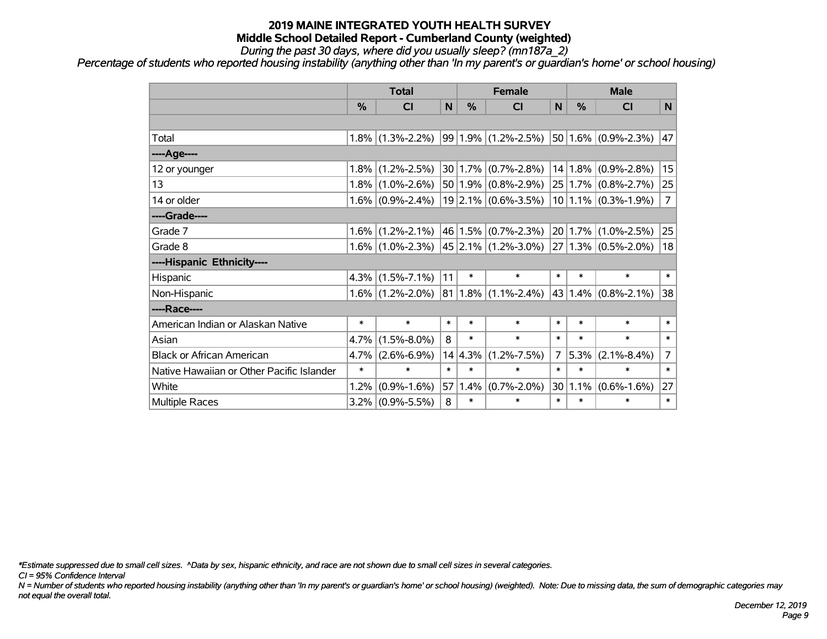*During the past 30 days, where did you usually sleep? (mn187a\_2)*

*Percentage of students who reported housing instability (anything other than 'In my parent's or guardian's home' or school housing)*

|                                           |         | <b>Total</b>                            |        |         | <b>Female</b>           |                | <b>Male</b> |                          |                |
|-------------------------------------------|---------|-----------------------------------------|--------|---------|-------------------------|----------------|-------------|--------------------------|----------------|
|                                           | %       | <b>CI</b>                               | N      | %       | <b>CI</b>               | N              | %           | <b>CI</b>                | N              |
|                                           |         |                                         |        |         |                         |                |             |                          |                |
| Total                                     | $1.8\%$ | $(1.3\textdegree-2.2\%)$                |        |         | $99 1.9\% $ (1.2%-2.5%) |                |             | $50 1.6\% $ (0.9%-2.3%)  | 47             |
| ----Age----                               |         |                                         |        |         |                         |                |             |                          |                |
| 12 or younger                             | 1.8%    | $(1.2\% - 2.5\%)$                       |        |         | $30 1.7\% $ (0.7%-2.8%) |                |             | $14 1.8\% $ (0.9%-2.8%)  | 15             |
| 13                                        |         | $1.8\%$ (1.0%-2.6%)                     |        |         | $50 1.9\% $ (0.8%-2.9%) |                |             | $25 1.7\% $ (0.8%-2.7%)  | 25             |
| 14 or older                               |         | $1.6\%$ (0.9%-2.4%)                     |        |         | $19$  2.1% (0.6%-3.5%)  |                |             | $10 1.1\% $ (0.3%-1.9%)  | $\overline{7}$ |
| ----Grade----                             |         |                                         |        |         |                         |                |             |                          |                |
| Grade 7                                   | $1.6\%$ | $(1.2\% - 2.1\%)$                       |        |         | 46 1.5% (0.7%-2.3%)     |                | 20 1.7%     | $(1.0\% - 2.5\%)$        | 25             |
| Grade 8                                   |         | $1.6\%$ (1.0%-2.3%) 45 2.1% (1.2%-3.0%) |        |         |                         |                |             | $ 27 1.3\% $ (0.5%-2.0%) | 18             |
| ----Hispanic Ethnicity----                |         |                                         |        |         |                         |                |             |                          |                |
| Hispanic                                  | 4.3%    | $(1.5\% - 7.1\%)$                       | 11     | $\ast$  | $\ast$                  | $\ast$         | $\ast$      | $\ast$                   | $\ast$         |
| Non-Hispanic                              |         | $1.6\%$ (1.2%-2.0%)                     | 81     |         | $1.8\%$ (1.1%-2.4%)     |                | 43 1.4%     | $(0.8\% - 2.1\%)$        | 38             |
| ----Race----                              |         |                                         |        |         |                         |                |             |                          |                |
| American Indian or Alaskan Native         | $\ast$  | $\ast$                                  | $\ast$ | $\ast$  | $\ast$                  | $\ast$         | $\ast$      | $\ast$                   | $\ast$         |
| Asian                                     | 4.7%    | $(1.5\% - 8.0\%)$                       | 8      | $\ast$  | $\ast$                  | $\ast$         | $\ast$      | $\ast$                   | $\ast$         |
| <b>Black or African American</b>          | 4.7%    | $(2.6\% - 6.9\%)$                       |        | 14 4.3% | $(1.2\% - 7.5\%)$       | $\overline{7}$ | 5.3%        | $(2.1\% - 8.4\%)$        | $\overline{7}$ |
| Native Hawaiian or Other Pacific Islander | $\ast$  | $\ast$                                  | $\ast$ | $\ast$  | $\ast$                  | $\ast$         | $\ast$      | $\ast$                   | $\ast$         |
| White                                     | 1.2%    | $(0.9\% - 1.6\%)$                       | 57     | 1.4%    | $(0.7\% - 2.0\%)$       |                | 30 1.1%     | $(0.6\% - 1.6\%)$        | 27             |
| <b>Multiple Races</b>                     |         | $3.2\%$ (0.9%-5.5%)                     | 8      | $\ast$  | $\ast$                  | $\ast$         | $\ast$      | $\ast$                   | $\ast$         |

*\*Estimate suppressed due to small cell sizes. ^Data by sex, hispanic ethnicity, and race are not shown due to small cell sizes in several categories.*

*CI = 95% Confidence Interval*

*N = Number of students who reported housing instability (anything other than 'In my parent's or guardian's home' or school housing) (weighted). Note: Due to missing data, the sum of demographic categories may not equal the overall total.*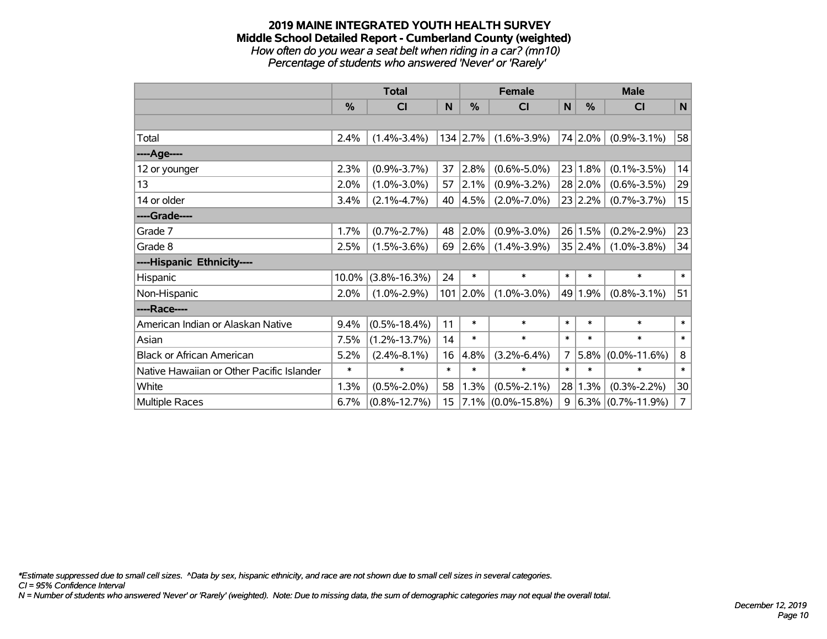#### **2019 MAINE INTEGRATED YOUTH HEALTH SURVEY Middle School Detailed Report - Cumberland County (weighted)** *How often do you wear a seat belt when riding in a car? (mn10)*

*Percentage of students who answered 'Never' or 'Rarely'*

|                                           |        | <b>Total</b>       |        |            | <b>Female</b>      |                | <b>Male</b> |                      |                |
|-------------------------------------------|--------|--------------------|--------|------------|--------------------|----------------|-------------|----------------------|----------------|
|                                           | %      | <b>CI</b>          | N      | %          | C <sub>1</sub>     | N              | $\%$        | <b>CI</b>            | $\mathsf{N}$   |
|                                           |        |                    |        |            |                    |                |             |                      |                |
| Total                                     | 2.4%   | $(1.4\% - 3.4\%)$  |        | $134$ 2.7% | $(1.6\% - 3.9\%)$  |                | 74 2.0%     | $(0.9\% - 3.1\%)$    | 58             |
| ----Age----                               |        |                    |        |            |                    |                |             |                      |                |
| 12 or younger                             | 2.3%   | $(0.9\% - 3.7\%)$  | 37     | 2.8%       | $(0.6\% - 5.0\%)$  |                | 23 1.8%     | $(0.1\% - 3.5\%)$    | 14             |
| 13                                        | 2.0%   | $(1.0\% - 3.0\%)$  | 57     | 2.1%       | $(0.9\% - 3.2\%)$  |                | 28 2.0%     | $(0.6\% - 3.5\%)$    | 29             |
| 14 or older                               | 3.4%   | $(2.1\% - 4.7\%)$  | 40     | 4.5%       | $(2.0\% - 7.0\%)$  |                | 23 2.2%     | $(0.7\% - 3.7\%)$    | 15             |
| ----Grade----                             |        |                    |        |            |                    |                |             |                      |                |
| Grade 7                                   | 1.7%   | $(0.7\% - 2.7\%)$  | 48     | 2.0%       | $(0.9\% - 3.0\%)$  |                | 26 1.5%     | $(0.2\% - 2.9\%)$    | 23             |
| Grade 8                                   | 2.5%   | $(1.5\% - 3.6\%)$  | 69     | 2.6%       | $(1.4\% - 3.9\%)$  |                | 35 2.4%     | $(1.0\% - 3.8\%)$    | 34             |
| ----Hispanic Ethnicity----                |        |                    |        |            |                    |                |             |                      |                |
| Hispanic                                  | 10.0%  | $(3.8\% - 16.3\%)$ | 24     | $\ast$     | $\ast$             | $\ast$         | $\ast$      | $\ast$               | $\ast$         |
| Non-Hispanic                              | 2.0%   | $(1.0\% - 2.9\%)$  | 101    | $ 2.0\%$   | $(1.0\% - 3.0\%)$  |                | 49 1.9%     | $(0.8\% - 3.1\%)$    | 51             |
| ----Race----                              |        |                    |        |            |                    |                |             |                      |                |
| American Indian or Alaskan Native         | 9.4%   | $(0.5\% - 18.4\%)$ | 11     | $\ast$     | $\ast$             | $\ast$         | $\ast$      | $\ast$               | $\ast$         |
| Asian                                     | 7.5%   | $(1.2\% - 13.7\%)$ | 14     | $\ast$     | $\ast$             | $\ast$         | $\ast$      | $\ast$               | $\ast$         |
| <b>Black or African American</b>          | 5.2%   | $(2.4\% - 8.1\%)$  | 16     | 4.8%       | $(3.2\% - 6.4\%)$  | $\overline{7}$ | 5.8%        | $(0.0\% - 11.6\%)$   | 8              |
| Native Hawaiian or Other Pacific Islander | $\ast$ | $\ast$             | $\ast$ | *          | $\ast$             | $\ast$         | $\ast$      | *                    | $\ast$         |
| White                                     | 1.3%   | $(0.5\% - 2.0\%)$  | 58     | 1.3%       | $(0.5\% - 2.1\%)$  | 28             | 1.3%        | $(0.3\% - 2.2\%)$    | 30             |
| Multiple Races                            | 6.7%   | $(0.8\% - 12.7\%)$ | 15     | $7.1\%$    | $(0.0\% - 15.8\%)$ | 9              |             | $6.3\%$ (0.7%-11.9%) | $\overline{7}$ |

*\*Estimate suppressed due to small cell sizes. ^Data by sex, hispanic ethnicity, and race are not shown due to small cell sizes in several categories.*

*CI = 95% Confidence Interval*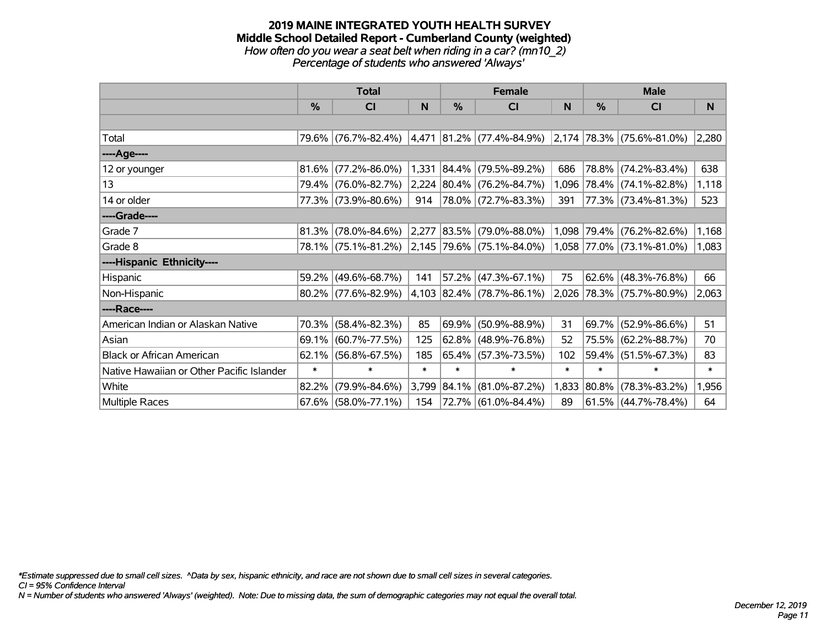#### **2019 MAINE INTEGRATED YOUTH HEALTH SURVEY Middle School Detailed Report - Cumberland County (weighted)** *How often do you wear a seat belt when riding in a car? (mn10\_2) Percentage of students who answered 'Always'*

|                                           |        | <b>Total</b>                                  |        |        | <b>Female</b>                                                           |        | <b>Male</b> |                           |        |  |
|-------------------------------------------|--------|-----------------------------------------------|--------|--------|-------------------------------------------------------------------------|--------|-------------|---------------------------|--------|--|
|                                           | $\%$   | CI                                            | N      | $\%$   | <b>CI</b>                                                               | N      | $\%$        | <b>CI</b>                 | N      |  |
|                                           |        |                                               |        |        |                                                                         |        |             |                           |        |  |
| Total                                     |        |                                               |        |        | 79.6% (76.7%-82.4%) 4,471 81.2% (77.4%-84.9%) 2,174 78.3% (75.6%-81.0%) |        |             |                           | 2,280  |  |
| ---- Age----                              |        |                                               |        |        |                                                                         |        |             |                           |        |  |
| 12 or younger                             | 81.6%  | $(77.2\% - 86.0\%)$                           | 1,331  |        | $ 84.4\% $ (79.5%-89.2%)                                                | 686    | 78.8%       | $(74.2\% - 83.4\%)$       | 638    |  |
| 13                                        |        | 79.4% (76.0%-82.7%)                           |        |        | 2,224 80.4% (76.2%-84.7%)                                               | 1,096  |             | $ 78.4\% $ (74.1%-82.8%)  | 1,118  |  |
| 14 or older                               |        | 77.3% (73.9%-80.6%)                           | 914    |        | 78.0% (72.7%-83.3%)                                                     | 391    |             | 77.3% (73.4%-81.3%)       | 523    |  |
| ----Grade----                             |        |                                               |        |        |                                                                         |        |             |                           |        |  |
| Grade 7                                   | 81.3%  | $(78.0\% - 84.6\%)$                           |        |        | $ 2,277 83.5\% $ (79.0%-88.0%)                                          |        |             | 1,098 79.4% (76.2%-82.6%) | 1,168  |  |
| Grade 8                                   |        | 78.1% (75.1%-81.2%) 2,145 79.6% (75.1%-84.0%) |        |        |                                                                         |        |             | 1,058 77.0% (73.1%-81.0%) | 1,083  |  |
| ----Hispanic Ethnicity----                |        |                                               |        |        |                                                                         |        |             |                           |        |  |
| Hispanic                                  | 59.2%  | $(49.6\% - 68.7\%)$                           | 141    | 57.2%  | $(47.3\% - 67.1\%)$                                                     | 75     | 62.6%       | $(48.3\% - 76.8\%)$       | 66     |  |
| Non-Hispanic                              |        | $80.2\%$ (77.6%-82.9%)                        |        |        | 4,103 82.4% (78.7%-86.1%)                                               |        |             | 2,026 78.3% (75.7%-80.9%) | 2,063  |  |
| ----Race----                              |        |                                               |        |        |                                                                         |        |             |                           |        |  |
| American Indian or Alaskan Native         | 70.3%  | $(58.4\% - 82.3\%)$                           | 85     | 69.9%  | $(50.9\% - 88.9\%)$                                                     | 31     | 69.7%       | $(52.9\% - 86.6\%)$       | 51     |  |
| Asian                                     | 69.1%  | $(60.7\% - 77.5\%)$                           | 125    |        | $62.8\%$ (48.9%-76.8%)                                                  | 52     | 75.5%       | $(62.2\% - 88.7\%)$       | 70     |  |
| <b>Black or African American</b>          | 62.1%  | $(56.8\% - 67.5\%)$                           | 185    |        | 65.4% (57.3%-73.5%)                                                     | 102    |             | 59.4% (51.5%-67.3%)       | 83     |  |
| Native Hawaiian or Other Pacific Islander | $\ast$ | $\ast$                                        | $\ast$ | $\ast$ | $\ast$                                                                  | $\ast$ | $\ast$      | $\ast$                    | $\ast$ |  |
| White                                     | 82.2%  | $(79.9\% - 84.6\%)$                           | 3,799  | 84.1%  | $(81.0\% - 87.2\%)$                                                     | 1,833  | 80.8%       | $(78.3\% - 83.2\%)$       | 1,956  |  |
| Multiple Races                            | 67.6%  | $(58.0\% - 77.1\%)$                           | 154    |        | 72.7% (61.0%-84.4%)                                                     | 89     |             | $61.5\%$ (44.7%-78.4%)    | 64     |  |

*\*Estimate suppressed due to small cell sizes. ^Data by sex, hispanic ethnicity, and race are not shown due to small cell sizes in several categories.*

*CI = 95% Confidence Interval*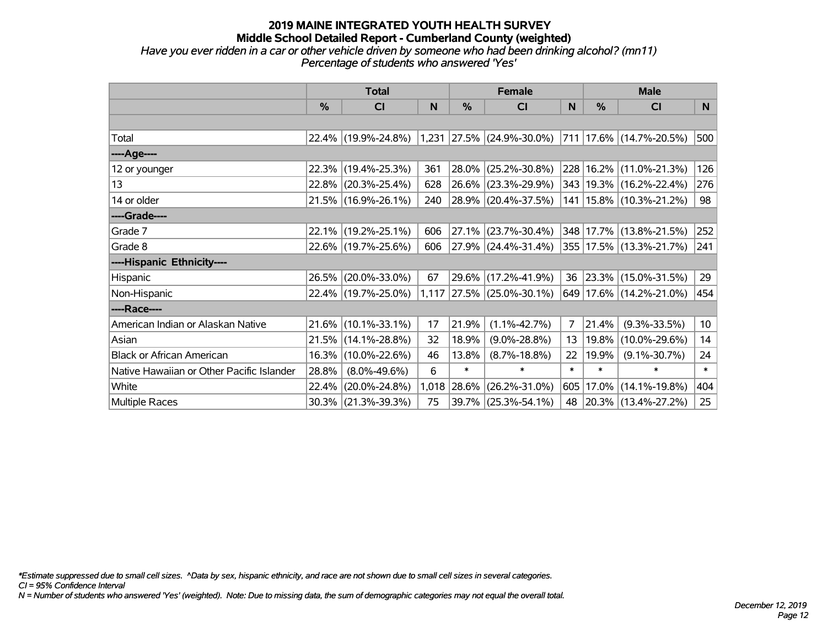## **2019 MAINE INTEGRATED YOUTH HEALTH SURVEY Middle School Detailed Report - Cumberland County (weighted)** *Have you ever ridden in a car or other vehicle driven by someone who had been drinking alcohol? (mn11)*

| Percentage of students who answered 'Yes' |  |
|-------------------------------------------|--|
|                                           |  |
|                                           |  |
|                                           |  |

|                                           |               | <b>Total</b>        |       |            | <b>Female</b>                                 |                |        | <b>Male</b>                 |                 |  |
|-------------------------------------------|---------------|---------------------|-------|------------|-----------------------------------------------|----------------|--------|-----------------------------|-----------------|--|
|                                           | $\frac{0}{0}$ | CI                  | N     | %          | <b>CI</b>                                     | N              | $\%$   | <b>CI</b>                   | N               |  |
|                                           |               |                     |       |            |                                               |                |        |                             |                 |  |
| Total                                     |               |                     |       |            | 22.4% (19.9%-24.8%) 1,231 27.5% (24.9%-30.0%) |                |        | 711   17.6%   (14.7%-20.5%) | 500             |  |
| ----Age----                               |               |                     |       |            |                                               |                |        |                             |                 |  |
| 12 or younger                             | 22.3%         | $(19.4\% - 25.3\%)$ | 361   | 28.0%      | $(25.2\% - 30.8\%)$                           |                |        | 228 16.2% (11.0%-21.3%)     | 126             |  |
| 13                                        |               | 22.8% (20.3%-25.4%) | 628   |            | 26.6% (23.3%-29.9%)                           |                |        | 343   19.3%   (16.2%-22.4%) | 276             |  |
| 14 or older                               |               | 21.5% (16.9%-26.1%) | 240   |            | $ 28.9\% $ (20.4%-37.5%)                      |                |        | 141   15.8%   (10.3%-21.2%) | 98              |  |
| ----Grade----                             |               |                     |       |            |                                               |                |        |                             |                 |  |
| Grade 7                                   |               | 22.1% (19.2%-25.1%) | 606   | $ 27.1\% $ | $(23.7\% - 30.4\%)$                           |                |        | 348 17.7% (13.8%-21.5%)     | 252             |  |
| Grade 8                                   |               | 22.6% (19.7%-25.6%) | 606   |            | 27.9% (24.4%-31.4%)                           |                |        | 355   17.5%   (13.3%-21.7%) | 241             |  |
| ----Hispanic Ethnicity----                |               |                     |       |            |                                               |                |        |                             |                 |  |
| Hispanic                                  | 26.5%         | $(20.0\% - 33.0\%)$ | 67    |            | 29.6% (17.2%-41.9%)                           | 36             |        | 23.3% (15.0%-31.5%)         | 29              |  |
| Non-Hispanic                              |               | 22.4% (19.7%-25.0%) |       |            | 1,117 27.5% (25.0%-30.1%)                     |                |        | 649 17.6% (14.2%-21.0%)     | 454             |  |
| ----Race----                              |               |                     |       |            |                                               |                |        |                             |                 |  |
| American Indian or Alaskan Native         |               | 21.6% (10.1%-33.1%) | 17    | 21.9%      | $(1.1\% - 42.7\%)$                            | $\overline{7}$ | 21.4%  | $(9.3\% - 33.5\%)$          | 10 <sub>1</sub> |  |
| Asian                                     |               | 21.5% (14.1%-28.8%) | 32    | 18.9%      | $(9.0\% - 28.8\%)$                            | 13             | 19.8%  | $(10.0\% - 29.6\%)$         | 14              |  |
| <b>Black or African American</b>          |               | 16.3% (10.0%-22.6%) | 46    | 13.8%      | $(8.7\% - 18.8\%)$                            | 22             | 19.9%  | $(9.1\% - 30.7\%)$          | 24              |  |
| Native Hawaiian or Other Pacific Islander | 28.8%         | $(8.0\% - 49.6\%)$  | 6     | $\ast$     | $\ast$                                        | $\ast$         | $\ast$ | $\ast$                      | $\ast$          |  |
| White                                     | 22.4%         | $(20.0\% - 24.8\%)$ | 1,018 | 28.6%      | $(26.2\% - 31.0\%)$                           | 605            |        | $17.0\%$ (14.1%-19.8%)      | 404             |  |
| Multiple Races                            |               | 30.3% (21.3%-39.3%) | 75    |            | $39.7\%$ (25.3%-54.1%)                        | 48             |        | $ 20.3\% $ (13.4%-27.2%)    | 25              |  |

*\*Estimate suppressed due to small cell sizes. ^Data by sex, hispanic ethnicity, and race are not shown due to small cell sizes in several categories.*

*CI = 95% Confidence Interval*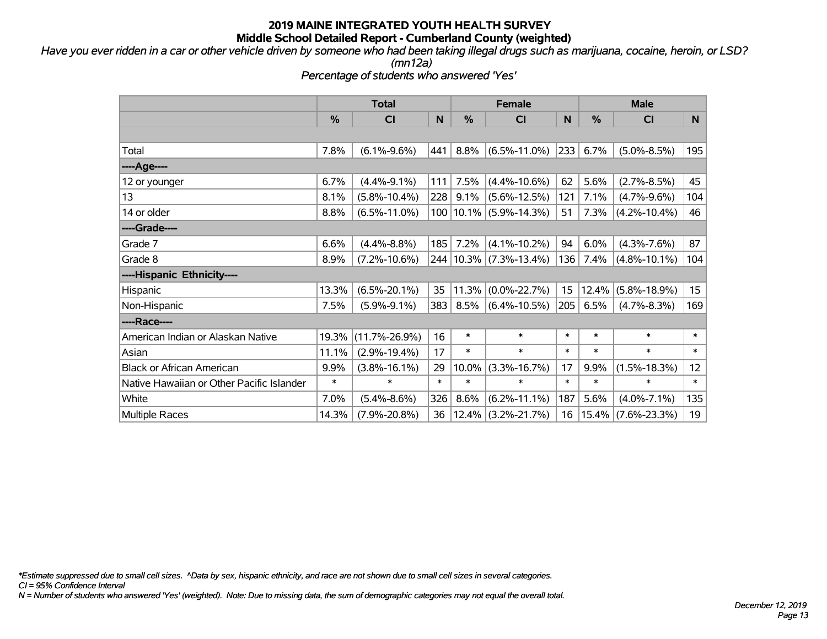*Have you ever ridden in a car or other vehicle driven by someone who had been taking illegal drugs such as marijuana, cocaine, heroin, or LSD? (mn12a)*

*Percentage of students who answered 'Yes'*

|                                           | <b>Total</b>  |                     |        | <b>Female</b> |                            | <b>Male</b> |               |                    |                  |
|-------------------------------------------|---------------|---------------------|--------|---------------|----------------------------|-------------|---------------|--------------------|------------------|
|                                           | $\frac{0}{0}$ | C <sub>l</sub>      | N      | $\frac{0}{0}$ | <b>CI</b>                  | N           | $\frac{0}{0}$ | <b>CI</b>          | N                |
|                                           |               |                     |        |               |                            |             |               |                    |                  |
| Total                                     | 7.8%          | $(6.1\% - 9.6\%)$   | 441    | 8.8%          | $(6.5\% - 11.0\%)$         | 233         | 6.7%          | $(5.0\% - 8.5\%)$  | 195              |
| ---- Age----                              |               |                     |        |               |                            |             |               |                    |                  |
| 12 or younger                             | 6.7%          | $(4.4\% - 9.1\%)$   | 111    | 7.5%          | $(4.4\% - 10.6\%)$         | 62          | 5.6%          | $(2.7\% - 8.5\%)$  | 45               |
| 13                                        | 8.1%          | $(5.8\% - 10.4\%)$  | 228    | 9.1%          | $(5.6\% - 12.5\%)$         | 121         | 7.1%          | $(4.7\% - 9.6\%)$  | 104              |
| 14 or older                               | 8.8%          | $(6.5\% - 11.0\%)$  |        |               | 100   10.1%   (5.9%-14.3%) | 51          | 7.3%          | $(4.2\% - 10.4\%)$ | 46               |
| ----Grade----                             |               |                     |        |               |                            |             |               |                    |                  |
| Grade 7                                   | 6.6%          | $(4.4\% - 8.8\%)$   | 185    | 7.2%          | $(4.1\% - 10.2\%)$         | 94          | 6.0%          | $(4.3\% - 7.6\%)$  | 87               |
| Grade 8                                   | 8.9%          | $(7.2\% - 10.6\%)$  |        |               | 244 10.3% (7.3%-13.4%)     | 136         | 7.4%          | $(4.8\% - 10.1\%)$ | 104              |
| ----Hispanic Ethnicity----                |               |                     |        |               |                            |             |               |                    |                  |
| Hispanic                                  | 13.3%         | $(6.5\% - 20.1\%)$  | 35     | 11.3%         | $(0.0\% - 22.7\%)$         | 15          | 12.4%         | $(5.8\% - 18.9\%)$ | 15 <sub>15</sub> |
| Non-Hispanic                              | 7.5%          | $(5.9\% - 9.1\%)$   | 383    | 8.5%          | $(6.4\% - 10.5\%)$         | 205         | 6.5%          | $(4.7\% - 8.3\%)$  | 169              |
| ----Race----                              |               |                     |        |               |                            |             |               |                    |                  |
| American Indian or Alaskan Native         | 19.3%         | $(11.7\% - 26.9\%)$ | 16     | $\ast$        | $\ast$                     | $\ast$      | $\ast$        | $\ast$             | $\ast$           |
| Asian                                     | 11.1%         | $(2.9\% - 19.4\%)$  | 17     | $\ast$        | $\ast$                     | $\ast$      | $\ast$        | $\ast$             | $\ast$           |
| <b>Black or African American</b>          | 9.9%          | $(3.8\% - 16.1\%)$  | 29     | 10.0%         | $(3.3\% - 16.7\%)$         | 17          | 9.9%          | $(1.5\% - 18.3\%)$ | 12 <sub>2</sub>  |
| Native Hawaiian or Other Pacific Islander | $\ast$        | $\ast$              | $\ast$ | $\ast$        | $\ast$                     | $\ast$      | $\ast$        | $\ast$             | $\ast$           |
| White                                     | 7.0%          | $(5.4\% - 8.6\%)$   | 326    | 8.6%          | $(6.2\% - 11.1\%)$         | 187         | 5.6%          | $(4.0\% - 7.1\%)$  | 135              |
| Multiple Races                            | 14.3%         | $(7.9\% - 20.8\%)$  | 36     |               | $12.4\%$ (3.2%-21.7%)      | 16          | $15.4\%$      | $(7.6\% - 23.3\%)$ | 19               |

*\*Estimate suppressed due to small cell sizes. ^Data by sex, hispanic ethnicity, and race are not shown due to small cell sizes in several categories.*

*CI = 95% Confidence Interval*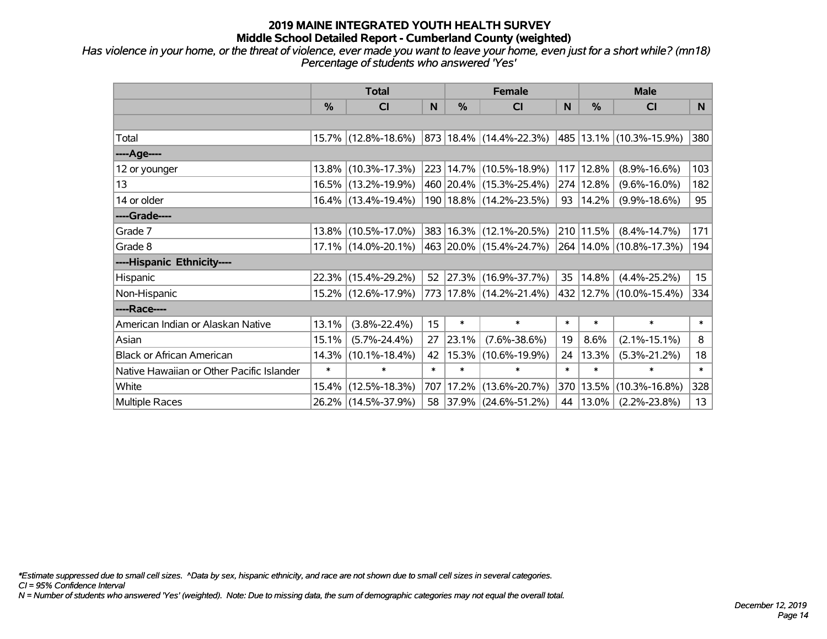*Has violence in your home, or the threat of violence, ever made you want to leave your home, even just for a short while? (mn18) Percentage of students who answered 'Yes'*

|                                           | <b>Total</b> |                        |        | <b>Female</b> | <b>Male</b>                 |              |           |                             |                  |
|-------------------------------------------|--------------|------------------------|--------|---------------|-----------------------------|--------------|-----------|-----------------------------|------------------|
|                                           | $\%$         | CI                     | N      | %             | <b>CI</b>                   | <sub>N</sub> | %         | <b>CI</b>                   | N.               |
|                                           |              |                        |        |               |                             |              |           |                             |                  |
| Total                                     |              | 15.7% (12.8%-18.6%)    |        |               | 873 18.4% (14.4%-22.3%)     |              |           | 485 13.1% (10.3%-15.9%)     | 380              |
| ----Age----                               |              |                        |        |               |                             |              |           |                             |                  |
| 12 or younger                             |              | 13.8% (10.3%-17.3%)    |        |               | 223 14.7% (10.5%-18.9%)     | 117          | 12.8%     | $(8.9\% - 16.6\%)$          | 103              |
| 13                                        |              | 16.5% (13.2%-19.9%)    |        |               | 460 20.4% (15.3%-25.4%)     |              | 274 12.8% | $(9.6\% - 16.0\%)$          | 182              |
| 14 or older                               |              | 16.4% (13.4%-19.4%)    |        |               | 190   18.8%   (14.2%-23.5%) | 93           | 14.2%     | $(9.9\% - 18.6\%)$          | 95               |
| ----Grade----                             |              |                        |        |               |                             |              |           |                             |                  |
| Grade 7                                   |              | 13.8% (10.5%-17.0%)    |        |               | 383 16.3% (12.1%-20.5%)     |              | 210 11.5% | $(8.4\% - 14.7\%)$          | 171              |
| Grade 8                                   |              | $17.1\%$ (14.0%-20.1%) |        |               | 463   20.0%   (15.4%-24.7%) |              |           | 264   14.0%   (10.8%-17.3%) | 194              |
| ----Hispanic Ethnicity----                |              |                        |        |               |                             |              |           |                             |                  |
| Hispanic                                  |              | 22.3% (15.4%-29.2%)    | 52     |               | 27.3% (16.9%-37.7%)         | 35           | 14.8%     | $(4.4\% - 25.2\%)$          | 15 <sub>15</sub> |
| Non-Hispanic                              |              | 15.2% (12.6%-17.9%)    |        |               | 773 17.8% (14.2%-21.4%)     |              |           | 432 12.7% (10.0%-15.4%)     | 334              |
| ----Race----                              |              |                        |        |               |                             |              |           |                             |                  |
| American Indian or Alaskan Native         | 13.1%        | $(3.8\% - 22.4\%)$     | 15     | $\ast$        | $\ast$                      | $\ast$       | $\ast$    | $\ast$                      | $\ast$           |
| Asian                                     | 15.1%        | $(5.7\% - 24.4\%)$     | 27     | 23.1%         | $(7.6\% - 38.6\%)$          | 19           | 8.6%      | $(2.1\% - 15.1\%)$          | 8                |
| <b>Black or African American</b>          | 14.3%        | $(10.1\% - 18.4\%)$    | 42     |               | 15.3% (10.6%-19.9%)         | 24           | 13.3%     | $(5.3\% - 21.2\%)$          | 18               |
| Native Hawaiian or Other Pacific Islander | $\ast$       | $\ast$                 | $\ast$ | $\ast$        | $\ast$                      | $\ast$       | $\ast$    | $\ast$                      | $\ast$           |
| White                                     | 15.4%        | $(12.5\% - 18.3\%)$    | 707    | 17.2%         | $(13.6\% - 20.7\%)$         | 370          | 13.5%     | $(10.3\% - 16.8\%)$         | 328              |
| <b>Multiple Races</b>                     |              | 26.2% (14.5%-37.9%)    |        |               | 58 37.9% (24.6%-51.2%)      | 44           | 13.0%     | $(2.2\% - 23.8\%)$          | 13               |

*\*Estimate suppressed due to small cell sizes. ^Data by sex, hispanic ethnicity, and race are not shown due to small cell sizes in several categories.*

*CI = 95% Confidence Interval*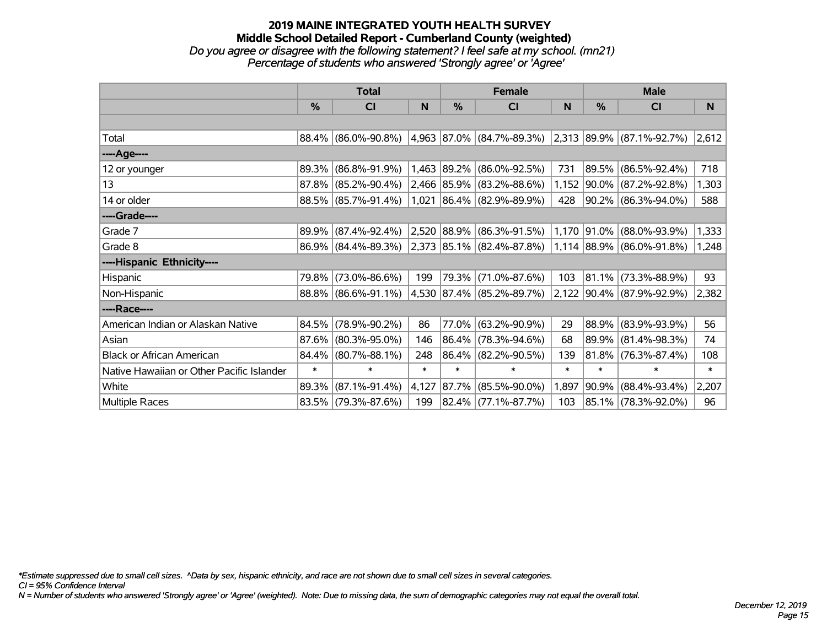#### **2019 MAINE INTEGRATED YOUTH HEALTH SURVEY Middle School Detailed Report - Cumberland County (weighted)** *Do you agree or disagree with the following statement? I feel safe at my school. (mn21) Percentage of students who answered 'Strongly agree' or 'Agree'*

|                                           | <b>Total</b> |                        |        |             | <b>Female</b>                      |        | <b>Male</b>   |                           |        |  |
|-------------------------------------------|--------------|------------------------|--------|-------------|------------------------------------|--------|---------------|---------------------------|--------|--|
|                                           | %            | C <sub>l</sub>         | N      | %           | CI                                 | N      | $\frac{0}{0}$ | CI                        | N      |  |
|                                           |              |                        |        |             |                                    |        |               |                           |        |  |
| Total                                     | 88.4%        | $(86.0\% - 90.8\%)$    |        |             | 4,963 87.0% (84.7%-89.3%)          |        |               | 2,313 89.9% (87.1%-92.7%) | 2,612  |  |
| ----Age----                               |              |                        |        |             |                                    |        |               |                           |        |  |
| 12 or younger                             | 89.3%        | $(86.8\% - 91.9\%)$    | 1,463  | 89.2%       | $(86.0\% - 92.5\%)$                | 731    | 89.5%         | $(86.5\% - 92.4\%)$       | 718    |  |
| 13                                        | 87.8%        | $(85.2\% - 90.4\%)$    |        |             | 2,466 85.9% (83.2%-88.6%)          | 1,152  |               | $ 90.0\% $ (87.2%-92.8%)  | 1,303  |  |
| 14 or older                               |              | 88.5% (85.7%-91.4%)    |        |             | 1,021 86.4% (82.9%-89.9%)          | 428    |               | 90.2% (86.3%-94.0%)       | 588    |  |
| ----Grade----                             |              |                        |        |             |                                    |        |               |                           |        |  |
| Grade 7                                   | 89.9%        | $(87.4\% - 92.4\%)$    |        | 2,520 88.9% | $(86.3\% - 91.5\%)$                | 1,170  |               | $ 91.0\% $ (88.0%-93.9%)  | 1,333  |  |
| Grade 8                                   |              | $86.9\%$ (84.4%-89.3%) |        |             | $ 2,373 85.1\%  (82.4\% - 87.8\%)$ |        |               | 1,114 88.9% (86.0%-91.8%) | 1,248  |  |
| ----Hispanic Ethnicity----                |              |                        |        |             |                                    |        |               |                           |        |  |
| Hispanic                                  | 79.8%        | $(73.0\% - 86.6\%)$    | 199    | 79.3%       | $(71.0\% - 87.6\%)$                | 103    | 81.1%         | $(73.3\% - 88.9\%)$       | 93     |  |
| Non-Hispanic                              |              | 88.8% (86.6%-91.1%)    |        |             | 4,530 87.4% (85.2%-89.7%)          |        |               | 2,122 90.4% (87.9%-92.9%) | 2,382  |  |
| ----Race----                              |              |                        |        |             |                                    |        |               |                           |        |  |
| American Indian or Alaskan Native         | 84.5%        | $(78.9\% - 90.2\%)$    | 86     | 77.0%       | $(63.2\% - 90.9\%)$                | 29     | 88.9%         | $(83.9\% - 93.9\%)$       | 56     |  |
| Asian                                     | 87.6%        | $(80.3\% - 95.0\%)$    | 146    | 86.4%       | $(78.3\% - 94.6\%)$                | 68     | 89.9%         | $(81.4\% - 98.3\%)$       | 74     |  |
| <b>Black or African American</b>          | 84.4%        | $(80.7\% - 88.1\%)$    | 248    | $ 86.4\% $  | $(82.2\% - 90.5\%)$                | 139    |               | $81.8\%$ (76.3%-87.4%)    | 108    |  |
| Native Hawaiian or Other Pacific Islander | $\ast$       | $\ast$                 | $\ast$ | $\ast$      | $\ast$                             | $\ast$ | $\ast$        | $\ast$                    | $\ast$ |  |
| White                                     | 89.3%        | $(87.1\% - 91.4\%)$    | 4,127  | $ 87.7\% $  | $(85.5\% - 90.0\%)$                | 1,897  | $ 90.9\% $    | $(88.4\% - 93.4\%)$       | 2,207  |  |
| Multiple Races                            |              | 83.5% (79.3%-87.6%)    | 199    |             | 82.4% (77.1%-87.7%)                | 103    |               | 85.1% (78.3%-92.0%)       | 96     |  |

*\*Estimate suppressed due to small cell sizes. ^Data by sex, hispanic ethnicity, and race are not shown due to small cell sizes in several categories.*

*CI = 95% Confidence Interval*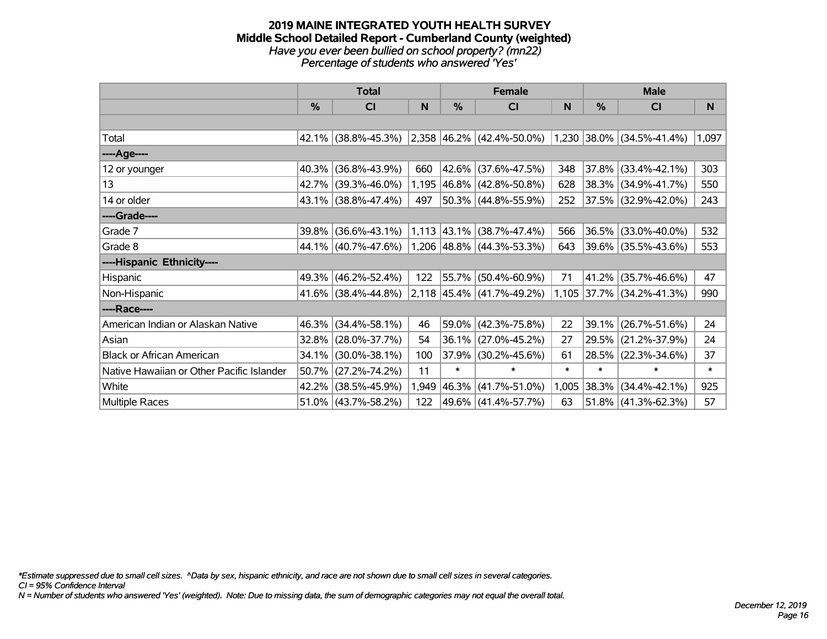#### **2019 MAINE INTEGRATED YOUTH HEALTH SURVEY Middle School Detailed Report - Cumberland County (weighted)** *Have you ever been bullied on school property? (mn22) Percentage of students who answered 'Yes'*

|                                           | <b>Total</b>  |                        |       |               | <b>Female</b>               |        | <b>Male</b>   |                           |        |  |
|-------------------------------------------|---------------|------------------------|-------|---------------|-----------------------------|--------|---------------|---------------------------|--------|--|
|                                           | $\frac{0}{0}$ | CI                     | N     | $\frac{0}{0}$ | CI                          | N      | $\frac{0}{0}$ | CI                        | N.     |  |
|                                           |               |                        |       |               |                             |        |               |                           |        |  |
| Total                                     |               | 42.1% (38.8%-45.3%)    |       |               | $2,358$ 46.2% (42.4%-50.0%) |        |               | 1,230 38.0% (34.5%-41.4%) | 1,097  |  |
| ----Age----                               |               |                        |       |               |                             |        |               |                           |        |  |
| 12 or younger                             | 40.3%         | $(36.8\% - 43.9\%)$    | 660   |               | 42.6% (37.6%-47.5%)         | 348    | 37.8%         | $(33.4\% - 42.1\%)$       | 303    |  |
| 13                                        |               | 42.7% (39.3%-46.0%)    |       |               | 1,195 46.8% (42.8%-50.8%)   | 628    |               | 38.3% (34.9%-41.7%)       | 550    |  |
| 14 or older                               |               | $43.1\%$ (38.8%-47.4%) | 497   |               | 50.3% (44.8%-55.9%)         | 252    |               | 37.5% (32.9%-42.0%)       | 243    |  |
| ----Grade----                             |               |                        |       |               |                             |        |               |                           |        |  |
| Grade 7                                   | 39.8%         | $(36.6\% - 43.1\%)$    |       | $1,113$ 43.1% | $(38.7\% - 47.4\%)$         | 566    | 36.5%         | $(33.0\% - 40.0\%)$       | 532    |  |
| Grade 8                                   |               | 44.1% (40.7%-47.6%)    |       |               | $1,206$ 48.8% (44.3%-53.3%) | 643    |               | 39.6% (35.5%-43.6%)       | 553    |  |
| ----Hispanic Ethnicity----                |               |                        |       |               |                             |        |               |                           |        |  |
| Hispanic                                  | 49.3%         | $(46.2\% - 52.4\%)$    | 122   | 55.7%         | $(50.4\% - 60.9\%)$         | 71     | 41.2%         | $(35.7\% - 46.6\%)$       | 47     |  |
| Non-Hispanic                              |               | 41.6% (38.4%-44.8%)    |       |               | $2,118$ 45.4% (41.7%-49.2%) |        |               | 1,105 37.7% (34.2%-41.3%) | 990    |  |
| ----Race----                              |               |                        |       |               |                             |        |               |                           |        |  |
| American Indian or Alaskan Native         | 46.3%         | $(34.4\% - 58.1\%)$    | 46    |               | 59.0% (42.3%-75.8%)         | 22     | 39.1%         | $(26.7\% - 51.6\%)$       | 24     |  |
| Asian                                     | 32.8%         | $(28.0\% - 37.7\%)$    | 54    | $36.1\%$      | $(27.0\% - 45.2\%)$         | 27     | 29.5%         | $(21.2\% - 37.9\%)$       | 24     |  |
| <b>Black or African American</b>          | 34.1%         | $(30.0\% - 38.1\%)$    | 100   | 37.9%         | $(30.2\% - 45.6\%)$         | 61     | 28.5%         | $(22.3\% - 34.6\%)$       | 37     |  |
| Native Hawaiian or Other Pacific Islander | 50.7%         | $(27.2\% - 74.2\%)$    | 11    | $\ast$        | $\ast$                      | $\ast$ | $\ast$        | $\ast$                    | $\ast$ |  |
| White                                     | 42.2%         | $(38.5\% - 45.9\%)$    | 1,949 | 46.3%         | $(41.7\% - 51.0\%)$         | 1,005  | 38.3%         | $(34.4\% - 42.1\%)$       | 925    |  |
| Multiple Races                            |               | $51.0\%$ (43.7%-58.2%) | 122   |               | 49.6% (41.4%-57.7%)         | 63     |               | $51.8\%$ (41.3%-62.3%)    | 57     |  |

*\*Estimate suppressed due to small cell sizes. ^Data by sex, hispanic ethnicity, and race are not shown due to small cell sizes in several categories.*

*CI = 95% Confidence Interval*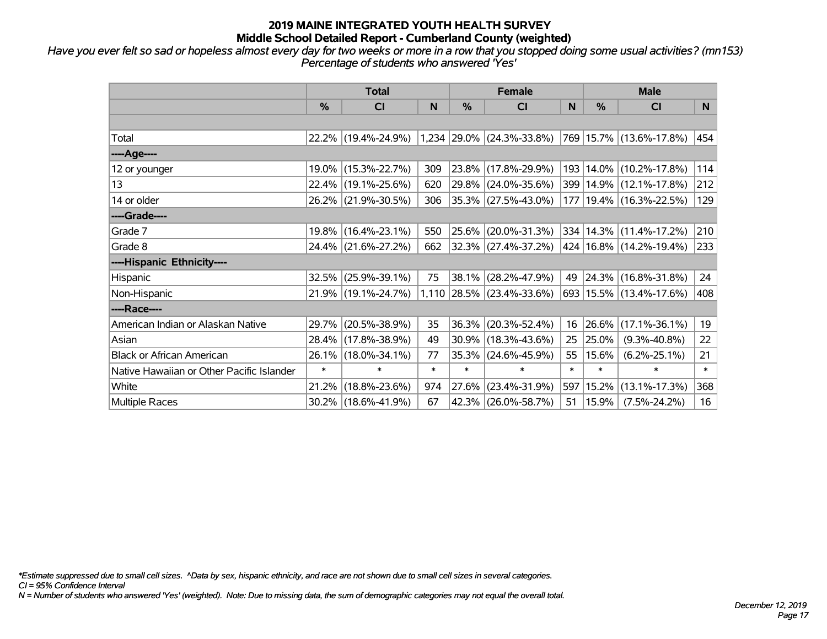*Have you ever felt so sad or hopeless almost every day for two weeks or more in a row that you stopped doing some usual activities? (mn153) Percentage of students who answered 'Yes'*

|                                           | <b>Total</b> |                     |        |        | <b>Female</b>                   |        | <b>Male</b> |                             |        |  |
|-------------------------------------------|--------------|---------------------|--------|--------|---------------------------------|--------|-------------|-----------------------------|--------|--|
|                                           | %            | CI                  | N      | %      | <b>CI</b>                       | N      | %           | <b>CI</b>                   | N.     |  |
|                                           |              |                     |        |        |                                 |        |             |                             |        |  |
| Total                                     |              | 22.2% (19.4%-24.9%) |        |        | $1,234$   29.0%   (24.3%-33.8%) |        |             | 769 15.7% (13.6%-17.8%)     | 454    |  |
| ----Age----                               |              |                     |        |        |                                 |        |             |                             |        |  |
| 12 or younger                             |              | 19.0% (15.3%-22.7%) | 309    | 23.8%  | $(17.8\% - 29.9\%)$             | 193    |             | 14.0% (10.2%-17.8%)         | 114    |  |
| 13                                        |              | 22.4% (19.1%-25.6%) | 620    |        | 29.8% (24.0%-35.6%)             | 399    |             | 14.9% (12.1%-17.8%)         | 212    |  |
| 14 or older                               |              | 26.2% (21.9%-30.5%) | 306    |        | 35.3% (27.5%-43.0%)             | 177    |             | 19.4% (16.3%-22.5%)         | 129    |  |
| ----Grade----                             |              |                     |        |        |                                 |        |             |                             |        |  |
| Grade 7                                   |              | 19.8% (16.4%-23.1%) | 550    | 25.6%  | $(20.0\% - 31.3\%)$             |        |             | 334   14.3%   (11.4%-17.2%) | 210    |  |
| Grade 8                                   |              | 24.4% (21.6%-27.2%) | 662    |        | 32.3% (27.4%-37.2%)             |        |             | 424   16.8%   (14.2%-19.4%) | 233    |  |
| ----Hispanic Ethnicity----                |              |                     |        |        |                                 |        |             |                             |        |  |
| Hispanic                                  | 32.5%        | $(25.9\% - 39.1\%)$ | 75     | 38.1%  | $(28.2\% - 47.9\%)$             | 49     |             | 24.3% (16.8%-31.8%)         | 24     |  |
| Non-Hispanic                              |              | 21.9% (19.1%-24.7%) |        |        | 1,110 28.5% (23.4%-33.6%)       |        |             | 693 15.5% (13.4%-17.6%)     | 408    |  |
| ----Race----                              |              |                     |        |        |                                 |        |             |                             |        |  |
| American Indian or Alaskan Native         |              | 29.7% (20.5%-38.9%) | 35     | 36.3%  | $(20.3\% - 52.4\%)$             | 16     | 26.6%       | $(17.1\% - 36.1\%)$         | 19     |  |
| Asian                                     |              | 28.4% (17.8%-38.9%) | 49     | 30.9%  | $(18.3\% - 43.6\%)$             | 25     | 25.0%       | $(9.3\% - 40.8\%)$          | 22     |  |
| <b>Black or African American</b>          |              | 26.1% (18.0%-34.1%) | 77     | 35.3%  | $(24.6\% - 45.9\%)$             | 55     | 15.6%       | $(6.2\% - 25.1\%)$          | 21     |  |
| Native Hawaiian or Other Pacific Islander | $\ast$       | $\ast$              | $\ast$ | $\ast$ | $\ast$                          | $\ast$ | $\ast$      | $\ast$                      | $\ast$ |  |
| White                                     | 21.2%        | $(18.8\% - 23.6\%)$ | 974    | 27.6%  | $(23.4\% - 31.9\%)$             | 597    | 15.2%       | $(13.1\% - 17.3\%)$         | 368    |  |
| <b>Multiple Races</b>                     |              | 30.2% (18.6%-41.9%) | 67     | 42.3%  | $(26.0\% - 58.7\%)$             | 51     | 15.9%       | $(7.5\% - 24.2\%)$          | 16     |  |

*\*Estimate suppressed due to small cell sizes. ^Data by sex, hispanic ethnicity, and race are not shown due to small cell sizes in several categories.*

*CI = 95% Confidence Interval*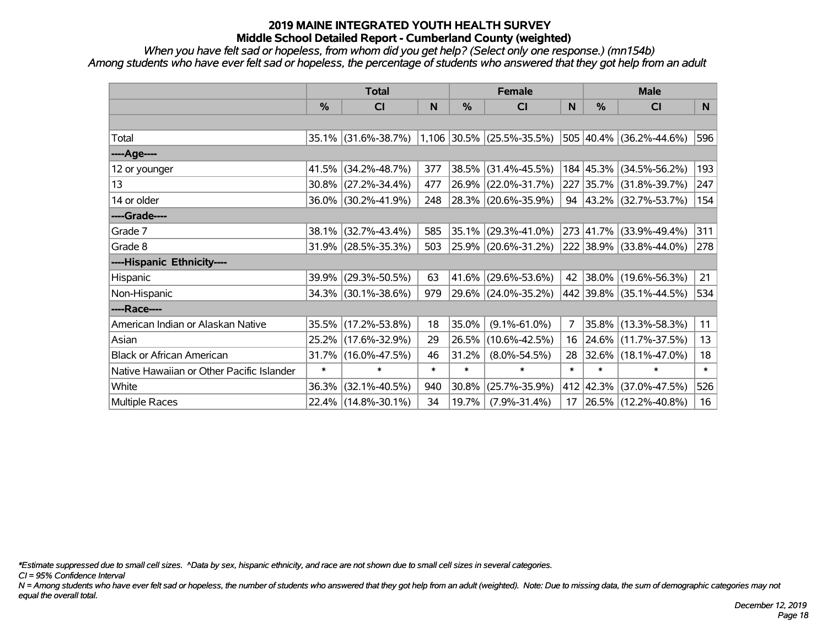*When you have felt sad or hopeless, from whom did you get help? (Select only one response.) (mn154b) Among students who have ever felt sad or hopeless, the percentage of students who answered that they got help from an adult*

|                                           | <b>Total</b>  |                                               |        |        | <b>Female</b>       |                | <b>Male</b> |                             |        |  |
|-------------------------------------------|---------------|-----------------------------------------------|--------|--------|---------------------|----------------|-------------|-----------------------------|--------|--|
|                                           | $\frac{0}{0}$ | <b>CI</b>                                     | N      | $\%$   | <b>CI</b>           | N              | $\%$        | <b>CI</b>                   | N      |  |
|                                           |               |                                               |        |        |                     |                |             |                             |        |  |
| Total                                     |               | 35.1% (31.6%-38.7%) 1,106 30.5% (25.5%-35.5%) |        |        |                     |                |             | 505 40.4% (36.2%-44.6%)     | 596    |  |
| ----Age----                               |               |                                               |        |        |                     |                |             |                             |        |  |
| 12 or younger                             | 41.5%         | $(34.2\% - 48.7\%)$                           | 377    | 38.5%  | $(31.4\% - 45.5\%)$ |                |             | 184 45.3% (34.5%-56.2%)     | 193    |  |
| 13                                        |               | $30.8\%$ (27.2%-34.4%)                        | 477    | 26.9%  | $(22.0\% - 31.7\%)$ |                |             | 227 35.7% (31.8%-39.7%)     | 247    |  |
| 14 or older                               |               | 36.0% (30.2%-41.9%)                           | 248    |        | 28.3% (20.6%-35.9%) |                |             | 94 $ 43.2\% $ (32.7%-53.7%) | 154    |  |
| ----Grade----                             |               |                                               |        |        |                     |                |             |                             |        |  |
| Grade 7                                   | 38.1%         | $(32.7\% - 43.4\%)$                           | 585    | 35.1%  | $(29.3\% - 41.0\%)$ |                |             | 273 41.7% (33.9%-49.4%)     | 311    |  |
| Grade 8                                   |               | $31.9\%$ (28.5%-35.3%)                        | 503    |        | 25.9% (20.6%-31.2%) |                |             | 222 38.9% (33.8%-44.0%)     | 278    |  |
| ----Hispanic Ethnicity----                |               |                                               |        |        |                     |                |             |                             |        |  |
| Hispanic                                  | 39.9%         | $(29.3\% - 50.5\%)$                           | 63     | 41.6%  | $(29.6\% - 53.6\%)$ | 42             |             | $ 38.0\% $ (19.6%-56.3%)    | 21     |  |
| Non-Hispanic                              |               | 34.3% (30.1%-38.6%)                           | 979    |        | 29.6% (24.0%-35.2%) |                |             | 442 39.8% (35.1%-44.5%)     | 534    |  |
| ----Race----                              |               |                                               |        |        |                     |                |             |                             |        |  |
| American Indian or Alaskan Native         |               | 35.5% (17.2%-53.8%)                           | 18     | 35.0%  | $(9.1\% - 61.0\%)$  | $\overline{7}$ |             | 35.8% (13.3%-58.3%)         | 11     |  |
| Asian                                     |               | 25.2% (17.6%-32.9%)                           | 29     | 26.5%  | $(10.6\% - 42.5\%)$ | 16             |             | 24.6% (11.7%-37.5%)         | 13     |  |
| <b>Black or African American</b>          |               | 31.7% (16.0%-47.5%)                           | 46     | 31.2%  | $(8.0\% - 54.5\%)$  | 28             |             | $ 32.6\% $ (18.1%-47.0%)    | 18     |  |
| Native Hawaiian or Other Pacific Islander | $\ast$        | $\ast$                                        | $\ast$ | $\ast$ | $\ast$              | $\ast$         | $\ast$      | $\ast$                      | $\ast$ |  |
| White                                     | 36.3%         | $(32.1\% - 40.5\%)$                           | 940    | 30.8%  | $(25.7\% - 35.9\%)$ |                |             | 412 42.3% (37.0%-47.5%)     | 526    |  |
| Multiple Races                            |               | 22.4% (14.8%-30.1%)                           | 34     | 19.7%  | $(7.9\% - 31.4\%)$  | 17             |             | 26.5% (12.2%-40.8%)         | 16     |  |

*\*Estimate suppressed due to small cell sizes. ^Data by sex, hispanic ethnicity, and race are not shown due to small cell sizes in several categories.*

*CI = 95% Confidence Interval*

*N = Among students who have ever felt sad or hopeless, the number of students who answered that they got help from an adult (weighted). Note: Due to missing data, the sum of demographic categories may not equal the overall total.*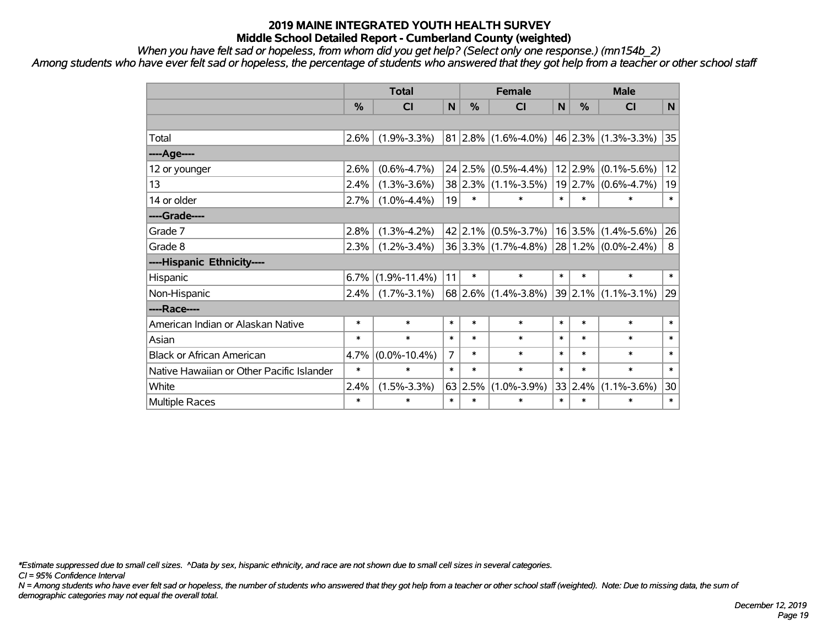*When you have felt sad or hopeless, from whom did you get help? (Select only one response.) (mn154b\_2)*

*Among students who have ever felt sad or hopeless, the percentage of students who answered that they got help from a teacher or other school staff*

|                                           | <b>Total</b>  |                    |                | <b>Female</b>   |                         |        | <b>Male</b> |                         |        |  |
|-------------------------------------------|---------------|--------------------|----------------|-----------------|-------------------------|--------|-------------|-------------------------|--------|--|
|                                           | $\frac{0}{0}$ | <b>CI</b>          | N              | %               | <b>CI</b>               | N      | %           | <b>CI</b>               | N      |  |
|                                           |               |                    |                |                 |                         |        |             |                         |        |  |
| Total                                     | 2.6%          | $(1.9\% - 3.3\%)$  |                |                 | $81 2.8\% $ (1.6%-4.0%) |        |             | 46 2.3% (1.3%-3.3%)     | 35     |  |
| ---- Age----                              |               |                    |                |                 |                         |        |             |                         |        |  |
| 12 or younger                             | 2.6%          | $(0.6\% - 4.7\%)$  |                | 24 2.5%         | $(0.5\% - 4.4\%)$       |        | 12 2.9%     | $(0.1\% - 5.6\%)$       | 12     |  |
| 13                                        | 2.4%          | $(1.3\% - 3.6\%)$  |                |                 | 38 2.3% (1.1%-3.5%)     |        | 19 2.7%     | $(0.6\% - 4.7\%)$       | 19     |  |
| 14 or older                               | 2.7%          | $(1.0\% - 4.4\%)$  | 19             | $\ast$          | $\ast$                  | $\ast$ | $\ast$      | $\ast$                  | $\ast$ |  |
| ----Grade----                             |               |                    |                |                 |                         |        |             |                         |        |  |
| Grade 7                                   | 2.8%          | $(1.3\% - 4.2\%)$  |                | $42$   2.1%     | $(0.5\% - 3.7\%)$       |        | 16 3.5%     | $(1.4\% - 5.6\%)$       | 26     |  |
| Grade 8                                   | 2.3%          | $(1.2\% - 3.4\%)$  |                |                 | 36 3.3% (1.7%-4.8%)     |        |             | $28 1.2\% $ (0.0%-2.4%) | 8      |  |
| ----Hispanic Ethnicity----                |               |                    |                |                 |                         |        |             |                         |        |  |
| Hispanic                                  | 6.7%          | $(1.9\% - 11.4\%)$ | 11             | $\ast$          | $\ast$                  | $\ast$ | $\ast$      | $\ast$                  | $\ast$ |  |
| Non-Hispanic                              | 2.4%          | $(1.7\% - 3.1\%)$  |                | 68 2.6%         | $(1.4\% - 3.8\%)$       |        | 39 2.1%     | $(1.1\% - 3.1\%)$       | 29     |  |
| ----Race----                              |               |                    |                |                 |                         |        |             |                         |        |  |
| American Indian or Alaskan Native         | $\ast$        | $\ast$             | $\ast$         | $\ast$          | $\ast$                  | $\ast$ | $\ast$      | $\ast$                  | $\ast$ |  |
| Asian                                     | *             | $\ast$             | $\ast$         | $\ast$          | $\ast$                  | $\ast$ | $\ast$      | $\ast$                  | $\ast$ |  |
| <b>Black or African American</b>          | 4.7%          | $(0.0\% - 10.4\%)$ | $\overline{7}$ | $\ast$          | $\ast$                  | $\ast$ | $\ast$      | $\ast$                  | $\ast$ |  |
| Native Hawaiian or Other Pacific Islander | $\ast$        | $\ast$             | $\ast$         | $\ast$          | $\ast$                  | $\ast$ | $\ast$      | $\ast$                  | $\ast$ |  |
| White                                     | 2.4%          | $(1.5\% - 3.3\%)$  |                | $63 \mid 2.5\%$ | $(1.0\% - 3.9\%)$       |        | 33 2.4%     | $(1.1\% - 3.6\%)$       | 30     |  |
| <b>Multiple Races</b>                     | $\ast$        | $\ast$             | $\ast$         | $\ast$          | $\ast$                  | $\ast$ | $\ast$      | $\ast$                  | $\ast$ |  |

*\*Estimate suppressed due to small cell sizes. ^Data by sex, hispanic ethnicity, and race are not shown due to small cell sizes in several categories.*

*CI = 95% Confidence Interval*

*N = Among students who have ever felt sad or hopeless, the number of students who answered that they got help from a teacher or other school staff (weighted). Note: Due to missing data, the sum of demographic categories may not equal the overall total.*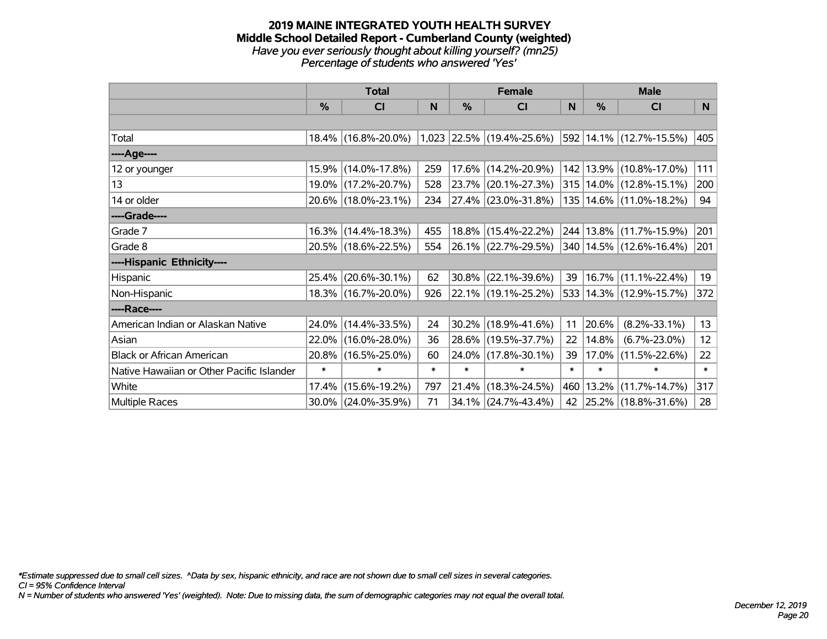#### **2019 MAINE INTEGRATED YOUTH HEALTH SURVEY Middle School Detailed Report - Cumberland County (weighted)** *Have you ever seriously thought about killing yourself? (mn25) Percentage of students who answered 'Yes'*

|                                           | <b>Total</b>  |                     |        | <b>Female</b> | <b>Male</b>                 |        |        |                             |        |
|-------------------------------------------|---------------|---------------------|--------|---------------|-----------------------------|--------|--------|-----------------------------|--------|
|                                           | $\frac{0}{0}$ | CI                  | N      | $\%$          | <b>CI</b>                   | N      | %      | <b>CI</b>                   | N      |
|                                           |               |                     |        |               |                             |        |        |                             |        |
| Total                                     |               | 18.4% (16.8%-20.0%) |        |               | $1,023$ 22.5% (19.4%-25.6%) |        |        | 592 14.1% (12.7%-15.5%)     | 405    |
| ----Age----                               |               |                     |        |               |                             |        |        |                             |        |
| 12 or younger                             |               | 15.9% (14.0%-17.8%) | 259    |               | 17.6% (14.2%-20.9%)         |        |        | 142   13.9%   (10.8%-17.0%) | 111    |
| 13                                        |               | 19.0% (17.2%-20.7%) | 528    |               | 23.7% (20.1%-27.3%)         |        |        | 315   14.0%   (12.8%-15.1%) | 200    |
| 14 or older                               |               | 20.6% (18.0%-23.1%) | 234    |               | $ 27.4\% $ (23.0%-31.8%)    |        |        | 135   14.6%   (11.0%-18.2%) | 94     |
| ----Grade----                             |               |                     |        |               |                             |        |        |                             |        |
| Grade 7                                   |               | 16.3% (14.4%-18.3%) | 455    |               | 18.8% (15.4%-22.2%)         |        |        | 244 13.8% (11.7%-15.9%)     | 201    |
| Grade 8                                   |               | 20.5% (18.6%-22.5%) | 554    |               | $ 26.1\% $ (22.7%-29.5%)    |        |        | 340   14.5%   (12.6%-16.4%) | 201    |
| ----Hispanic Ethnicity----                |               |                     |        |               |                             |        |        |                             |        |
| Hispanic                                  | 25.4%         | $(20.6\% - 30.1\%)$ | 62     | 30.8%         | $(22.1\% - 39.6\%)$         | 39     |        | 16.7% (11.1%-22.4%)         | 19     |
| Non-Hispanic                              |               | 18.3% (16.7%-20.0%) | 926    |               | 22.1% (19.1%-25.2%)         |        |        | 533 14.3% (12.9%-15.7%)     | 372    |
| ----Race----                              |               |                     |        |               |                             |        |        |                             |        |
| American Indian or Alaskan Native         |               | 24.0% (14.4%-33.5%) | 24     | 30.2%         | $(18.9\% - 41.6\%)$         | 11     | 20.6%  | $(8.2\% - 33.1\%)$          | 13     |
| Asian                                     |               | 22.0% (16.0%-28.0%) | 36     | 28.6%         | $(19.5\% - 37.7\%)$         | 22     | 14.8%  | $(6.7\% - 23.0\%)$          | 12     |
| <b>Black or African American</b>          |               | 20.8% (16.5%-25.0%) | 60     | 24.0%         | $(17.8\% - 30.1\%)$         | 39     | 17.0%  | $(11.5\% - 22.6\%)$         | 22     |
| Native Hawaiian or Other Pacific Islander | $\ast$        | $\ast$              | $\ast$ | $\ast$        | $\ast$                      | $\ast$ | $\ast$ | $\ast$                      | $\ast$ |
| White                                     | 17.4%         | $(15.6\% - 19.2\%)$ | 797    | 21.4%         | $(18.3\% - 24.5\%)$         | 460    | 13.2%  | $(11.7\% - 14.7\%)$         | 317    |
| Multiple Races                            |               | 30.0% (24.0%-35.9%) | 71     |               | 34.1% (24.7%-43.4%)         | 42     |        | $ 25.2\% $ (18.8%-31.6%)    | 28     |

*\*Estimate suppressed due to small cell sizes. ^Data by sex, hispanic ethnicity, and race are not shown due to small cell sizes in several categories.*

*CI = 95% Confidence Interval*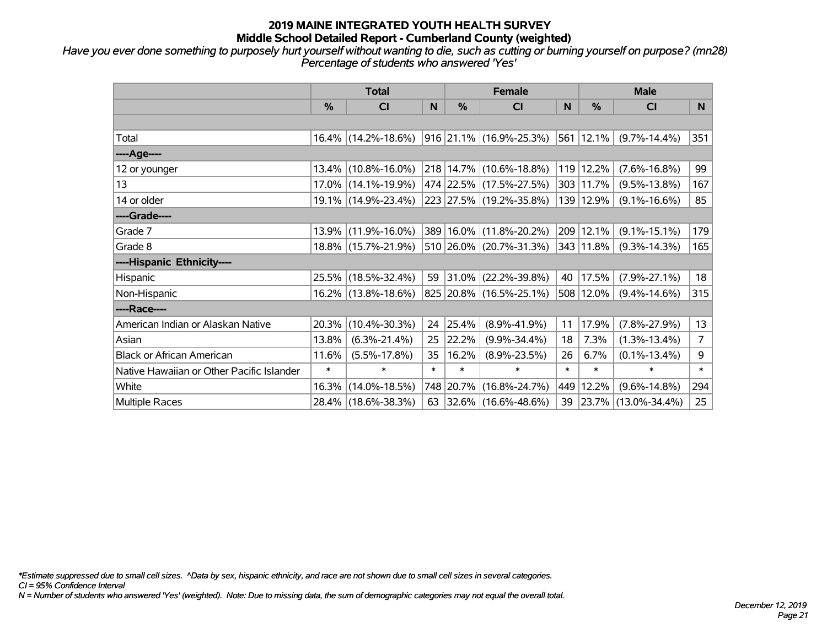*Have you ever done something to purposely hurt yourself without wanting to die, such as cutting or burning yourself on purpose? (mn28) Percentage of students who answered 'Yes'*

|                                           | <b>Total</b>  |                                                |        |        | <b>Female</b>            |        | <b>Male</b>    |                        |                |  |
|-------------------------------------------|---------------|------------------------------------------------|--------|--------|--------------------------|--------|----------------|------------------------|----------------|--|
|                                           | $\frac{0}{0}$ | <b>CI</b>                                      | N      | $\%$   | <b>CI</b>                | N      | $\%$           | <b>CI</b>              | N              |  |
|                                           |               |                                                |        |        |                          |        |                |                        |                |  |
| Total                                     |               | $16.4\%$ (14.2%-18.6%) 916 21.1% (16.9%-25.3%) |        |        |                          |        | $ 561 12.1\% $ | $(9.7\% - 14.4\%)$     | 351            |  |
| ----Age----                               |               |                                                |        |        |                          |        |                |                        |                |  |
| 12 or younger                             | $13.4\%$      | $(10.8\% - 16.0\%)$                            |        |        | 218 14.7% (10.6%-18.8%)  | 119    | 12.2%          | $(7.6\% - 16.8\%)$     | 99             |  |
| 13                                        |               | 17.0% (14.1%-19.9%)                            |        |        | 474 22.5% (17.5%-27.5%)  |        | 303 11.7%      | $(9.5\% - 13.8\%)$     | 167            |  |
| 14 or older                               |               | 19.1% (14.9%-23.4%)                            |        |        | 223 27.5% (19.2%-35.8%)  |        | 139 12.9%      | $(9.1\% - 16.6\%)$     | 85             |  |
| ----Grade----                             |               |                                                |        |        |                          |        |                |                        |                |  |
| Grade 7                                   | $13.9\%$      | $(11.9\% - 16.0\%)$                            |        |        | 389 16.0% (11.8%-20.2%)  | 209    | 12.1%          | $(9.1\% - 15.1\%)$     | 179            |  |
| Grade 8                                   |               | 18.8% (15.7%-21.9%)                            |        |        | 510 26.0% (20.7%-31.3%)  |        | 343 11.8%      | $(9.3\% - 14.3\%)$     | 165            |  |
| ----Hispanic Ethnicity----                |               |                                                |        |        |                          |        |                |                        |                |  |
| Hispanic                                  |               | 25.5% (18.5%-32.4%)                            | 59     |        | $ 31.0\% $ (22.2%-39.8%) | 40     | 17.5%          | $(7.9\% - 27.1\%)$     | 18             |  |
| Non-Hispanic                              |               | 16.2% (13.8%-18.6%)                            |        |        | 825 20.8% (16.5%-25.1%)  | 508    | $12.0\%$       | $(9.4\% - 14.6\%)$     | 315            |  |
| ----Race----                              |               |                                                |        |        |                          |        |                |                        |                |  |
| American Indian or Alaskan Native         | 20.3%         | $(10.4\% - 30.3\%)$                            | 24     | 25.4%  | $(8.9\% - 41.9\%)$       | 11     | 17.9%          | $(7.8\% - 27.9\%)$     | 13             |  |
| Asian                                     | 13.8%         | $(6.3\% - 21.4\%)$                             | 25     | 22.2%  | $(9.9\% - 34.4\%)$       | 18     | 7.3%           | $(1.3\% - 13.4\%)$     | $\overline{7}$ |  |
| <b>Black or African American</b>          | 11.6%         | $(5.5\% - 17.8\%)$                             | 35     | 16.2%  | $(8.9\% - 23.5\%)$       | 26     | 6.7%           | $(0.1\% - 13.4\%)$     | 9              |  |
| Native Hawaiian or Other Pacific Islander | $\ast$        | $\ast$                                         | $\ast$ | $\ast$ | $\ast$                   | $\ast$ | $\ast$         | $\ast$                 | $\ast$         |  |
| White                                     | 16.3%         | $(14.0\% - 18.5\%)$                            |        |        | 748 20.7% (16.8%-24.7%)  | 449    | 12.2%          | $(9.6\% - 14.8\%)$     | 294            |  |
| Multiple Races                            |               | 28.4% (18.6%-38.3%)                            | 63     |        | $ 32.6\% $ (16.6%-48.6%) |        |                | 39 23.7% (13.0%-34.4%) | 25             |  |

*\*Estimate suppressed due to small cell sizes. ^Data by sex, hispanic ethnicity, and race are not shown due to small cell sizes in several categories.*

*CI = 95% Confidence Interval*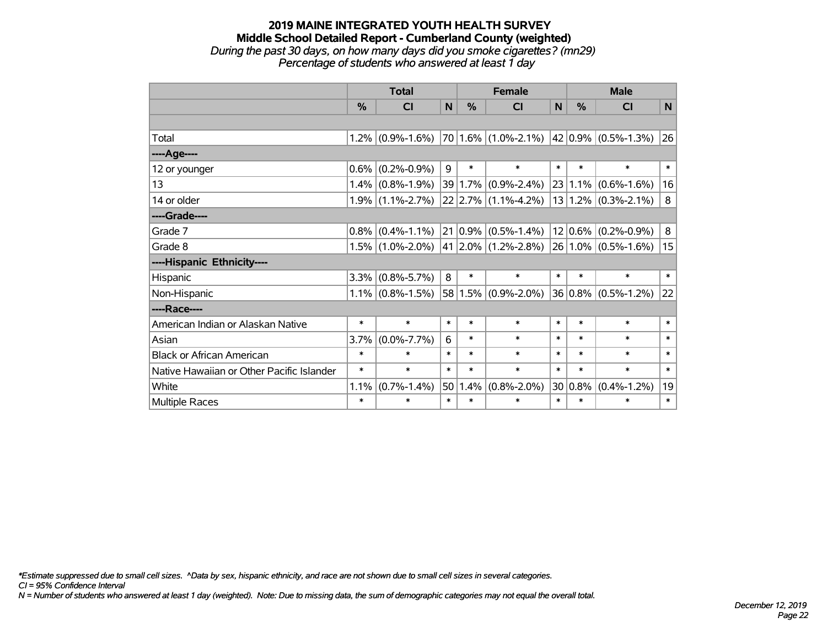#### **2019 MAINE INTEGRATED YOUTH HEALTH SURVEY Middle School Detailed Report - Cumberland County (weighted)** *During the past 30 days, on how many days did you smoke cigarettes? (mn29) Percentage of students who answered at least 1 day*

|                                           | <b>Total</b> |                         |        |        | <b>Female</b>             | <b>Male</b> |              |                                 |        |
|-------------------------------------------|--------------|-------------------------|--------|--------|---------------------------|-------------|--------------|---------------------------------|--------|
|                                           | %            | $\overline{\mathsf{C}}$ | N      | %      | <b>CI</b>                 | N           | %            | CI                              | N      |
|                                           |              |                         |        |        |                           |             |              |                                 |        |
| Total                                     | 1.2%         | $(0.9\% - 1.6\%)$       |        |        | $70 1.6\% $ (1.0%-2.1%)   |             | $ 42 0.9\% $ | $(0.5\% - 1.3\%)$               | 26     |
| ----Age----                               |              |                         |        |        |                           |             |              |                                 |        |
| 12 or younger                             | 0.6%         | $(0.2\% - 0.9\%)$       | 9      | $\ast$ | $\ast$                    | $\ast$      | $\ast$       | $\ast$                          | $\ast$ |
| 13                                        | 1.4%         | $(0.8\% - 1.9\%)$       | 39     |        | $1.7\%$ (0.9%-2.4%)       |             | 23 1.1%      | $(0.6\% - 1.6\%)$               | 16     |
| 14 or older                               |              | $1.9\%$ (1.1%-2.7%)     |        |        | 22 2.7% (1.1%-4.2%)       |             | $ 13 1.2\% $ | $(0.3\text{\%} - 2.1\text{\%})$ | 8      |
| ----Grade----                             |              |                         |        |        |                           |             |              |                                 |        |
| Grade 7                                   | 0.8%         | $(0.4\% - 1.1\%)$       | 21     |        | $0.9\%$ $(0.5\% - 1.4\%)$ |             | $12 0.6\% $  | $(0.2\% - 0.9\%)$               | 8      |
| Grade 8                                   |              | $1.5\%$ (1.0%-2.0%)     |        |        | 41 2.0% (1.2%-2.8%)       |             |              | $ 26 1.0\% $ (0.5%-1.6%)        | 15     |
| ----Hispanic Ethnicity----                |              |                         |        |        |                           |             |              |                                 |        |
| Hispanic                                  | 3.3%         | $(0.8\% - 5.7\%)$       | 8      | $\ast$ | $\ast$                    | $\ast$      | $\ast$       | $\ast$                          | $\ast$ |
| Non-Hispanic                              |              | $1.1\%$ (0.8%-1.5%)     |        |        | 58 1.5% (0.9%-2.0%)       |             | $36 0.8\% $  | $(0.5\% - 1.2\%)$               | 22     |
| ----Race----                              |              |                         |        |        |                           |             |              |                                 |        |
| American Indian or Alaskan Native         | $\ast$       | $\ast$                  | $\ast$ | $\ast$ | $\ast$                    | $\ast$      | $\ast$       | $\ast$                          | $\ast$ |
| Asian                                     | 3.7%         | $(0.0\% - 7.7\%)$       | 6      | $\ast$ | $\ast$                    | $\ast$      | $\ast$       | $\ast$                          | $\ast$ |
| <b>Black or African American</b>          | $\ast$       | $\ast$                  | $\ast$ | $\ast$ | $\ast$                    | $\ast$      | $\ast$       | $\ast$                          | $\ast$ |
| Native Hawaiian or Other Pacific Islander | $\ast$       | $\ast$                  | $\ast$ | $\ast$ | $\ast$                    | $\ast$      | $\ast$       | $\ast$                          | $\ast$ |
| White                                     | 1.1%         | $(0.7\% - 1.4\%)$       | 50     | 1.4%   | $(0.8\% - 2.0\%)$         |             | $30 0.8\%$   | $(0.4\% - 1.2\%)$               | 19     |
| Multiple Races                            | $\ast$       | $\ast$                  | $\ast$ | $\ast$ | $\ast$                    | $\ast$      | $\ast$       | $\ast$                          | $\ast$ |

*\*Estimate suppressed due to small cell sizes. ^Data by sex, hispanic ethnicity, and race are not shown due to small cell sizes in several categories.*

*CI = 95% Confidence Interval*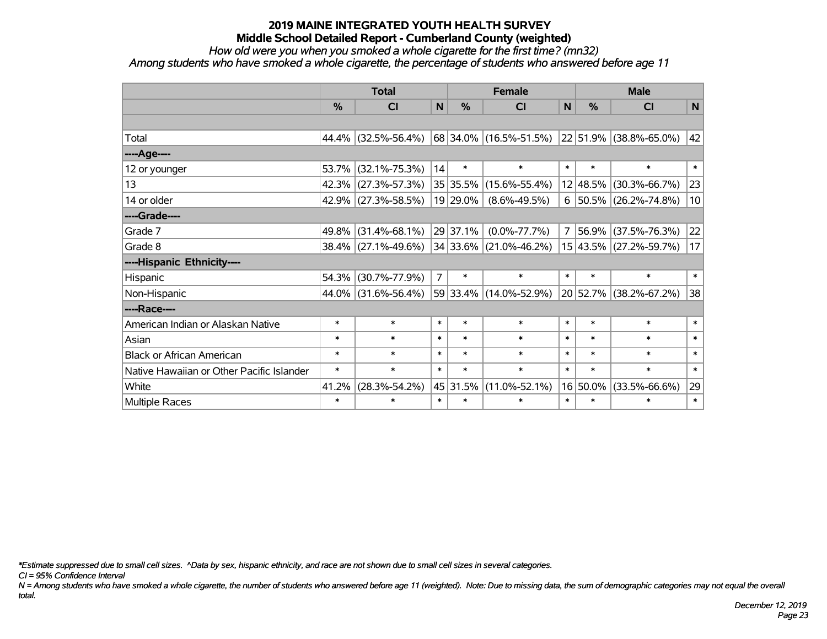*How old were you when you smoked a whole cigarette for the first time? (mn32)*

*Among students who have smoked a whole cigarette, the percentage of students who answered before age 11*

|                                           | <b>Total</b>  |                     |                |          | <b>Female</b>                                      | <b>Male</b>    |          |                        |              |
|-------------------------------------------|---------------|---------------------|----------------|----------|----------------------------------------------------|----------------|----------|------------------------|--------------|
|                                           | $\frac{0}{0}$ | <b>CI</b>           | $\mathbf N$    | %        | <b>CI</b>                                          | N              | %        | <b>CI</b>              | $\mathsf{N}$ |
|                                           |               |                     |                |          |                                                    |                |          |                        |              |
| Total                                     |               | 44.4% (32.5%-56.4%) |                |          | $ 68 34.0\% $ (16.5%-51.5%) 22 51.9% (38.8%-65.0%) |                |          |                        | 42           |
| ----Age----                               |               |                     |                |          |                                                    |                |          |                        |              |
| 12 or younger                             | 53.7%         | $(32.1\% - 75.3\%)$ | 14             | $\ast$   | $\ast$                                             | $\ast$         | $\ast$   | $\ast$                 | $\ast$       |
| 13                                        | 42.3%         | $(27.3\% - 57.3\%)$ |                | 35 35.5% | $(15.6\% - 55.4\%)$                                |                | 12 48.5% | $(30.3\% - 66.7\%)$    | 23           |
| 14 or older                               |               | 42.9% (27.3%-58.5%) |                | 19 29.0% | $(8.6\% - 49.5\%)$                                 | 6              |          | 50.5% (26.2%-74.8%)    | 10           |
| ----Grade----                             |               |                     |                |          |                                                    |                |          |                        |              |
| Grade 7                                   | 49.8%         | $(31.4\% - 68.1\%)$ |                | 29 37.1% | $(0.0\% - 77.7\%)$                                 | $\overline{7}$ | 56.9%    | $(37.5\% - 76.3\%)$    | 22           |
| Grade 8                                   |               | 38.4% (27.1%-49.6%) |                |          | $ 34 33.6\% $ (21.0%-46.2%)                        |                |          | 15 43.5% (27.2%-59.7%) | 17           |
| ----Hispanic Ethnicity----                |               |                     |                |          |                                                    |                |          |                        |              |
| Hispanic                                  | 54.3%         | $(30.7\% - 77.9\%)$ | $\overline{7}$ | $\ast$   | $\ast$                                             | $\ast$         | $\ast$   | $\ast$                 | $\ast$       |
| Non-Hispanic                              | 44.0%         | $(31.6\% - 56.4\%)$ |                |          | 59 33.4% (14.0%-52.9%)                             |                | 20 52.7% | $(38.2\% - 67.2\%)$    | 38           |
| ----Race----                              |               |                     |                |          |                                                    |                |          |                        |              |
| American Indian or Alaskan Native         | $\ast$        | $\ast$              | $\ast$         | $\ast$   | $\ast$                                             | $\ast$         | $\ast$   | $\ast$                 | $\ast$       |
| Asian                                     | $\ast$        | $\ast$              | $\ast$         | $\ast$   | $\ast$                                             | $\ast$         | $\ast$   | $\ast$                 | $\ast$       |
| <b>Black or African American</b>          | $\ast$        | $\ast$              | $\ast$         | $\ast$   | $\ast$                                             | $\ast$         | $\ast$   | $\ast$                 | $\ast$       |
| Native Hawaiian or Other Pacific Islander | $\ast$        | $\ast$              | $\ast$         | $\ast$   | $\ast$                                             | $\ast$         | $\ast$   | $\ast$                 | $\ast$       |
| White                                     | 41.2%         | $(28.3\% - 54.2\%)$ |                | 45 31.5% | $(11.0\% - 52.1\%)$                                |                | 16 50.0% | $(33.5\% - 66.6\%)$    | 29           |
| Multiple Races                            | $\ast$        | $\ast$              | $\ast$         | $\ast$   | $\ast$                                             | $\ast$         | $\ast$   | $\ast$                 | $\ast$       |

*\*Estimate suppressed due to small cell sizes. ^Data by sex, hispanic ethnicity, and race are not shown due to small cell sizes in several categories.*

*CI = 95% Confidence Interval*

*N = Among students who have smoked a whole cigarette, the number of students who answered before age 11 (weighted). Note: Due to missing data, the sum of demographic categories may not equal the overall total.*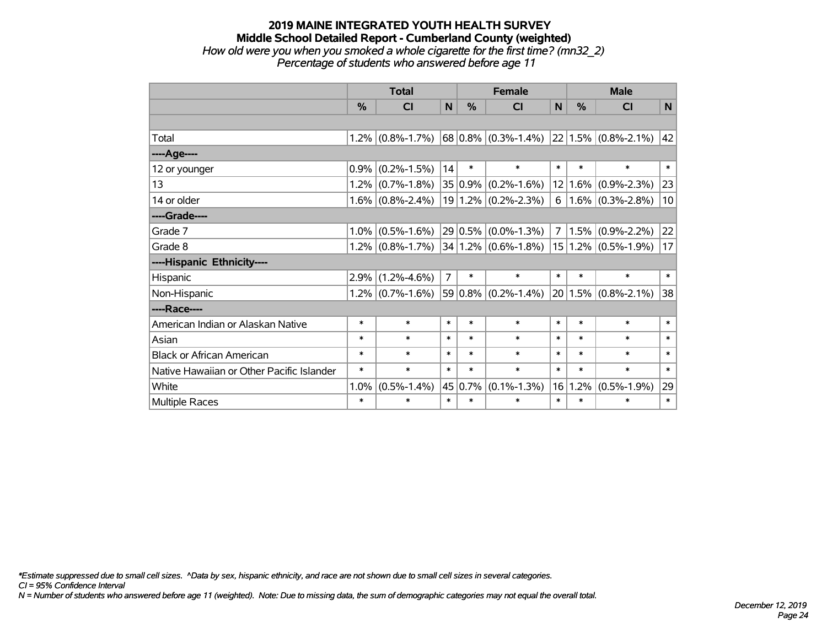#### **2019 MAINE INTEGRATED YOUTH HEALTH SURVEY Middle School Detailed Report - Cumberland County (weighted)** *How old were you when you smoked a whole cigarette for the first time? (mn32\_2) Percentage of students who answered before age 11*

|                                           | <b>Total</b> |                   |                |         | <b>Female</b>             | <b>Male</b>    |         |                         |        |
|-------------------------------------------|--------------|-------------------|----------------|---------|---------------------------|----------------|---------|-------------------------|--------|
|                                           | %            | CI                | N              | %       | <b>CI</b>                 | N              | %       | <b>CI</b>               | N      |
|                                           |              |                   |                |         |                           |                |         |                         |        |
| Total                                     | $1.2\%$      | $(0.8\% - 1.7\%)$ |                |         | $68 0.8\% $ (0.3%-1.4%)   |                |         | $22 1.5\% $ (0.8%-2.1%) | 42     |
| ----Age----                               |              |                   |                |         |                           |                |         |                         |        |
| 12 or younger                             | 0.9%         | $(0.2\% - 1.5\%)$ | 14             | $\ast$  | $\ast$                    | $\ast$         | $\ast$  | $\ast$                  | $\ast$ |
| 13                                        | 1.2%         | $(0.7\% - 1.8\%)$ |                | 35 0.9% | $(0.2\% - 1.6\%)$         | 12             | $1.6\%$ | $(0.9\% - 2.3\%)$       | 23     |
| 14 or older                               | 1.6%         | $(0.8\% - 2.4\%)$ |                |         | $19 1.2\% $ (0.2%-2.3%)   | 6              |         | $1.6\%$ (0.3%-2.8%)     | 10     |
| ----Grade----                             |              |                   |                |         |                           |                |         |                         |        |
| Grade 7                                   | 1.0%         | $(0.5\% - 1.6\%)$ |                | 29 0.5% | $(0.0\% - 1.3\%)$         | $\overline{7}$ | 1.5%    | $(0.9\% - 2.2\%)$       | 22     |
| Grade 8                                   | 1.2%         | $(0.8\% - 1.7\%)$ |                |         | $34 1.2\% $ (0.6%-1.8%)   |                |         | $15 1.2\% $ (0.5%-1.9%) | 17     |
| ----Hispanic Ethnicity----                |              |                   |                |         |                           |                |         |                         |        |
| Hispanic                                  | 2.9%         | $(1.2\% - 4.6\%)$ | $\overline{7}$ | $\ast$  | $\ast$                    | $\ast$         | $\ast$  | $\ast$                  | $\ast$ |
| Non-Hispanic                              | 1.2%         | $(0.7\% - 1.6\%)$ |                |         | $59 0.8\% $ (0.2\%-1.4\%) |                |         | $20 1.5\% $ (0.8%-2.1%) | 38     |
| ----Race----                              |              |                   |                |         |                           |                |         |                         |        |
| American Indian or Alaskan Native         | $\ast$       | $\ast$            | $\ast$         | $\ast$  | $\ast$                    | $\ast$         | $\ast$  | $\ast$                  | $\ast$ |
| Asian                                     | $\ast$       | $\ast$            | $\ast$         | $\ast$  | $\ast$                    | $\ast$         | $\ast$  | $\ast$                  | $\ast$ |
| <b>Black or African American</b>          | *            | $\ast$            | $\ast$         | $\ast$  | $\ast$                    | $\ast$         | $\ast$  | $\ast$                  | $\ast$ |
| Native Hawaiian or Other Pacific Islander | $\ast$       | $\ast$            | $\ast$         | $\ast$  | $\ast$                    | $\ast$         | $\ast$  | $\ast$                  | $\ast$ |
| White                                     | 1.0%         | $(0.5\% - 1.4\%)$ | 45             | 0.7%    | $(0.1\% - 1.3\%)$         | 16             | 1.2%    | $(0.5\% - 1.9\%)$       | 29     |
| Multiple Races                            | $\ast$       | $\ast$            | $\ast$         | $\ast$  | $\ast$                    | $\ast$         | $\ast$  | $\ast$                  | $\ast$ |

*\*Estimate suppressed due to small cell sizes. ^Data by sex, hispanic ethnicity, and race are not shown due to small cell sizes in several categories.*

*CI = 95% Confidence Interval*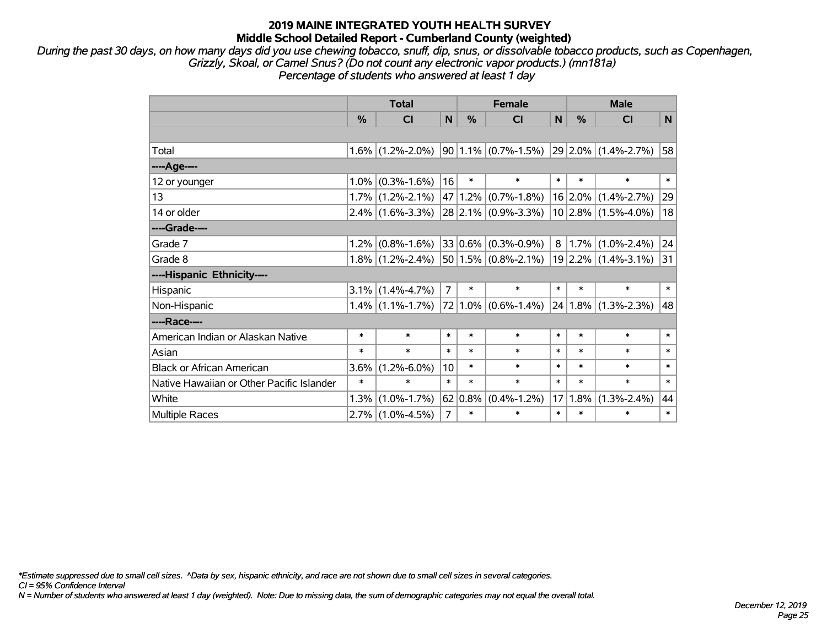*During the past 30 days, on how many days did you use chewing tobacco, snuff, dip, snus, or dissolvable tobacco products, such as Copenhagen, Grizzly, Skoal, or Camel Snus? (Do not count any electronic vapor products.) (mn181a) Percentage of students who answered at least 1 day*

|                                           | <b>Total</b> |                     | <b>Female</b>  |        |                                             | <b>Male</b>    |             |                              |        |
|-------------------------------------------|--------------|---------------------|----------------|--------|---------------------------------------------|----------------|-------------|------------------------------|--------|
|                                           | %            | C <sub>l</sub>      | N              | %      | CI                                          | N              | %           | CI                           | N      |
|                                           |              |                     |                |        |                                             |                |             |                              |        |
| Total                                     |              | $1.6\%$ (1.2%-2.0%) |                |        | $90 1.1\% $ (0.7%-1.5%) 29 2.0% (1.4%-2.7%) |                |             |                              | 58     |
| ----Age----                               |              |                     |                |        |                                             |                |             |                              |        |
| 12 or younger                             | 1.0%         | $(0.3\% - 1.6\%)$   | 16             | $\ast$ | $\ast$                                      | $\ast$         | $\ast$      | $\ast$                       | $\ast$ |
| 13                                        | 1.7%         | $(1.2\% - 2.1\%)$   | 47             | 1.2%   | $(0.7\% - 1.8\%)$                           |                | $16 2.0\% $ | $(1.4\% - 2.7\%)$            | 29     |
| 14 or older                               |              | $2.4\%$ (1.6%-3.3%) |                |        | $28$ 2.1% (0.9%-3.3%)                       |                |             | $10 2.8\% $ (1.5%-4.0%)      | 18     |
| ----Grade----                             |              |                     |                |        |                                             |                |             |                              |        |
| Grade 7                                   | 1.2%         | $(0.8\% - 1.6\%)$   |                |        | $33 0.6\% $ (0.3%-0.9%)                     | 8 <sup>1</sup> |             | $1.7\%$ (1.0%-2.4%)          | 24     |
| Grade 8                                   |              | $1.8\%$ (1.2%-2.4%) |                |        | $50 1.5\% $ (0.8%-2.1%)                     |                |             | $19$  2.2% (1.4%-3.1%)       | 31     |
| ----Hispanic Ethnicity----                |              |                     |                |        |                                             |                |             |                              |        |
| Hispanic                                  | 3.1%         | $(1.4\% - 4.7\%)$   | $\overline{7}$ | $\ast$ | $\ast$                                      | $\ast$         | $\ast$      | $\ast$                       | $\ast$ |
| Non-Hispanic                              |              | $1.4\%$ (1.1%-1.7%) |                |        | $72 1.0\% $ (0.6%-1.4%)                     |                |             | $ 24 1.8\%  (1.3\% - 2.3\%)$ | 48     |
| ----Race----                              |              |                     |                |        |                                             |                |             |                              |        |
| American Indian or Alaskan Native         | $\ast$       | $\ast$              | $\ast$         | *      | $\ast$                                      | $\ast$         | $\ast$      | $\ast$                       | $\ast$ |
| Asian                                     | $\ast$       | $\ast$              | $\ast$         | $\ast$ | $\ast$                                      | $\ast$         | $\ast$      | $\ast$                       | $\ast$ |
| <b>Black or African American</b>          | 3.6%         | $(1.2\% - 6.0\%)$   | 10             | $\ast$ | $\ast$                                      | $\ast$         | $\ast$      | $\ast$                       | $\ast$ |
| Native Hawaiian or Other Pacific Islander | $\ast$       | $\ast$              | $\ast$         | $\ast$ | $\ast$                                      | $\ast$         | $\ast$      | $\ast$                       | $\ast$ |
| White                                     | 1.3%         | $(1.0\% - 1.7\%)$   | 62             | 0.8%   | $(0.4\% - 1.2\%)$                           | 17             | 1.8%        | $(1.3\% - 2.4\%)$            | 44     |
| <b>Multiple Races</b>                     |              | $2.7\%$ (1.0%-4.5%) | $\overline{7}$ | $\ast$ | $\ast$                                      | $\ast$         | $\ast$      | $\ast$                       | $\ast$ |

*\*Estimate suppressed due to small cell sizes. ^Data by sex, hispanic ethnicity, and race are not shown due to small cell sizes in several categories.*

*CI = 95% Confidence Interval*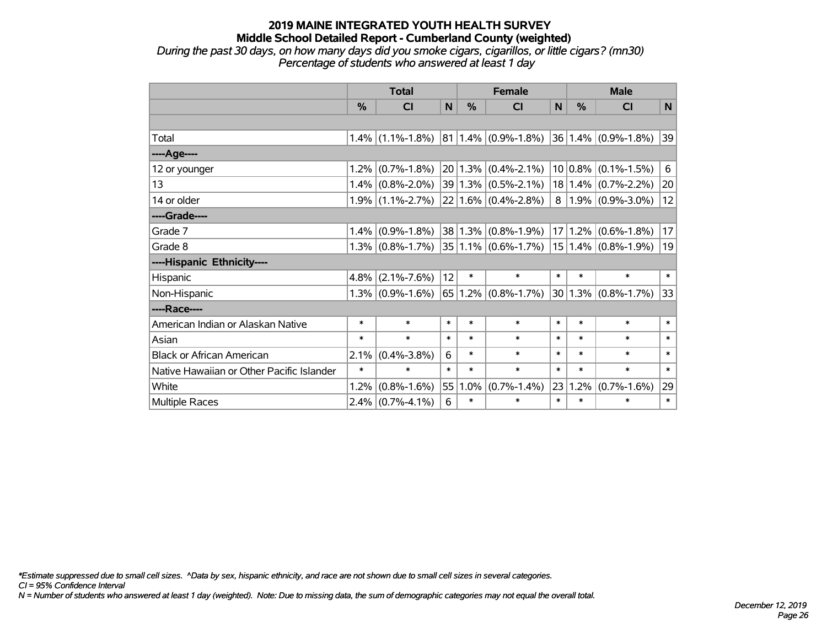*During the past 30 days, on how many days did you smoke cigars, cigarillos, or little cigars? (mn30) Percentage of students who answered at least 1 day*

|                                           | <b>Total</b> |                     |        | <b>Female</b> |                            |        | <b>Male</b> |                            |              |
|-------------------------------------------|--------------|---------------------|--------|---------------|----------------------------|--------|-------------|----------------------------|--------------|
|                                           | $\%$         | <b>CI</b>           | N      | %             | <b>CI</b>                  | N      | $\%$        | <b>CI</b>                  | N            |
|                                           |              |                     |        |               |                            |        |             |                            |              |
| Total                                     |              | $1.4\%$ (1.1%-1.8%) |        |               | $ 81 1.4\%  (0.9\%$ -1.8%) |        |             | $ 36 1.4\%  (0.9\%$ -1.8%) | $ 39\rangle$ |
| ----Age----                               |              |                     |        |               |                            |        |             |                            |              |
| 12 or younger                             | 1.2%         | $(0.7\% - 1.8\%)$   |        |               | $20 1.3\% $ (0.4%-2.1%)    |        |             | $10 0.8\% $ (0.1%-1.5%)    | 6            |
| 13                                        | 1.4%         | $(0.8\% - 2.0\%)$   |        |               | 39 1.3% (0.5%-2.1%)        |        |             | $18 1.4\% $ (0.7%-2.2%)    | 20           |
| 14 or older                               |              | $1.9\%$ (1.1%-2.7%) |        |               | $22 1.6\% $ (0.4%-2.8%)    |        |             | $8 1.9\% $ (0.9%-3.0%)     | 12           |
| ----Grade----                             |              |                     |        |               |                            |        |             |                            |              |
| Grade 7                                   | 1.4%         | $(0.9\% - 1.8\%)$   |        |               | $38 1.3\% $ (0.8%-1.9%)    |        | 17 1.2%     | $(0.6\% - 1.8\%)$          | 17           |
| Grade 8                                   |              | $1.3\%$ (0.8%-1.7%) |        |               | $35 1.1\% $ (0.6%-1.7%)    |        |             | $15 1.4\% $ (0.8%-1.9%)    | 19           |
| ----Hispanic Ethnicity----                |              |                     |        |               |                            |        |             |                            |              |
| Hispanic                                  | 4.8%         | $(2.1\% - 7.6\%)$   | 12     | $\ast$        | $\ast$                     | $\ast$ | $\ast$      | $\ast$                     | $\ast$       |
| Non-Hispanic                              |              | $1.3\%$ (0.9%-1.6%) |        |               | $65 1.2\% $ (0.8%-1.7%)    |        |             | $ 30 1.3\% $ (0.8%-1.7%)   | 33           |
| ----Race----                              |              |                     |        |               |                            |        |             |                            |              |
| American Indian or Alaskan Native         | $\ast$       | $\ast$              | $\ast$ | $\ast$        | $\ast$                     | $\ast$ | $\ast$      | $\ast$                     | $\ast$       |
| Asian                                     | $\ast$       | $\ast$              | $\ast$ | $\ast$        | $\ast$                     | $\ast$ | $\ast$      | $\ast$                     | $\ast$       |
| <b>Black or African American</b>          | 2.1%         | $(0.4\% - 3.8\%)$   | 6      | $\ast$        | $\ast$                     | $\ast$ | $\ast$      | $\ast$                     | $\ast$       |
| Native Hawaiian or Other Pacific Islander | $\ast$       | $\ast$              | $\ast$ | $\ast$        | $\ast$                     | $\ast$ | $\ast$      | $\ast$                     | $\ast$       |
| White                                     | 1.2%         | $(0.8\% - 1.6\%)$   | 55     | 1.0%          | $(0.7\% - 1.4\%)$          | 23     | 1.2%        | $(0.7\% - 1.6\%)$          | 29           |
| Multiple Races                            | 2.4%         | $(0.7\% - 4.1\%)$   | 6      | $\ast$        | $\ast$                     | $\ast$ | $\ast$      | $\ast$                     | $\ast$       |

*\*Estimate suppressed due to small cell sizes. ^Data by sex, hispanic ethnicity, and race are not shown due to small cell sizes in several categories.*

*CI = 95% Confidence Interval*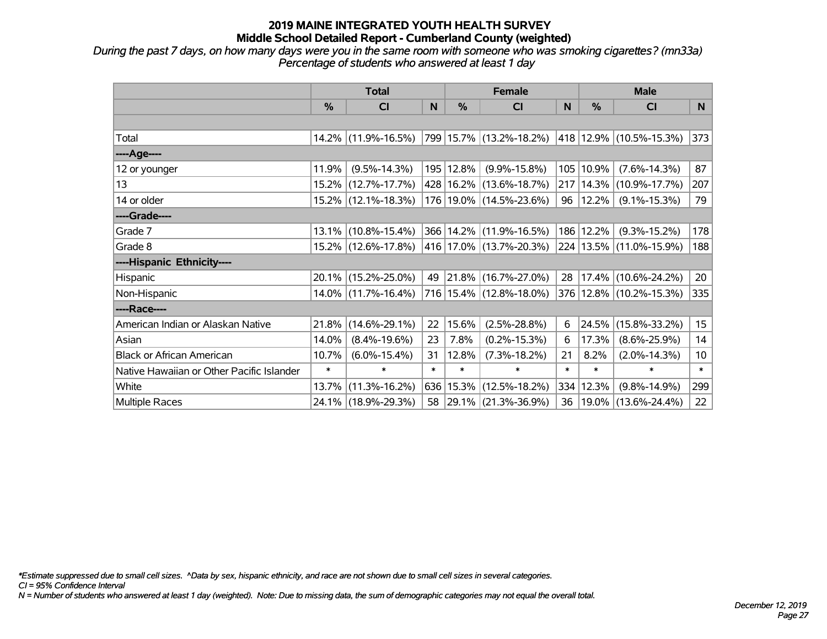*During the past 7 days, on how many days were you in the same room with someone who was smoking cigarettes? (mn33a) Percentage of students who answered at least 1 day*

|                                           | <b>Total</b> |                        |        | <b>Female</b> | <b>Male</b>                 |        |               |                              |                 |
|-------------------------------------------|--------------|------------------------|--------|---------------|-----------------------------|--------|---------------|------------------------------|-----------------|
|                                           | $\%$         | <b>CI</b>              | N      | $\%$          | <b>CI</b>                   | N      | $\frac{0}{0}$ | <b>CI</b>                    | N               |
|                                           |              |                        |        |               |                             |        |               |                              |                 |
| Total                                     |              | 14.2% (11.9%-16.5%)    |        |               | 799   15.7%   (13.2%-18.2%) |        |               | $ 418 12.9\% $ (10.5%-15.3%) | 373             |
| ----Age----                               |              |                        |        |               |                             |        |               |                              |                 |
| 12 or younger                             | 11.9%        | $(9.5\% - 14.3\%)$     |        | 195 12.8%     | $(9.9\% - 15.8\%)$          | 105    | 10.9%         | $(7.6\% - 14.3\%)$           | 87              |
| 13                                        |              | 15.2% (12.7%-17.7%)    |        |               | 428 16.2% (13.6%-18.7%)     | 217    |               | $14.3\%$ (10.9%-17.7%)       | 207             |
| 14 or older                               |              | 15.2% (12.1%-18.3%)    |        |               | 176 19.0% (14.5%-23.6%)     | 96     | 12.2%         | $(9.1\% - 15.3\%)$           | 79              |
| ----Grade----                             |              |                        |        |               |                             |        |               |                              |                 |
| Grade 7                                   |              | $13.1\%$ (10.8%-15.4%) |        |               | 366 14.2% (11.9%-16.5%)     | 186    | 12.2%         | $(9.3\% - 15.2\%)$           | 178             |
| Grade 8                                   |              | 15.2% (12.6%-17.8%)    |        |               | 416 17.0% (13.7%-20.3%)     |        |               | 224   13.5%   (11.0%-15.9%)  | 188             |
| ----Hispanic Ethnicity----                |              |                        |        |               |                             |        |               |                              |                 |
| Hispanic                                  |              | 20.1% (15.2%-25.0%)    | 49     |               | $ 21.8\% $ (16.7%-27.0%)    | 28     |               | $17.4\%$ (10.6%-24.2%)       | 20              |
| Non-Hispanic                              |              | 14.0% (11.7%-16.4%)    |        |               | 716 15.4% (12.8%-18.0%)     |        |               | 376 12.8% (10.2%-15.3%)      | 335             |
| ----Race----                              |              |                        |        |               |                             |        |               |                              |                 |
| American Indian or Alaskan Native         | 21.8%        | $(14.6\% - 29.1\%)$    | 22     | 15.6%         | $(2.5\% - 28.8\%)$          | 6      | 24.5%         | $(15.8\% - 33.2\%)$          | 15              |
| Asian                                     | 14.0%        | $(8.4\% - 19.6\%)$     | 23     | 7.8%          | $(0.2\% - 15.3\%)$          | 6      | 17.3%         | $(8.6\% - 25.9\%)$           | 14              |
| <b>Black or African American</b>          | 10.7%        | $(6.0\% - 15.4\%)$     | 31     | 12.8%         | $(7.3\% - 18.2\%)$          | 21     | 8.2%          | $(2.0\% - 14.3\%)$           | 10 <sub>1</sub> |
| Native Hawaiian or Other Pacific Islander | $\ast$       | $\ast$                 | $\ast$ | $\ast$        | $\ast$                      | $\ast$ | $\ast$        | $\ast$                       | $\ast$          |
| White                                     | 13.7%        | $(11.3\% - 16.2\%)$    | 636    | 15.3%         | $(12.5\% - 18.2\%)$         | 334    | 12.3%         | $(9.8\% - 14.9\%)$           | 299             |
| Multiple Races                            |              | 24.1% (18.9%-29.3%)    |        |               | 58 29.1% (21.3%-36.9%)      | 36     |               | 19.0% (13.6%-24.4%)          | 22              |

*\*Estimate suppressed due to small cell sizes. ^Data by sex, hispanic ethnicity, and race are not shown due to small cell sizes in several categories.*

*CI = 95% Confidence Interval*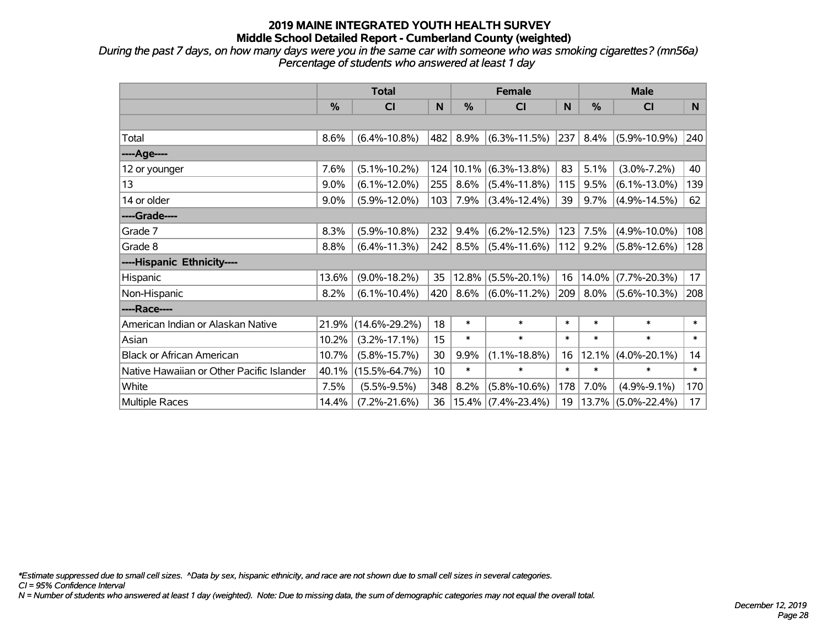*During the past 7 days, on how many days were you in the same car with someone who was smoking cigarettes? (mn56a) Percentage of students who answered at least 1 day*

|                                           | <b>Total</b> |                     | <b>Female</b> |                  |                       | <b>Male</b> |         |                    |        |
|-------------------------------------------|--------------|---------------------|---------------|------------------|-----------------------|-------------|---------|--------------------|--------|
|                                           | %            | <b>CI</b>           | N             | %                | <b>CI</b>             | N           | %       | <b>CI</b>          | N      |
|                                           |              |                     |               |                  |                       |             |         |                    |        |
| Total                                     | 8.6%         | $(6.4\% - 10.8\%)$  | 482           | 8.9%             | $(6.3\% - 11.5\%)$    | 237         | 8.4%    | $(5.9\% - 10.9\%)$ | 240    |
| ----Age----                               |              |                     |               |                  |                       |             |         |                    |        |
| 12 or younger                             | 7.6%         | $(5.1\% - 10.2\%)$  | 124           | 10.1%            | $(6.3\% - 13.8\%)$    | 83          | 5.1%    | $(3.0\% - 7.2\%)$  | 40     |
| 13                                        | 9.0%         | $(6.1\% - 12.0\%)$  | 255           | 8.6%             | $(5.4\% - 11.8\%)$    | 115         | 9.5%    | $(6.1\% - 13.0\%)$ | 139    |
| 14 or older                               | 9.0%         | $(5.9\% - 12.0\%)$  | 103           | 7.9%             | $(3.4\% - 12.4\%)$    | 39          | 9.7%    | $(4.9\% - 14.5\%)$ | 62     |
| ----Grade----                             |              |                     |               |                  |                       |             |         |                    |        |
| Grade 7                                   | 8.3%         | $(5.9\% - 10.8\%)$  | 232           | 9.4%             | $(6.2\% - 12.5\%)$    | 123         | 7.5%    | $(4.9\% - 10.0\%)$ | 108    |
| Grade 8                                   | 8.8%         | $(6.4\% - 11.3\%)$  |               | $242 \mid 8.5\%$ | $(5.4\% - 11.6\%)$    | 112         | $9.2\%$ | $(5.8\% - 12.6\%)$ | 128    |
| ----Hispanic Ethnicity----                |              |                     |               |                  |                       |             |         |                    |        |
| Hispanic                                  | 13.6%        | $(9.0\% - 18.2\%)$  | 35            | 12.8%            | $(5.5\% - 20.1\%)$    | 16          | 14.0%   | $(7.7\% - 20.3\%)$ | 17     |
| Non-Hispanic                              | 8.2%         | $(6.1\% - 10.4\%)$  | 420           | 8.6%             | $(6.0\% - 11.2\%)$    | 209         | 8.0%    | $(5.6\% - 10.3\%)$ | 208    |
| ----Race----                              |              |                     |               |                  |                       |             |         |                    |        |
| American Indian or Alaskan Native         | 21.9%        | $(14.6\% - 29.2\%)$ | 18            | $\ast$           | $\ast$                | $\ast$      | $\ast$  | $\ast$             | $\ast$ |
| Asian                                     | 10.2%        | $(3.2\% - 17.1\%)$  | 15            | $\ast$           | $\ast$                | $\ast$      | $\ast$  | $\ast$             | $\ast$ |
| <b>Black or African American</b>          | 10.7%        | $(5.8\% - 15.7\%)$  | 30            | 9.9%             | $(1.1\% - 18.8\%)$    | 16          | 12.1%   | $(4.0\% - 20.1\%)$ | 14     |
| Native Hawaiian or Other Pacific Islander | 40.1%        | $(15.5\% - 64.7\%)$ | 10            | $\ast$           | $\ast$                | $\ast$      | $\ast$  | $\ast$             | $\ast$ |
| White                                     | 7.5%         | $(5.5\% - 9.5\%)$   | 348           | 8.2%             | $(5.8\% - 10.6\%)$    | 178         | 7.0%    | $(4.9\% - 9.1\%)$  | 170    |
| Multiple Races                            | 14.4%        | $(7.2\% - 21.6\%)$  | 36            |                  | $15.4\%$ (7.4%-23.4%) | 19          | 13.7%   | $(5.0\% - 22.4\%)$ | 17     |

*\*Estimate suppressed due to small cell sizes. ^Data by sex, hispanic ethnicity, and race are not shown due to small cell sizes in several categories.*

*CI = 95% Confidence Interval*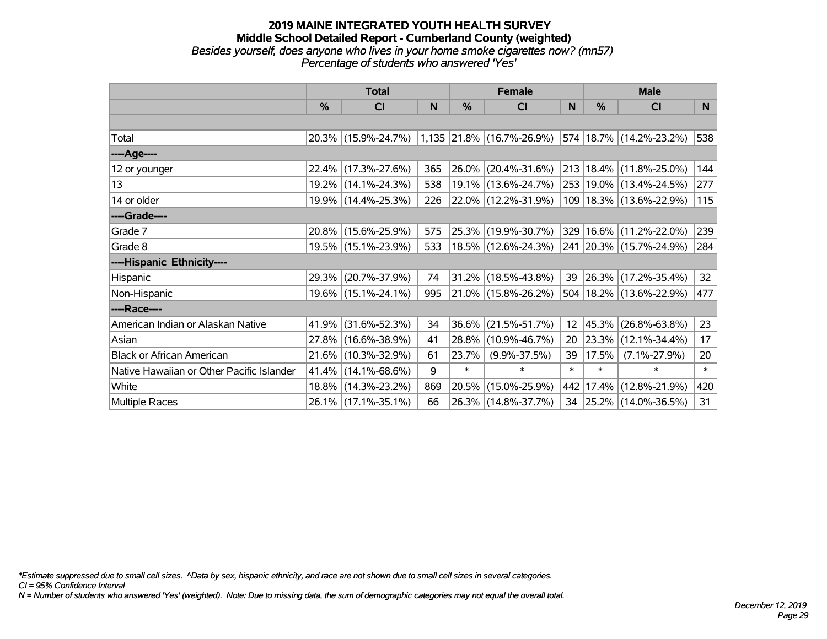#### **2019 MAINE INTEGRATED YOUTH HEALTH SURVEY Middle School Detailed Report - Cumberland County (weighted)** *Besides yourself, does anyone who lives in your home smoke cigarettes now? (mn57) Percentage of students who answered 'Yes'*

|                                           | <b>Total</b>  |                                               |     | <b>Female</b> | <b>Male</b>              |                 |               |                             |     |
|-------------------------------------------|---------------|-----------------------------------------------|-----|---------------|--------------------------|-----------------|---------------|-----------------------------|-----|
|                                           | $\frac{9}{6}$ | <b>CI</b>                                     | N   | $\frac{0}{0}$ | <b>CI</b>                | N               | $\frac{0}{0}$ | <b>CI</b>                   | N   |
|                                           |               |                                               |     |               |                          |                 |               |                             |     |
| Total                                     |               | 20.3% (15.9%-24.7%) 1,135 21.8% (16.7%-26.9%) |     |               |                          |                 |               | 574   18.7%   (14.2%-23.2%) | 538 |
| ----Age----                               |               |                                               |     |               |                          |                 |               |                             |     |
| 12 or younger                             |               | 22.4% (17.3%-27.6%)                           | 365 | 26.0%         | $(20.4\% - 31.6\%)$      |                 |               | 213 18.4% (11.8%-25.0%)     | 144 |
| 13                                        |               | 19.2% (14.1%-24.3%)                           | 538 |               | 19.1% (13.6%-24.7%)      |                 |               | 253   19.0%   (13.4%-24.5%) | 277 |
| 14 or older                               |               | 19.9% (14.4%-25.3%)                           | 226 |               | $ 22.0\% $ (12.2%-31.9%) |                 |               | 109   18.3%   (13.6%-22.9%) | 115 |
| ----Grade----                             |               |                                               |     |               |                          |                 |               |                             |     |
| Grade 7                                   |               | 20.8% (15.6%-25.9%)                           | 575 |               | 25.3% (19.9%-30.7%)      |                 |               | 329 16.6% (11.2%-22.0%)     | 239 |
| Grade 8                                   |               | 19.5% (15.1%-23.9%)                           | 533 |               | 18.5% (12.6%-24.3%)      |                 |               | 241 20.3% (15.7%-24.9%)     | 284 |
| ----Hispanic Ethnicity----                |               |                                               |     |               |                          |                 |               |                             |     |
| Hispanic                                  |               | 29.3% (20.7%-37.9%)                           | 74  |               | 31.2% (18.5%-43.8%)      | 39              |               | $ 26.3\% $ (17.2%-35.4%)    | 32  |
| Non-Hispanic                              |               | 19.6% (15.1%-24.1%)                           | 995 |               | 21.0% (15.8%-26.2%)      |                 |               | 504   18.2%   (13.6%-22.9%) | 477 |
| ----Race----                              |               |                                               |     |               |                          |                 |               |                             |     |
| American Indian or Alaskan Native         |               | 41.9% (31.6%-52.3%)                           | 34  | 36.6%         | $(21.5\% - 51.7\%)$      | 12 <sup>2</sup> |               | 45.3% (26.8%-63.8%)         | 23  |
| Asian                                     |               | 27.8% (16.6%-38.9%)                           | 41  | 28.8%         | $(10.9\% - 46.7\%)$      | 20              |               | $ 23.3\% $ (12.1%-34.4%)    | 17  |
| <b>Black or African American</b>          |               | 21.6% (10.3%-32.9%)                           | 61  | 23.7%         | $(9.9\% - 37.5\%)$       | 39              | 17.5%         | $(7.1\% - 27.9\%)$          | 20  |
| Native Hawaiian or Other Pacific Islander |               | 41.4% (14.1%-68.6%)                           | 9   | $\ast$        | $\ast$                   | $\ast$          | $\ast$        | $\ast$                      | $*$ |
| White                                     |               | 18.8% (14.3%-23.2%)                           | 869 | 20.5%         | $(15.0\% - 25.9\%)$      | 442             |               | 17.4% (12.8%-21.9%)         | 420 |
| <b>Multiple Races</b>                     |               | 26.1% (17.1%-35.1%)                           | 66  |               | 26.3% (14.8%-37.7%)      | 34              |               | $ 25.2\% $ (14.0%-36.5%)    | 31  |

*\*Estimate suppressed due to small cell sizes. ^Data by sex, hispanic ethnicity, and race are not shown due to small cell sizes in several categories.*

*CI = 95% Confidence Interval*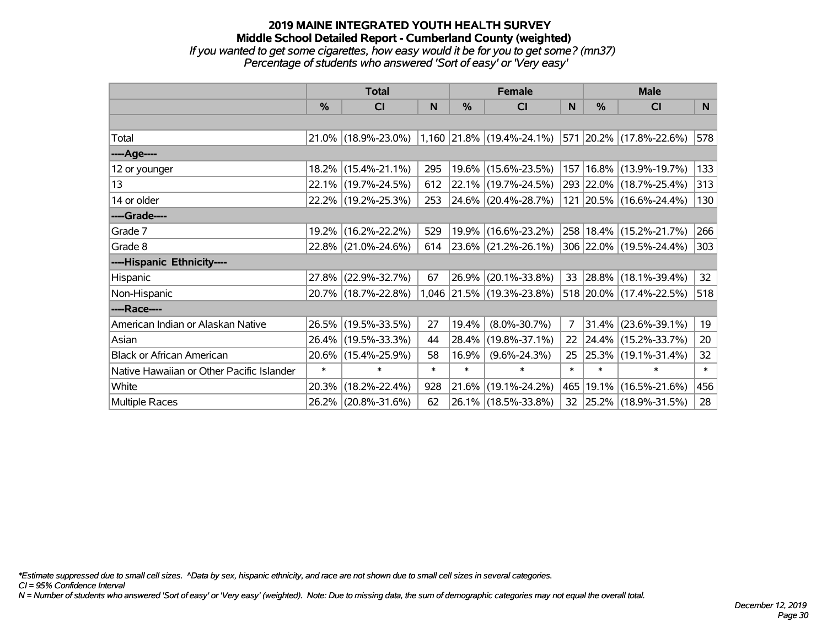## **2019 MAINE INTEGRATED YOUTH HEALTH SURVEY Middle School Detailed Report - Cumberland County (weighted)** *If you wanted to get some cigarettes, how easy would it be for you to get some? (mn37) Percentage of students who answered 'Sort of easy' or 'Very easy'*

|                                           | <b>Total</b>  |                     |        | <b>Female</b> | <b>Male</b>                                                           |                 |               |                             |          |
|-------------------------------------------|---------------|---------------------|--------|---------------|-----------------------------------------------------------------------|-----------------|---------------|-----------------------------|----------|
|                                           | $\frac{0}{0}$ | CI                  | N      | $\%$          | CI                                                                    | N               | $\frac{0}{0}$ | <b>CI</b>                   | <b>N</b> |
|                                           |               |                     |        |               |                                                                       |                 |               |                             |          |
| Total                                     |               |                     |        |               | 21.0% (18.9%-23.0%) 1,160 21.8% (19.4%-24.1%) 571 20.2% (17.8%-22.6%) |                 |               |                             | 578      |
| ----Age----                               |               |                     |        |               |                                                                       |                 |               |                             |          |
| 12 or younger                             |               | 18.2% (15.4%-21.1%) | 295    |               | 19.6% (15.6%-23.5%)                                                   |                 |               | 157   16.8%   (13.9%-19.7%) | 133      |
| 13                                        |               | 22.1% (19.7%-24.5%) | 612    |               | $22.1\%$ (19.7%-24.5%)                                                |                 |               | 293 22.0% (18.7%-25.4%)     | 313      |
| 14 or older                               |               | 22.2% (19.2%-25.3%) | 253    |               | $ 24.6\% $ (20.4%-28.7%)                                              |                 |               | 121 20.5% (16.6%-24.4%)     | 130      |
| ----Grade----                             |               |                     |        |               |                                                                       |                 |               |                             |          |
| Grade 7                                   | 19.2%         | $(16.2\% - 22.2\%)$ | 529    |               | 19.9% (16.6%-23.2%)                                                   |                 |               | 258   18.4%   (15.2%-21.7%) | 266      |
| Grade 8                                   |               | 22.8% (21.0%-24.6%) | 614    |               | 23.6% (21.2%-26.1%)                                                   |                 |               | 306 22.0% (19.5%-24.4%)     | 303      |
| ----Hispanic Ethnicity----                |               |                     |        |               |                                                                       |                 |               |                             |          |
| Hispanic                                  | 27.8%         | $(22.9\% - 32.7\%)$ | 67     | 26.9%         | $(20.1\% - 33.8\%)$                                                   | 33              |               | $ 28.8\% $ (18.1%-39.4%)    | 32       |
| Non-Hispanic                              |               | 20.7% (18.7%-22.8%) |        |               | 1,046 21.5% (19.3%-23.8%)                                             |                 |               | 518 20.0% (17.4%-22.5%)     | 518      |
| ----Race----                              |               |                     |        |               |                                                                       |                 |               |                             |          |
| American Indian or Alaskan Native         |               | 26.5% (19.5%-33.5%) | 27     | 19.4%         | $(8.0\% - 30.7\%)$                                                    | $\overline{7}$  |               | $31.4\%$ (23.6%-39.1%)      | 19       |
| Asian                                     |               | 26.4% (19.5%-33.3%) | 44     | 28.4%         | $(19.8\% - 37.1\%)$                                                   | 22              |               | 24.4% (15.2%-33.7%)         | 20       |
| <b>Black or African American</b>          |               | 20.6% (15.4%-25.9%) | 58     | 16.9%         | $(9.6\% - 24.3\%)$                                                    | 25              |               | 25.3% (19.1%-31.4%)         | 32       |
| Native Hawaiian or Other Pacific Islander | $\ast$        | $\ast$              | $\ast$ | $\ast$        | $\ast$                                                                | $\ast$          | $\ast$        | $\ast$                      | $\ast$   |
| White                                     | 20.3%         | $(18.2\% - 22.4\%)$ | 928    | 21.6%         | $(19.1\% - 24.2\%)$                                                   | 465             |               | 19.1% (16.5%-21.6%)         | 456      |
| Multiple Races                            |               | 26.2% (20.8%-31.6%) | 62     |               | 26.1% (18.5%-33.8%)                                                   | 32 <sub>2</sub> |               | 25.2% (18.9%-31.5%)         | 28       |

*\*Estimate suppressed due to small cell sizes. ^Data by sex, hispanic ethnicity, and race are not shown due to small cell sizes in several categories.*

*CI = 95% Confidence Interval*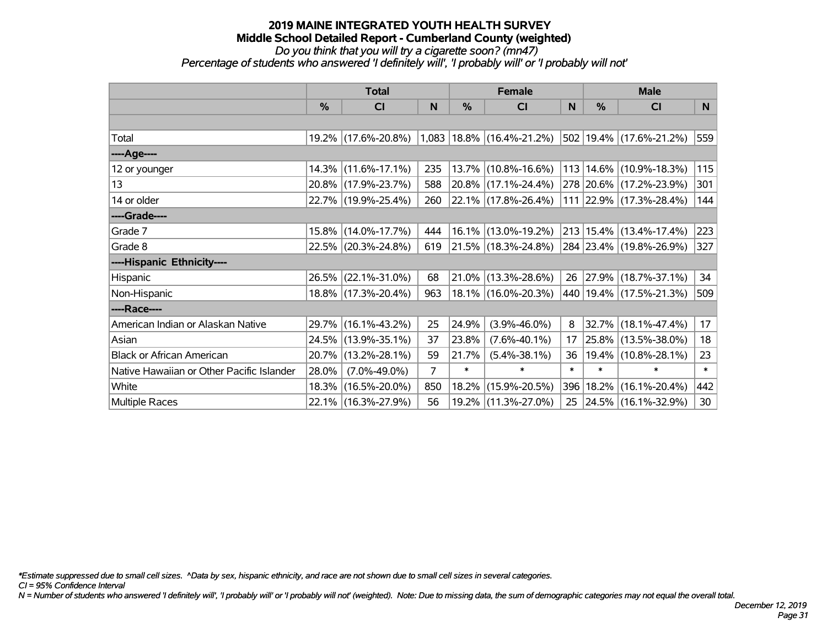#### **2019 MAINE INTEGRATED YOUTH HEALTH SURVEY Middle School Detailed Report - Cumberland County (weighted)** *Do you think that you will try a cigarette soon? (mn47)*

*Percentage of students who answered 'I definitely will', 'I probably will' or 'I probably will not'*

|                                           | <b>Total</b> |                     |                | <b>Female</b> | <b>Male</b>                     |        |               |                             |        |
|-------------------------------------------|--------------|---------------------|----------------|---------------|---------------------------------|--------|---------------|-----------------------------|--------|
|                                           | %            | CI                  | $\mathsf{N}$   | %             | <b>CI</b>                       | N      | $\frac{0}{0}$ | <b>CI</b>                   | N.     |
|                                           |              |                     |                |               |                                 |        |               |                             |        |
| Total                                     |              | 19.2% (17.6%-20.8%) |                |               | $1,083$   18.8%   (16.4%-21.2%) |        |               | 502 19.4% (17.6%-21.2%)     | 559    |
| ----Age----                               |              |                     |                |               |                                 |        |               |                             |        |
| 12 or younger                             |              | 14.3% (11.6%-17.1%) | 235            |               | 13.7% (10.8%-16.6%)             | 113    |               | 14.6% (10.9%-18.3%)         | 115    |
| 13                                        |              | 20.8% (17.9%-23.7%) | 588            |               | 20.8% (17.1%-24.4%)             |        |               | 278 20.6% (17.2%-23.9%)     | 301    |
| 14 or older                               |              | 22.7% (19.9%-25.4%) | 260            |               | 22.1% (17.8%-26.4%)             |        |               | 111 22.9% (17.3%-28.4%)     | 144    |
| ----Grade----                             |              |                     |                |               |                                 |        |               |                             |        |
| Grade 7                                   |              | 15.8% (14.0%-17.7%) | 444            |               | 16.1% (13.0%-19.2%)             |        |               | 213 15.4% (13.4%-17.4%)     | 223    |
| Grade 8                                   |              | 22.5% (20.3%-24.8%) | 619            |               | 21.5% (18.3%-24.8%)             |        |               | 284 23.4% (19.8%-26.9%)     | 327    |
| ----Hispanic Ethnicity----                |              |                     |                |               |                                 |        |               |                             |        |
| Hispanic                                  | 26.5%        | $(22.1\% - 31.0\%)$ | 68             | 21.0%         | $(13.3\% - 28.6\%)$             | 26     |               | 27.9% (18.7%-37.1%)         | 34     |
| Non-Hispanic                              |              | 18.8% (17.3%-20.4%) | 963            |               | 18.1% (16.0%-20.3%)             |        |               | 440   19.4%   (17.5%-21.3%) | 509    |
| ----Race----                              |              |                     |                |               |                                 |        |               |                             |        |
| American Indian or Alaskan Native         |              | 29.7% (16.1%-43.2%) | 25             | 24.9%         | $(3.9\% - 46.0\%)$              | 8      | 32.7%         | $(18.1\% - 47.4\%)$         | 17     |
| Asian                                     |              | 24.5% (13.9%-35.1%) | 37             | 23.8%         | $(7.6\% - 40.1\%)$              | 17     | 25.8%         | $(13.5\% - 38.0\%)$         | 18     |
| <b>Black or African American</b>          | 20.7%        | $(13.2\% - 28.1\%)$ | 59             | 21.7%         | $(5.4\% - 38.1\%)$              | 36     |               | 19.4% (10.8%-28.1%)         | 23     |
| Native Hawaiian or Other Pacific Islander | 28.0%        | $(7.0\% - 49.0\%)$  | $\overline{7}$ | $\ast$        | $\ast$                          | $\ast$ | $\ast$        | $\ast$                      | $\ast$ |
| White                                     | 18.3%        | $(16.5\% - 20.0\%)$ | 850            | 18.2%         | $(15.9\% - 20.5\%)$             | 396    | 18.2%         | $(16.1\% - 20.4\%)$         | 442    |
| Multiple Races                            |              | 22.1% (16.3%-27.9%) | 56             |               | 19.2% (11.3%-27.0%)             | 25     |               | 24.5% (16.1%-32.9%)         | 30     |

*\*Estimate suppressed due to small cell sizes. ^Data by sex, hispanic ethnicity, and race are not shown due to small cell sizes in several categories.*

*CI = 95% Confidence Interval*

*N = Number of students who answered 'I definitely will', 'I probably will' or 'I probably will not' (weighted). Note: Due to missing data, the sum of demographic categories may not equal the overall total.*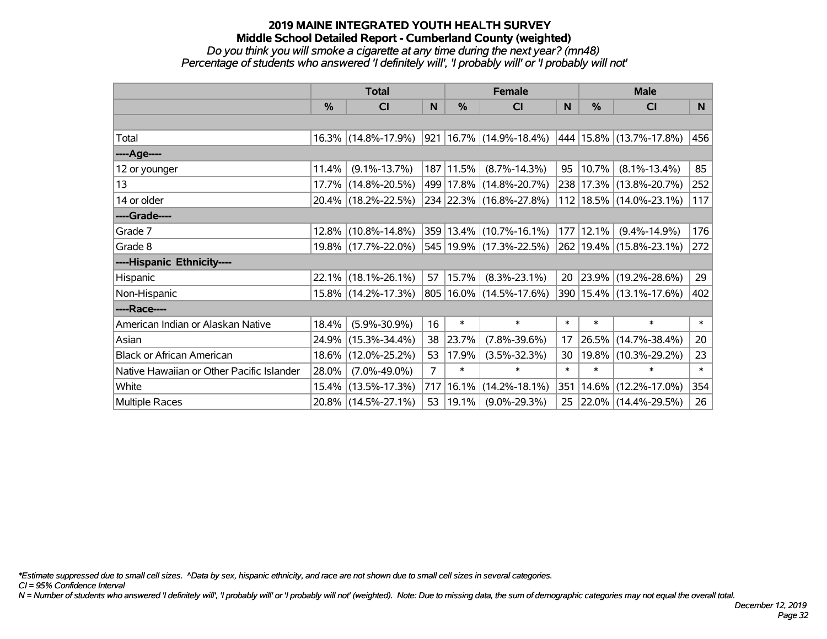#### *Do you think you will smoke a cigarette at any time during the next year? (mn48) Percentage of students who answered 'I definitely will', 'I probably will' or 'I probably will not'*

|                                           | <b>Total</b> |                     | <b>Female</b>  |            |                                 | <b>Male</b> |               |                             |          |
|-------------------------------------------|--------------|---------------------|----------------|------------|---------------------------------|-------------|---------------|-----------------------------|----------|
|                                           | %            | C <sub>l</sub>      | N              | %          | C <sub>l</sub>                  | N           | $\frac{0}{0}$ | <b>CI</b>                   | <b>N</b> |
|                                           |              |                     |                |            |                                 |             |               |                             |          |
| Total                                     |              | 16.3% (14.8%-17.9%) |                |            | $921 16.7\%  (14.9\% - 18.4\%)$ |             |               | 444   15.8%   (13.7%-17.8%) | 456      |
| ----Age----                               |              |                     |                |            |                                 |             |               |                             |          |
| 12 or younger                             | 11.4%        | $(9.1\% - 13.7\%)$  |                | 187 11.5%  | $(8.7\% - 14.3\%)$              | 95          | 10.7%         | $(8.1\% - 13.4\%)$          | 85       |
| 13                                        |              | 17.7% (14.8%-20.5%) |                |            | 499 17.8% (14.8%-20.7%)         |             |               | 238 17.3% (13.8%-20.7%)     | 252      |
| 14 or older                               |              | 20.4% (18.2%-22.5%) |                |            | 234 22.3% (16.8%-27.8%)         |             |               | 112   18.5%   (14.0%-23.1%) | 117      |
| ----Grade----                             |              |                     |                |            |                                 |             |               |                             |          |
| Grade 7                                   |              | 12.8% (10.8%-14.8%) |                |            | 359 13.4% (10.7%-16.1%)         | 177         | 12.1%         | $(9.4\% - 14.9\%)$          | 176      |
| Grade 8                                   |              | 19.8% (17.7%-22.0%) |                |            | 545 19.9% (17.3%-22.5%)         |             |               | 262 19.4% (15.8%-23.1%)     | 272      |
| ----Hispanic Ethnicity----                |              |                     |                |            |                                 |             |               |                             |          |
| Hispanic                                  |              | 22.1% (18.1%-26.1%) | 57             | 15.7%      | $(8.3\% - 23.1\%)$              | 20          | 23.9%         | $(19.2\% - 28.6\%)$         | 29       |
| Non-Hispanic                              |              | 15.8% (14.2%-17.3%) |                |            | 805   16.0%   (14.5%-17.6%)     | 390         |               | $15.4\%$ (13.1%-17.6%)      | 402      |
| ----Race----                              |              |                     |                |            |                                 |             |               |                             |          |
| American Indian or Alaskan Native         | 18.4%        | $(5.9\% - 30.9\%)$  | 16             | $\ast$     | $\ast$                          | $\ast$      | $\ast$        | $\ast$                      | $\ast$   |
| Asian                                     | 24.9%        | $(15.3\% - 34.4\%)$ | 38             | 23.7%      | $(7.8\% - 39.6\%)$              | 17          | 26.5%         | $(14.7\% - 38.4\%)$         | 20       |
| <b>Black or African American</b>          |              | 18.6% (12.0%-25.2%) | 53             | 17.9%      | $(3.5\% - 32.3\%)$              | 30          | 19.8%         | $(10.3\% - 29.2\%)$         | 23       |
| Native Hawaiian or Other Pacific Islander | 28.0%        | $(7.0\% - 49.0\%)$  | $\overline{7}$ | $\ast$     | $\ast$                          | $\ast$      | $\ast$        | $\ast$                      | $\ast$   |
| White                                     |              | 15.4% (13.5%-17.3%) | 717            | 16.1%      | $(14.2\% - 18.1\%)$             | 351         | 14.6%         | $(12.2\% - 17.0\%)$         | 354      |
| <b>Multiple Races</b>                     |              | 20.8% (14.5%-27.1%) | 53             | $ 19.1\% $ | $(9.0\% - 29.3\%)$              | 25          |               | 22.0% (14.4%-29.5%)         | 26       |

*\*Estimate suppressed due to small cell sizes. ^Data by sex, hispanic ethnicity, and race are not shown due to small cell sizes in several categories.*

*CI = 95% Confidence Interval*

*N = Number of students who answered 'I definitely will', 'I probably will' or 'I probably will not' (weighted). Note: Due to missing data, the sum of demographic categories may not equal the overall total.*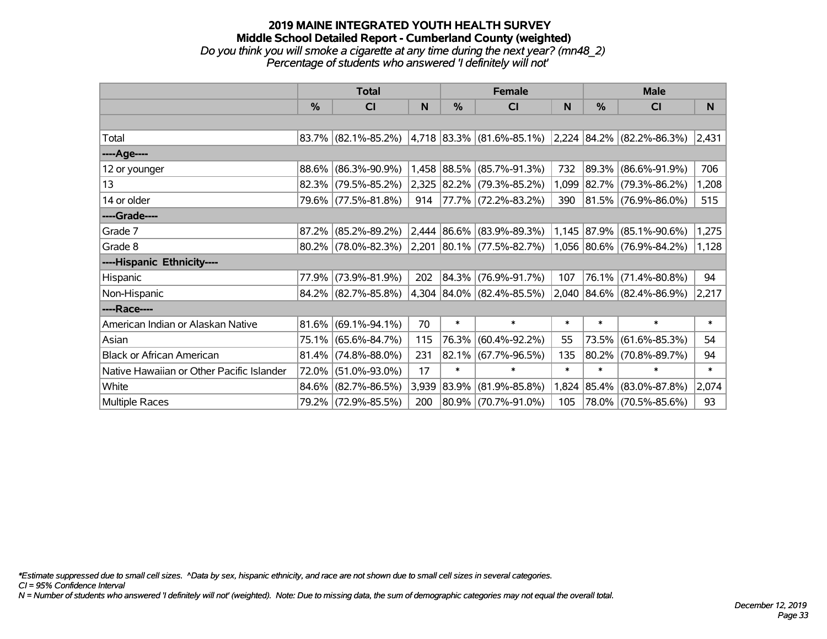## **2019 MAINE INTEGRATED YOUTH HEALTH SURVEY Middle School Detailed Report - Cumberland County (weighted)** *Do you think you will smoke a cigarette at any time during the next year? (mn48\_2) Percentage of students who answered 'I definitely will not'*

|                                           | <b>Total</b>  |                        |       | <b>Female</b> |                                                               | <b>Male</b> |            |                           |        |
|-------------------------------------------|---------------|------------------------|-------|---------------|---------------------------------------------------------------|-------------|------------|---------------------------|--------|
|                                           | $\frac{0}{0}$ | <b>CI</b>              | N     | %             | <b>CI</b>                                                     | N           | %          | <b>CI</b>                 | N      |
|                                           |               |                        |       |               |                                                               |             |            |                           |        |
| Total                                     |               | $83.7\%$ (82.1%-85.2%) |       |               | 4,718   83.3%   (81.6%-85.1%)   2,224   84.2%   (82.2%-86.3%) |             |            |                           | 2,431  |
| ----Age----                               |               |                        |       |               |                                                               |             |            |                           |        |
| 12 or younger                             | 88.6%         | $(86.3\% - 90.9\%)$    |       |               | 1,458 88.5% (85.7%-91.3%)                                     | 732         | 89.3%      | $(86.6\% - 91.9\%)$       | 706    |
| 13                                        |               | 82.3% (79.5%-85.2%)    |       |               | 2,325 82.2% (79.3%-85.2%)                                     | 1,099       |            | $ 82.7\% $ (79.3%-86.2%)  | 1,208  |
| 14 or older                               |               | 79.6% (77.5%-81.8%)    | 914   |               | $ 77.7\% $ (72.2%-83.2%)                                      | 390         |            | $ 81.5\% $ (76.9%-86.0%)  | 515    |
| ----Grade----                             |               |                        |       |               |                                                               |             |            |                           |        |
| Grade 7                                   | 87.2%         | $(85.2\% - 89.2\%)$    |       |               | $2,444$ 86.6% (83.9%-89.3%)                                   |             |            | 1,145 87.9% (85.1%-90.6%) | 1,275  |
| Grade 8                                   |               | $80.2\%$ (78.0%-82.3%) |       |               | $ 2,201 80.1\% $ (77.5%-82.7%)                                |             |            | 1,056 80.6% (76.9%-84.2%) | 1,128  |
| ----Hispanic Ethnicity----                |               |                        |       |               |                                                               |             |            |                           |        |
| Hispanic                                  | 77.9%         | $(73.9\% - 81.9\%)$    | 202   |               | 84.3% (76.9%-91.7%)                                           | 107         | 76.1%      | $(71.4\% - 80.8\%)$       | 94     |
| Non-Hispanic                              |               | 84.2% (82.7%-85.8%)    |       |               | 4,304 84.0% (82.4%-85.5%)                                     |             |            | 2,040 84.6% (82.4%-86.9%) | 2,217  |
| ----Race----                              |               |                        |       |               |                                                               |             |            |                           |        |
| American Indian or Alaskan Native         | 81.6%         | $(69.1\% - 94.1\%)$    | 70    | $\ast$        | $\ast$                                                        | $\ast$      | $\ast$     | $\ast$                    | $\ast$ |
| Asian                                     | 75.1%         | $(65.6\% - 84.7\%)$    | 115   | 76.3%         | $(60.4\% - 92.2\%)$                                           | 55          | 73.5%      | $(61.6\% - 85.3\%)$       | 54     |
| <b>Black or African American</b>          | 81.4%         | $(74.8\% - 88.0\%)$    | 231   |               | $82.1\%$ (67.7%-96.5%)                                        | 135         |            | 80.2% (70.8%-89.7%)       | 94     |
| Native Hawaiian or Other Pacific Islander | 72.0%         | $(51.0\% - 93.0\%)$    | 17    | $\ast$        | $\ast$                                                        | $\ast$      | $\ast$     | $\ast$                    | $\ast$ |
| White                                     | 84.6%         | $(82.7\% - 86.5\%)$    | 3,939 | 83.9%         | $(81.9\% - 85.8\%)$                                           | 1,824       | $ 85.4\% $ | $(83.0\% - 87.8\%)$       | 2,074  |
| Multiple Races                            |               | 79.2% (72.9%-85.5%)    | 200   |               | 80.9% (70.7%-91.0%)                                           | 105         |            | 78.0% (70.5%-85.6%)       | 93     |

*\*Estimate suppressed due to small cell sizes. ^Data by sex, hispanic ethnicity, and race are not shown due to small cell sizes in several categories.*

*CI = 95% Confidence Interval*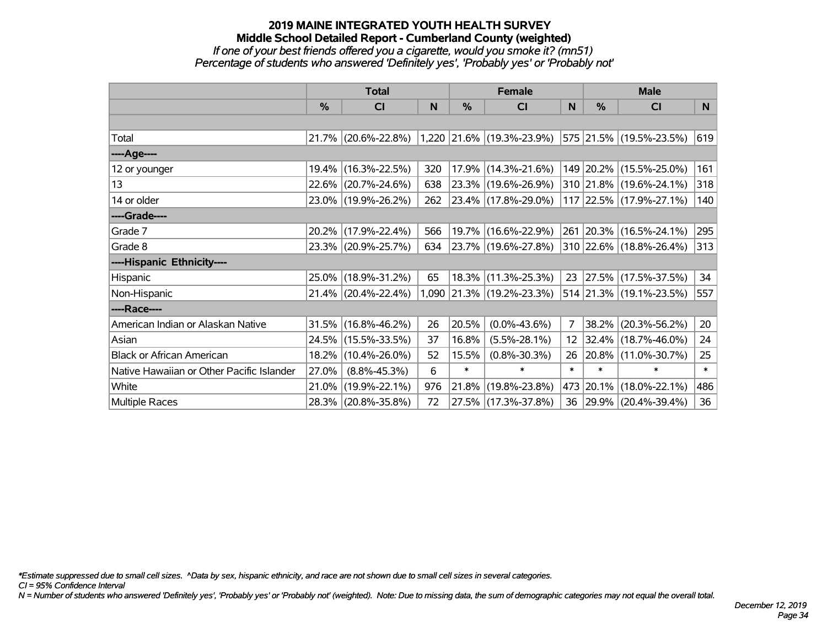## **2019 MAINE INTEGRATED YOUTH HEALTH SURVEY Middle School Detailed Report - Cumberland County (weighted)** *If one of your best friends offered you a cigarette, would you smoke it? (mn51) Percentage of students who answered 'Definitely yes', 'Probably yes' or 'Probably not'*

|                                           | <b>Total</b>  |                        |     | <b>Female</b> | <b>Male</b>                    |                 |               |                          |        |
|-------------------------------------------|---------------|------------------------|-----|---------------|--------------------------------|-----------------|---------------|--------------------------|--------|
|                                           | $\frac{0}{0}$ | CI                     | N   | $\frac{0}{0}$ | CI                             | N               | $\frac{0}{0}$ | <b>CI</b>                | N      |
|                                           |               |                        |     |               |                                |                 |               |                          |        |
| Total                                     |               | $21.7\%$ (20.6%-22.8%) |     |               | $1,220$ $21.6\%$ (19.3%-23.9%) |                 |               | 575 21.5% (19.5%-23.5%)  | 619    |
| ----Age----                               |               |                        |     |               |                                |                 |               |                          |        |
| 12 or younger                             | 19.4%         | $(16.3\% - 22.5\%)$    | 320 |               | 17.9% (14.3%-21.6%)            |                 |               | 149 20.2% (15.5%-25.0%)  | 161    |
| 13                                        |               | 22.6% (20.7%-24.6%)    | 638 |               | 23.3% (19.6%-26.9%)            |                 |               | 310 21.8% (19.6%-24.1%)  | 318    |
| 14 or older                               |               | 23.0% (19.9%-26.2%)    | 262 |               | 23.4% (17.8%-29.0%)            |                 |               | 117 22.5% (17.9%-27.1%)  | 140    |
| ----Grade----                             |               |                        |     |               |                                |                 |               |                          |        |
| Grade 7                                   |               | 20.2% (17.9%-22.4%)    | 566 |               | 19.7% (16.6%-22.9%)            |                 |               | 261 20.3% (16.5%-24.1%)  | 295    |
| Grade 8                                   |               | 23.3% (20.9%-25.7%)    | 634 |               | 23.7% (19.6%-27.8%)            |                 |               | 310 22.6% (18.8%-26.4%)  | 313    |
| ----Hispanic Ethnicity----                |               |                        |     |               |                                |                 |               |                          |        |
| Hispanic                                  |               | 25.0% (18.9%-31.2%)    | 65  |               | 18.3% (11.3%-25.3%)            | 23              |               | $ 27.5\% $ (17.5%-37.5%) | 34     |
| Non-Hispanic                              |               | 21.4% (20.4%-22.4%)    |     |               | 1,090 21.3% (19.2%-23.3%)      |                 |               | 514 21.3% (19.1%-23.5%)  | 557    |
| ----Race----                              |               |                        |     |               |                                |                 |               |                          |        |
| American Indian or Alaskan Native         |               | 31.5% (16.8%-46.2%)    | 26  | 20.5%         | $(0.0\% - 43.6\%)$             | 7               |               | 38.2% (20.3%-56.2%)      | 20     |
| Asian                                     | 24.5%         | $(15.5\% - 33.5\%)$    | 37  | 16.8%         | $(5.5\% - 28.1\%)$             | 12 <sub>2</sub> |               | 32.4% (18.7%-46.0%)      | 24     |
| <b>Black or African American</b>          |               | 18.2% (10.4%-26.0%)    | 52  | 15.5%         | $(0.8\% - 30.3\%)$             | 26              |               | 20.8% (11.0%-30.7%)      | 25     |
| Native Hawaiian or Other Pacific Islander | 27.0%         | $(8.8\% - 45.3\%)$     | 6   | $\ast$        | $\ast$                         | $\ast$          | $\ast$        | $\ast$                   | $\ast$ |
| White                                     | 21.0%         | $(19.9\% - 22.1\%)$    | 976 | 21.8%         | $(19.8\% - 23.8\%)$            | 473             | $ 20.1\% $    | $(18.0\% - 22.1\%)$      | 486    |
| Multiple Races                            |               | 28.3% (20.8%-35.8%)    | 72  |               | 27.5% (17.3%-37.8%)            |                 |               | 36 29.9% (20.4%-39.4%)   | 36     |

*\*Estimate suppressed due to small cell sizes. ^Data by sex, hispanic ethnicity, and race are not shown due to small cell sizes in several categories.*

*CI = 95% Confidence Interval*

*N = Number of students who answered 'Definitely yes', 'Probably yes' or 'Probably not' (weighted). Note: Due to missing data, the sum of demographic categories may not equal the overall total.*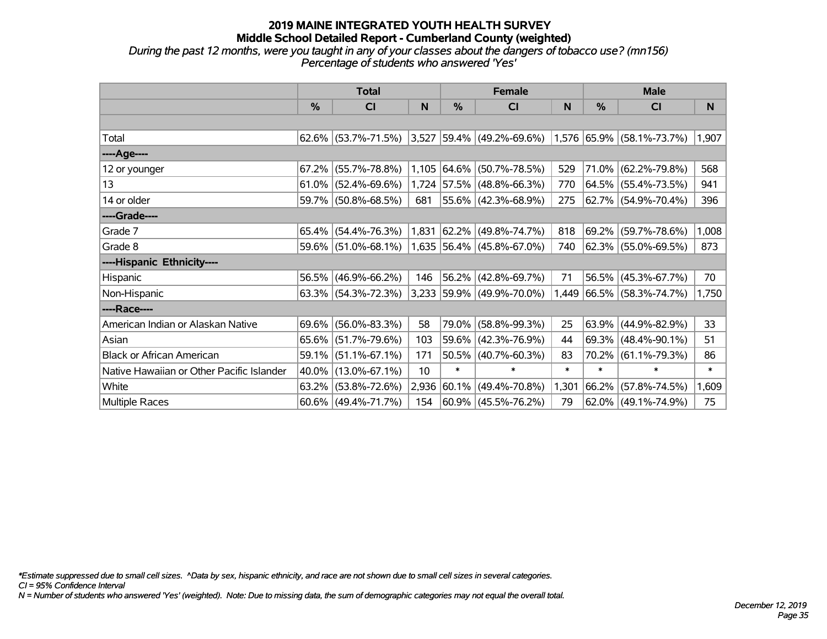### **2019 MAINE INTEGRATED YOUTH HEALTH SURVEY Middle School Detailed Report - Cumberland County (weighted)** *During the past 12 months, were you taught in any of your classes about the dangers of tobacco use? (mn156)*

*Percentage of students who answered 'Yes'*

|                                           | <b>Total</b> |                        |       |               | <b>Female</b>             |        | <b>Male</b> |                           |        |  |
|-------------------------------------------|--------------|------------------------|-------|---------------|---------------------------|--------|-------------|---------------------------|--------|--|
|                                           | $\%$         | C <sub>l</sub>         | N     | $\frac{0}{0}$ | <b>CI</b>                 | N      | %           | <b>CI</b>                 | N.     |  |
|                                           |              |                        |       |               |                           |        |             |                           |        |  |
| Total                                     |              | $62.6\%$ (53.7%-71.5%) | 3,527 |               | 59.4% (49.2%-69.6%)       |        |             | 1,576 65.9% (58.1%-73.7%) | 1,907  |  |
| ----Age----                               |              |                        |       |               |                           |        |             |                           |        |  |
| 12 or younger                             | 67.2%        | $(55.7\% - 78.8\%)$    | 1,105 | $ 64.6\% $    | $(50.7\% - 78.5\%)$       | 529    | 71.0%       | $(62.2\% - 79.8\%)$       | 568    |  |
| 13                                        |              | $61.0\%$ (52.4%-69.6%) |       |               | 1,724 57.5% (48.8%-66.3%) | 770    |             | 64.5% (55.4%-73.5%)       | 941    |  |
| 14 or older                               |              | 59.7% (50.8%-68.5%)    | 681   |               | 55.6% (42.3%-68.9%)       | 275    |             | 62.7%   (54.9%-70.4%)     | 396    |  |
| ----Grade----                             |              |                        |       |               |                           |        |             |                           |        |  |
| Grade 7                                   | 65.4%        | $(54.4\% - 76.3\%)$    | 1,831 |               | $ 62.2\% $ (49.8%-74.7%)  | 818    | $69.2\%$    | $(59.7\% - 78.6\%)$       | 1,008  |  |
| Grade 8                                   |              | 59.6% (51.0%-68.1%)    |       |               | 1,635 56.4% (45.8%-67.0%) | 740    |             | 62.3% (55.0%-69.5%)       | 873    |  |
| ----Hispanic Ethnicity----                |              |                        |       |               |                           |        |             |                           |        |  |
| Hispanic                                  | 56.5%        | $(46.9\% - 66.2\%)$    | 146   | 56.2%         | $(42.8\% - 69.7\%)$       | 71     | $ 56.5\% $  | $(45.3\% - 67.7\%)$       | 70     |  |
| Non-Hispanic                              |              | 63.3% (54.3%-72.3%)    |       |               | 3,233 59.9% (49.9%-70.0%) | 1,449  |             | $ 66.5\% $ (58.3%-74.7%)  | 1,750  |  |
| ----Race----                              |              |                        |       |               |                           |        |             |                           |        |  |
| American Indian or Alaskan Native         | 69.6%        | $(56.0\% - 83.3\%)$    | 58    | 79.0%         | $(58.8\% - 99.3\%)$       | 25     | 63.9%       | $(44.9\% - 82.9\%)$       | 33     |  |
| Asian                                     | $65.6\%$     | $(51.7\% - 79.6\%)$    | 103   |               | 59.6% (42.3%-76.9%)       | 44     | 69.3%       | $(48.4\% - 90.1\%)$       | 51     |  |
| <b>Black or African American</b>          | 59.1%        | $(51.1\% - 67.1\%)$    | 171   |               | $50.5\%$ (40.7%-60.3%)    | 83     | $70.2\%$    | $(61.1\% - 79.3\%)$       | 86     |  |
| Native Hawaiian or Other Pacific Islander | 40.0%        | $(13.0\% - 67.1\%)$    | 10    | $\ast$        | $\ast$                    | $\ast$ | $\ast$      | $\ast$                    | $\ast$ |  |
| White                                     | 63.2%        | $(53.8\% - 72.6\%)$    | 2,936 | $ 60.1\% $    | $(49.4\% - 70.8\%)$       | 1,301  | 66.2%       | $(57.8\% - 74.5\%)$       | 1,609  |  |
| Multiple Races                            |              | $60.6\%$ (49.4%-71.7%) | 154   |               | $ 60.9\% $ (45.5%-76.2%)  | 79     |             | $62.0\%$ (49.1%-74.9%)    | 75     |  |

*\*Estimate suppressed due to small cell sizes. ^Data by sex, hispanic ethnicity, and race are not shown due to small cell sizes in several categories.*

*CI = 95% Confidence Interval*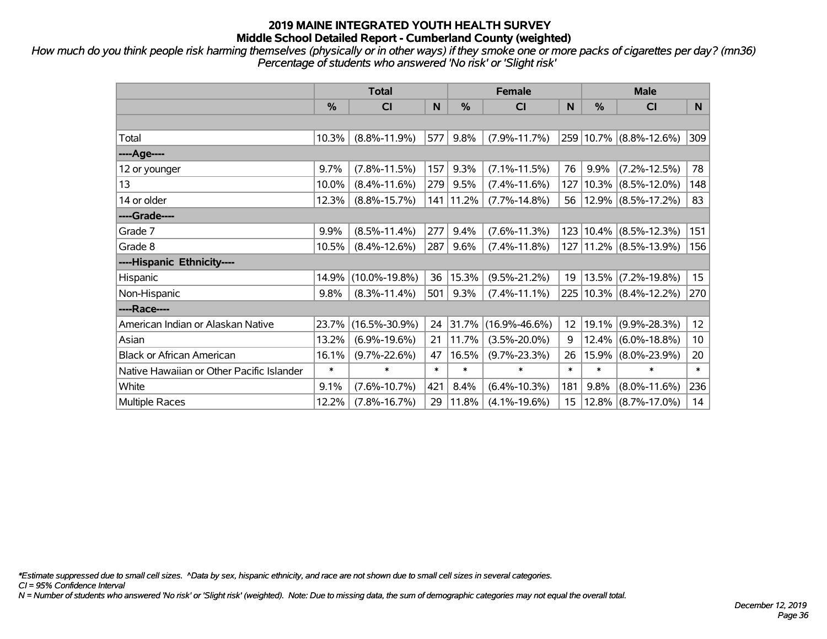*How much do you think people risk harming themselves (physically or in other ways) if they smoke one or more packs of cigarettes per day? (mn36) Percentage of students who answered 'No risk' or 'Slight risk'*

|                                           | <b>Total</b> |                     |        |         | <b>Female</b>       | <b>Male</b>     |        |                            |                  |
|-------------------------------------------|--------------|---------------------|--------|---------|---------------------|-----------------|--------|----------------------------|------------------|
|                                           | %            | <b>CI</b>           | N      | %       | <b>CI</b>           | N.              | %      | <b>CI</b>                  | N.               |
|                                           |              |                     |        |         |                     |                 |        |                            |                  |
| Total                                     | 10.3%        | $(8.8\% - 11.9\%)$  | 577    | 9.8%    | $(7.9\% - 11.7\%)$  |                 |        | 259 10.7% (8.8%-12.6%)     | 309              |
| ----Age----                               |              |                     |        |         |                     |                 |        |                            |                  |
| 12 or younger                             | 9.7%         | $(7.8\% - 11.5\%)$  | 157    | 9.3%    | $(7.1\% - 11.5\%)$  | 76              | 9.9%   | $(7.2\% - 12.5\%)$         | 78               |
| 13                                        | 10.0%        | $(8.4\% - 11.6\%)$  | 279    | 9.5%    | $(7.4\% - 11.6\%)$  | 127             |        | $10.3\%$ (8.5%-12.0%)      | 148              |
| 14 or older                               | 12.3%        | $(8.8\% - 15.7\%)$  | 141    | 11.2%   | $(7.7\% - 14.8\%)$  | 56              |        | $12.9\%$ (8.5%-17.2%)      | 83               |
| ----Grade----                             |              |                     |        |         |                     |                 |        |                            |                  |
| Grade 7                                   | 9.9%         | $(8.5\% - 11.4\%)$  | 277    | 9.4%    | $(7.6\% - 11.3\%)$  | 123             |        | $10.4\%$ (8.5%-12.3%)      | 151              |
| Grade 8                                   | 10.5%        | $(8.4\% - 12.6\%)$  | 287    | $9.6\%$ | $(7.4\% - 11.8\%)$  |                 |        | 127   11.2%   (8.5%-13.9%) | 156              |
| ----Hispanic Ethnicity----                |              |                     |        |         |                     |                 |        |                            |                  |
| Hispanic                                  | 14.9%        | $(10.0\% - 19.8\%)$ | 36     | 15.3%   | $(9.5\% - 21.2\%)$  | 19              |        | $13.5\%$ (7.2%-19.8%)      | 15               |
| Non-Hispanic                              | 9.8%         | $(8.3\% - 11.4\%)$  | 501    | 9.3%    | $(7.4\% - 11.1\%)$  |                 |        | 225 10.3% (8.4%-12.2%)     | 270              |
| ----Race----                              |              |                     |        |         |                     |                 |        |                            |                  |
| American Indian or Alaskan Native         | 23.7%        | $(16.5\% - 30.9\%)$ | 24     | 31.7%   | $(16.9\% - 46.6\%)$ | 12 <sub>2</sub> | 19.1%  | $(9.9\% - 28.3\%)$         | 12               |
| Asian                                     | 13.2%        | $(6.9\% - 19.6\%)$  | 21     | 11.7%   | $(3.5\% - 20.0\%)$  | 9               |        | $12.4\%$ (6.0%-18.8%)      | 10 <sup>10</sup> |
| <b>Black or African American</b>          | 16.1%        | $(9.7\% - 22.6\%)$  | 47     | 16.5%   | $(9.7\% - 23.3\%)$  | 26              |        | 15.9% (8.0%-23.9%)         | 20               |
| Native Hawaiian or Other Pacific Islander | $\ast$       | $\ast$              | $\ast$ | $\ast$  | $\ast$              | $\ast$          | $\ast$ | $\ast$                     | $\ast$           |
| White                                     | 9.1%         | $(7.6\% - 10.7\%)$  | 421    | 8.4%    | $(6.4\% - 10.3\%)$  | 181             | 9.8%   | $(8.0\% - 11.6\%)$         | 236              |
| <b>Multiple Races</b>                     | 12.2%        | $(7.8\% - 16.7\%)$  | 29     | 11.8%   | $(4.1\% - 19.6\%)$  | 15              |        | $12.8\%$ (8.7%-17.0%)      | 14               |

*\*Estimate suppressed due to small cell sizes. ^Data by sex, hispanic ethnicity, and race are not shown due to small cell sizes in several categories.*

*CI = 95% Confidence Interval*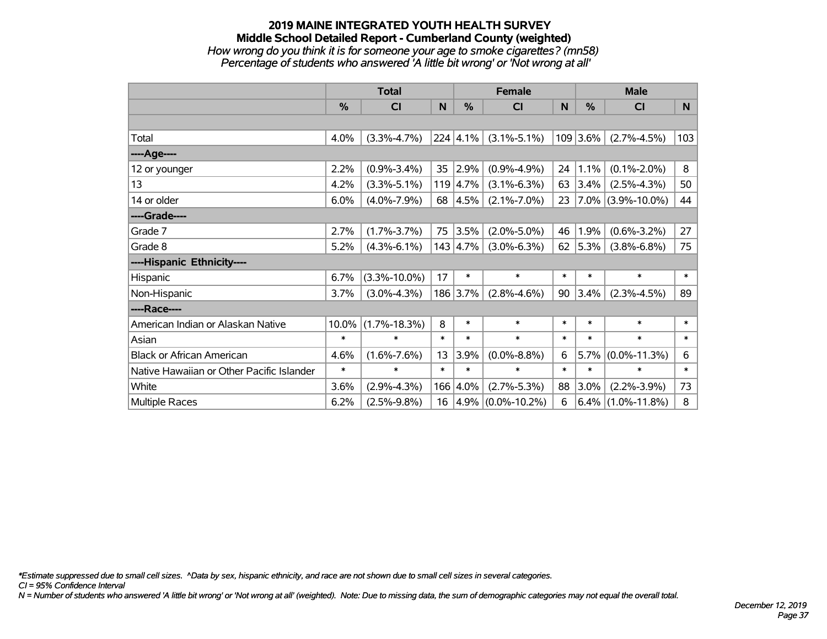### **2019 MAINE INTEGRATED YOUTH HEALTH SURVEY Middle School Detailed Report - Cumberland County (weighted)** *How wrong do you think it is for someone your age to smoke cigarettes? (mn58) Percentage of students who answered 'A little bit wrong' or 'Not wrong at all'*

|                                           | <b>Total</b> |                    |        |                  | <b>Female</b>          |        |            | <b>Male</b>            |        |  |
|-------------------------------------------|--------------|--------------------|--------|------------------|------------------------|--------|------------|------------------------|--------|--|
|                                           | $\%$         | CI                 | N      | %                | <b>CI</b>              | N      | %          | <b>CI</b>              | N      |  |
|                                           |              |                    |        |                  |                        |        |            |                        |        |  |
| Total                                     | 4.0%         | $(3.3\% - 4.7\%)$  |        | $224 \mid 4.1\%$ | $(3.1\% - 5.1\%)$      |        | $109$ 3.6% | $(2.7\% - 4.5\%)$      | 103    |  |
| ----Age----                               |              |                    |        |                  |                        |        |            |                        |        |  |
| 12 or younger                             | 2.2%         | $(0.9\% - 3.4\%)$  | 35     | 2.9%             | $(0.9\% - 4.9\%)$      | 24     | 1.1%       | $(0.1\% - 2.0\%)$      | 8      |  |
| 13                                        | 4.2%         | $(3.3\% - 5.1\%)$  |        | $119 \mid 4.7\%$ | $(3.1\% - 6.3\%)$      | 63     | $3.4\%$    | $(2.5\% - 4.3\%)$      | 50     |  |
| 14 or older                               | 6.0%         | $(4.0\% - 7.9\%)$  | 68     | $ 4.5\% $        | $(2.1\% - 7.0\%)$      | 23     |            | $ 7.0\% $ (3.9%-10.0%) | 44     |  |
| ----Grade----                             |              |                    |        |                  |                        |        |            |                        |        |  |
| Grade 7                                   | 2.7%         | $(1.7\% - 3.7\%)$  | 75     | 3.5%             | $(2.0\% - 5.0\%)$      | 46     | 1.9%       | $(0.6\% - 3.2\%)$      | 27     |  |
| Grade 8                                   | 5.2%         | $(4.3\% - 6.1\%)$  |        | $143 \mid 4.7\%$ | $(3.0\% - 6.3\%)$      | 62     | $ 5.3\% $  | $(3.8\% - 6.8\%)$      | 75     |  |
| ----Hispanic Ethnicity----                |              |                    |        |                  |                        |        |            |                        |        |  |
| Hispanic                                  | 6.7%         | $(3.3\% - 10.0\%)$ | 17     | $\ast$           | $\ast$                 | $\ast$ | $\ast$     | $\ast$                 | $\ast$ |  |
| Non-Hispanic                              | 3.7%         | $(3.0\% - 4.3\%)$  |        | 186 3.7%         | $(2.8\% - 4.6\%)$      | 90     | $3.4\%$    | $(2.3\% - 4.5\%)$      | 89     |  |
| ----Race----                              |              |                    |        |                  |                        |        |            |                        |        |  |
| American Indian or Alaskan Native         | 10.0%        | $(1.7\% - 18.3\%)$ | 8      | $\ast$           | $\ast$                 | $\ast$ | $\ast$     | $\ast$                 | $\ast$ |  |
| Asian                                     | $\ast$       | $\ast$             | $\ast$ | $\ast$           | $\ast$                 | $\ast$ | $\ast$     | $\ast$                 | $\ast$ |  |
| <b>Black or African American</b>          | 4.6%         | $(1.6\% - 7.6\%)$  | 13     | 3.9%             | $(0.0\% - 8.8\%)$      | 6      | 5.7%       | $(0.0\% - 11.3\%)$     | 6      |  |
| Native Hawaiian or Other Pacific Islander | $\ast$       | $\ast$             | $\ast$ | $\ast$           | $\ast$                 | $\ast$ | $\ast$     | $\ast$                 | $\ast$ |  |
| White                                     | 3.6%         | $(2.9\% - 4.3\%)$  |        | 166 4.0%         | $(2.7\% - 5.3\%)$      | 88     | 3.0%       | $(2.2\% - 3.9\%)$      | 73     |  |
| <b>Multiple Races</b>                     | 6.2%         | $(2.5\% - 9.8\%)$  | 16     |                  | $ 4.9\% $ (0.0%-10.2%) | 6      |            | $6.4\%$ (1.0%-11.8%)   | 8      |  |

*\*Estimate suppressed due to small cell sizes. ^Data by sex, hispanic ethnicity, and race are not shown due to small cell sizes in several categories.*

*CI = 95% Confidence Interval*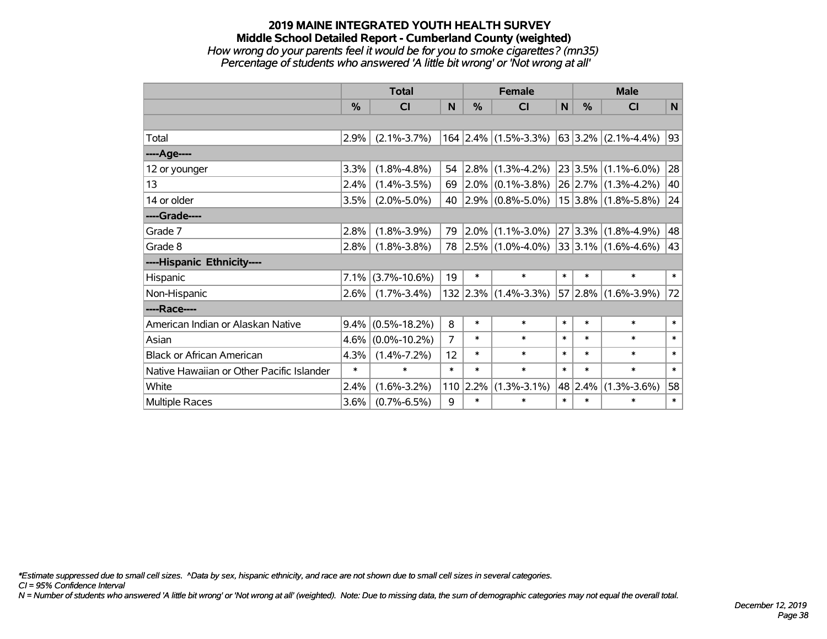### **2019 MAINE INTEGRATED YOUTH HEALTH SURVEY Middle School Detailed Report - Cumberland County (weighted)** *How wrong do your parents feel it would be for you to smoke cigarettes? (mn35) Percentage of students who answered 'A little bit wrong' or 'Not wrong at all'*

|                                           | <b>Total</b>  |                    |        | <b>Female</b> |                        |        | <b>Male</b> |                              |        |
|-------------------------------------------|---------------|--------------------|--------|---------------|------------------------|--------|-------------|------------------------------|--------|
|                                           | $\frac{0}{0}$ | <b>CI</b>          | N      | %             | <b>CI</b>              | N      | %           | <b>CI</b>                    | N      |
|                                           |               |                    |        |               |                        |        |             |                              |        |
| Total                                     | 2.9%          | $(2.1\% - 3.7\%)$  |        |               | $164$ 2.4% (1.5%-3.3%) |        |             | $ 63 3.2\% $ (2.1%-4.4%)     | 93     |
| ----Age----                               |               |                    |        |               |                        |        |             |                              |        |
| 12 or younger                             | 3.3%          | $(1.8\% - 4.8\%)$  | 54     | $ 2.8\% $     | $(1.3\% - 4.2\%)$      |        | 23 3.5%     | $(1.1\% - 6.0\%)$            | 28     |
| 13                                        | 2.4%          | $(1.4\% - 3.5\%)$  | 69     | $ 2.0\% $     | $(0.1\% - 3.8\%)$      |        |             | $26$ 2.7% (1.3%-4.2%)        | 40     |
| 14 or older                               | 3.5%          | $(2.0\% - 5.0\%)$  | 40     |               | $2.9\%$ (0.8%-5.0%)    |        |             | $15 3.8\% $ (1.8%-5.8%)      | 24     |
| ----Grade----                             |               |                    |        |               |                        |        |             |                              |        |
| Grade 7                                   | 2.8%          | $(1.8\% - 3.9\%)$  | 79     | 2.0%          | $(1.1\% - 3.0\%)$      |        | 27 3.3%     | $(1.8\% - 4.9\%)$            | 48     |
| Grade 8                                   | 2.8%          | $(1.8\% - 3.8\%)$  | 78     |               | $ 2.5\% $ (1.0%-4.0%)  |        |             | $ 33 3.1\%  (1.6\% - 4.6\%)$ | 43     |
| ----Hispanic Ethnicity----                |               |                    |        |               |                        |        |             |                              |        |
| Hispanic                                  | 7.1%          | $(3.7\% - 10.6\%)$ | 19     | $\ast$        | $\ast$                 | $\ast$ | $\ast$      | $\ast$                       | $\ast$ |
| Non-Hispanic                              | 2.6%          | $(1.7\% - 3.4\%)$  |        |               | $132$ 2.3% (1.4%-3.3%) |        |             | $57 2.8\% $ (1.6%-3.9%)      | 72     |
| ----Race----                              |               |                    |        |               |                        |        |             |                              |        |
| American Indian or Alaskan Native         | 9.4%          | $(0.5\% - 18.2\%)$ | 8      | $\ast$        | $\ast$                 | $\ast$ | $\ast$      | $\ast$                       | $\ast$ |
| Asian                                     | 4.6%          | $(0.0\% - 10.2\%)$ | 7      | $\ast$        | $\ast$                 | $\ast$ | $\ast$      | $\ast$                       | $\ast$ |
| <b>Black or African American</b>          | 4.3%          | $(1.4\% - 7.2\%)$  | 12     | $\ast$        | $\ast$                 | $\ast$ | $\ast$      | $\ast$                       | $\ast$ |
| Native Hawaiian or Other Pacific Islander | $\ast$        | $\ast$             | $\ast$ | $\ast$        | $\ast$                 | $\ast$ | $\ast$      | $\ast$                       | $\ast$ |
| White                                     | 2.4%          | $(1.6\% - 3.2\%)$  | 110    | 2.2%          | $(1.3\% - 3.1\%)$      |        | 48 2.4%     | $(1.3\% - 3.6\%)$            | 58     |
| <b>Multiple Races</b>                     | 3.6%          | $(0.7\% - 6.5\%)$  | 9      | $\ast$        | $\ast$                 | $\ast$ | $\ast$      | $\ast$                       | $\ast$ |

*\*Estimate suppressed due to small cell sizes. ^Data by sex, hispanic ethnicity, and race are not shown due to small cell sizes in several categories.*

*CI = 95% Confidence Interval*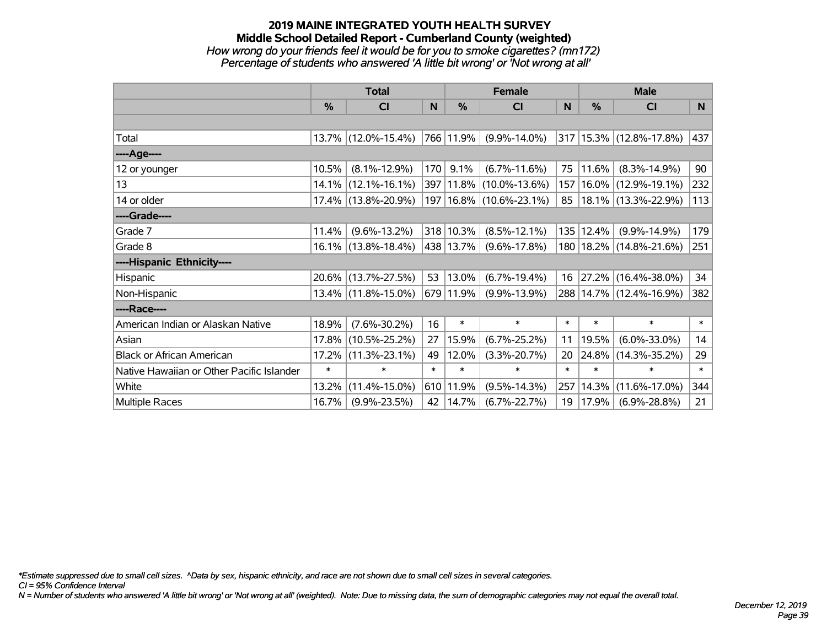### **2019 MAINE INTEGRATED YOUTH HEALTH SURVEY Middle School Detailed Report - Cumberland County (weighted)** *How wrong do your friends feel it would be for you to smoke cigarettes? (mn172) Percentage of students who answered 'A little bit wrong' or 'Not wrong at all'*

|                                           | <b>Total</b>  |                     |        |            | <b>Female</b>               | <b>Male</b>  |        |                             |        |
|-------------------------------------------|---------------|---------------------|--------|------------|-----------------------------|--------------|--------|-----------------------------|--------|
|                                           | $\frac{0}{0}$ | CI                  | N      | %          | CI                          | <sub>N</sub> | %      | <b>CI</b>                   | N      |
|                                           |               |                     |        |            |                             |              |        |                             |        |
| Total                                     |               | 13.7% (12.0%-15.4%) |        | 766 11.9%  | $(9.9\% - 14.0\%)$          |              |        | 317 15.3% (12.8%-17.8%)     | 437    |
| ----Age----                               |               |                     |        |            |                             |              |        |                             |        |
| 12 or younger                             | 10.5%         | $(8.1\% - 12.9\%)$  | 170    | 9.1%       | $(6.7\% - 11.6\%)$          | 75           | 11.6%  | $(8.3\% - 14.9\%)$          | 90     |
| 13                                        | $14.1\%$      | $(12.1\% - 16.1\%)$ |        |            | 397   11.8%   (10.0%-13.6%) | 157          |        | 16.0% (12.9%-19.1%)         | 232    |
| 14 or older                               |               | 17.4% (13.8%-20.9%) |        |            | 197   16.8%   (10.6%-23.1%) | 85           |        | 18.1% (13.3%-22.9%)         | 113    |
| ----Grade----                             |               |                     |        |            |                             |              |        |                             |        |
| Grade 7                                   | 11.4%         | $(9.6\% - 13.2\%)$  |        | 318 10.3%  | $(8.5\% - 12.1\%)$          | 135          | 12.4%  | $(9.9\% - 14.9\%)$          | 179    |
| Grade 8                                   |               | 16.1% (13.8%-18.4%) |        | 438 13.7%  | $(9.6\% - 17.8\%)$          |              |        | 180   18.2%   (14.8%-21.6%) | 251    |
| ----Hispanic Ethnicity----                |               |                     |        |            |                             |              |        |                             |        |
| Hispanic                                  |               | 20.6% (13.7%-27.5%) | 53     | 13.0%      | $(6.7\% - 19.4\%)$          | 16           | 27.2%  | $(16.4\% - 38.0\%)$         | 34     |
| Non-Hispanic                              |               | 13.4% (11.8%-15.0%) |        | 679 11.9%  | $(9.9\% - 13.9\%)$          |              |        | 288 14.7% (12.4%-16.9%)     | 382    |
| ----Race----                              |               |                     |        |            |                             |              |        |                             |        |
| American Indian or Alaskan Native         | 18.9%         | $(7.6\% - 30.2\%)$  | 16     | $\ast$     | $\ast$                      | $\ast$       | $\ast$ | $\ast$                      | $\ast$ |
| Asian                                     | 17.8%         | $(10.5\% - 25.2\%)$ | 27     | 15.9%      | $(6.7\% - 25.2\%)$          | 11           | 19.5%  | $(6.0\% - 33.0\%)$          | 14     |
| <b>Black or African American</b>          | $17.2\%$      | $(11.3\% - 23.1\%)$ | 49     | 12.0%      | $(3.3\% - 20.7\%)$          | 20           | 24.8%  | $(14.3\% - 35.2\%)$         | 29     |
| Native Hawaiian or Other Pacific Islander | $\ast$        | $\ast$              | $\ast$ | $\ast$     | $\ast$                      | $\ast$       | $\ast$ | $\ast$                      | $\ast$ |
| White                                     | 13.2%         | $(11.4\% - 15.0\%)$ |        | 610 11.9%  | $(9.5\% - 14.3\%)$          | 257          | 14.3%  | $(11.6\% - 17.0\%)$         | 344    |
| <b>Multiple Races</b>                     | 16.7%         | $(9.9\% - 23.5\%)$  |        | 42   14.7% | $(6.7\% - 22.7\%)$          | 19           | 17.9%  | $(6.9\% - 28.8\%)$          | 21     |

*\*Estimate suppressed due to small cell sizes. ^Data by sex, hispanic ethnicity, and race are not shown due to small cell sizes in several categories.*

*CI = 95% Confidence Interval*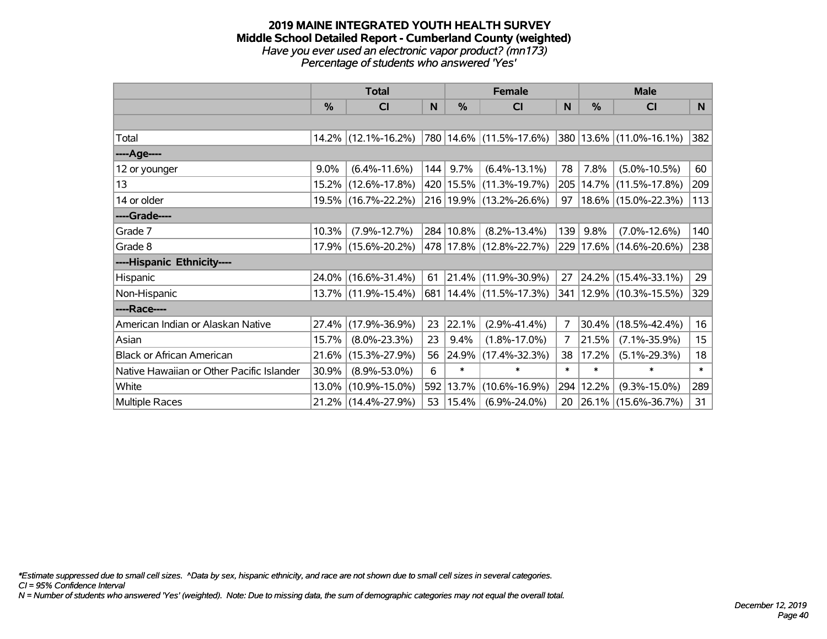### **2019 MAINE INTEGRATED YOUTH HEALTH SURVEY Middle School Detailed Report - Cumberland County (weighted)** *Have you ever used an electronic vapor product? (mn173) Percentage of students who answered 'Yes'*

|                                           | <b>Total</b> |                     |     | <b>Female</b> | <b>Male</b>                 |        |        |                         |        |
|-------------------------------------------|--------------|---------------------|-----|---------------|-----------------------------|--------|--------|-------------------------|--------|
|                                           | %            | CI                  | N   | %             | <b>CI</b>                   | N      | %      | <b>CI</b>               | N.     |
|                                           |              |                     |     |               |                             |        |        |                         |        |
| Total                                     |              | 14.2% (12.1%-16.2%) |     |               | 780 14.6% (11.5%-17.6%)     |        |        | 380 13.6% (11.0%-16.1%) | 382    |
| ----Age----                               |              |                     |     |               |                             |        |        |                         |        |
| 12 or younger                             | $9.0\%$      | $(6.4\% - 11.6\%)$  | 144 | 9.7%          | $(6.4\% - 13.1\%)$          | 78     | 7.8%   | $(5.0\% - 10.5\%)$      | 60     |
| 13                                        |              | 15.2% (12.6%-17.8%) |     |               | 420   15.5%   (11.3%-19.7%) | 205    |        | 14.7% (11.5%-17.8%)     | 209    |
| 14 or older                               |              | 19.5% (16.7%-22.2%) |     |               | 216 19.9% (13.2%-26.6%)     | 97     |        | 18.6% (15.0%-22.3%)     | 113    |
| ----Grade----                             |              |                     |     |               |                             |        |        |                         |        |
| Grade 7                                   | 10.3%        | $(7.9\% - 12.7\%)$  |     | 284 10.8%     | $(8.2\% - 13.4\%)$          | 139    | 9.8%   | $(7.0\% - 12.6\%)$      | 140    |
| Grade 8                                   |              | 17.9% (15.6%-20.2%) |     |               | 478 17.8% (12.8%-22.7%)     |        |        | 229 17.6% (14.6%-20.6%) | 238    |
| ----Hispanic Ethnicity----                |              |                     |     |               |                             |        |        |                         |        |
| Hispanic                                  |              | 24.0% (16.6%-31.4%) | 61  |               | $ 21.4\% $ (11.9%-30.9%)    | 27     |        | $24.2\%$ (15.4%-33.1%)  | 29     |
| Non-Hispanic                              |              | 13.7% (11.9%-15.4%) |     |               | 681   14.4%   (11.5%-17.3%) | 341    |        | 12.9% (10.3%-15.5%)     | 329    |
| ----Race----                              |              |                     |     |               |                             |        |        |                         |        |
| American Indian or Alaskan Native         | 27.4%        | $(17.9\% - 36.9\%)$ | 23  | 22.1%         | $(2.9\% - 41.4\%)$          | 7      | 30.4%  | $(18.5\% - 42.4\%)$     | 16     |
| Asian                                     | 15.7%        | $(8.0\% - 23.3\%)$  | 23  | 9.4%          | $(1.8\% - 17.0\%)$          | 7      | 21.5%  | $(7.1\% - 35.9\%)$      | 15     |
| <b>Black or African American</b>          | 21.6%        | $(15.3\% - 27.9\%)$ | 56  | 24.9%         | $(17.4\% - 32.3\%)$         | 38     | 17.2%  | $(5.1\% - 29.3\%)$      | 18     |
| Native Hawaiian or Other Pacific Islander | 30.9%        | $(8.9\% - 53.0\%)$  | 6   | $\ast$        | $\ast$                      | $\ast$ | $\ast$ | $\ast$                  | $\ast$ |
| White                                     | $13.0\%$     | $(10.9\% - 15.0\%)$ |     | 592 13.7%     | $(10.6\% - 16.9\%)$         | 294    | 12.2%  | $(9.3\% - 15.0\%)$      | 289    |
| <b>Multiple Races</b>                     |              | 21.2% (14.4%-27.9%) | 53  | $ 15.4\% $    | $(6.9\% - 24.0\%)$          | 20     |        | 26.1% (15.6%-36.7%)     | 31     |

*\*Estimate suppressed due to small cell sizes. ^Data by sex, hispanic ethnicity, and race are not shown due to small cell sizes in several categories.*

*CI = 95% Confidence Interval*

*N = Number of students who answered 'Yes' (weighted). Note: Due to missing data, the sum of demographic categories may not equal the overall total.*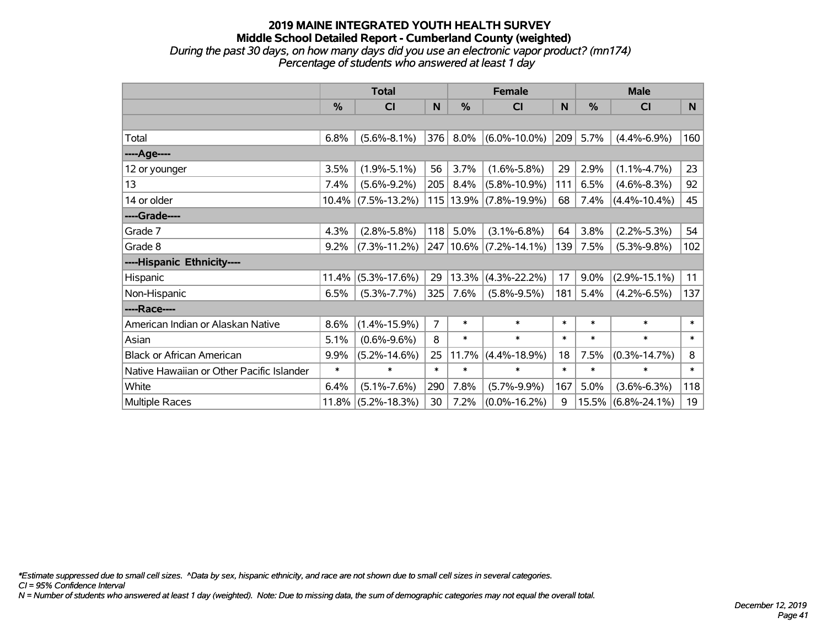### **2019 MAINE INTEGRATED YOUTH HEALTH SURVEY Middle School Detailed Report - Cumberland County (weighted)** *During the past 30 days, on how many days did you use an electronic vapor product? (mn174) Percentage of students who answered at least 1 day*

|                                           | <b>Total</b> |                    |                |               | <b>Female</b>          |        | <b>Male</b>   |                    |        |  |
|-------------------------------------------|--------------|--------------------|----------------|---------------|------------------------|--------|---------------|--------------------|--------|--|
|                                           | %            | <b>CI</b>          | N              | $\frac{0}{0}$ | <b>CI</b>              | N      | $\frac{9}{6}$ | <b>CI</b>          | N      |  |
|                                           |              |                    |                |               |                        |        |               |                    |        |  |
| Total                                     | 6.8%         | $(5.6\% - 8.1\%)$  | 376            | 8.0%          | $(6.0\% - 10.0\%)$     | 209    | 5.7%          | $(4.4\% - 6.9\%)$  | 160    |  |
| ----Age----                               |              |                    |                |               |                        |        |               |                    |        |  |
| 12 or younger                             | 3.5%         | $(1.9\% - 5.1\%)$  | 56             | 3.7%          | $(1.6\% - 5.8\%)$      | 29     | 2.9%          | $(1.1\% - 4.7\%)$  | 23     |  |
| 13                                        | 7.4%         | $(5.6\% - 9.2\%)$  | 205            | 8.4%          | $(5.8\% - 10.9\%)$     | 111    | 6.5%          | $(4.6\% - 8.3\%)$  | 92     |  |
| 14 or older                               | $10.4\%$     | $(7.5\% - 13.2\%)$ |                | 115 13.9%     | $(7.8\% - 19.9\%)$     | 68     | 7.4%          | $(4.4\% - 10.4\%)$ | 45     |  |
| ----Grade----                             |              |                    |                |               |                        |        |               |                    |        |  |
| Grade 7                                   | 4.3%         | $(2.8\% - 5.8\%)$  | 118            | 5.0%          | $(3.1\% - 6.8\%)$      | 64     | 3.8%          | $(2.2\% - 5.3\%)$  | 54     |  |
| Grade 8                                   | $9.2\%$      | $(7.3\% - 11.2\%)$ |                |               | 247 10.6% (7.2%-14.1%) | 139    | 7.5%          | $(5.3\% - 9.8\%)$  | 102    |  |
| ----Hispanic Ethnicity----                |              |                    |                |               |                        |        |               |                    |        |  |
| Hispanic                                  | 11.4%        | $(5.3\% - 17.6\%)$ | 29             | 13.3%         | $(4.3\% - 22.2\%)$     | 17     | 9.0%          | $(2.9\% - 15.1\%)$ | 11     |  |
| Non-Hispanic                              | 6.5%         | $(5.3\% - 7.7\%)$  | 325            | 7.6%          | $(5.8\% - 9.5\%)$      | 181    | 5.4%          | $(4.2\% - 6.5\%)$  | 137    |  |
| ----Race----                              |              |                    |                |               |                        |        |               |                    |        |  |
| American Indian or Alaskan Native         | 8.6%         | $(1.4\% - 15.9\%)$ | $\overline{7}$ | $\ast$        | $\ast$                 | $\ast$ | $\ast$        | $\ast$             | $\ast$ |  |
| Asian                                     | 5.1%         | $(0.6\% - 9.6\%)$  | 8              | $\ast$        | $\ast$                 | $\ast$ | $\ast$        | $\ast$             | $\ast$ |  |
| <b>Black or African American</b>          | 9.9%         | $(5.2\% - 14.6\%)$ | 25             | 11.7%         | $(4.4\% - 18.9\%)$     | 18     | 7.5%          | $(0.3\% - 14.7\%)$ | 8      |  |
| Native Hawaiian or Other Pacific Islander | $\ast$       | $\ast$             | $\ast$         | $\ast$        | $\ast$                 | $\ast$ | $\ast$        | $\ast$             | $\ast$ |  |
| White                                     | 6.4%         | $(5.1\% - 7.6\%)$  | 290            | 7.8%          | $(5.7\% - 9.9\%)$      | 167    | 5.0%          | $(3.6\% - 6.3\%)$  | 118    |  |
| <b>Multiple Races</b>                     | 11.8%        | $(5.2\% - 18.3\%)$ | 30             | 7.2%          | $(0.0\% - 16.2\%)$     | 9      |               | 15.5% (6.8%-24.1%) | 19     |  |

*\*Estimate suppressed due to small cell sizes. ^Data by sex, hispanic ethnicity, and race are not shown due to small cell sizes in several categories.*

*CI = 95% Confidence Interval*

*N = Number of students who answered at least 1 day (weighted). Note: Due to missing data, the sum of demographic categories may not equal the overall total.*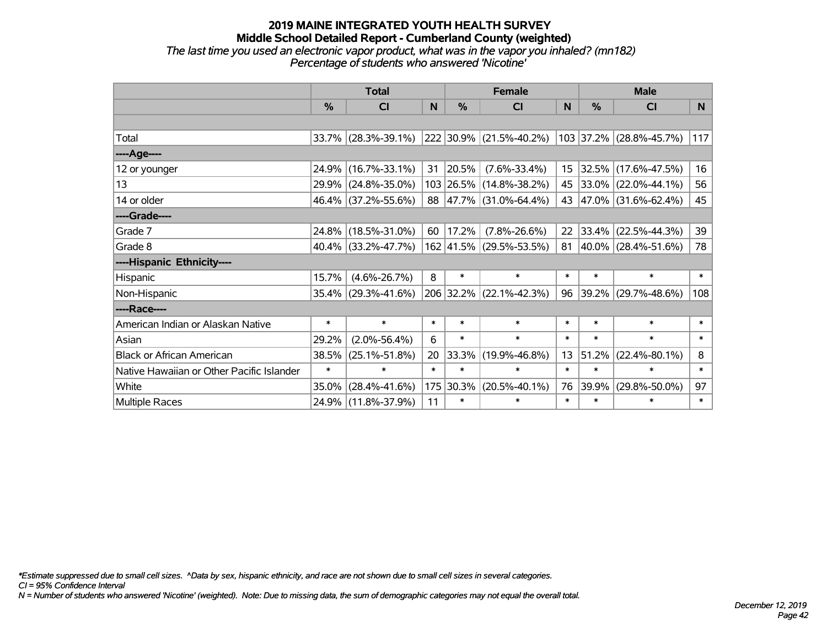### **2019 MAINE INTEGRATED YOUTH HEALTH SURVEY Middle School Detailed Report - Cumberland County (weighted)** *The last time you used an electronic vapor product, what was in the vapor you inhaled? (mn182) Percentage of students who answered 'Nicotine'*

|                                           |        | <b>Total</b>           |        |               | <b>Female</b>           |              | <b>Male</b> |                          |        |  |
|-------------------------------------------|--------|------------------------|--------|---------------|-------------------------|--------------|-------------|--------------------------|--------|--|
|                                           | %      | C <sub>l</sub>         | N      | $\frac{0}{0}$ | CI                      | <sub>N</sub> | %           | <b>CI</b>                | N      |  |
|                                           |        |                        |        |               |                         |              |             |                          |        |  |
| Total                                     |        | $33.7\%$ (28.3%-39.1%) |        |               | 222 30.9% (21.5%-40.2%) |              |             | 103 37.2% (28.8%-45.7%)  | 117    |  |
| ----Age----                               |        |                        |        |               |                         |              |             |                          |        |  |
| 12 or younger                             |        | 24.9% (16.7%-33.1%)    | 31     | $ 20.5\% $    | $(7.6\% - 33.4\%)$      |              | 15 32.5%    | $(17.6\% - 47.5\%)$      | 16     |  |
| 13                                        |        | 29.9% (24.8%-35.0%)    |        |               | 103 26.5% (14.8%-38.2%) |              |             | 45 33.0% (22.0%-44.1%)   | 56     |  |
| 14 or older                               |        | 46.4% (37.2%-55.6%)    |        |               | 88 47.7% (31.0%-64.4%)  |              |             | 43 47.0% (31.6%-62.4%)   | 45     |  |
| ----Grade----                             |        |                        |        |               |                         |              |             |                          |        |  |
| Grade 7                                   |        | 24.8% (18.5%-31.0%)    | 60     | 17.2%         | $(7.8\% - 26.6\%)$      | 22           | 33.4%       | $(22.5\% - 44.3\%)$      | 39     |  |
| Grade 8                                   |        | 40.4% (33.2%-47.7%)    |        |               | 162 41.5% (29.5%-53.5%) | 81           |             | $ 40.0\% $ (28.4%-51.6%) | 78     |  |
| ----Hispanic Ethnicity----                |        |                        |        |               |                         |              |             |                          |        |  |
| Hispanic                                  | 15.7%  | $(4.6\% - 26.7\%)$     | 8      | $\ast$        | $\ast$                  | $\ast$       | $\ast$      | $\ast$                   | $\ast$ |  |
| Non-Hispanic                              |        | $35.4\%$ (29.3%-41.6%) |        |               | 206 32.2% (22.1%-42.3%) | 96           |             | 39.2% (29.7%-48.6%)      | 108    |  |
| ----Race----                              |        |                        |        |               |                         |              |             |                          |        |  |
| American Indian or Alaskan Native         | $\ast$ | $\ast$                 | $\ast$ | $\ast$        | $\ast$                  | $\ast$       | $\ast$      | $\ast$                   | $\ast$ |  |
| Asian                                     | 29.2%  | $(2.0\% - 56.4\%)$     | 6      | $\ast$        | $\ast$                  | $\ast$       | $\ast$      | $\ast$                   | $\ast$ |  |
| <b>Black or African American</b>          | 38.5%  | $(25.1\% - 51.8\%)$    | 20     | 33.3%         | $(19.9\% - 46.8\%)$     | 13           | 51.2%       | $(22.4\% - 80.1\%)$      | 8      |  |
| Native Hawaiian or Other Pacific Islander | $\ast$ | $\ast$                 | $\ast$ | $\ast$        | $\ast$                  | $\ast$       | $\ast$      | $\ast$                   | $\ast$ |  |
| White                                     | 35.0%  | $(28.4\% - 41.6\%)$    | 175    | 30.3%         | $(20.5\% - 40.1\%)$     | 76           | 39.9%       | $(29.8\% - 50.0\%)$      | 97     |  |
| Multiple Races                            |        | 24.9% (11.8%-37.9%)    | 11     | $\ast$        | $\ast$                  | $\ast$       | $\ast$      | $\ast$                   | $\ast$ |  |

*\*Estimate suppressed due to small cell sizes. ^Data by sex, hispanic ethnicity, and race are not shown due to small cell sizes in several categories.*

*CI = 95% Confidence Interval*

*N = Number of students who answered 'Nicotine' (weighted). Note: Due to missing data, the sum of demographic categories may not equal the overall total.*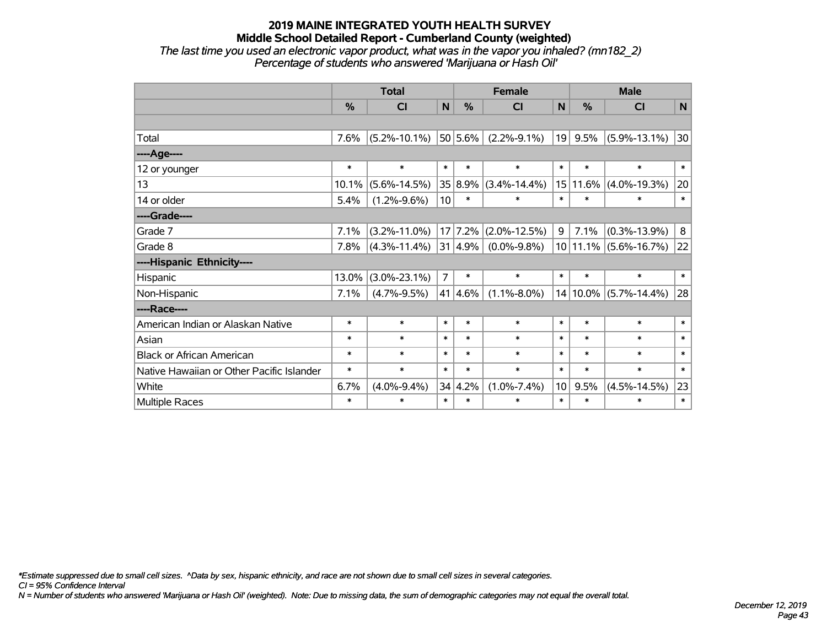### **2019 MAINE INTEGRATED YOUTH HEALTH SURVEY Middle School Detailed Report - Cumberland County (weighted)** *The last time you used an electronic vapor product, what was in the vapor you inhaled? (mn182\_2) Percentage of students who answered 'Marijuana or Hash Oil'*

|                                           | <b>Total</b> |                    |                 |                 | <b>Female</b>          |                 | <b>Male</b>   |                           |              |  |
|-------------------------------------------|--------------|--------------------|-----------------|-----------------|------------------------|-----------------|---------------|---------------------------|--------------|--|
|                                           | %            | CI                 | N               | $\frac{0}{0}$   | <b>CI</b>              | N               | $\frac{0}{0}$ | CI                        | N            |  |
|                                           |              |                    |                 |                 |                        |                 |               |                           |              |  |
| Total                                     | 7.6%         | $(5.2\% - 10.1\%)$ |                 | $ 50 5.6\% $    | $(2.2\% - 9.1\%)$      | 19              | $9.5\%$       | $(5.9\% - 13.1\%)$        | 30           |  |
| ---- Age----                              |              |                    |                 |                 |                        |                 |               |                           |              |  |
| 12 or younger                             | $\ast$       | $\ast$             | $\ast$          | $\ast$          | $\ast$                 | $\ast$          | $\ast$        | $\ast$                    | $\ast$       |  |
| 13                                        | 10.1%        | $(5.6\% - 14.5\%)$ |                 | 35 8.9%         | $(3.4\% - 14.4\%)$     | 15              |               | $11.6\%$ (4.0%-19.3%)     | 20           |  |
| 14 or older                               | 5.4%         | $(1.2\% - 9.6\%)$  | 10 <sup>1</sup> | $\ast$          | $\ast$                 | $\ast$          | $\ast$        | $\ast$                    | $\ast$       |  |
| ----Grade----                             |              |                    |                 |                 |                        |                 |               |                           |              |  |
| Grade 7                                   | 7.1%         | $(3.2\% - 11.0\%)$ |                 |                 | $17$ 7.2% (2.0%-12.5%) | 9               | 7.1%          | $(0.3\% - 13.9\%)$        | 8            |  |
| Grade 8                                   | 7.8%         | $(4.3\% - 11.4\%)$ |                 | $ 31 4.9\% $    | $(0.0\% - 9.8\%)$      |                 |               | $10 11.1\% $ (5.6%-16.7%) | 22           |  |
| ----Hispanic Ethnicity----                |              |                    |                 |                 |                        |                 |               |                           |              |  |
| Hispanic                                  | 13.0%        | $(3.0\% - 23.1\%)$ | $\overline{7}$  | $\ast$          | $\ast$                 | $\ast$          | $\ast$        | $\ast$                    | $\ast$       |  |
| Non-Hispanic                              | 7.1%         | $(4.7\% - 9.5\%)$  |                 | 41 4.6%         | $(1.1\% - 8.0\%)$      |                 | 14   10.0%    | $(5.7\% - 14.4\%)$        | 28           |  |
| ----Race----                              |              |                    |                 |                 |                        |                 |               |                           |              |  |
| American Indian or Alaskan Native         | $\ast$       | $\ast$             | $\ast$          | $\ast$          | $\ast$                 | $\ast$          | $\ast$        | $\ast$                    | $\ast$       |  |
| Asian                                     | $\ast$       | $\ast$             | $\ast$          | $\ast$          | $\ast$                 | $\ast$          | $\ast$        | $\ast$                    | $\ast$       |  |
| <b>Black or African American</b>          | $\ast$       | $\ast$             | $\ast$          | $\ast$          | $\ast$                 | $\ast$          | $\ast$        | $\ast$                    | $\ast$       |  |
| Native Hawaiian or Other Pacific Islander | $\ast$       | $\ast$             | $\ast$          | $\ast$          | $\ast$                 | $\ast$          | $\ast$        | $\ast$                    | $\ast$       |  |
| White                                     | 6.7%         | $(4.0\% - 9.4\%)$  |                 | $34 \mid 4.2\%$ | $(1.0\% - 7.4\%)$      | 10 <sup>°</sup> | 9.5%          | $(4.5\% - 14.5\%)$        | 23           |  |
| <b>Multiple Races</b>                     | $\ast$       | $\ast$             | $\ast$          | $\ast$          | $\ast$                 | $\ast$          | $\ast$        | $\ast$                    | $\pmb{\ast}$ |  |

*\*Estimate suppressed due to small cell sizes. ^Data by sex, hispanic ethnicity, and race are not shown due to small cell sizes in several categories.*

*CI = 95% Confidence Interval*

*N = Number of students who answered 'Marijuana or Hash Oil' (weighted). Note: Due to missing data, the sum of demographic categories may not equal the overall total.*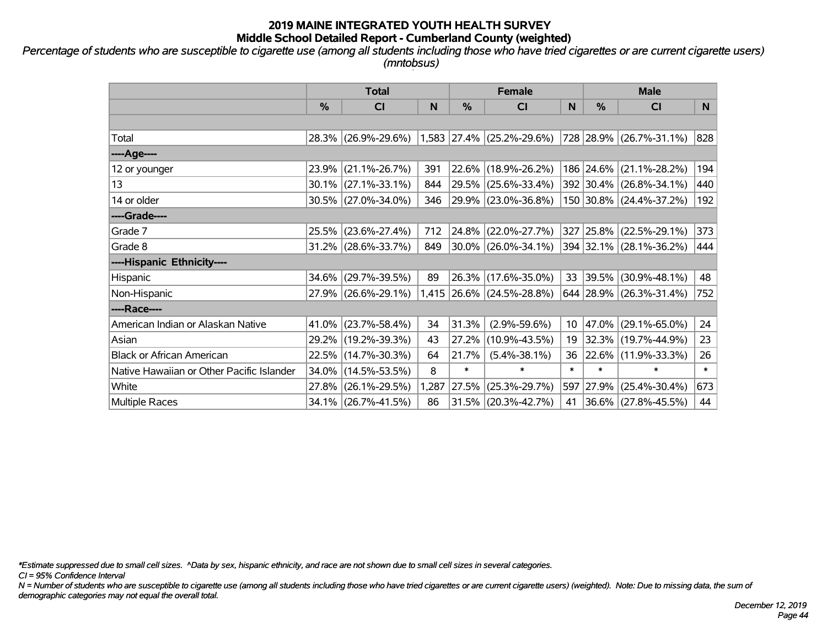*Percentage of students who are susceptible to cigarette use (among all students including those who have tried cigarettes or are current cigarette users) (mntobsus)*

|                                           | <b>Total</b> |                     |              |        | <b>Female</b>             |        | <b>Male</b> |                         |        |  |
|-------------------------------------------|--------------|---------------------|--------------|--------|---------------------------|--------|-------------|-------------------------|--------|--|
|                                           | %            | C <sub>l</sub>      | $\mathsf{N}$ | %      | <b>CI</b>                 | N      | %           | <b>CI</b>               | N      |  |
|                                           |              |                     |              |        |                           |        |             |                         |        |  |
| Total                                     | 28.3%        | $(26.9\% - 29.6\%)$ |              |        | 1,583 27.4% (25.2%-29.6%) |        |             | 728 28.9% (26.7%-31.1%) | 828    |  |
| ----Age----                               |              |                     |              |        |                           |        |             |                         |        |  |
| 12 or younger                             | 23.9%        | $(21.1\% - 26.7\%)$ | 391          |        | 22.6% (18.9%-26.2%)       |        | 186 24.6%   | $(21.1\% - 28.2\%)$     | 194    |  |
| 13                                        | 30.1%        | $(27.1\% - 33.1\%)$ | 844          |        | 29.5% (25.6%-33.4%)       |        |             | 392 30.4% (26.8%-34.1%) | 440    |  |
| 14 or older                               |              | 30.5% (27.0%-34.0%) | 346          |        | 29.9% (23.0%-36.8%)       |        |             | 150 30.8% (24.4%-37.2%) | 192    |  |
| ----Grade----                             |              |                     |              |        |                           |        |             |                         |        |  |
| Grade 7                                   | 25.5%        | $(23.6\% - 27.4\%)$ | 712          | 24.8%  | $(22.0\% - 27.7\%)$       | 327    | 25.8%       | $(22.5\% - 29.1\%)$     | 373    |  |
| Grade 8                                   |              | 31.2% (28.6%-33.7%) | 849          |        | $30.0\%$ (26.0%-34.1%)    |        |             | 394 32.1% (28.1%-36.2%) | 444    |  |
| ----Hispanic Ethnicity----                |              |                     |              |        |                           |        |             |                         |        |  |
| Hispanic                                  | 34.6%        | $(29.7\% - 39.5\%)$ | 89           | 26.3%  | $(17.6\% - 35.0\%)$       | 33     | 39.5%       | $(30.9\% - 48.1\%)$     | 48     |  |
| Non-Hispanic                              |              | 27.9% (26.6%-29.1%) |              |        | 1,415 26.6% (24.5%-28.8%) |        |             | 644 28.9% (26.3%-31.4%) | 752    |  |
| ----Race----                              |              |                     |              |        |                           |        |             |                         |        |  |
| American Indian or Alaskan Native         | 41.0%        | $(23.7\% - 58.4\%)$ | 34           | 31.3%  | $(2.9\% - 59.6\%)$        | 10     | 47.0%       | $(29.1\% - 65.0\%)$     | 24     |  |
| Asian                                     | 29.2%        | $(19.2\% - 39.3\%)$ | 43           | 27.2%  | $(10.9\% - 43.5\%)$       | 19     | 32.3%       | $(19.7\% - 44.9\%)$     | 23     |  |
| <b>Black or African American</b>          | 22.5%        | $(14.7\% - 30.3\%)$ | 64           | 21.7%  | $(5.4\% - 38.1\%)$        | 36     |             | 22.6% (11.9%-33.3%)     | 26     |  |
| Native Hawaiian or Other Pacific Islander | 34.0%        | $(14.5\% - 53.5\%)$ | 8            | $\ast$ | $\ast$                    | $\ast$ | $\ast$      | $\ast$                  | $\ast$ |  |
| White                                     | 27.8%        | $(26.1\% - 29.5\%)$ | 1,287        | 27.5%  | $(25.3\% - 29.7\%)$       | 597    | 27.9%       | $(25.4\% - 30.4\%)$     | 673    |  |
| Multiple Races                            |              | 34.1% (26.7%-41.5%) | 86           |        | $31.5\%$ (20.3%-42.7%)    | 41     |             | 36.6% (27.8%-45.5%)     | 44     |  |

*\*Estimate suppressed due to small cell sizes. ^Data by sex, hispanic ethnicity, and race are not shown due to small cell sizes in several categories.*

*CI = 95% Confidence Interval*

*N = Number of students who are susceptible to cigarette use (among all students including those who have tried cigarettes or are current cigarette users) (weighted). Note: Due to missing data, the sum of demographic categories may not equal the overall total.*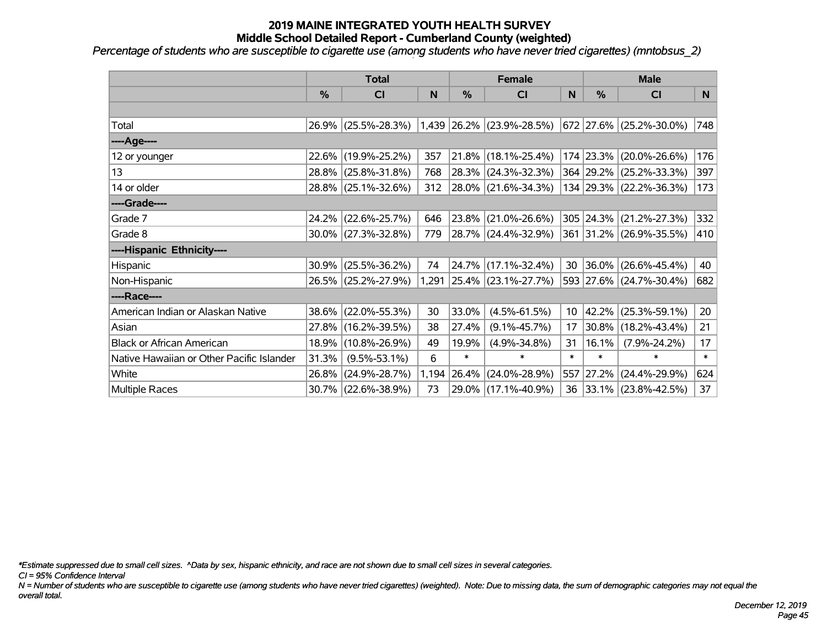*Percentage of students who are susceptible to cigarette use (among students who have never tried cigarettes) (mntobsus\_2)*

|                                           | <b>Total</b> |                        |       |        | <b>Female</b>             |        | <b>Male</b> |                               |        |  |
|-------------------------------------------|--------------|------------------------|-------|--------|---------------------------|--------|-------------|-------------------------------|--------|--|
|                                           | %            | C <sub>l</sub>         | N     | %      | <b>CI</b>                 | N      | %           | <b>CI</b>                     | N      |  |
|                                           |              |                        |       |        |                           |        |             |                               |        |  |
| Total                                     |              | 26.9% (25.5%-28.3%)    |       |        | 1,439 26.2% (23.9%-28.5%) |        |             | $672$   27.6%   (25.2%-30.0%) | 748    |  |
| ---- Age----                              |              |                        |       |        |                           |        |             |                               |        |  |
| 12 or younger                             |              | 22.6% (19.9%-25.2%)    | 357   | 21.8%  | $(18.1\% - 25.4\%)$       |        | 174 23.3%   | $(20.0\% - 26.6\%)$           | 176    |  |
| 13                                        |              | 28.8% (25.8%-31.8%)    | 768   | 28.3%  | $(24.3\% - 32.3\%)$       |        |             | 364 29.2% (25.2%-33.3%)       | 397    |  |
| 14 or older                               |              | 28.8% (25.1%-32.6%)    | 312   |        | 28.0% (21.6%-34.3%)       |        |             | 134 29.3% (22.2%-36.3%)       | 173    |  |
| ----Grade----                             |              |                        |       |        |                           |        |             |                               |        |  |
| Grade 7                                   | 24.2%        | $(22.6\% - 25.7\%)$    | 646   | 23.8%  | $(21.0\% - 26.6\%)$       |        | 305 24.3%   | $(21.2\% - 27.3\%)$           | 332    |  |
| Grade 8                                   |              | $30.0\%$ (27.3%-32.8%) | 779   |        | 28.7% (24.4%-32.9%)       |        |             | 361 31.2% (26.9%-35.5%)       | 410    |  |
| ----Hispanic Ethnicity----                |              |                        |       |        |                           |        |             |                               |        |  |
| Hispanic                                  | 30.9%        | $(25.5\% - 36.2\%)$    | 74    | 24.7%  | $(17.1\% - 32.4\%)$       | 30     | $ 36.0\% $  | $(26.6\% - 45.4\%)$           | 40     |  |
| Non-Hispanic                              |              | 26.5% (25.2%-27.9%)    |       |        | 1,291 25.4% (23.1%-27.7%) |        |             | 593 27.6% (24.7%-30.4%)       | 682    |  |
| ----Race----                              |              |                        |       |        |                           |        |             |                               |        |  |
| American Indian or Alaskan Native         |              | 38.6% (22.0%-55.3%)    | 30    | 33.0%  | $(4.5\% - 61.5\%)$        | 10     | $ 42.2\% $  | $(25.3\% - 59.1\%)$           | 20     |  |
| Asian                                     | 27.8%        | $(16.2\% - 39.5\%)$    | 38    | 27.4%  | $(9.1\% - 45.7\%)$        | 17     | 30.8%       | $(18.2\% - 43.4\%)$           | 21     |  |
| <b>Black or African American</b>          | 18.9%        | $(10.8\% - 26.9\%)$    | 49    | 19.9%  | $(4.9\% - 34.8\%)$        | 31     | 16.1%       | $(7.9\% - 24.2\%)$            | 17     |  |
| Native Hawaiian or Other Pacific Islander | 31.3%        | $(9.5\% - 53.1\%)$     | 6     | $\ast$ | $\ast$                    | $\ast$ | $\ast$      | $\ast$                        | $\ast$ |  |
| White                                     | 26.8%        | $(24.9\% - 28.7\%)$    | 1,194 | 26.4%  | $(24.0\% - 28.9\%)$       |        | 557 27.2%   | $(24.4\% - 29.9\%)$           | 624    |  |
| Multiple Races                            |              | 30.7% (22.6%-38.9%)    | 73    | 29.0%  | $(17.1\% - 40.9\%)$       | 36     |             | $ 33.1\% $ (23.8%-42.5%)      | 37     |  |

*\*Estimate suppressed due to small cell sizes. ^Data by sex, hispanic ethnicity, and race are not shown due to small cell sizes in several categories.*

*CI = 95% Confidence Interval*

*N = Number of students who are susceptible to cigarette use (among students who have never tried cigarettes) (weighted). Note: Due to missing data, the sum of demographic categories may not equal the overall total.*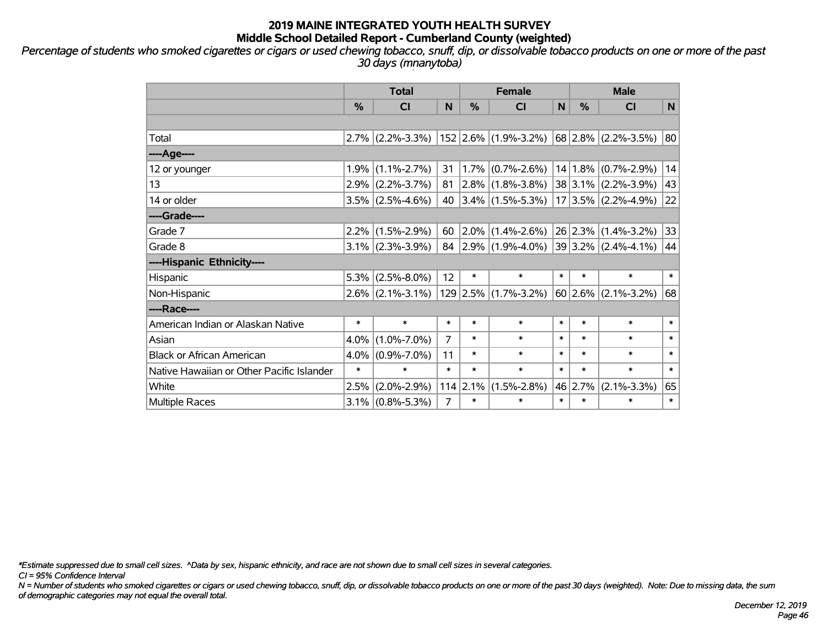*Percentage of students who smoked cigarettes or cigars or used chewing tobacco, snuff, dip, or dissolvable tobacco products on one or more of the past 30 days (mnanytoba)*

|                                           | <b>Total</b> |                     |                |            | <b>Female</b>             |        |         | <b>Male</b>             |        |  |  |
|-------------------------------------------|--------------|---------------------|----------------|------------|---------------------------|--------|---------|-------------------------|--------|--|--|
|                                           | %            | <b>CI</b>           | N              | %          | <b>CI</b>                 | N      | %       | <b>CI</b>               | N      |  |  |
|                                           |              |                     |                |            |                           |        |         |                         |        |  |  |
| Total                                     |              | $2.7\%$ (2.2%-3.3%) |                |            | $ 152 2.6\% $ (1.9%-3.2%) |        |         | 68 2.8% (2.2%-3.5%)     | 80     |  |  |
| ----Age----                               |              |                     |                |            |                           |        |         |                         |        |  |  |
| 12 or younger                             | 1.9%         | $(1.1\% - 2.7\%)$   | 31             | 1.7%       | $(0.7\% - 2.6\%)$         |        | 14 1.8% | $(0.7\% - 2.9\%)$       | 14     |  |  |
| 13                                        |              | $2.9\%$ (2.2%-3.7%) | 81             |            | $2.8\%$ (1.8%-3.8%)       |        |         | $38 3.1\% $ (2.2%-3.9%) | 43     |  |  |
| 14 or older                               |              | $3.5\%$ (2.5%-4.6%) | 40             |            | $ 3.4\% $ (1.5%-5.3%)     |        |         | $17 3.5\% $ (2.2%-4.9%) | 22     |  |  |
| ----Grade----                             |              |                     |                |            |                           |        |         |                         |        |  |  |
| Grade 7                                   |              | $2.2\%$ (1.5%-2.9%) | 60             |            | $2.0\%$ (1.4%-2.6%)       |        | 26 2.3% | $(1.4\% - 3.2\%)$       | 33     |  |  |
| Grade 8                                   |              | $3.1\%$ (2.3%-3.9%) |                |            | 84 2.9% $(1.9\% - 4.0\%)$ |        |         | $39 3.2\% $ (2.4%-4.1%) | 44     |  |  |
| ----Hispanic Ethnicity----                |              |                     |                |            |                           |        |         |                         |        |  |  |
| Hispanic                                  | 5.3%         | $(2.5\% - 8.0\%)$   | 12             | $\ast$     | $\ast$                    | $\ast$ | $\ast$  | $\ast$                  | $\ast$ |  |  |
| Non-Hispanic                              |              | $2.6\%$ (2.1%-3.1%) |                |            | $129$ 2.5% (1.7%-3.2%)    |        | 60 2.6% | $(2.1\% - 3.2\%)$       | 68     |  |  |
| ----Race----                              |              |                     |                |            |                           |        |         |                         |        |  |  |
| American Indian or Alaskan Native         | $\ast$       | $\ast$              | $\ast$         | $\ast$     | $\ast$                    | $\ast$ | $\ast$  | $\ast$                  | $\ast$ |  |  |
| Asian                                     | 4.0%         | $(1.0\% - 7.0\%)$   | 7              | $\ast$     | $\ast$                    | $\ast$ | $\ast$  | $\ast$                  | $\ast$ |  |  |
| <b>Black or African American</b>          | 4.0%         | $(0.9\% - 7.0\%)$   | 11             | $\ast$     | $\ast$                    | $\ast$ | $\ast$  | $\ast$                  | $\ast$ |  |  |
| Native Hawaiian or Other Pacific Islander | $\ast$       | $\ast$              | $\ast$         | $\ast$     | $\ast$                    | $\ast$ | $\ast$  | $\ast$                  | $\ast$ |  |  |
| White                                     | 2.5%         | $(2.0\% - 2.9\%)$   |                | $114$ 2.1% | $(1.5\% - 2.8\%)$         |        | 46 2.7% | $(2.1\% - 3.3\%)$       | 65     |  |  |
| Multiple Races                            |              | $3.1\%$ (0.8%-5.3%) | $\overline{7}$ | $\ast$     | $\ast$                    | $\ast$ | $\ast$  | $\ast$                  | $\ast$ |  |  |

*\*Estimate suppressed due to small cell sizes. ^Data by sex, hispanic ethnicity, and race are not shown due to small cell sizes in several categories.*

*CI = 95% Confidence Interval*

*N = Number of students who smoked cigarettes or cigars or used chewing tobacco, snuff, dip, or dissolvable tobacco products on one or more of the past 30 days (weighted). Note: Due to missing data, the sum of demographic categories may not equal the overall total.*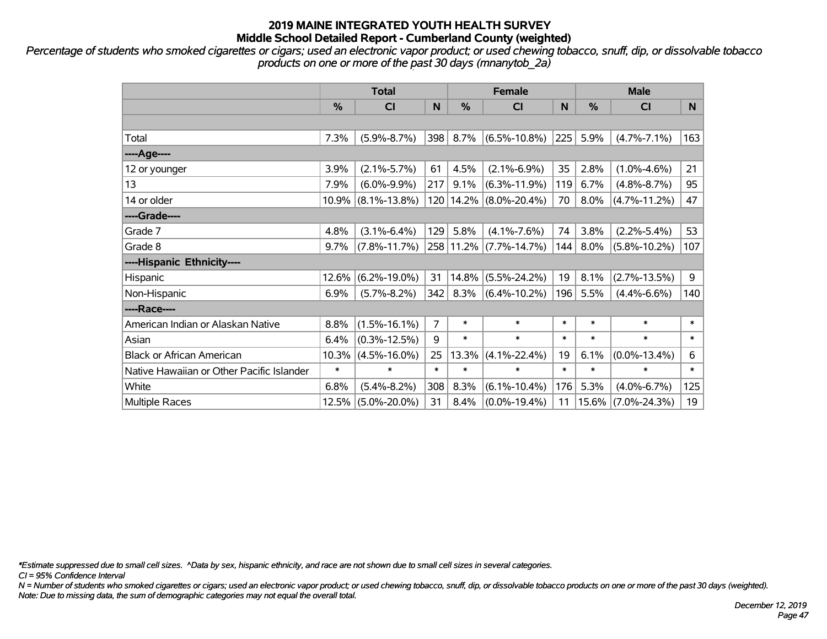*Percentage of students who smoked cigarettes or cigars; used an electronic vapor product; or used chewing tobacco, snuff, dip, or dissolvable tobacco products on one or more of the past 30 days (mnanytob\_2a)*

|                                           | <b>Total</b>  |                       |        |               | <b>Female</b>      |        | <b>Male</b>   |                    |        |  |
|-------------------------------------------|---------------|-----------------------|--------|---------------|--------------------|--------|---------------|--------------------|--------|--|
|                                           | $\frac{0}{0}$ | C <sub>l</sub>        | N      | $\frac{9}{6}$ | CI                 | N      | $\frac{0}{0}$ | C <sub>1</sub>     | N.     |  |
|                                           |               |                       |        |               |                    |        |               |                    |        |  |
| Total                                     | 7.3%          | $(5.9\% - 8.7\%)$     | 398    | 8.7%          | $(6.5\% - 10.8\%)$ | 225    | 5.9%          | $(4.7\% - 7.1\%)$  | 163    |  |
| ----Age----                               |               |                       |        |               |                    |        |               |                    |        |  |
| 12 or younger                             | 3.9%          | $(2.1\% - 5.7\%)$     | 61     | 4.5%          | $(2.1\% - 6.9\%)$  | 35     | 2.8%          | $(1.0\% - 4.6\%)$  | 21     |  |
| 13                                        | 7.9%          | $(6.0\% - 9.9\%)$     | 217    | 9.1%          | $(6.3\% - 11.9\%)$ | 119    | 6.7%          | $(4.8\% - 8.7\%)$  | 95     |  |
| 14 or older                               |               | $10.9\%$ (8.1%-13.8%) |        | 120 14.2%     | $(8.0\% - 20.4\%)$ | 70     | 8.0%          | $(4.7\% - 11.2\%)$ | 47     |  |
| ----Grade----                             |               |                       |        |               |                    |        |               |                    |        |  |
| Grade 7                                   | 4.8%          | $(3.1\% - 6.4\%)$     | 129    | 5.8%          | $(4.1\% - 7.6\%)$  | 74     | 3.8%          | $(2.2\% - 5.4\%)$  | 53     |  |
| Grade 8                                   | $9.7\%$       | $(7.8\% - 11.7\%)$    |        | 258 11.2%     | $(7.7\% - 14.7\%)$ | 144    | 8.0%          | $(5.8\% - 10.2\%)$ | 107    |  |
| ----Hispanic Ethnicity----                |               |                       |        |               |                    |        |               |                    |        |  |
| Hispanic                                  | 12.6%         | $(6.2\% - 19.0\%)$    | 31     | 14.8%         | $(5.5\% - 24.2\%)$ | 19     | 8.1%          | $(2.7\% - 13.5\%)$ | 9      |  |
| Non-Hispanic                              | 6.9%          | $(5.7\% - 8.2\%)$     | 342    | 8.3%          | $(6.4\% - 10.2\%)$ | 196    | 5.5%          | $(4.4\% - 6.6\%)$  | 140    |  |
| ----Race----                              |               |                       |        |               |                    |        |               |                    |        |  |
| American Indian or Alaskan Native         | 8.8%          | $(1.5\% - 16.1\%)$    | 7      | $\ast$        | $\ast$             | $\ast$ | $\ast$        | $\ast$             | $\ast$ |  |
| Asian                                     | 6.4%          | $(0.3\% - 12.5\%)$    | 9      | $\ast$        | $\ast$             | $\ast$ | $\ast$        | $\ast$             | $\ast$ |  |
| <b>Black or African American</b>          | 10.3%         | $(4.5\% - 16.0\%)$    | 25     | 13.3%         | $(4.1\% - 22.4\%)$ | 19     | 6.1%          | $(0.0\% - 13.4\%)$ | 6      |  |
| Native Hawaiian or Other Pacific Islander | $\ast$        | $\ast$                | $\ast$ | $\ast$        | $\ast$             | $\ast$ | $\ast$        | $\ast$             | $\ast$ |  |
| White                                     | 6.8%          | $(5.4\% - 8.2\%)$     | 308    | 8.3%          | $(6.1\% - 10.4\%)$ | 176    | 5.3%          | $(4.0\% - 6.7\%)$  | 125    |  |
| <b>Multiple Races</b>                     | 12.5%         | $(5.0\% - 20.0\%)$    | 31     | 8.4%          | $(0.0\% - 19.4\%)$ | 11     |               | 15.6% (7.0%-24.3%) | 19     |  |

*\*Estimate suppressed due to small cell sizes. ^Data by sex, hispanic ethnicity, and race are not shown due to small cell sizes in several categories.*

*CI = 95% Confidence Interval*

*N = Number of students who smoked cigarettes or cigars; used an electronic vapor product; or used chewing tobacco, snuff, dip, or dissolvable tobacco products on one or more of the past 30 days (weighted). Note: Due to missing data, the sum of demographic categories may not equal the overall total.*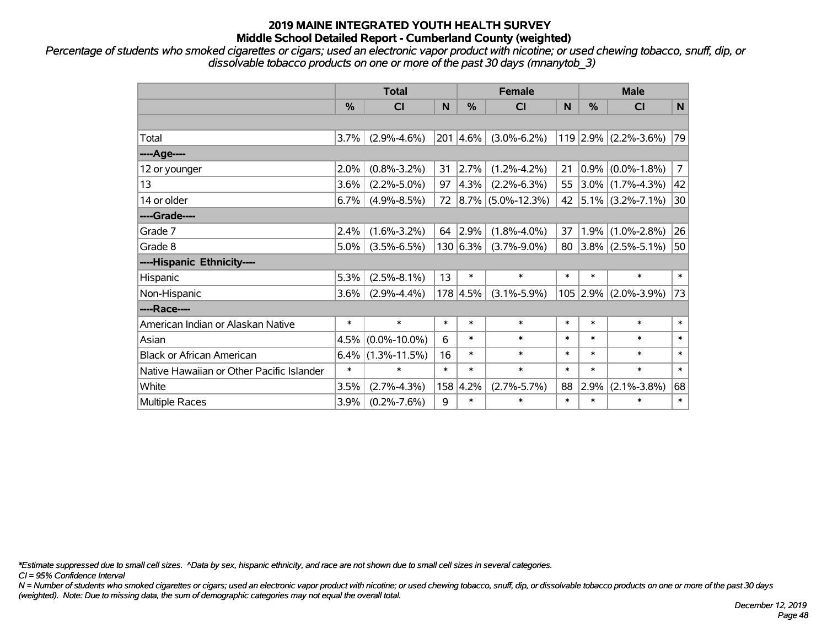*Percentage of students who smoked cigarettes or cigars; used an electronic vapor product with nicotine; or used chewing tobacco, snuff, dip, or dissolvable tobacco products on one or more of the past 30 days (mnanytob\_3)*

|                                           | <b>Total</b>  |                    |        | <b>Female</b> |                        |        | <b>Male</b> |                        |        |
|-------------------------------------------|---------------|--------------------|--------|---------------|------------------------|--------|-------------|------------------------|--------|
|                                           | $\frac{0}{0}$ | CI                 | N      | $\frac{0}{0}$ | <b>CI</b>              | N      | $\%$        | <b>CI</b>              | N      |
|                                           |               |                    |        |               |                        |        |             |                        |        |
| Total                                     | 3.7%          | $(2.9\% - 4.6\%)$  |        | 201 4.6%      | $(3.0\% - 6.2\%)$      |        |             | $119$ 2.9% (2.2%-3.6%) | 79     |
| ----Age----                               |               |                    |        |               |                        |        |             |                        |        |
| 12 or younger                             | 2.0%          | $(0.8\% - 3.2\%)$  | 31     | 2.7%          | $(1.2\% - 4.2\%)$      | 21     |             | $0.9\%$ (0.0%-1.8%)    | 7      |
| 13                                        | 3.6%          | $(2.2\% - 5.0\%)$  | 97     | 4.3%          | $(2.2\% - 6.3\%)$      | 55     |             | $3.0\%$ (1.7%-4.3%)    | 42     |
| 14 or older                               | 6.7%          | $(4.9\% - 8.5\%)$  | 72     |               | $ 8.7\% $ (5.0%-12.3%) | 42     |             | $ 5.1\% $ (3.2%-7.1%)  | 30     |
| ----Grade----                             |               |                    |        |               |                        |        |             |                        |        |
| Grade 7                                   | 2.4%          | $(1.6\% - 3.2\%)$  | 64     | 2.9%          | $(1.8\% - 4.0\%)$      | 37     | 1.9%        | $(1.0\% - 2.8\%)$      | 26     |
| Grade 8                                   | $5.0\%$       | $(3.5\% - 6.5\%)$  |        | 130 6.3%      | $(3.7\% - 9.0\%)$      | 80     |             | $3.8\%$ (2.5%-5.1%)    | 50     |
| ----Hispanic Ethnicity----                |               |                    |        |               |                        |        |             |                        |        |
| Hispanic                                  | 5.3%          | $(2.5\% - 8.1\%)$  | 13     | $\ast$        | $\ast$                 | $\ast$ | $\ast$      | $\ast$                 | $\ast$ |
| Non-Hispanic                              | $3.6\%$       | $(2.9\% - 4.4\%)$  |        | 178 4.5%      | $(3.1\% - 5.9\%)$      |        | $105$ 2.9%  | $(2.0\% - 3.9\%)$      | 73     |
| ----Race----                              |               |                    |        |               |                        |        |             |                        |        |
| American Indian or Alaskan Native         | $\ast$        | $\ast$             | $\ast$ | $\ast$        | $\ast$                 | $\ast$ | $\ast$      | $\ast$                 | $\ast$ |
| Asian                                     | 4.5%          | $(0.0\% - 10.0\%)$ | 6      | $\ast$        | $\ast$                 | $\ast$ | $\ast$      | $\ast$                 | $\ast$ |
| <b>Black or African American</b>          | 6.4%          | $(1.3\% - 11.5\%)$ | 16     | $\ast$        | $\ast$                 | $\ast$ | $\ast$      | $\ast$                 | $\ast$ |
| Native Hawaiian or Other Pacific Islander | $\ast$        | $\ast$             | $\ast$ | $\ast$        | $\ast$                 | $\ast$ | $\ast$      | $\ast$                 | $\ast$ |
| White                                     | 3.5%          | $(2.7\% - 4.3\%)$  | 158    | 4.2%          | $(2.7\% - 5.7\%)$      | 88     | 2.9%        | $(2.1\% - 3.8\%)$      | 68     |
| Multiple Races                            | 3.9%          | $(0.2\% - 7.6\%)$  | 9      | $\ast$        | $\ast$                 | $\ast$ | $\ast$      | $\ast$                 | $\ast$ |

*\*Estimate suppressed due to small cell sizes. ^Data by sex, hispanic ethnicity, and race are not shown due to small cell sizes in several categories.*

*CI = 95% Confidence Interval*

*N = Number of students who smoked cigarettes or cigars; used an electronic vapor product with nicotine; or used chewing tobacco, snuff, dip, or dissolvable tobacco products on one or more of the past 30 days (weighted). Note: Due to missing data, the sum of demographic categories may not equal the overall total.*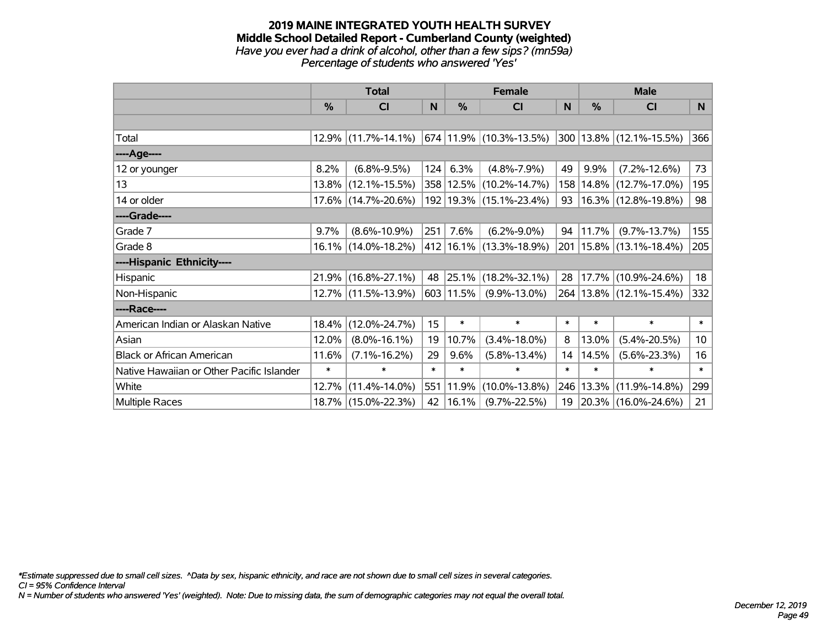### **2019 MAINE INTEGRATED YOUTH HEALTH SURVEY Middle School Detailed Report - Cumberland County (weighted)** *Have you ever had a drink of alcohol, other than a few sips? (mn59a) Percentage of students who answered 'Yes'*

|                                           | <b>Total</b>  |                        |        | <b>Female</b> | <b>Male</b>                 |              |        |                             |                 |
|-------------------------------------------|---------------|------------------------|--------|---------------|-----------------------------|--------------|--------|-----------------------------|-----------------|
|                                           | $\frac{0}{0}$ | CI                     | N      | $\%$          | <b>CI</b>                   | <sub>N</sub> | $\%$   | CI                          | N               |
|                                           |               |                        |        |               |                             |              |        |                             |                 |
| Total                                     |               | $12.9\%$ (11.7%-14.1%) |        |               | 674 11.9% (10.3%-13.5%)     |              |        | 300 13.8% (12.1%-15.5%)     | 366             |
| ----Age----                               |               |                        |        |               |                             |              |        |                             |                 |
| 12 or younger                             | 8.2%          | $(6.8\% - 9.5\%)$      | 124    | 6.3%          | $(4.8\% - 7.9\%)$           | 49           | 9.9%   | $(7.2\% - 12.6\%)$          | 73              |
| 13                                        | $13.8\%$      | $(12.1\% - 15.5\%)$    |        |               | 358   12.5%   (10.2%-14.7%) | 158          | 14.8%  | $(12.7\% - 17.0\%)$         | 195             |
| 14 or older                               |               | 17.6% (14.7%-20.6%)    |        |               | 192   19.3%   (15.1%-23.4%) | 93           |        | 16.3% (12.8%-19.8%)         | 98              |
| ----Grade----                             |               |                        |        |               |                             |              |        |                             |                 |
| Grade 7                                   | 9.7%          | $(8.6\% - 10.9\%)$     | 251    | 7.6%          | $(6.2\% - 9.0\%)$           | 94           | 11.7%  | $(9.7\% - 13.7\%)$          | 155             |
| Grade 8                                   |               | 16.1% (14.0%-18.2%)    |        |               | 412 16.1% (13.3%-18.9%)     | 201          |        | $15.8\%$ (13.1%-18.4%)      | 205             |
| ----Hispanic Ethnicity----                |               |                        |        |               |                             |              |        |                             |                 |
| Hispanic                                  |               | 21.9% (16.8%-27.1%)    | 48     | 25.1%         | $(18.2\% - 32.1\%)$         | 28           | 17.7%  | $(10.9\% - 24.6\%)$         | 18              |
| Non-Hispanic                              |               | 12.7% (11.5%-13.9%)    |        | $603$ 11.5%   | $(9.9\% - 13.0\%)$          |              |        | 264   13.8%   (12.1%-15.4%) | 332             |
| ----Race----                              |               |                        |        |               |                             |              |        |                             |                 |
| American Indian or Alaskan Native         | 18.4%         | $(12.0\% - 24.7\%)$    | 15     | $\ast$        | $\ast$                      | $\ast$       | $\ast$ | $\ast$                      | $\ast$          |
| Asian                                     | 12.0%         | $(8.0\% - 16.1\%)$     | 19     | 10.7%         | $(3.4\% - 18.0\%)$          | 8            | 13.0%  | $(5.4\% - 20.5\%)$          | 10 <sup>°</sup> |
| <b>Black or African American</b>          | 11.6%         | $(7.1\% - 16.2\%)$     | 29     | 9.6%          | $(5.8\% - 13.4\%)$          | 14           | 14.5%  | $(5.6\% - 23.3\%)$          | 16              |
| Native Hawaiian or Other Pacific Islander | $\ast$        | ∗                      | $\ast$ | $\ast$        | $\ast$                      | $\ast$       | $\ast$ | $\ast$                      | $\ast$          |
| White                                     | 12.7%         | $(11.4\% - 14.0\%)$    | 551    | 11.9%         | $(10.0\% - 13.8\%)$         | 246          | 13.3%  | $(11.9\% - 14.8\%)$         | 299             |
| <b>Multiple Races</b>                     |               | 18.7% (15.0%-22.3%)    | 42     | $ 16.1\% $    | $(9.7\% - 22.5\%)$          | 19           |        | 20.3% (16.0%-24.6%)         | 21              |

*\*Estimate suppressed due to small cell sizes. ^Data by sex, hispanic ethnicity, and race are not shown due to small cell sizes in several categories.*

*CI = 95% Confidence Interval*

*N = Number of students who answered 'Yes' (weighted). Note: Due to missing data, the sum of demographic categories may not equal the overall total.*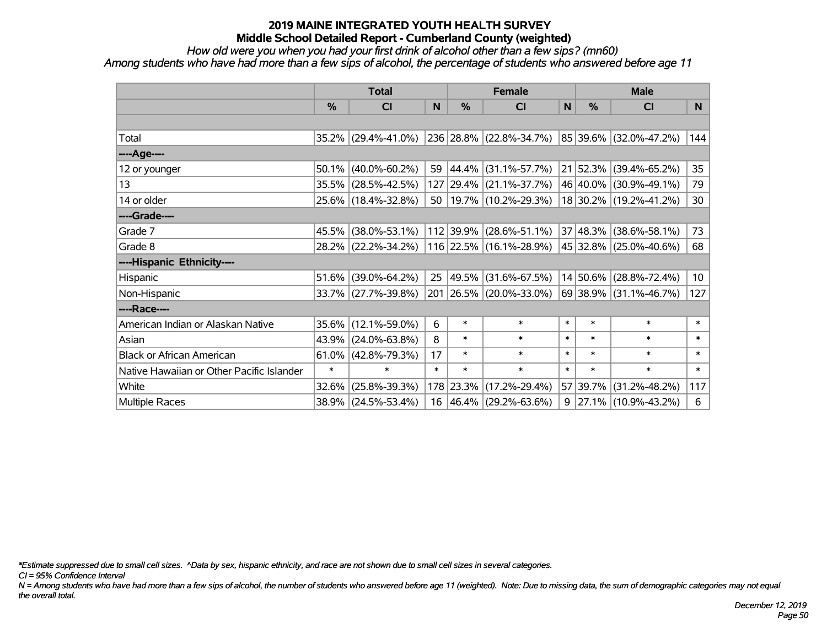*How old were you when you had your first drink of alcohol other than a few sips? (mn60)*

*Among students who have had more than a few sips of alcohol, the percentage of students who answered before age 11*

|                                           | <b>Total</b> |                     |        |               | <b>Female</b>                                  |        | <b>Male</b> |                             |                 |  |
|-------------------------------------------|--------------|---------------------|--------|---------------|------------------------------------------------|--------|-------------|-----------------------------|-----------------|--|
|                                           | %            | <b>CI</b>           | N      | $\frac{0}{0}$ | <b>CI</b>                                      | N      | %           | <b>CI</b>                   | N               |  |
|                                           |              |                     |        |               |                                                |        |             |                             |                 |  |
| Total                                     |              | 35.2% (29.4%-41.0%) |        |               | 236 28.8% (22.8%-34.7%)                        |        |             | $ 85 39.6\% $ (32.0%-47.2%) | 144             |  |
| ----Age----                               |              |                     |        |               |                                                |        |             |                             |                 |  |
| 12 or younger                             | 50.1%        | $(40.0\% - 60.2\%)$ | 59     | 44.4%         | $(31.1\% - 57.7\%)$                            |        | 21 52.3%    | $(39.4\% - 65.2\%)$         | 35              |  |
| 13                                        | 35.5%        | $(28.5\% - 42.5\%)$ |        |               | 127 29.4% (21.1%-37.7%)                        |        | 46 40.0%    | $(30.9\% - 49.1\%)$         | 79              |  |
| 14 or older                               |              | 25.6% (18.4%-32.8%) |        |               | 50   19.7%   (10.2%-29.3%)                     |        |             | 18 30.2% (19.2%-41.2%)      | 30              |  |
| ----Grade----                             |              |                     |        |               |                                                |        |             |                             |                 |  |
| Grade 7                                   | 45.5%        | $(38.0\% - 53.1\%)$ |        | 112 39.9%     | $(28.6\% - 51.1\%)$                            |        | 37 48.3%    | $(38.6\% - 58.1\%)$         | 73              |  |
| Grade 8                                   |              | 28.2% (22.2%-34.2%) |        |               | 116 22.5% (16.1%-28.9%) 45 32.8% (25.0%-40.6%) |        |             |                             | 68              |  |
| ----Hispanic Ethnicity----                |              |                     |        |               |                                                |        |             |                             |                 |  |
| Hispanic                                  | 51.6%        | $(39.0\% - 64.2\%)$ | 25     | 49.5%         | $(31.6\% - 67.5\%)$                            |        | 14 50.6%    | $(28.8\% - 72.4\%)$         | 10 <sup>1</sup> |  |
| Non-Hispanic                              |              | 33.7% (27.7%-39.8%) |        |               | 201 26.5% (20.0%-33.0%)                        |        | 69 38.9%    | $(31.1\% - 46.7\%)$         | 127             |  |
| ----Race----                              |              |                     |        |               |                                                |        |             |                             |                 |  |
| American Indian or Alaskan Native         | 35.6%        | $(12.1\% - 59.0\%)$ | 6      | $\ast$        | $\ast$                                         | $\ast$ | $\ast$      | $\ast$                      | $\ast$          |  |
| Asian                                     | 43.9%        | $(24.0\% - 63.8\%)$ | 8      | $\ast$        | $\ast$                                         | $\ast$ | $\ast$      | $\ast$                      | $\ast$          |  |
| <b>Black or African American</b>          | 61.0%        | $(42.8\% - 79.3\%)$ | 17     | $\ast$        | $\ast$                                         | $\ast$ | $\ast$      | $\ast$                      | $\ast$          |  |
| Native Hawaiian or Other Pacific Islander | $\ast$       | $\ast$              | $\ast$ | $\ast$        | $\ast$                                         | $\ast$ | $\ast$      | $\ast$                      | $\ast$          |  |
| White                                     | 32.6%        | $(25.8\% - 39.3\%)$ |        | 178 23.3%     | $(17.2\% - 29.4\%)$                            |        | 57 39.7%    | $(31.2\% - 48.2\%)$         | 117             |  |
| Multiple Races                            |              | 38.9% (24.5%-53.4%) |        |               | 16 46.4% (29.2%-63.6%)                         |        |             | $9$   27.1%   (10.9%-43.2%) | 6               |  |

*\*Estimate suppressed due to small cell sizes. ^Data by sex, hispanic ethnicity, and race are not shown due to small cell sizes in several categories.*

*CI = 95% Confidence Interval*

*N = Among students who have had more than a few sips of alcohol, the number of students who answered before age 11 (weighted). Note: Due to missing data, the sum of demographic categories may not equal the overall total.*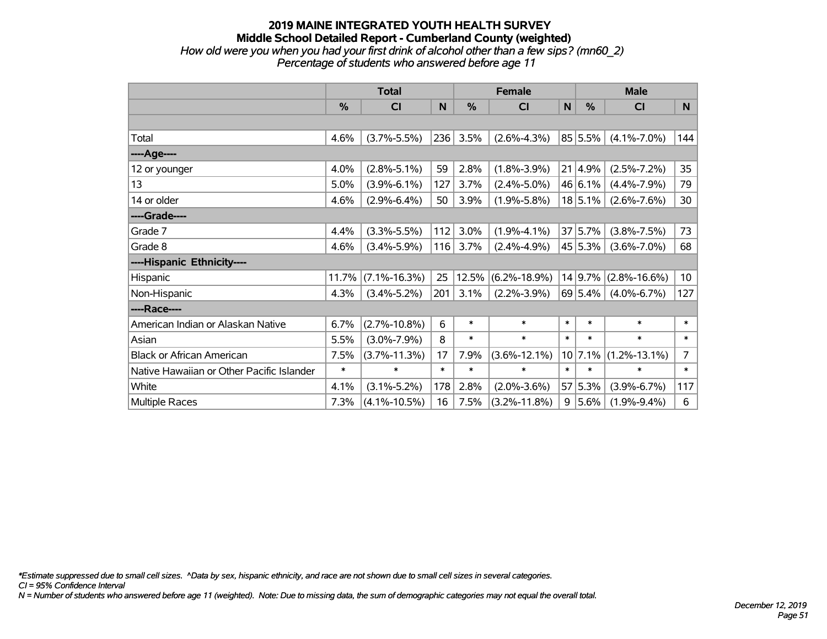### **2019 MAINE INTEGRATED YOUTH HEALTH SURVEY Middle School Detailed Report - Cumberland County (weighted)** *How old were you when you had your first drink of alcohol other than a few sips? (mn60\_2) Percentage of students who answered before age 11*

|                                           | <b>Total</b> |                    |        |        | <b>Female</b>      | <b>Male</b> |         |                    |                 |
|-------------------------------------------|--------------|--------------------|--------|--------|--------------------|-------------|---------|--------------------|-----------------|
|                                           | %            | <b>CI</b>          | N      | %      | <b>CI</b>          | N           | %       | <b>CI</b>          | N               |
|                                           |              |                    |        |        |                    |             |         |                    |                 |
| Total                                     | 4.6%         | $(3.7\% - 5.5\%)$  | 236    | 3.5%   | $(2.6\% - 4.3\%)$  |             | 85 5.5% | $(4.1\% - 7.0\%)$  | 144             |
| ----Age----                               |              |                    |        |        |                    |             |         |                    |                 |
| 12 or younger                             | 4.0%         | $(2.8\% - 5.1\%)$  | 59     | 2.8%   | $(1.8\% - 3.9\%)$  | 21          | 4.9%    | $(2.5\% - 7.2\%)$  | 35              |
| 13                                        | 5.0%         | $(3.9\% - 6.1\%)$  | 127    | 3.7%   | $(2.4\% - 5.0\%)$  |             | 46 6.1% | $(4.4\% - 7.9\%)$  | 79              |
| 14 or older                               | 4.6%         | $(2.9\% - 6.4\%)$  | 50     | 3.9%   | $(1.9\% - 5.8\%)$  |             | 18 5.1% | $(2.6\% - 7.6\%)$  | 30              |
| ----Grade----                             |              |                    |        |        |                    |             |         |                    |                 |
| Grade 7                                   | 4.4%         | $(3.3\% - 5.5\%)$  | 112    | 3.0%   | $(1.9\% - 4.1\%)$  |             | 37 5.7% | $(3.8\% - 7.5\%)$  | 73              |
| Grade 8                                   | 4.6%         | $(3.4\% - 5.9\%)$  | 116    | 3.7%   | $(2.4\% - 4.9\%)$  |             | 45 5.3% | $(3.6\% - 7.0\%)$  | 68              |
| ----Hispanic Ethnicity----                |              |                    |        |        |                    |             |         |                    |                 |
| Hispanic                                  | 11.7%        | $(7.1\% - 16.3\%)$ | 25     | 12.5%  | $(6.2\% - 18.9\%)$ |             | 14 9.7% | $(2.8\% - 16.6\%)$ | 10 <sup>1</sup> |
| Non-Hispanic                              | 4.3%         | $(3.4\% - 5.2\%)$  | 201    | 3.1%   | $(2.2\% - 3.9\%)$  |             | 69 5.4% | $(4.0\% - 6.7\%)$  | 127             |
| ----Race----                              |              |                    |        |        |                    |             |         |                    |                 |
| American Indian or Alaskan Native         | 6.7%         | $(2.7\% - 10.8\%)$ | 6      | $\ast$ | $\ast$             | $\ast$      | $\ast$  | $\ast$             | $\ast$          |
| Asian                                     | 5.5%         | $(3.0\% - 7.9\%)$  | 8      | $\ast$ | $\ast$             | $\ast$      | $\ast$  | $\ast$             | $\ast$          |
| <b>Black or African American</b>          | 7.5%         | $(3.7\% - 11.3\%)$ | 17     | 7.9%   | $(3.6\% - 12.1\%)$ |             | 10 7.1% | $(1.2\% - 13.1\%)$ | $\overline{7}$  |
| Native Hawaiian or Other Pacific Islander | $\ast$       | $\ast$             | $\ast$ | $\ast$ | $\ast$             | $\ast$      | $\ast$  | $\ast$             | $\ast$          |
| White                                     | 4.1%         | $(3.1\% - 5.2\%)$  | 178    | 2.8%   | $(2.0\% - 3.6\%)$  | 57          | 5.3%    | $(3.9\% - 6.7\%)$  | 117             |
| <b>Multiple Races</b>                     | 7.3%         | $(4.1\% - 10.5\%)$ | 16     | 7.5%   | $(3.2\% - 11.8\%)$ | 9           | 5.6%    | $(1.9\% - 9.4\%)$  | 6               |

*\*Estimate suppressed due to small cell sizes. ^Data by sex, hispanic ethnicity, and race are not shown due to small cell sizes in several categories.*

*CI = 95% Confidence Interval*

*N = Number of students who answered before age 11 (weighted). Note: Due to missing data, the sum of demographic categories may not equal the overall total.*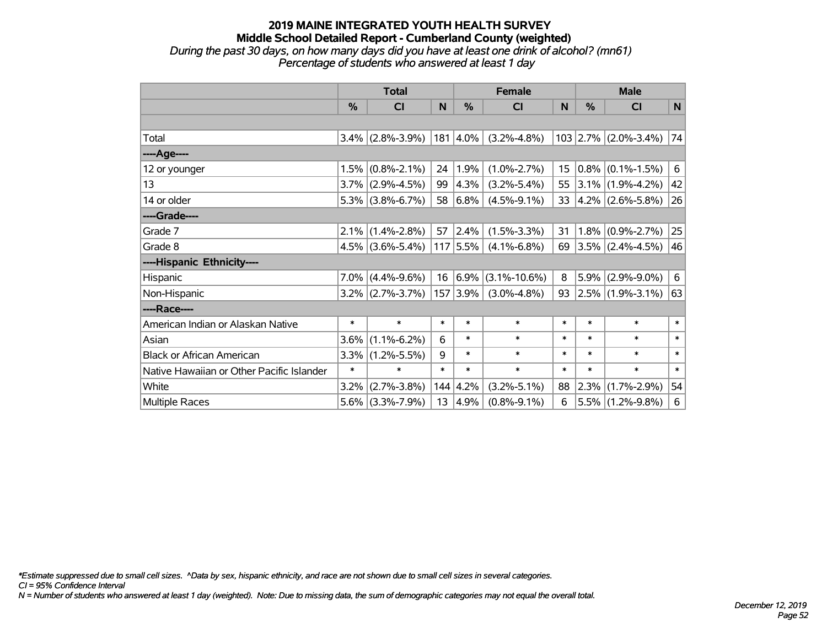### **2019 MAINE INTEGRATED YOUTH HEALTH SURVEY Middle School Detailed Report - Cumberland County (weighted)** *During the past 30 days, on how many days did you have at least one drink of alcohol? (mn61) Percentage of students who answered at least 1 day*

|                                           | <b>Total</b> |                     |        |               | <b>Female</b>            |        |               | <b>Male</b>            |        |  |
|-------------------------------------------|--------------|---------------------|--------|---------------|--------------------------|--------|---------------|------------------------|--------|--|
|                                           | $\%$         | <b>CI</b>           | N      | $\frac{0}{0}$ | <b>CI</b>                | N      | $\frac{0}{0}$ | <b>CI</b>              | N      |  |
|                                           |              |                     |        |               |                          |        |               |                        |        |  |
| Total                                     |              | $3.4\%$ (2.8%-3.9%) |        | $ 181 4.0\% $ | $(3.2\% - 4.8\%)$        |        |               | $103$ 2.7% (2.0%-3.4%) | 74     |  |
| ----Age----                               |              |                     |        |               |                          |        |               |                        |        |  |
| 12 or younger                             | 1.5%         | $(0.8\% - 2.1\%)$   | 24     | $ 1.9\% $     | $(1.0\% - 2.7\%)$        | 15     |               | $0.8\%$ (0.1%-1.5%)    | 6      |  |
| 13                                        |              | $3.7\%$ (2.9%-4.5%) | 99     | $ 4.3\% $     | $(3.2\% - 5.4\%)$        | 55     |               | $3.1\%$ (1.9%-4.2%)    | 42     |  |
| 14 or older                               |              | $5.3\%$ (3.8%-6.7%) |        | 58 6.8%       | $(4.5\% - 9.1\%)$        | 33     |               | $ 4.2\% $ (2.6%-5.8%)  | 26     |  |
| ----Grade----                             |              |                     |        |               |                          |        |               |                        |        |  |
| Grade 7                                   | $2.1\%$      | $(1.4\% - 2.8\%)$   | 57     | $ 2.4\% $     | $(1.5\% - 3.3\%)$        | 31     | 1.8%          | $(0.9\% - 2.7\%)$      | 25     |  |
| Grade 8                                   |              | $4.5\%$ (3.6%-5.4%) |        | $ 117 5.5\% $ | $(4.1\% - 6.8\%)$        | 69     |               | $3.5\%$ (2.4%-4.5%)    | 46     |  |
| ----Hispanic Ethnicity----                |              |                     |        |               |                          |        |               |                        |        |  |
| Hispanic                                  |              | $7.0\%$ (4.4%-9.6%) |        |               | $16 6.9\% $ (3.1%-10.6%) | 8      | 5.9%          | $(2.9\% - 9.0\%)$      | 6      |  |
| Non-Hispanic                              |              | $3.2\%$ (2.7%-3.7%) |        | 157 3.9%      | $(3.0\% - 4.8\%)$        | 93     |               | $2.5\%$ (1.9%-3.1%)    | 63     |  |
| ----Race----                              |              |                     |        |               |                          |        |               |                        |        |  |
| American Indian or Alaskan Native         | $\ast$       | $\ast$              | $\ast$ | $\ast$        | $\ast$                   | $\ast$ | $\ast$        | $\ast$                 | $\ast$ |  |
| Asian                                     | 3.6%         | $(1.1\% - 6.2\%)$   | 6      | $\ast$        | $\ast$                   | $\ast$ | $\ast$        | $\ast$                 | $\ast$ |  |
| <b>Black or African American</b>          | 3.3%         | $(1.2\% - 5.5\%)$   | 9      | $\ast$        | $\ast$                   | $\ast$ | $\ast$        | $\ast$                 | $\ast$ |  |
| Native Hawaiian or Other Pacific Islander | $\ast$       | $\ast$              | $\ast$ | $\ast$        | $\ast$                   | $\ast$ | $\ast$        | $\ast$                 | $\ast$ |  |
| White                                     | $3.2\%$      | $(2.7\% - 3.8\%)$   |        | 144 4.2%      | $(3.2\% - 5.1\%)$        | 88     | 2.3%          | $(1.7\% - 2.9\%)$      | 54     |  |
| <b>Multiple Races</b>                     | $5.6\%$      | $(3.3\% - 7.9\%)$   | 13     | $ 4.9\% $     | $(0.8\% - 9.1\%)$        | 6      |               | $5.5\%$ (1.2%-9.8%)    | 6      |  |

*\*Estimate suppressed due to small cell sizes. ^Data by sex, hispanic ethnicity, and race are not shown due to small cell sizes in several categories.*

*CI = 95% Confidence Interval*

*N = Number of students who answered at least 1 day (weighted). Note: Due to missing data, the sum of demographic categories may not equal the overall total.*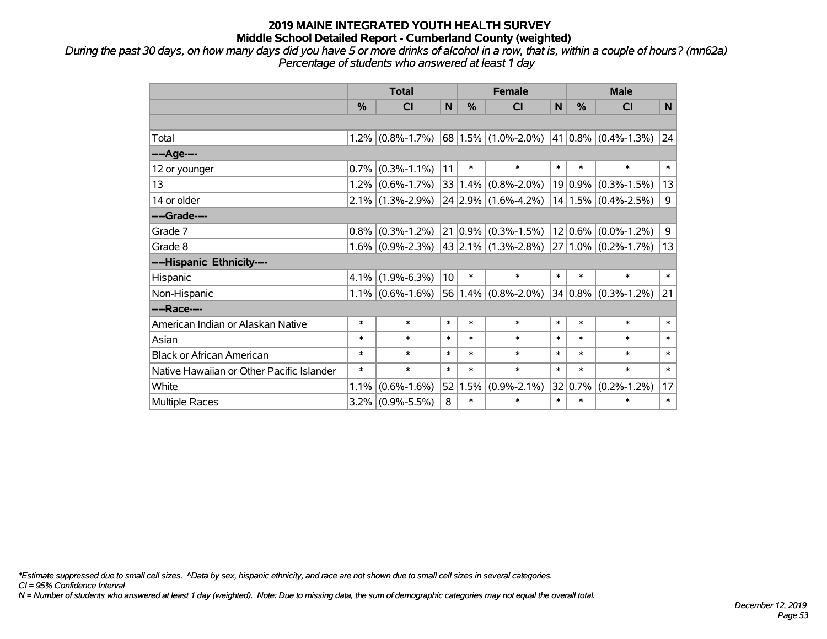*During the past 30 days, on how many days did you have 5 or more drinks of alcohol in a row, that is, within a couple of hours? (mn62a) Percentage of students who answered at least 1 day*

|                                           | <b>Total</b>  |                     |        |        | <b>Female</b>                                | <b>Male</b> |              |                             |                |
|-------------------------------------------|---------------|---------------------|--------|--------|----------------------------------------------|-------------|--------------|-----------------------------|----------------|
|                                           | $\frac{0}{0}$ | <b>CI</b>           | N      | %      | CI                                           | N           | %            | CI                          | N <sub>1</sub> |
|                                           |               |                     |        |        |                                              |             |              |                             |                |
| Total                                     |               | $1.2\%$ (0.8%-1.7%) |        |        | $68 1.5\% $ (1.0%-2.0%)                      |             |              | $ 41 0.8\% $ (0.4%-1.3%) 24 |                |
| ----Age----                               |               |                     |        |        |                                              |             |              |                             |                |
| 12 or younger                             | 0.7%          | $(0.3\% - 1.1\%)$   | 11     | $\ast$ | $\ast$                                       | $\ast$      | $\ast$       | $\ast$                      | $\ast$         |
| 13                                        |               | $1.2\%$ (0.6%-1.7%) | 33     |        | $(1.4\%)(0.8\% - 2.0\%)$                     |             |              | $19 0.9\% $ (0.3%-1.5%)     | 13             |
| 14 or older                               |               | $2.1\%$ (1.3%-2.9%) |        |        | $24 2.9\% $ (1.6%-4.2%)                      |             |              | $14 1.5\% $ (0.4%-2.5%)     | 9              |
| ----Grade----                             |               |                     |        |        |                                              |             |              |                             |                |
| Grade 7                                   | $0.8\%$       | $(0.3\% - 1.2\%)$   |        |        | $21 0.9\% $ (0.3%-1.5%)                      |             |              | $12 0.6\% $ (0.0%-1.2%)     | 9              |
| Grade 8                                   |               | $1.6\%$ (0.9%-2.3%) |        |        | $ 43 2.1\% $ (1.3%-2.8%) 27 1.0% (0.2%-1.7%) |             |              |                             | 13             |
| ----Hispanic Ethnicity----                |               |                     |        |        |                                              |             |              |                             |                |
| Hispanic                                  | 4.1%          | $(1.9\% - 6.3\%)$   | 10     | $\ast$ | $\ast$                                       | $\ast$      | $\ast$       | $\ast$                      | $\ast$         |
| Non-Hispanic                              |               | $1.1\%$ (0.6%-1.6%) |        |        | $56 1.4\% $ (0.8%-2.0%)                      |             |              | $34 0.8\% $ (0.3%-1.2%)     | 21             |
| ----Race----                              |               |                     |        |        |                                              |             |              |                             |                |
| American Indian or Alaskan Native         | $\ast$        | $\ast$              | $\ast$ | *      | $\ast$                                       | $\ast$      | $\ast$       | $\ast$                      | $\ast$         |
| Asian                                     | $\ast$        | $\ast$              | $\ast$ | $\ast$ | $\ast$                                       | $\ast$      | $\ast$       | $\ast$                      | $\ast$         |
| <b>Black or African American</b>          | $\ast$        | $\ast$              | $\ast$ | $\ast$ | $\ast$                                       | $\ast$      | $\ast$       | $\ast$                      | $\ast$         |
| Native Hawaiian or Other Pacific Islander | $\ast$        | $\ast$              | $\ast$ | $\ast$ | $\ast$                                       | $\ast$      | $\ast$       | $\ast$                      | $\ast$         |
| White                                     | 1.1%          | $(0.6\% - 1.6\%)$   | 52     | 1.5%   | $(0.9\% - 2.1\%)$                            |             | 32 $ 0.7\% $ | $(0.2\% - 1.2\%)$           | 17             |
| Multiple Races                            |               | $3.2\%$ (0.9%-5.5%) | 8      | *      | $\ast$                                       | $\ast$      | $\ast$       | $\ast$                      | $\ast$         |

*\*Estimate suppressed due to small cell sizes. ^Data by sex, hispanic ethnicity, and race are not shown due to small cell sizes in several categories.*

*CI = 95% Confidence Interval*

*N = Number of students who answered at least 1 day (weighted). Note: Due to missing data, the sum of demographic categories may not equal the overall total.*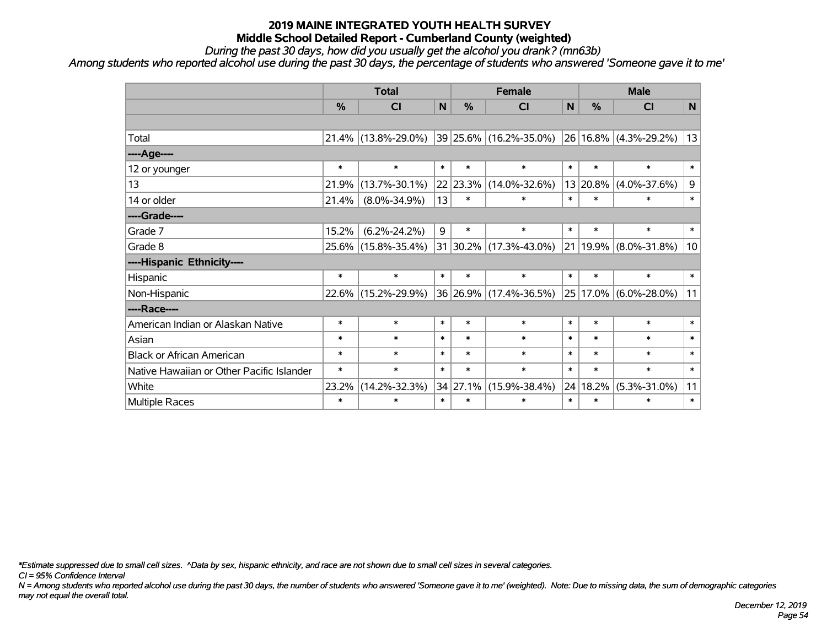*During the past 30 days, how did you usually get the alcohol you drank? (mn63b)*

*Among students who reported alcohol use during the past 30 days, the percentage of students who answered 'Someone gave it to me'*

|                                           | <b>Total</b> |                     |              |          | <b>Female</b>                   |        |          | <b>Male</b>               |              |  |  |
|-------------------------------------------|--------------|---------------------|--------------|----------|---------------------------------|--------|----------|---------------------------|--------------|--|--|
|                                           | %            | <b>CI</b>           | $\mathsf{N}$ | %        | <b>CI</b>                       | N      | %        | <b>CI</b>                 | $\mathsf{N}$ |  |  |
|                                           |              |                     |              |          |                                 |        |          |                           |              |  |  |
| Total                                     | 21.4%        | $(13.8\% - 29.0\%)$ |              |          | $ 39 25.6\%  (16.2\% - 35.0\%)$ |        |          | 26 16.8% (4.3%-29.2%)     | 13           |  |  |
| ----Age----                               |              |                     |              |          |                                 |        |          |                           |              |  |  |
| 12 or younger                             | $\ast$       | $\ast$              | $\ast$       | $\ast$   | $\ast$                          | $\ast$ | $\ast$   | $\ast$                    | $\ast$       |  |  |
| 13                                        | 21.9%        | $(13.7\% - 30.1\%)$ |              | 22 23.3% | $(14.0\% - 32.6\%)$             |        | 13 20.8% | $(4.0\% - 37.6\%)$        | 9            |  |  |
| 14 or older                               | 21.4%        | $(8.0\% - 34.9\%)$  | 13           | $\ast$   | $\ast$                          | $\ast$ | $\ast$   | *                         | $\ast$       |  |  |
| ----Grade----                             |              |                     |              |          |                                 |        |          |                           |              |  |  |
| Grade 7                                   | 15.2%        | $(6.2\% - 24.2\%)$  | 9            | $\ast$   | $\ast$                          | $\ast$ | $\ast$   | *                         | $\ast$       |  |  |
| Grade 8                                   |              | 25.6% (15.8%-35.4%) |              |          | 31 30.2% (17.3%-43.0%)          |        |          | 21   19.9%   (8.0%-31.8%) | 10           |  |  |
| ----Hispanic Ethnicity----                |              |                     |              |          |                                 |        |          |                           |              |  |  |
| Hispanic                                  | $\ast$       | $\ast$              | $\ast$       | $\ast$   | $\ast$                          | $\ast$ | $\ast$   | $\ast$                    | $\ast$       |  |  |
| Non-Hispanic                              | $22.6\%$     | $(15.2\% - 29.9\%)$ |              |          | 36 26.9% (17.4%-36.5%)          |        | 25 17.0% | $(6.0\% - 28.0\%)$        | 11           |  |  |
| ----Race----                              |              |                     |              |          |                                 |        |          |                           |              |  |  |
| American Indian or Alaskan Native         | $\ast$       | $\ast$              | $\ast$       | $\ast$   | $\ast$                          | $\ast$ | $\ast$   | $\ast$                    | $\ast$       |  |  |
| Asian                                     | $\ast$       | $\ast$              | $\ast$       | $\ast$   | $\ast$                          | $\ast$ | $\ast$   | $\ast$                    | $\ast$       |  |  |
| <b>Black or African American</b>          | $\ast$       | $\ast$              | $\ast$       | $\ast$   | $\ast$                          | $\ast$ | $\ast$   | $\ast$                    | $\ast$       |  |  |
| Native Hawaiian or Other Pacific Islander | $\ast$       | $\ast$              | $\ast$       | $\ast$   | $\ast$                          | $\ast$ | $\ast$   | $\ast$                    | $\ast$       |  |  |
| White                                     | 23.2%        | $(14.2\% - 32.3\%)$ |              | 34 27.1% | $(15.9\% - 38.4\%)$             |        | 24 18.2% | $(5.3\% - 31.0\%)$        | 11           |  |  |
| Multiple Races                            | $\ast$       | $\ast$              | $\ast$       | $\ast$   | $\ast$                          | $\ast$ | $\ast$   | *                         | $\ast$       |  |  |

*\*Estimate suppressed due to small cell sizes. ^Data by sex, hispanic ethnicity, and race are not shown due to small cell sizes in several categories.*

*CI = 95% Confidence Interval*

*N = Among students who reported alcohol use during the past 30 days, the number of students who answered 'Someone gave it to me' (weighted). Note: Due to missing data, the sum of demographic categories may not equal the overall total.*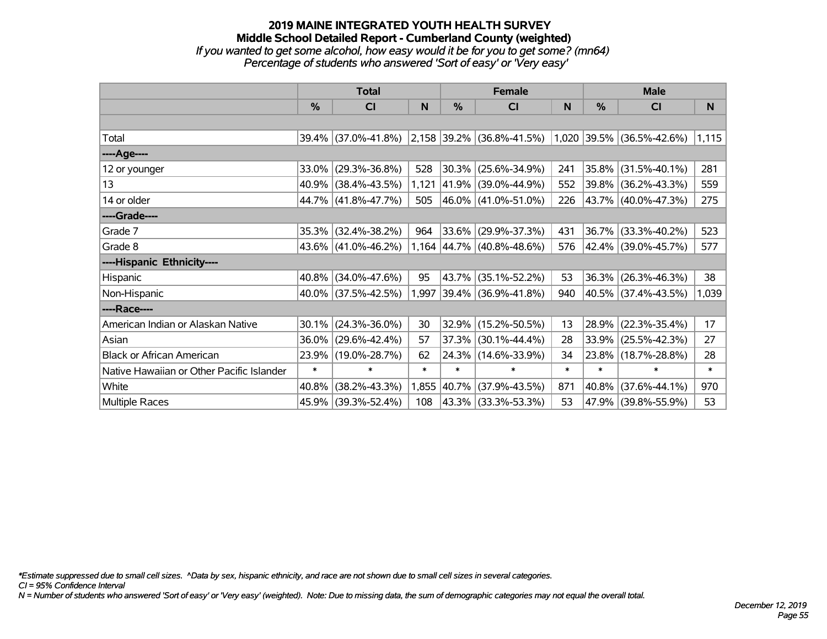### **2019 MAINE INTEGRATED YOUTH HEALTH SURVEY Middle School Detailed Report - Cumberland County (weighted)** *If you wanted to get some alcohol, how easy would it be for you to get some? (mn64) Percentage of students who answered 'Sort of easy' or 'Very easy'*

|                                           | <b>Total</b>  |                           |        |            | <b>Female</b>                  |        | <b>Male</b>   |                          |        |  |
|-------------------------------------------|---------------|---------------------------|--------|------------|--------------------------------|--------|---------------|--------------------------|--------|--|
|                                           | $\frac{0}{0}$ | C <sub>l</sub>            | N      | %          | <b>CI</b>                      | N      | $\frac{0}{0}$ | <b>CI</b>                | N      |  |
|                                           |               |                           |        |            |                                |        |               |                          |        |  |
| Total                                     |               | 39.4% (37.0%-41.8%)       |        |            | $ 2,158 39.2\% $ (36.8%-41.5%) | 1,020  |               | $ 39.5\% $ (36.5%-42.6%) | 1,115  |  |
| ----Age----                               |               |                           |        |            |                                |        |               |                          |        |  |
| 12 or younger                             | 33.0%         | $(29.3\% - 36.8\%)$       | 528    | $ 30.3\% $ | $(25.6\% - 34.9\%)$            | 241    | $35.8\%$      | $(31.5\% - 40.1\%)$      | 281    |  |
| 13                                        |               | 40.9% (38.4%-43.5%)       | 1,121  | $ 41.9\% $ | $(39.0\% - 44.9\%)$            | 552    |               | 39.8% (36.2%-43.3%)      | 559    |  |
| 14 or older                               |               | 44.7% (41.8%-47.7%)       | 505    |            | $ 46.0\% $ (41.0%-51.0%)       | 226    |               | 43.7% (40.0%-47.3%)      | 275    |  |
| ----Grade----                             |               |                           |        |            |                                |        |               |                          |        |  |
| Grade 7                                   | 35.3%         | $(32.4\% - 38.2\%)$       | 964    | 33.6%      | $(29.9\% - 37.3\%)$            | 431    | $36.7\%$      | $(33.3\% - 40.2\%)$      | 523    |  |
| Grade 8                                   |               | 43.6% $(41.0\% - 46.2\%)$ |        |            | 1,164 44.7% (40.8%-48.6%)      | 576    |               | 42.4% (39.0%-45.7%)      | 577    |  |
| ----Hispanic Ethnicity----                |               |                           |        |            |                                |        |               |                          |        |  |
| Hispanic                                  | 40.8%         | $(34.0\% - 47.6\%)$       | 95     | 43.7%      | $(35.1\% - 52.2\%)$            | 53     | 36.3%         | $(26.3\% - 46.3\%)$      | 38     |  |
| Non-Hispanic                              |               | 40.0% (37.5%-42.5%)       | 1,997  |            | $ 39.4\% $ (36.9%-41.8%)       | 940    |               | 40.5% (37.4%-43.5%)      | 1,039  |  |
| ----Race----                              |               |                           |        |            |                                |        |               |                          |        |  |
| American Indian or Alaskan Native         | 30.1%         | $(24.3\% - 36.0\%)$       | 30     | 32.9%      | $(15.2\% - 50.5\%)$            | 13     | 28.9%         | $(22.3\% - 35.4\%)$      | 17     |  |
| Asian                                     | 36.0%         | $(29.6\% - 42.4\%)$       | 57     | 37.3%      | $(30.1\% - 44.4\%)$            | 28     | 33.9%         | $(25.5\% - 42.3\%)$      | 27     |  |
| <b>Black or African American</b>          | 23.9%         | $(19.0\% - 28.7\%)$       | 62     |            | 24.3% (14.6%-33.9%)            | 34     |               | 23.8% (18.7%-28.8%)      | 28     |  |
| Native Hawaiian or Other Pacific Islander | $\ast$        | $\ast$                    | $\ast$ | $\ast$     | $\ast$                         | $\ast$ | $\ast$        | $\ast$                   | $\ast$ |  |
| White                                     | 40.8%         | $(38.2\% - 43.3\%)$       | 1,855  | 40.7%      | $(37.9\% - 43.5\%)$            | 871    | 40.8%         | $(37.6\% - 44.1\%)$      | 970    |  |
| Multiple Races                            | 45.9%         | $(39.3\% - 52.4\%)$       | 108    |            | 43.3%   (33.3%-53.3%)          | 53     |               | 47.9% (39.8%-55.9%)      | 53     |  |

*\*Estimate suppressed due to small cell sizes. ^Data by sex, hispanic ethnicity, and race are not shown due to small cell sizes in several categories.*

*CI = 95% Confidence Interval*

*N = Number of students who answered 'Sort of easy' or 'Very easy' (weighted). Note: Due to missing data, the sum of demographic categories may not equal the overall total.*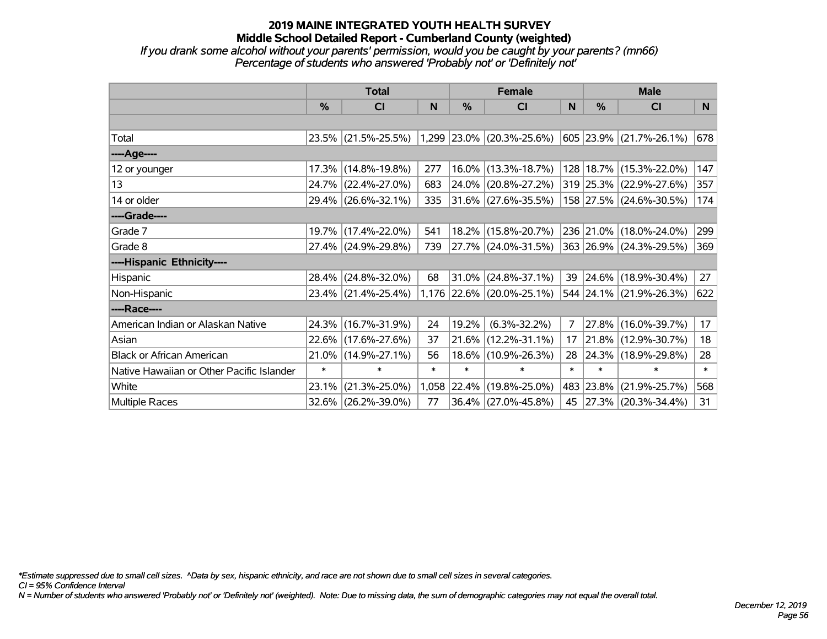*If you drank some alcohol without your parents' permission, would you be caught by your parents? (mn66) Percentage of students who answered 'Probably not' or 'Definitely not'*

|                                           | <b>Total</b>  |                     |        | <b>Female</b> |                             | <b>Male</b>    |               |                             |        |
|-------------------------------------------|---------------|---------------------|--------|---------------|-----------------------------|----------------|---------------|-----------------------------|--------|
|                                           | $\frac{0}{0}$ | <b>CI</b>           | N      | %             | <b>CI</b>                   | N              | $\frac{0}{0}$ | <b>CI</b>                   | N.     |
|                                           |               |                     |        |               |                             |                |               |                             |        |
| Total                                     |               | 23.5% (21.5%-25.5%) |        |               | $1,299$ 23.0% (20.3%-25.6%) |                |               | 605 23.9% (21.7%-26.1%)     | 678    |
| ----Age----                               |               |                     |        |               |                             |                |               |                             |        |
| 12 or younger                             | 17.3%         | $(14.8\% - 19.8\%)$ | 277    | 16.0%         | $(13.3\% - 18.7\%)$         |                |               | 128   18.7%   (15.3%-22.0%) | 147    |
| 13                                        |               | 24.7% (22.4%-27.0%) | 683    | 24.0%         | $(20.8\% - 27.2\%)$         |                |               | 319 25.3% (22.9%-27.6%)     | 357    |
| 14 or older                               |               | 29.4% (26.6%-32.1%) | 335    |               | $ 31.6\% $ (27.6%-35.5%)    |                |               | 158 27.5% (24.6%-30.5%)     | 174    |
| ----Grade----                             |               |                     |        |               |                             |                |               |                             |        |
| Grade 7                                   |               | 19.7% (17.4%-22.0%) | 541    |               | 18.2% (15.8%-20.7%)         |                |               | 236 21.0% (18.0%-24.0%)     | 299    |
| Grade 8                                   |               | 27.4% (24.9%-29.8%) | 739    |               | 27.7% (24.0%-31.5%)         |                |               | 363 26.9% (24.3%-29.5%)     | 369    |
| ----Hispanic Ethnicity----                |               |                     |        |               |                             |                |               |                             |        |
| Hispanic                                  | 28.4%         | $(24.8\% - 32.0\%)$ | 68     | 31.0%         | $(24.8\% - 37.1\%)$         | 39             |               | $ 24.6\% $ (18.9%-30.4%)    | 27     |
| Non-Hispanic                              |               | 23.4% (21.4%-25.4%) |        |               | 1,176 22.6% (20.0%-25.1%)   |                |               | 544 24.1% (21.9%-26.3%)     | 622    |
| ----Race----                              |               |                     |        |               |                             |                |               |                             |        |
| American Indian or Alaskan Native         | 24.3%         | $(16.7\% - 31.9\%)$ | 24     | 19.2%         | $(6.3\% - 32.2\%)$          | $\overline{7}$ |               | 27.8% (16.0%-39.7%)         | 17     |
| Asian                                     | 22.6%         | $(17.6\% - 27.6\%)$ | 37     | 21.6%         | $(12.2\% - 31.1\%)$         | 17             | $21.8\%$      | $(12.9\% - 30.7\%)$         | 18     |
| <b>Black or African American</b>          |               | 21.0% (14.9%-27.1%) | 56     | 18.6%         | $(10.9\% - 26.3\%)$         | 28             |               | 24.3% (18.9%-29.8%)         | 28     |
| Native Hawaiian or Other Pacific Islander | $\ast$        | $\ast$              | $\ast$ | $\ast$        | $\ast$                      | $\ast$         | $\ast$        | $\ast$                      | $\ast$ |
| White                                     | 23.1%         | $(21.3\% - 25.0\%)$ |        | 1,058 22.4%   | $(19.8\% - 25.0\%)$         |                | 483 23.8%     | $(21.9\% - 25.7\%)$         | 568    |
| Multiple Races                            |               | 32.6% (26.2%-39.0%) | 77     |               | 36.4% (27.0%-45.8%)         | 45             |               | $ 27.3\% $ (20.3%-34.4%)    | 31     |

*\*Estimate suppressed due to small cell sizes. ^Data by sex, hispanic ethnicity, and race are not shown due to small cell sizes in several categories.*

*CI = 95% Confidence Interval*

*N = Number of students who answered 'Probably not' or 'Definitely not' (weighted). Note: Due to missing data, the sum of demographic categories may not equal the overall total.*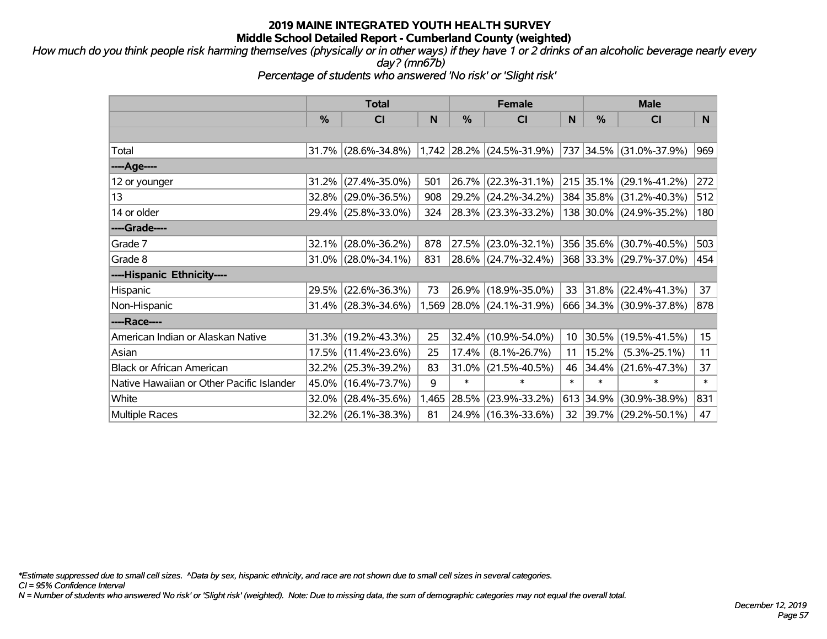*How much do you think people risk harming themselves (physically or in other ways) if they have 1 or 2 drinks of an alcoholic beverage nearly every day? (mn67b)*

*Percentage of students who answered 'No risk' or 'Slight risk'*

|                                           | <b>Total</b> |                        |       |          | <b>Female</b>             |                 | <b>Male</b> |                         |        |  |
|-------------------------------------------|--------------|------------------------|-------|----------|---------------------------|-----------------|-------------|-------------------------|--------|--|
|                                           | %            | <b>CI</b>              | N     | %        | <b>CI</b>                 | N               | %           | <b>CI</b>               | N      |  |
|                                           |              |                        |       |          |                           |                 |             |                         |        |  |
| Total                                     |              | $31.7\%$ (28.6%-34.8%) |       |          | 1,742 28.2% (24.5%-31.9%) |                 |             | 737 34.5% (31.0%-37.9%) | 969    |  |
| ----Age----                               |              |                        |       |          |                           |                 |             |                         |        |  |
| 12 or younger                             | 31.2%        | $(27.4\% - 35.0\%)$    | 501   | $26.7\%$ | $(22.3\% - 31.1\%)$       |                 | 215 35.1%   | $(29.1\% - 41.2\%)$     | 272    |  |
| 13                                        |              | 32.8% (29.0%-36.5%)    | 908   |          | 29.2% (24.2%-34.2%)       |                 |             | 384 35.8% (31.2%-40.3%) | 512    |  |
| 14 or older                               |              | 29.4% (25.8%-33.0%)    | 324   |          | 28.3% (23.3%-33.2%)       |                 |             | 138 30.0% (24.9%-35.2%) | 180    |  |
| ----Grade----                             |              |                        |       |          |                           |                 |             |                         |        |  |
| Grade 7                                   | 32.1%        | $(28.0\% - 36.2\%)$    | 878   | 27.5%    | $(23.0\% - 32.1\%)$       |                 | 356 35.6%   | $(30.7\% - 40.5\%)$     | 503    |  |
| Grade 8                                   |              | $31.0\%$ (28.0%-34.1%) | 831   |          | 28.6% (24.7%-32.4%)       |                 |             | 368 33.3% (29.7%-37.0%) | 454    |  |
| ----Hispanic Ethnicity----                |              |                        |       |          |                           |                 |             |                         |        |  |
| Hispanic                                  | 29.5%        | $(22.6\% - 36.3\%)$    | 73    |          | 26.9% (18.9%-35.0%)       | 33              | 31.8%       | $(22.4\% - 41.3\%)$     | 37     |  |
| Non-Hispanic                              |              | 31.4% (28.3%-34.6%)    |       |          | 1,569 28.0% (24.1%-31.9%) |                 |             | 666 34.3% (30.9%-37.8%) | 878    |  |
| ----Race----                              |              |                        |       |          |                           |                 |             |                         |        |  |
| American Indian or Alaskan Native         |              | $31.3\%$ (19.2%-43.3%) | 25    | 32.4%    | $(10.9\% - 54.0\%)$       | 10 <sup>°</sup> | 30.5%       | $(19.5\% - 41.5\%)$     | 15     |  |
| Asian                                     |              | 17.5% (11.4%-23.6%)    | 25    | 17.4%    | $(8.1\% - 26.7\%)$        | 11              | 15.2%       | $(5.3\% - 25.1\%)$      | 11     |  |
| <b>Black or African American</b>          | 32.2%        | $(25.3\% - 39.2\%)$    | 83    | 31.0%    | $(21.5\% - 40.5\%)$       | 46              | 34.4%       | $(21.6\% - 47.3\%)$     | 37     |  |
| Native Hawaiian or Other Pacific Islander | 45.0%        | $(16.4\% - 73.7\%)$    | 9     | $\ast$   | $\ast$                    | $\ast$          | $\ast$      | $\ast$                  | $\ast$ |  |
| White                                     | 32.0%        | $(28.4\% - 35.6\%)$    | 1,465 | 28.5%    | $(23.9\% - 33.2\%)$       | 613             | 34.9%       | $(30.9\% - 38.9\%)$     | 831    |  |
| <b>Multiple Races</b>                     |              | 32.2% (26.1%-38.3%)    | 81    |          | 24.9% (16.3%-33.6%)       | 32              |             | 39.7% (29.2%-50.1%)     | 47     |  |

*\*Estimate suppressed due to small cell sizes. ^Data by sex, hispanic ethnicity, and race are not shown due to small cell sizes in several categories.*

*CI = 95% Confidence Interval*

*N = Number of students who answered 'No risk' or 'Slight risk' (weighted). Note: Due to missing data, the sum of demographic categories may not equal the overall total.*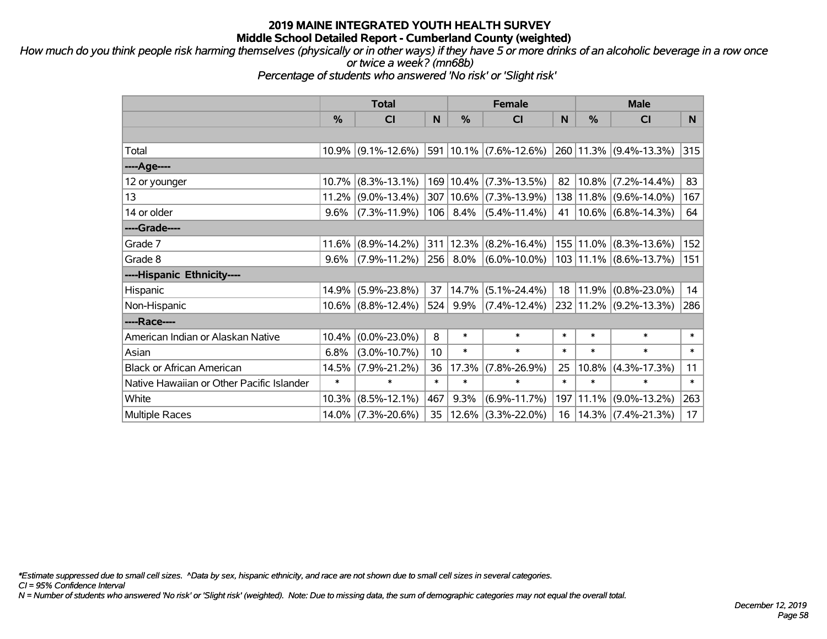*How much do you think people risk harming themselves (physically or in other ways) if they have 5 or more drinks of an alcoholic beverage in a row once or twice a week? (mn68b)*

*Percentage of students who answered 'No risk' or 'Slight risk'*

|                                           | <b>Total</b> |                       |        |            | <b>Female</b>               |        |               | <b>Male</b>                             |        |  |
|-------------------------------------------|--------------|-----------------------|--------|------------|-----------------------------|--------|---------------|-----------------------------------------|--------|--|
|                                           | %            | <b>CI</b>             | N      | %          | <b>CI</b>                   | N      | $\frac{0}{0}$ | <b>CI</b>                               | N.     |  |
|                                           |              |                       |        |            |                             |        |               |                                         |        |  |
| Total                                     |              | $10.9\%$ (9.1%-12.6%) |        |            | $ 591 10.1\% $ (7.6%-12.6%) |        |               | 260 11.3% (9.4%-13.3%)                  | 315    |  |
| ----Age----                               |              |                       |        |            |                             |        |               |                                         |        |  |
| 12 or younger                             | 10.7%        | $(8.3\% - 13.1\%)$    |        | 169 10.4%  | $(7.3\% - 13.5\%)$          | 82     | 10.8%         | $(7.2\% - 14.4\%)$                      | 83     |  |
| 13                                        | 11.2%        | $(9.0\% - 13.4\%)$    |        | 307 10.6%  | $(7.3\% - 13.9\%)$          | 138    |               | $11.8\%$ (9.6%-14.0%)                   | 167    |  |
| 14 or older                               | 9.6%         | $(7.3\% - 11.9\%)$    |        | $106$ 8.4% | $(5.4\% - 11.4\%)$          | 41     |               | $10.6\%$ (6.8%-14.3%)                   | 64     |  |
| ----Grade----                             |              |                       |        |            |                             |        |               |                                         |        |  |
| Grade 7                                   | 11.6%        | $(8.9\% - 14.2\%)$    | 311    | 12.3%      | $(8.2\% - 16.4\%)$          |        | 155 11.0%     | $(8.3\% - 13.6\%)$                      | 152    |  |
| Grade 8                                   | 9.6%         | $(7.9\% - 11.2\%)$    | 256    | $8.0\%$    | $(6.0\% - 10.0\%)$          |        |               | $103 \mid 11.1\% \mid (8.6\% - 13.7\%)$ | 151    |  |
| ----Hispanic Ethnicity----                |              |                       |        |            |                             |        |               |                                         |        |  |
| Hispanic                                  | 14.9%        | $(5.9\% - 23.8\%)$    | 37     | 14.7%      | $(5.1\% - 24.4\%)$          | 18     | 11.9%         | $(0.8\% - 23.0\%)$                      | 14     |  |
| Non-Hispanic                              |              | 10.6% (8.8%-12.4%)    | 524    | $9.9\%$    | $(7.4\% - 12.4\%)$          |        |               | 232 11.2% (9.2%-13.3%)                  | 286    |  |
| ----Race----                              |              |                       |        |            |                             |        |               |                                         |        |  |
| American Indian or Alaskan Native         | 10.4%        | $(0.0\% - 23.0\%)$    | 8      | $\ast$     | $\ast$                      | $\ast$ | $\ast$        | $\ast$                                  | $\ast$ |  |
| Asian                                     | 6.8%         | $(3.0\% - 10.7\%)$    | 10     | $\ast$     | $\ast$                      | $\ast$ | $\ast$        | $\ast$                                  | $\ast$ |  |
| <b>Black or African American</b>          | 14.5%        | $(7.9\% - 21.2\%)$    | 36     | 17.3%      | $(7.8\% - 26.9\%)$          | 25     | 10.8%         | $(4.3\% - 17.3\%)$                      | 11     |  |
| Native Hawaiian or Other Pacific Islander | $\ast$       | $\ast$                | $\ast$ | $\ast$     | $\ast$                      | $\ast$ | $\ast$        | $\ast$                                  | $\ast$ |  |
| White                                     | 10.3%        | $(8.5\% - 12.1\%)$    | 467    | 9.3%       | $(6.9\% - 11.7\%)$          | 197    | 11.1%         | $(9.0\% - 13.2\%)$                      | 263    |  |
| <b>Multiple Races</b>                     |              | 14.0% (7.3%-20.6%)    | 35     | 12.6%      | $(3.3\% - 22.0\%)$          | 16     | 14.3%         | $(7.4\% - 21.3\%)$                      | 17     |  |

*\*Estimate suppressed due to small cell sizes. ^Data by sex, hispanic ethnicity, and race are not shown due to small cell sizes in several categories.*

*CI = 95% Confidence Interval*

*N = Number of students who answered 'No risk' or 'Slight risk' (weighted). Note: Due to missing data, the sum of demographic categories may not equal the overall total.*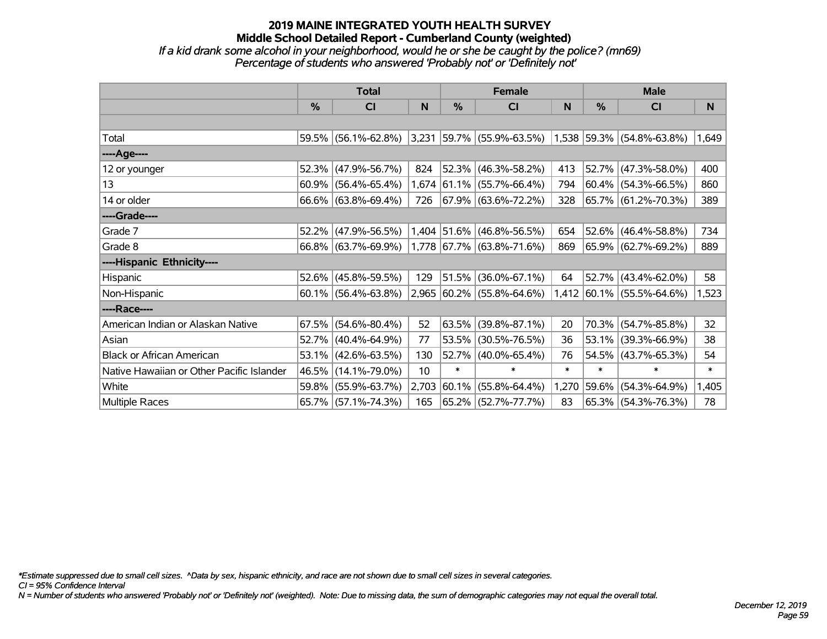### **2019 MAINE INTEGRATED YOUTH HEALTH SURVEY Middle School Detailed Report - Cumberland County (weighted)** *If a kid drank some alcohol in your neighborhood, would he or she be caught by the police? (mn69)*

*Percentage of students who answered 'Probably not' or 'Definitely not'*

|                                           | <b>Total</b> |                        |       |        | <b>Female</b>                                                 |        | <b>Male</b> |                           |        |  |
|-------------------------------------------|--------------|------------------------|-------|--------|---------------------------------------------------------------|--------|-------------|---------------------------|--------|--|
|                                           | $\%$         | <b>CI</b>              | N     | %      | <b>CI</b>                                                     | N      | %           | <b>CI</b>                 | N.     |  |
|                                           |              |                        |       |        |                                                               |        |             |                           |        |  |
| Total                                     |              | 59.5% (56.1%-62.8%)    |       |        | $ 3,231 59.7\% $ (55.9%-63.5%) $ 1,538 59.3\% $ (54.8%-63.8%) |        |             |                           | 1,649  |  |
| ----Age----                               |              |                        |       |        |                                                               |        |             |                           |        |  |
| 12 or younger                             | 52.3%        | $(47.9\% - 56.7\%)$    | 824   |        | 52.3% (46.3%-58.2%)                                           | 413    | $ 52.7\% $  | $(47.3\% - 58.0\%)$       | 400    |  |
| 13                                        | 60.9%        | $(56.4\% - 65.4\%)$    |       |        | 1,674 61.1% (55.7%-66.4%)                                     | 794    |             | $ 60.4\% $ (54.3%-66.5%)  | 860    |  |
| 14 or older                               |              | 66.6% (63.8%-69.4%)    | 726   |        | $ 67.9\%  (63.6\% - 72.2\%)$                                  | 328    |             | 65.7% (61.2%-70.3%)       | 389    |  |
| ----Grade----                             |              |                        |       |        |                                                               |        |             |                           |        |  |
| Grade 7                                   | 52.2%        | $(47.9\% - 56.5\%)$    |       |        | 1,404 51.6% (46.8%-56.5%)                                     | 654    | $52.6\%$    | $(46.4\% - 58.8\%)$       | 734    |  |
| Grade 8                                   |              | 66.8% (63.7%-69.9%)    |       |        | $1,778$ 67.7% (63.8%-71.6%)                                   | 869    |             | 65.9% (62.7%-69.2%)       | 889    |  |
| ----Hispanic Ethnicity----                |              |                        |       |        |                                                               |        |             |                           |        |  |
| Hispanic                                  | 52.6%        | $(45.8\% - 59.5\%)$    | 129   | 51.5%  | $(36.0\% - 67.1\%)$                                           | 64     | 52.7%       | $(43.4\% - 62.0\%)$       | 58     |  |
| Non-Hispanic                              |              | $60.1\%$ (56.4%-63.8%) |       |        | 2,965 60.2% (55.8%-64.6%)                                     |        |             | 1,412 60.1% (55.5%-64.6%) | 1,523  |  |
| ----Race----                              |              |                        |       |        |                                                               |        |             |                           |        |  |
| American Indian or Alaskan Native         | 67.5%        | $(54.6\% - 80.4\%)$    | 52    | 63.5%  | $(39.8\% - 87.1\%)$                                           | 20     | $70.3\%$    | $(54.7\% - 85.8\%)$       | 32     |  |
| Asian                                     | 52.7%        | $(40.4\% - 64.9\%)$    | 77    | 53.5%  | $(30.5\% - 76.5\%)$                                           | 36     | $ 53.1\% $  | $(39.3\% - 66.9\%)$       | 38     |  |
| <b>Black or African American</b>          | 53.1%        | $(42.6\% - 63.5\%)$    | 130   |        | 52.7% (40.0%-65.4%)                                           | 76     | 54.5%       | $(43.7\% - 65.3\%)$       | 54     |  |
| Native Hawaiian or Other Pacific Islander | 46.5%        | $(14.1\% - 79.0\%)$    | 10    | $\ast$ | $\ast$                                                        | $\ast$ | $\ast$      | $\ast$                    | $\ast$ |  |
| White                                     | 59.8%        | $(55.9\% - 63.7\%)$    | 2,703 | 60.1%  | $(55.8\% - 64.4\%)$                                           | 1,270  | $ 59.6\% $  | $(54.3\% - 64.9\%)$       | 1,405  |  |
| Multiple Races                            |              | 65.7% (57.1%-74.3%)    | 165   |        | 65.2% (52.7%-77.7%)                                           | 83     |             | 65.3% (54.3%-76.3%)       | 78     |  |

*\*Estimate suppressed due to small cell sizes. ^Data by sex, hispanic ethnicity, and race are not shown due to small cell sizes in several categories.*

*CI = 95% Confidence Interval*

*N = Number of students who answered 'Probably not' or 'Definitely not' (weighted). Note: Due to missing data, the sum of demographic categories may not equal the overall total.*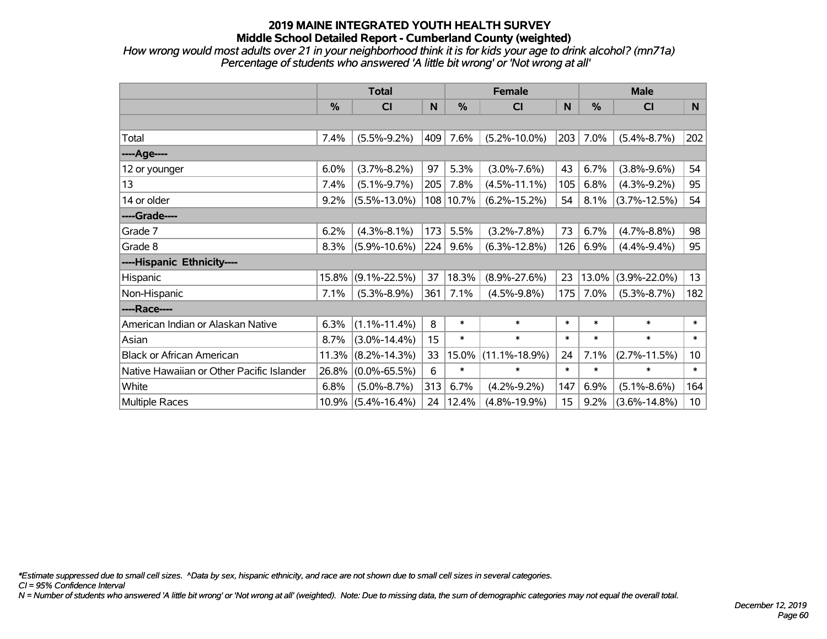*How wrong would most adults over 21 in your neighborhood think it is for kids your age to drink alcohol? (mn71a) Percentage of students who answered 'A little bit wrong' or 'Not wrong at all'*

|                                           | <b>Total</b> |                       |     |        | <b>Female</b>       | <b>Male</b> |        |                    |                 |
|-------------------------------------------|--------------|-----------------------|-----|--------|---------------------|-------------|--------|--------------------|-----------------|
|                                           | %            | <b>CI</b>             | N   | %      | <b>CI</b>           | N           | %      | <b>CI</b>          | N               |
|                                           |              |                       |     |        |                     |             |        |                    |                 |
| Total                                     | 7.4%         | $(5.5\% - 9.2\%)$     | 409 | 7.6%   | $(5.2\% - 10.0\%)$  | 203         | 7.0%   | $(5.4\% - 8.7\%)$  | 202             |
| ----Age----                               |              |                       |     |        |                     |             |        |                    |                 |
| 12 or younger                             | 6.0%         | $(3.7\% - 8.2\%)$     | 97  | 5.3%   | $(3.0\% - 7.6\%)$   | 43          | 6.7%   | $(3.8\% - 9.6\%)$  | 54              |
| 13                                        | 7.4%         | $(5.1\% - 9.7\%)$     | 205 | 7.8%   | $(4.5\% - 11.1\%)$  | 105         | 6.8%   | $(4.3\% - 9.2\%)$  | 95              |
| 14 or older                               | 9.2%         | $(5.5\% - 13.0\%)$    | 108 | 10.7%  | $(6.2\% - 15.2\%)$  | 54          | 8.1%   | $(3.7\% - 12.5\%)$ | 54              |
| ----Grade----                             |              |                       |     |        |                     |             |        |                    |                 |
| Grade 7                                   | 6.2%         | $(4.3\% - 8.1\%)$     | 173 | 5.5%   | $(3.2\% - 7.8\%)$   | 73          | 6.7%   | $(4.7\% - 8.8\%)$  | 98              |
| Grade 8                                   | 8.3%         | $(5.9\% - 10.6\%)$    | 224 | 9.6%   | $(6.3\% - 12.8\%)$  | 126         | 6.9%   | $(4.4\% - 9.4\%)$  | 95              |
| ----Hispanic Ethnicity----                |              |                       |     |        |                     |             |        |                    |                 |
| Hispanic                                  | 15.8%        | $(9.1\% - 22.5\%)$    | 37  | 18.3%  | $(8.9\% - 27.6\%)$  | 23          | 13.0%  | $(3.9\% - 22.0\%)$ | 13              |
| Non-Hispanic                              | 7.1%         | $(5.3\% - 8.9\%)$     | 361 | 7.1%   | $(4.5\% - 9.8\%)$   | 175         | 7.0%   | $(5.3\% - 8.7\%)$  | 182             |
| ----Race----                              |              |                       |     |        |                     |             |        |                    |                 |
| American Indian or Alaskan Native         | 6.3%         | $(1.1\% - 11.4\%)$    | 8   | $\ast$ | $\ast$              | $\ast$      | $\ast$ | $\ast$             | $\ast$          |
| Asian                                     | 8.7%         | $(3.0\% - 14.4\%)$    | 15  | $\ast$ | $\ast$              | $\ast$      | $\ast$ | $\ast$             | $\ast$          |
| <b>Black or African American</b>          | 11.3%        | $(8.2\% - 14.3\%)$    | 33  | 15.0%  | $(11.1\% - 18.9\%)$ | 24          | 7.1%   | $(2.7\% - 11.5\%)$ | 10 <sup>1</sup> |
| Native Hawaiian or Other Pacific Islander | 26.8%        | $(0.0\% - 65.5\%)$    | 6   | $\ast$ | $\ast$              | $\ast$      | $\ast$ | $\ast$             | $\ast$          |
| White                                     | 6.8%         | $(5.0\% - 8.7\%)$     | 313 | 6.7%   | $(4.2\% - 9.2\%)$   | 147         | 6.9%   | $(5.1\% - 8.6\%)$  | 164             |
| Multiple Races                            |              | $10.9\%$ (5.4%-16.4%) | 24  | 12.4%  | $(4.8\% - 19.9\%)$  | 15          | 9.2%   | $(3.6\% - 14.8\%)$ | 10              |

*\*Estimate suppressed due to small cell sizes. ^Data by sex, hispanic ethnicity, and race are not shown due to small cell sizes in several categories.*

*CI = 95% Confidence Interval*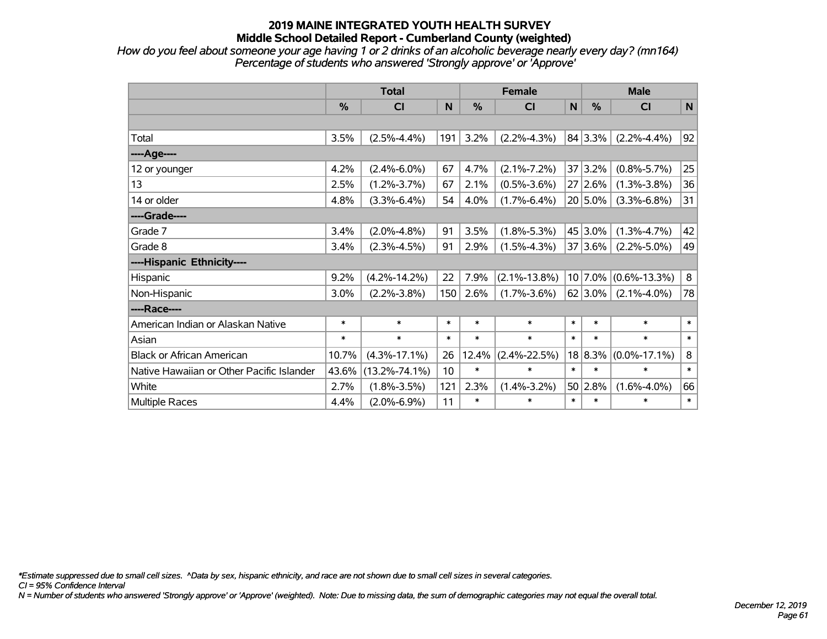*How do you feel about someone your age having 1 or 2 drinks of an alcoholic beverage nearly every day? (mn164) Percentage of students who answered 'Strongly approve' or 'Approve'*

|                                           | <b>Total</b> |                     |                 |        | <b>Female</b>      |             | <b>Male</b>   |                    |             |  |
|-------------------------------------------|--------------|---------------------|-----------------|--------|--------------------|-------------|---------------|--------------------|-------------|--|
|                                           | %            | CI                  | $\mathbf N$     | %      | <b>CI</b>          | $\mathbf N$ | $\frac{0}{0}$ | <b>CI</b>          | $\mathbf N$ |  |
|                                           |              |                     |                 |        |                    |             |               |                    |             |  |
| Total                                     | 3.5%         | $(2.5\% - 4.4\%)$   | 191             | 3.2%   | $(2.2\% - 4.3\%)$  |             | 84 3.3%       | $(2.2\% - 4.4\%)$  | 92          |  |
| ---- Age----                              |              |                     |                 |        |                    |             |               |                    |             |  |
| 12 or younger                             | 4.2%         | $(2.4\% - 6.0\%)$   | 67              | 4.7%   | $(2.1\% - 7.2\%)$  |             | 37 3.2%       | $(0.8\% - 5.7\%)$  | 25          |  |
| 13                                        | 2.5%         | $(1.2\% - 3.7\%)$   | 67              | 2.1%   | $(0.5\% - 3.6\%)$  |             | 27 2.6%       | $(1.3\% - 3.8\%)$  | 36          |  |
| 14 or older                               | 4.8%         | $(3.3\% - 6.4\%)$   | 54              | 4.0%   | $(1.7\% - 6.4\%)$  |             | $20 5.0\%$    | $(3.3\% - 6.8\%)$  | 31          |  |
| ----Grade----                             |              |                     |                 |        |                    |             |               |                    |             |  |
| Grade 7                                   | 3.4%         | $(2.0\% - 4.8\%)$   | 91              | 3.5%   | $(1.8\% - 5.3\%)$  |             | 45 3.0%       | $(1.3\% - 4.7\%)$  | 42          |  |
| Grade 8                                   | 3.4%         | $(2.3\% - 4.5\%)$   | 91              | 2.9%   | $(1.5\% - 4.3\%)$  |             | 37 3.6%       | $(2.2\% - 5.0\%)$  | 49          |  |
| ----Hispanic Ethnicity----                |              |                     |                 |        |                    |             |               |                    |             |  |
| Hispanic                                  | 9.2%         | $(4.2\% - 14.2\%)$  | 22              | 7.9%   | $(2.1\% - 13.8\%)$ |             | 10 7.0%       | $(0.6\% - 13.3\%)$ | 8           |  |
| Non-Hispanic                              | 3.0%         | $(2.2\% - 3.8\%)$   | 150             | 2.6%   | $(1.7\% - 3.6\%)$  |             | 62 3.0%       | $(2.1\% - 4.0\%)$  | 78          |  |
| ----Race----                              |              |                     |                 |        |                    |             |               |                    |             |  |
| American Indian or Alaskan Native         | $\ast$       | $\ast$              | $\ast$          | $\ast$ | $\ast$             | $\ast$      | $\ast$        | $\ast$             | $\ast$      |  |
| Asian                                     | $\ast$       | $\ast$              | $\ast$          | $\ast$ | $\ast$             | $\ast$      | $\ast$        | $\ast$             | $\ast$      |  |
| <b>Black or African American</b>          | 10.7%        | $(4.3\% - 17.1\%)$  | 26              | 12.4%  | $(2.4\% - 22.5\%)$ |             | 18 8.3%       | $(0.0\% - 17.1\%)$ | $\bf 8$     |  |
| Native Hawaiian or Other Pacific Islander | 43.6%        | $(13.2\% - 74.1\%)$ | 10 <sup>1</sup> | $\ast$ | $\ast$             | $\ast$      | $\ast$        | $\ast$             | $\ast$      |  |
| White                                     | 2.7%         | $(1.8\% - 3.5\%)$   | 121             | 2.3%   | $(1.4\% - 3.2\%)$  |             | 50 2.8%       | $(1.6\% - 4.0\%)$  | 66          |  |
| Multiple Races                            | 4.4%         | $(2.0\% - 6.9\%)$   | 11              | $\ast$ | $\ast$             | $\ast$      | $\ast$        | $\ast$             | $\ast$      |  |

*\*Estimate suppressed due to small cell sizes. ^Data by sex, hispanic ethnicity, and race are not shown due to small cell sizes in several categories.*

*CI = 95% Confidence Interval*

*N = Number of students who answered 'Strongly approve' or 'Approve' (weighted). Note: Due to missing data, the sum of demographic categories may not equal the overall total.*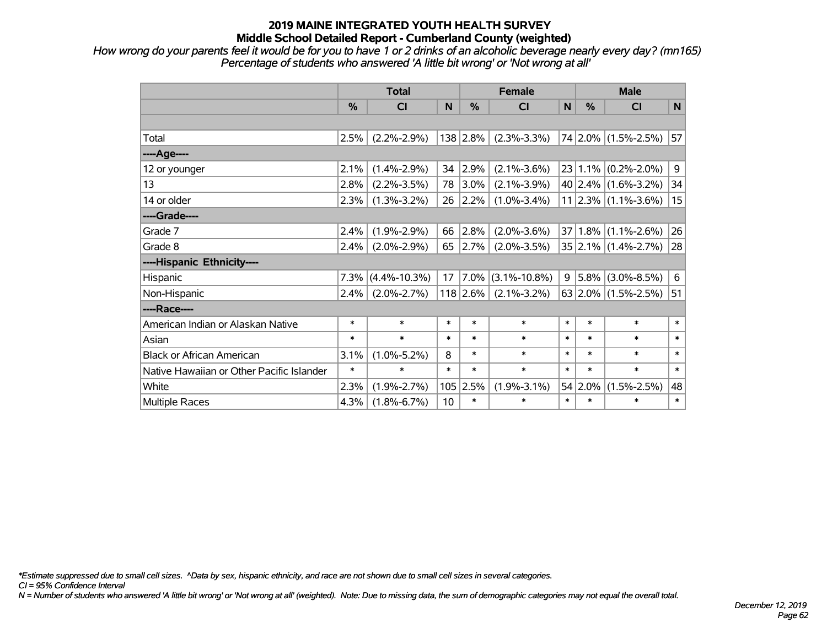*How wrong do your parents feel it would be for you to have 1 or 2 drinks of an alcoholic beverage nearly every day? (mn165) Percentage of students who answered 'A little bit wrong' or 'Not wrong at all'*

|                                           | <b>Total</b>  |                    |        | <b>Female</b> | <b>Male</b>        |              |               |                            |        |
|-------------------------------------------|---------------|--------------------|--------|---------------|--------------------|--------------|---------------|----------------------------|--------|
|                                           | $\frac{0}{0}$ | CI                 | N      | $\frac{0}{0}$ | CI                 | $\mathsf{N}$ | $\frac{0}{0}$ | <b>CI</b>                  | N      |
|                                           |               |                    |        |               |                    |              |               |                            |        |
| Total                                     | 2.5%          | $(2.2\% - 2.9\%)$  |        | 138 2.8%      | $(2.3\% - 3.3\%)$  |              |               | 74 2.0% (1.5%-2.5%)        | 57     |
| ---- Age----                              |               |                    |        |               |                    |              |               |                            |        |
| 12 or younger                             | 2.1%          | $(1.4\% - 2.9\%)$  | 34     | 2.9%          | $(2.1\% - 3.6\%)$  | 23           |               | $1.1\%$ (0.2%-2.0%)        | 9      |
| 13                                        | 2.8%          | $(2.2\% - 3.5\%)$  | 78     | 3.0%          | $(2.1\% - 3.9\%)$  |              |               | $40 2.4\% $ (1.6%-3.2%)    | 34     |
| 14 or older                               | 2.3%          | $(1.3\% - 3.2\%)$  | 26     | 2.2%          | $(1.0\% - 3.4\%)$  |              |               | $11$   2.3%   (1.1%-3.6%)  | 15     |
| ----Grade----                             |               |                    |        |               |                    |              |               |                            |        |
| Grade 7                                   | 2.4%          | $(1.9\% - 2.9\%)$  | 66     | 2.8%          | $(2.0\% - 3.6\%)$  | 37           |               | $1.8\%$ (1.1%-2.6%)        | 26     |
| Grade 8                                   | 2.4%          | $(2.0\% - 2.9\%)$  | 65     | $ 2.7\% $     | $(2.0\% - 3.5\%)$  |              |               | $35 2.1\% (1.4\% - 2.7\%)$ | 28     |
| ----Hispanic Ethnicity----                |               |                    |        |               |                    |              |               |                            |        |
| Hispanic                                  | 7.3%          | $(4.4\% - 10.3\%)$ | 17     | 7.0%          | $(3.1\% - 10.8\%)$ | 9            | 5.8%          | $(3.0\% - 8.5\%)$          | 6      |
| Non-Hispanic                              | 2.4%          | $(2.0\% - 2.7\%)$  |        | $118$ 2.6%    | $(2.1\% - 3.2\%)$  |              |               | 63 2.0% $(1.5\% - 2.5\%)$  | 51     |
| ----Race----                              |               |                    |        |               |                    |              |               |                            |        |
| American Indian or Alaskan Native         | $\ast$        | $\ast$             | $\ast$ | $\ast$        | $\ast$             | $\ast$       | $\ast$        | $\ast$                     | $\ast$ |
| Asian                                     | $\ast$        | $\ast$             | $\ast$ | $\ast$        | $\ast$             | $\ast$       | $\ast$        | $\ast$                     | $\ast$ |
| <b>Black or African American</b>          | 3.1%          | $(1.0\% - 5.2\%)$  | 8      | $\ast$        | $\ast$             | $\ast$       | $\ast$        | $\ast$                     | $\ast$ |
| Native Hawaiian or Other Pacific Islander | $\ast$        | $\ast$             | $\ast$ | $\ast$        | $\ast$             | $\ast$       | $\ast$        | $\ast$                     | $\ast$ |
| White                                     | 2.3%          | $(1.9\% - 2.7\%)$  | 105    | 2.5%          | $(1.9\% - 3.1\%)$  | 54           | 2.0%          | $(1.5\% - 2.5\%)$          | 48     |
| Multiple Races                            | 4.3%          | $(1.8\% - 6.7\%)$  | 10     | $\ast$        | $\ast$             | $\ast$       | $\ast$        | $\ast$                     | $\ast$ |

*\*Estimate suppressed due to small cell sizes. ^Data by sex, hispanic ethnicity, and race are not shown due to small cell sizes in several categories.*

*CI = 95% Confidence Interval*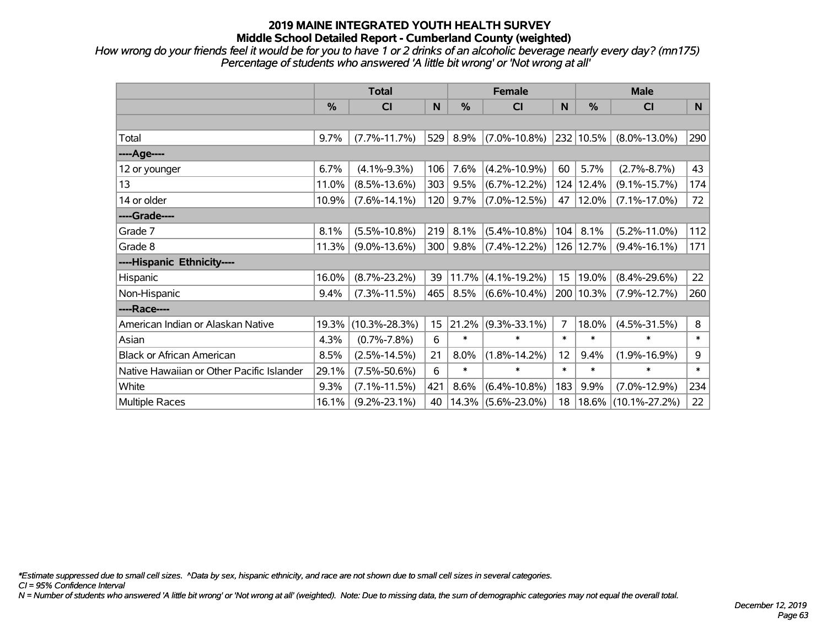*How wrong do your friends feel it would be for you to have 1 or 2 drinks of an alcoholic beverage nearly every day? (mn175) Percentage of students who answered 'A little bit wrong' or 'Not wrong at all'*

|                                           | <b>Total</b> |                     |     |        | <b>Female</b>      |        | <b>Male</b> |                     |        |  |
|-------------------------------------------|--------------|---------------------|-----|--------|--------------------|--------|-------------|---------------------|--------|--|
|                                           | %            | C <sub>l</sub>      | N   | %      | <b>CI</b>          | N      | %           | <b>CI</b>           | N      |  |
|                                           |              |                     |     |        |                    |        |             |                     |        |  |
| Total                                     | 9.7%         | $(7.7\% - 11.7\%)$  | 529 | 8.9%   | $(7.0\% - 10.8\%)$ |        | 232 10.5%   | $(8.0\% - 13.0\%)$  | 290    |  |
| ----Age----                               |              |                     |     |        |                    |        |             |                     |        |  |
| 12 or younger                             | 6.7%         | $(4.1\% - 9.3\%)$   | 106 | 7.6%   | $(4.2\% - 10.9\%)$ | 60     | 5.7%        | $(2.7\% - 8.7\%)$   | 43     |  |
| 13                                        | 11.0%        | $(8.5\% - 13.6\%)$  | 303 | 9.5%   | $(6.7\% - 12.2\%)$ |        | 124 12.4%   | $(9.1\% - 15.7\%)$  | 174    |  |
| 14 or older                               | 10.9%        | $(7.6\% - 14.1\%)$  | 120 | 9.7%   | $(7.0\% - 12.5\%)$ | 47     | 12.0%       | $(7.1\% - 17.0\%)$  | 72     |  |
| ----Grade----                             |              |                     |     |        |                    |        |             |                     |        |  |
| Grade 7                                   | 8.1%         | $(5.5\% - 10.8\%)$  | 219 | 8.1%   | $(5.4\% - 10.8\%)$ | 104    | 8.1%        | $(5.2\% - 11.0\%)$  | 112    |  |
| Grade 8                                   | 11.3%        | $(9.0\% - 13.6\%)$  | 300 | 9.8%   | $(7.4\% - 12.2\%)$ |        | 126 12.7%   | $(9.4\% - 16.1\%)$  | 171    |  |
| ----Hispanic Ethnicity----                |              |                     |     |        |                    |        |             |                     |        |  |
| Hispanic                                  | 16.0%        | $(8.7\% - 23.2\%)$  | 39  | 11.7%  | $(4.1\% - 19.2\%)$ | 15     | 19.0%       | $(8.4\% - 29.6\%)$  | 22     |  |
| Non-Hispanic                              | 9.4%         | $(7.3\% - 11.5\%)$  | 465 | 8.5%   | $(6.6\% - 10.4\%)$ |        | 200 10.3%   | $(7.9\% - 12.7\%)$  | 260    |  |
| ----Race----                              |              |                     |     |        |                    |        |             |                     |        |  |
| American Indian or Alaskan Native         | 19.3%        | $(10.3\% - 28.3\%)$ | 15  | 21.2%  | $(9.3\% - 33.1\%)$ | 7      | 18.0%       | $(4.5\% - 31.5\%)$  | 8      |  |
| Asian                                     | 4.3%         | $(0.7\% - 7.8\%)$   | 6   | $\ast$ | $\ast$             | $\ast$ | $\ast$      | $\ast$              | $\ast$ |  |
| <b>Black or African American</b>          | 8.5%         | $(2.5\% - 14.5\%)$  | 21  | 8.0%   | $(1.8\% - 14.2\%)$ | 12     | 9.4%        | $(1.9\% - 16.9\%)$  | 9      |  |
| Native Hawaiian or Other Pacific Islander | 29.1%        | $(7.5\% - 50.6\%)$  | 6   | $\ast$ | $\ast$             | $\ast$ | $\ast$      | $\ast$              | $\ast$ |  |
| White                                     | 9.3%         | $(7.1\% - 11.5\%)$  | 421 | 8.6%   | $(6.4\% - 10.8\%)$ | 183    | 9.9%        | $(7.0\% - 12.9\%)$  | 234    |  |
| Multiple Races                            | 16.1%        | $(9.2\% - 23.1\%)$  | 40  | 14.3%  | $(5.6\% - 23.0\%)$ | 18     | 18.6%       | $(10.1\% - 27.2\%)$ | 22     |  |

*\*Estimate suppressed due to small cell sizes. ^Data by sex, hispanic ethnicity, and race are not shown due to small cell sizes in several categories.*

*CI = 95% Confidence Interval*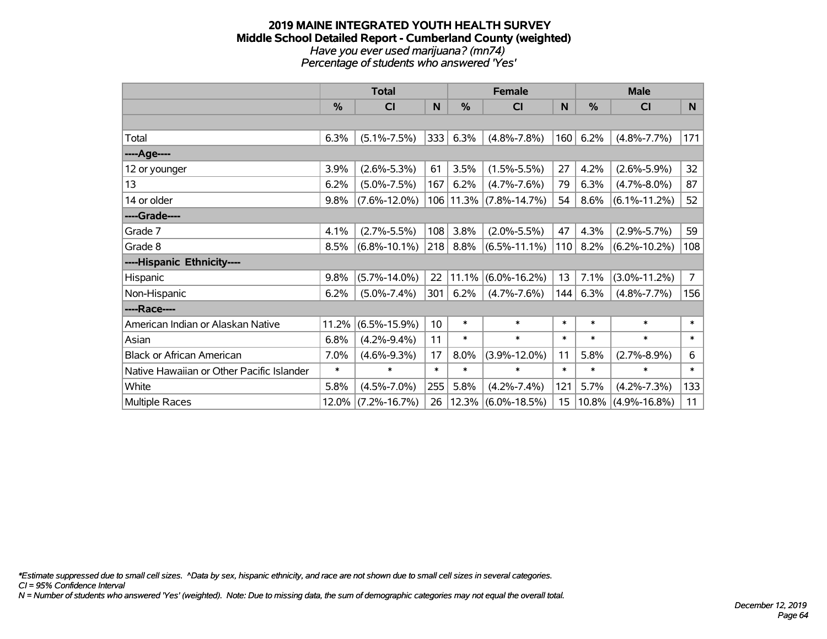### **2019 MAINE INTEGRATED YOUTH HEALTH SURVEY Middle School Detailed Report - Cumberland County (weighted)** *Have you ever used marijuana? (mn74) Percentage of students who answered 'Yes'*

|                                           | <b>Total</b> |                    |        | <b>Female</b> | <b>Male</b>           |        |               |                    |                |
|-------------------------------------------|--------------|--------------------|--------|---------------|-----------------------|--------|---------------|--------------------|----------------|
|                                           | %            | C <sub>l</sub>     | N      | $\frac{0}{0}$ | CI                    | N      | $\frac{9}{6}$ | <b>CI</b>          | N              |
|                                           |              |                    |        |               |                       |        |               |                    |                |
| Total                                     | 6.3%         | $(5.1\% - 7.5\%)$  | 333    | 6.3%          | $(4.8\% - 7.8\%)$     | 160    | 6.2%          | $(4.8\% - 7.7\%)$  | 171            |
| ----Age----                               |              |                    |        |               |                       |        |               |                    |                |
| 12 or younger                             | 3.9%         | $(2.6\% - 5.3\%)$  | 61     | 3.5%          | $(1.5\% - 5.5\%)$     | 27     | 4.2%          | $(2.6\% - 5.9\%)$  | 32             |
| 13                                        | 6.2%         | $(5.0\% - 7.5\%)$  | 167    | 6.2%          | $(4.7\% - 7.6\%)$     | 79     | 6.3%          | $(4.7\% - 8.0\%)$  | 87             |
| 14 or older                               | 9.8%         | $(7.6\% - 12.0\%)$ | 106    |               | $11.3\%$ (7.8%-14.7%) | 54     | 8.6%          | $(6.1\% - 11.2\%)$ | 52             |
| ----Grade----                             |              |                    |        |               |                       |        |               |                    |                |
| Grade 7                                   | 4.1%         | $(2.7\% - 5.5\%)$  | 108    | 3.8%          | $(2.0\% - 5.5\%)$     | 47     | 4.3%          | $(2.9\% - 5.7\%)$  | 59             |
| Grade 8                                   | 8.5%         | $(6.8\% - 10.1\%)$ | 218    | 8.8%          | $(6.5\% - 11.1\%)$    | 110    | 8.2%          | $(6.2\% - 10.2\%)$ | 108            |
| ----Hispanic Ethnicity----                |              |                    |        |               |                       |        |               |                    |                |
| Hispanic                                  | 9.8%         | $(5.7\% - 14.0\%)$ | 22     | 11.1%         | $(6.0\% - 16.2\%)$    | 13     | 7.1%          | $(3.0\% - 11.2\%)$ | $\overline{7}$ |
| Non-Hispanic                              | 6.2%         | $(5.0\% - 7.4\%)$  | 301    | 6.2%          | $(4.7\% - 7.6\%)$     | 144    | 6.3%          | $(4.8\% - 7.7\%)$  | 156            |
| ----Race----                              |              |                    |        |               |                       |        |               |                    |                |
| American Indian or Alaskan Native         | 11.2%        | $(6.5\% - 15.9\%)$ | 10     | $\ast$        | $\ast$                | $\ast$ | $\ast$        | $\ast$             | $\ast$         |
| Asian                                     | 6.8%         | $(4.2\% - 9.4\%)$  | 11     | $\ast$        | $\ast$                | $\ast$ | $\ast$        | $\ast$             | $\ast$         |
| <b>Black or African American</b>          | 7.0%         | $(4.6\% - 9.3\%)$  | 17     | 8.0%          | $(3.9\% - 12.0\%)$    | 11     | 5.8%          | $(2.7\% - 8.9\%)$  | 6              |
| Native Hawaiian or Other Pacific Islander | $\ast$       | $\ast$             | $\ast$ | $\ast$        | $\ast$                | $\ast$ | $\ast$        | $\ast$             | $\ast$         |
| White                                     | 5.8%         | $(4.5\% - 7.0\%)$  | 255    | 5.8%          | $(4.2\% - 7.4\%)$     | 121    | 5.7%          | $(4.2\% - 7.3\%)$  | 133            |
| <b>Multiple Races</b>                     | 12.0%        | $(7.2\% - 16.7\%)$ | 26     | 12.3%         | $(6.0\% - 18.5\%)$    | 15     | 10.8%         | $(4.9\% - 16.8\%)$ | 11             |

*\*Estimate suppressed due to small cell sizes. ^Data by sex, hispanic ethnicity, and race are not shown due to small cell sizes in several categories.*

*CI = 95% Confidence Interval*

*N = Number of students who answered 'Yes' (weighted). Note: Due to missing data, the sum of demographic categories may not equal the overall total.*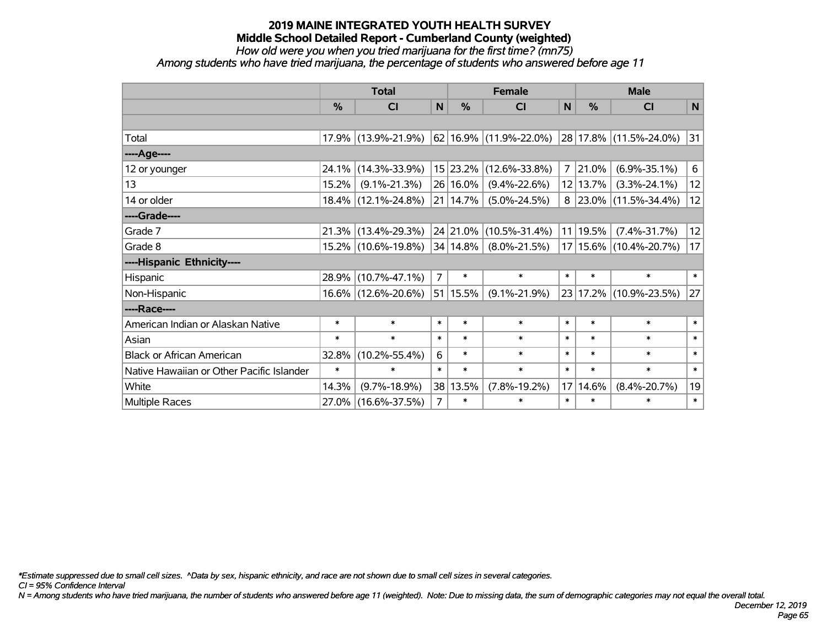*How old were you when you tried marijuana for the first time? (mn75)*

*Among students who have tried marijuana, the percentage of students who answered before age 11*

|                                           | <b>Total</b>  |                     |                | <b>Female</b> | <b>Male</b>            |              |               |                          |              |
|-------------------------------------------|---------------|---------------------|----------------|---------------|------------------------|--------------|---------------|--------------------------|--------------|
|                                           | $\frac{0}{0}$ | <b>CI</b>           | N              | %             | <b>CI</b>              | $\mathsf{N}$ | $\frac{0}{0}$ | <b>CI</b>                | $\mathsf{N}$ |
|                                           |               |                     |                |               |                        |              |               |                          |              |
| Total                                     |               | 17.9% (13.9%-21.9%) |                |               | 62 16.9% (11.9%-22.0%) |              |               | 28 17.8% (11.5%-24.0%)   | 31           |
| ----Age----                               |               |                     |                |               |                        |              |               |                          |              |
| 12 or younger                             | 24.1%         | $(14.3\% - 33.9\%)$ |                | 15 23.2%      | $(12.6\% - 33.8\%)$    | 7            | 21.0%         | $(6.9\% - 35.1\%)$       | 6            |
| 13                                        | 15.2%         | $(9.1\% - 21.3\%)$  |                | 26 16.0%      | $(9.4\% - 22.6\%)$     |              | 12 13.7%      | $(3.3\% - 24.1\%)$       | 12           |
| 14 or older                               |               | 18.4% (12.1%-24.8%) |                | 21   14.7%    | $(5.0\% - 24.5\%)$     | 8            |               | $ 23.0\% $ (11.5%-34.4%) | 12           |
| ----Grade----                             |               |                     |                |               |                        |              |               |                          |              |
| Grade 7                                   | 21.3%         | $(13.4\% - 29.3\%)$ |                | 24 21.0%      | $(10.5\% - 31.4\%)$    | 11           | 19.5%         | $(7.4\% - 31.7\%)$       | 12           |
| Grade 8                                   |               | 15.2% (10.6%-19.8%) |                | $34 14.8\% $  | $(8.0\% - 21.5\%)$     |              |               | 17 15.6% (10.4%-20.7%)   | 17           |
| ----Hispanic Ethnicity----                |               |                     |                |               |                        |              |               |                          |              |
| Hispanic                                  | 28.9%         | $(10.7\% - 47.1\%)$ | $\overline{7}$ | $\ast$        | $\ast$                 | $\ast$       | $\ast$        | $\ast$                   | $\ast$       |
| Non-Hispanic                              |               | 16.6% (12.6%-20.6%) |                | 51 15.5%      | $(9.1\% - 21.9\%)$     | 23           |               | $17.2\%$ (10.9%-23.5%)   | 27           |
| ----Race----                              |               |                     |                |               |                        |              |               |                          |              |
| American Indian or Alaskan Native         | $\ast$        | $\ast$              | $\ast$         | $\ast$        | $\ast$                 | $\ast$       | $\ast$        | $\ast$                   | $\ast$       |
| Asian                                     | $\ast$        | $\ast$              | $\ast$         | $\ast$        | $\ast$                 | $\ast$       | $\ast$        | $\ast$                   | $\ast$       |
| <b>Black or African American</b>          | 32.8%         | $(10.2\% - 55.4\%)$ | 6              | $\ast$        | $\ast$                 | $\ast$       | $\ast$        | $\ast$                   | $\ast$       |
| Native Hawaiian or Other Pacific Islander | $\ast$        | $\ast$              | $\ast$         | $\ast$        | $\ast$                 | $\ast$       | $\ast$        | $\ast$                   | $\ast$       |
| White                                     | 14.3%         | $(9.7\% - 18.9\%)$  |                | 38 13.5%      | $(7.8\% - 19.2\%)$     | 17           | 14.6%         | $(8.4\% - 20.7\%)$       | 19           |
| <b>Multiple Races</b>                     |               | 27.0% (16.6%-37.5%) | $\overline{7}$ | $\ast$        | $\ast$                 | $\ast$       | $\ast$        | $\ast$                   | $\ast$       |

*\*Estimate suppressed due to small cell sizes. ^Data by sex, hispanic ethnicity, and race are not shown due to small cell sizes in several categories.*

*CI = 95% Confidence Interval*

*N = Among students who have tried marijuana, the number of students who answered before age 11 (weighted). Note: Due to missing data, the sum of demographic categories may not equal the overall total.*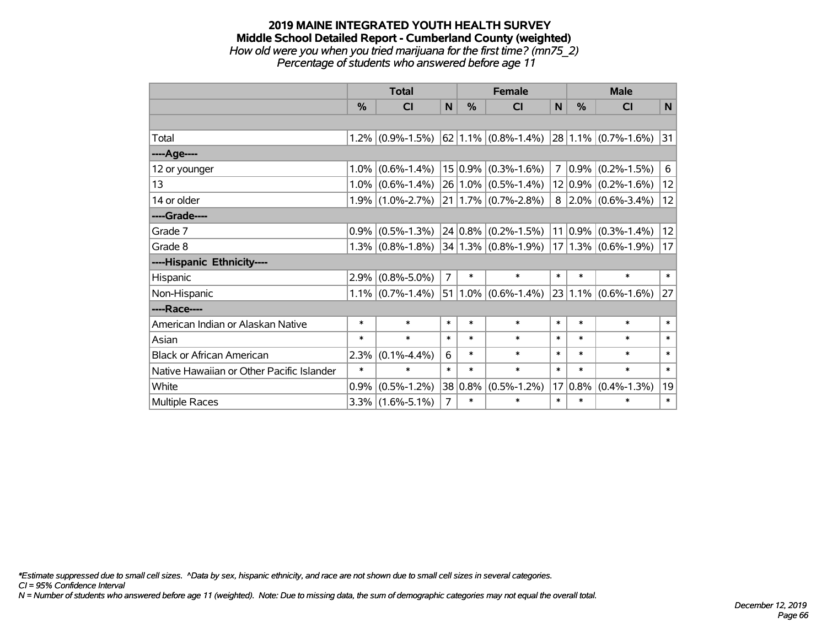### **2019 MAINE INTEGRATED YOUTH HEALTH SURVEY Middle School Detailed Report - Cumberland County (weighted)** *How old were you when you tried marijuana for the first time? (mn75\_2) Percentage of students who answered before age 11*

|                                           | <b>Total</b> |                     |                | <b>Female</b> | <b>Male</b>               |                 |             |                          |              |
|-------------------------------------------|--------------|---------------------|----------------|---------------|---------------------------|-----------------|-------------|--------------------------|--------------|
|                                           | %            | <b>CI</b>           | N              | %             | <b>CI</b>                 | N               | %           | <b>CI</b>                | N            |
|                                           |              |                     |                |               |                           |                 |             |                          |              |
| Total                                     |              | $1.2\%$ (0.9%-1.5%) |                |               | $62$   1.1%   (0.8%-1.4%) |                 |             | $28 1.1\% $ (0.7%-1.6%)  | 31           |
| ----Age----                               |              |                     |                |               |                           |                 |             |                          |              |
| 12 or younger                             | 1.0%         | $(0.6\% - 1.4\%)$   |                | $15 0.9\%$    | $(0.3\% - 1.6\%)$         | 7               | $0.9\%$     | $(0.2\% - 1.5\%)$        | 6            |
| 13                                        | 1.0%         | $(0.6\% - 1.4\%)$   |                |               | 26 1.0% (0.5%-1.4%)       |                 |             | $12 0.9\% $ (0.2%-1.6%)  | 12           |
| 14 or older                               |              | $1.9\%$ (1.0%-2.7%) |                |               | $21 1.7\% $ (0.7%-2.8%)   |                 |             | $8$   2.0%   (0.6%-3.4%) | 12           |
| ----Grade----                             |              |                     |                |               |                           |                 |             |                          |              |
| Grade 7                                   | 0.9%         | $(0.5\% - 1.3\%)$   |                |               | $24 0.8\% $ (0.2%-1.5%)   |                 | $11 0.9\% $ | $(0.3\% - 1.4\%)$        | 12           |
| Grade 8                                   |              | $1.3\%$ (0.8%-1.8%) |                |               | $ 34 1.3\% $ (0.8%-1.9%)  |                 |             | $ 17 1.3\% $ (0.6%-1.9%) | 17           |
| ----Hispanic Ethnicity----                |              |                     |                |               |                           |                 |             |                          |              |
| Hispanic                                  | 2.9%         | $(0.8\% - 5.0\%)$   | $\overline{7}$ | $\ast$        | $\ast$                    | $\ast$          | $\ast$      | $\ast$                   | $\ast$       |
| Non-Hispanic                              |              | $1.1\%$ (0.7%-1.4%) |                |               | $51 1.0\% $ (0.6%-1.4%)   |                 |             | $23 1.1\% $ (0.6%-1.6%)  | 27           |
| ----Race----                              |              |                     |                |               |                           |                 |             |                          |              |
| American Indian or Alaskan Native         | $\ast$       | $\ast$              | $\ast$         | $\ast$        | $\ast$                    | $\ast$          | $\ast$      | $\ast$                   | $\ast$       |
| Asian                                     | $\ast$       | $\ast$              | $\ast$         | $\ast$        | $\ast$                    | $\ast$          | $\ast$      | $\ast$                   | $\ast$       |
| <b>Black or African American</b>          | 2.3%         | $(0.1\% - 4.4\%)$   | 6              | $\ast$        | $\ast$                    | $\ast$          | $\ast$      | $\ast$                   | $\ast$       |
| Native Hawaiian or Other Pacific Islander | $\ast$       | $\ast$              | $\ast$         | $\ast$        | $\ast$                    | $\ast$          | $\ast$      | $\ast$                   | $\ast$       |
| White                                     | 0.9%         | $(0.5\% - 1.2\%)$   | 38             | $ 0.8\%$      | $(0.5\% - 1.2\%)$         | 17 <sup>2</sup> | 0.8%        | $(0.4\% - 1.3\%)$        | 19           |
| Multiple Races                            |              | $3.3\%$ (1.6%-5.1%) | $\overline{7}$ | $\ast$        | $\ast$                    | $\ast$          | $\ast$      | $\ast$                   | $\pmb{\ast}$ |

*\*Estimate suppressed due to small cell sizes. ^Data by sex, hispanic ethnicity, and race are not shown due to small cell sizes in several categories.*

*CI = 95% Confidence Interval*

*N = Number of students who answered before age 11 (weighted). Note: Due to missing data, the sum of demographic categories may not equal the overall total.*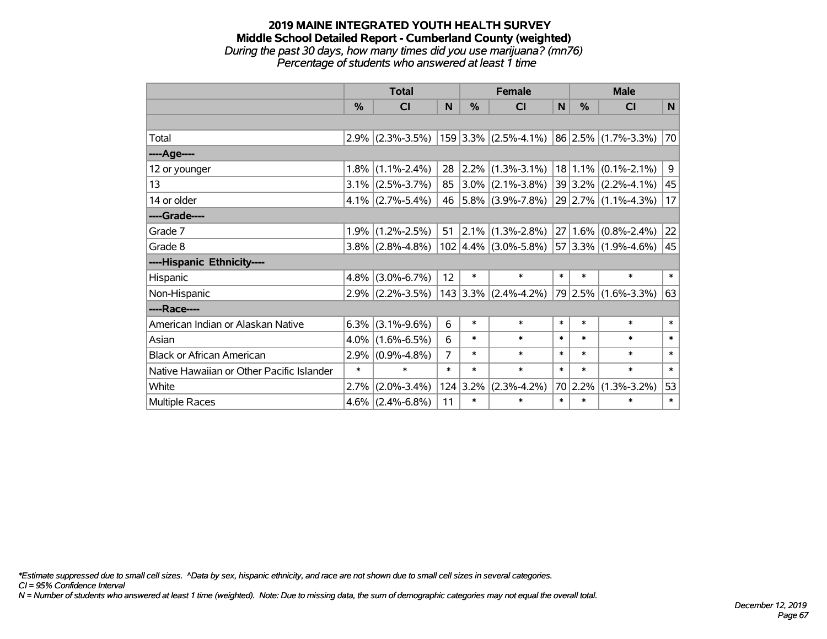### **2019 MAINE INTEGRATED YOUTH HEALTH SURVEY Middle School Detailed Report - Cumberland County (weighted)** *During the past 30 days, how many times did you use marijuana? (mn76)*

*Percentage of students who answered at least 1 time*

|                                           | <b>Total</b>  |                     |        |                  | <b>Female</b>                                                                 | <b>Male</b> |               |                          |        |
|-------------------------------------------|---------------|---------------------|--------|------------------|-------------------------------------------------------------------------------|-------------|---------------|--------------------------|--------|
|                                           | $\frac{0}{2}$ | <b>CI</b>           | N      | $\%$             | <b>CI</b>                                                                     | N           | $\frac{0}{0}$ | <b>CI</b>                | N      |
|                                           |               |                     |        |                  |                                                                               |             |               |                          |        |
| Total                                     |               | $2.9\%$ (2.3%-3.5%) |        |                  | $159$ 3.3% (2.5%-4.1%) 86 2.5% (1.7%-3.3%)                                    |             |               |                          | 70     |
| ----Age----                               |               |                     |        |                  |                                                                               |             |               |                          |        |
| 12 or younger                             | $1.8\%$       | $(1.1\% - 2.4\%)$   | 28     |                  | $ 2.2\% $ (1.3%-3.1%)                                                         |             |               | $18 1.1\% $ (0.1%-2.1%)  | 9      |
| 13                                        |               | $3.1\%$ (2.5%-3.7%) | 85     |                  | $3.0\%$ (2.1%-3.8%)                                                           |             |               | $ 39 3.2\% $ (2.2%-4.1%) | 45     |
| 14 or older                               |               | $4.1\%$ (2.7%-5.4%) | 46     |                  | $ 5.8\% $ (3.9%-7.8%)                                                         |             |               | $ 29 2.7\% $ (1.1%-4.3%) | 17     |
| ----Grade----                             |               |                     |        |                  |                                                                               |             |               |                          |        |
| Grade 7                                   | 1.9%          | $(1.2\% - 2.5\%)$   | 51     |                  | $ 2.1\% $ (1.3%-2.8%)                                                         |             | $27 1.6\% $   | $(0.8\% - 2.4\%)$        | 22     |
| Grade 8                                   |               | $3.8\%$ (2.8%-4.8%) |        |                  | $102 \mid 4.4\% \mid (3.0\% - 5.8\%) \mid 57 \mid 3.3\% \mid (1.9\% - 4.6\%)$ |             |               |                          | 45     |
| ----Hispanic Ethnicity----                |               |                     |        |                  |                                                                               |             |               |                          |        |
| Hispanic                                  | $4.8\%$       | $(3.0\% - 6.7\%)$   | 12     | $\ast$           | $\ast$                                                                        | $\ast$      | $\ast$        | $\ast$                   | $\ast$ |
| Non-Hispanic                              |               | $2.9\%$ (2.2%-3.5%) |        |                  | $143$ 3.3% (2.4%-4.2%)                                                        |             |               | 79 2.5% (1.6%-3.3%)      | 63     |
| ----Race----                              |               |                     |        |                  |                                                                               |             |               |                          |        |
| American Indian or Alaskan Native         | 6.3%          | $(3.1\% - 9.6\%)$   | 6      | $\ast$           | $\ast$                                                                        | $\ast$      | $\ast$        | $\ast$                   | $\ast$ |
| Asian                                     | $4.0\%$       | $(1.6\% - 6.5\%)$   | 6      | $\ast$           | $\ast$                                                                        | $\ast$      | $\ast$        | $\ast$                   | $\ast$ |
| <b>Black or African American</b>          | 2.9%          | $(0.9\% - 4.8\%)$   | 7      | $\ast$           | $\ast$                                                                        | $\ast$      | $\ast$        | $\ast$                   | $\ast$ |
| Native Hawaiian or Other Pacific Islander | $\ast$        | $\ast$              | $\ast$ | $\ast$           | $\ast$                                                                        | $\ast$      | $\ast$        | $\ast$                   | $\ast$ |
| White                                     | 2.7%          | $(2.0\% - 3.4\%)$   |        | $124 \mid 3.2\%$ | $(2.3\% - 4.2\%)$                                                             |             | 70 2.2%       | $(1.3\% - 3.2\%)$        | 53     |
| Multiple Races                            | $4.6\%$       | $(2.4\% - 6.8\%)$   | 11     | $\ast$           | $\ast$                                                                        | $\ast$      | $\ast$        | $\ast$                   | $\ast$ |

*\*Estimate suppressed due to small cell sizes. ^Data by sex, hispanic ethnicity, and race are not shown due to small cell sizes in several categories.*

*CI = 95% Confidence Interval*

*N = Number of students who answered at least 1 time (weighted). Note: Due to missing data, the sum of demographic categories may not equal the overall total.*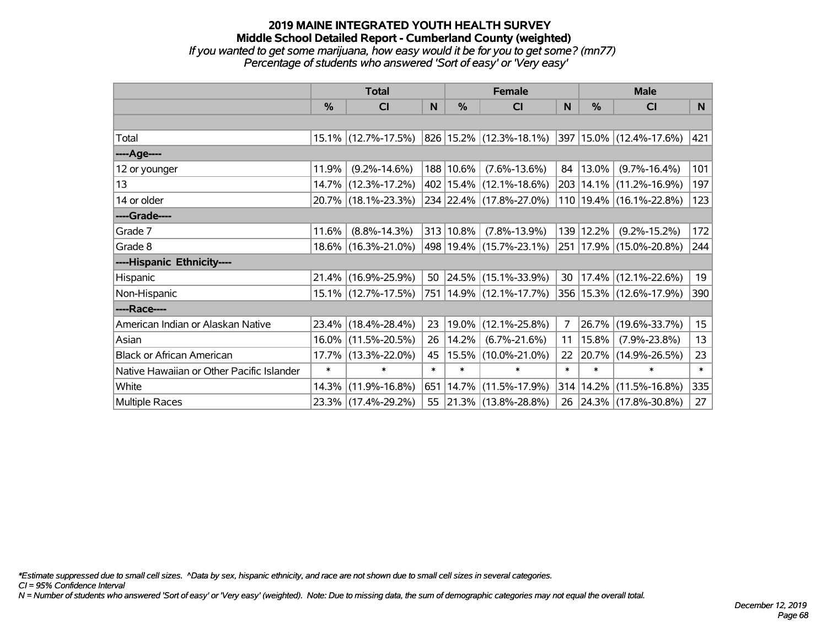# **2019 MAINE INTEGRATED YOUTH HEALTH SURVEY Middle School Detailed Report - Cumberland County (weighted)** *If you wanted to get some marijuana, how easy would it be for you to get some? (mn77)*

*Percentage of students who answered 'Sort of easy' or 'Very easy'*

|                                           | <b>Total</b>  |                        |        | <b>Female</b> | <b>Male</b>                 |              |        |                                  |        |
|-------------------------------------------|---------------|------------------------|--------|---------------|-----------------------------|--------------|--------|----------------------------------|--------|
|                                           | $\frac{0}{0}$ | <b>CI</b>              | N      | $\frac{0}{0}$ | <b>CI</b>                   | <sub>N</sub> | %      | <b>CI</b>                        | N      |
|                                           |               |                        |        |               |                             |              |        |                                  |        |
| Total                                     |               | $15.1\%$ (12.7%-17.5%) |        |               | 826 15.2% (12.3%-18.1%)     |              |        | $ 397 15.0\%  (12.4\% - 17.6\%)$ | 421    |
| ----Age----                               |               |                        |        |               |                             |              |        |                                  |        |
| 12 or younger                             | 11.9%         | $(9.2\% - 14.6\%)$     |        | 188 10.6%     | $(7.6\% - 13.6\%)$          | 84           | 13.0%  | $(9.7\% - 16.4\%)$               | 101    |
| 13                                        |               | 14.7% (12.3%-17.2%)    |        |               | 402 15.4% (12.1%-18.6%)     | 203          |        | $14.1\%$ (11.2%-16.9%)           | 197    |
| 14 or older                               |               | 20.7% (18.1%-23.3%)    |        |               | 234 22.4% (17.8%-27.0%)     |              |        | 110 19.4% (16.1%-22.8%)          | 123    |
| ----Grade----                             |               |                        |        |               |                             |              |        |                                  |        |
| Grade 7                                   | 11.6%         | $(8.8\% - 14.3\%)$     |        | 313 10.8%     | $(7.8\% - 13.9\%)$          | 139          | 12.2%  | $(9.2\% - 15.2\%)$               | 172    |
| Grade 8                                   |               | 18.6% (16.3%-21.0%)    |        |               | 498 19.4% (15.7%-23.1%)     |              |        | 251   17.9%   (15.0%-20.8%)      | 244    |
| ----Hispanic Ethnicity----                |               |                        |        |               |                             |              |        |                                  |        |
| Hispanic                                  |               | 21.4% (16.9%-25.9%)    | 50     |               | $ 24.5\% $ (15.1%-33.9%)    | 30           |        | $17.4\%$ (12.1%-22.6%)           | 19     |
| Non-Hispanic                              |               | 15.1% (12.7%-17.5%)    |        |               | 751   14.9%   (12.1%-17.7%) |              |        | 356   15.3%   (12.6%-17.9%)      | 390    |
| ----Race----                              |               |                        |        |               |                             |              |        |                                  |        |
| American Indian or Alaskan Native         |               | 23.4% (18.4%-28.4%)    | 23     | $19.0\%$      | $(12.1\% - 25.8\%)$         | 7            | 26.7%  | $(19.6\% - 33.7\%)$              | 15     |
| Asian                                     |               | 16.0% (11.5%-20.5%)    | 26     | 14.2%         | $(6.7\% - 21.6\%)$          | 11           | 15.8%  | $(7.9\% - 23.8\%)$               | 13     |
| <b>Black or African American</b>          |               | 17.7% (13.3%-22.0%)    | 45     |               | 15.5%  (10.0%-21.0%)        | 22           | 20.7%  | $(14.9\% - 26.5\%)$              | 23     |
| Native Hawaiian or Other Pacific Islander | $\ast$        | $\ast$                 | $\ast$ | $\ast$        | $\ast$                      | $\ast$       | $\ast$ | $\ast$                           | $\ast$ |
| White                                     | 14.3%         | $(11.9\% - 16.8\%)$    | 651    |               | $ 14.7\% $ (11.5%-17.9%)    | 314          | 14.2%  | $(11.5\% - 16.8\%)$              | 335    |
| Multiple Races                            |               | 23.3% (17.4%-29.2%)    |        |               | 55 21.3% (13.8%-28.8%)      | 26           |        | 24.3% (17.8%-30.8%)              | 27     |

*\*Estimate suppressed due to small cell sizes. ^Data by sex, hispanic ethnicity, and race are not shown due to small cell sizes in several categories.*

*CI = 95% Confidence Interval*

*N = Number of students who answered 'Sort of easy' or 'Very easy' (weighted). Note: Due to missing data, the sum of demographic categories may not equal the overall total.*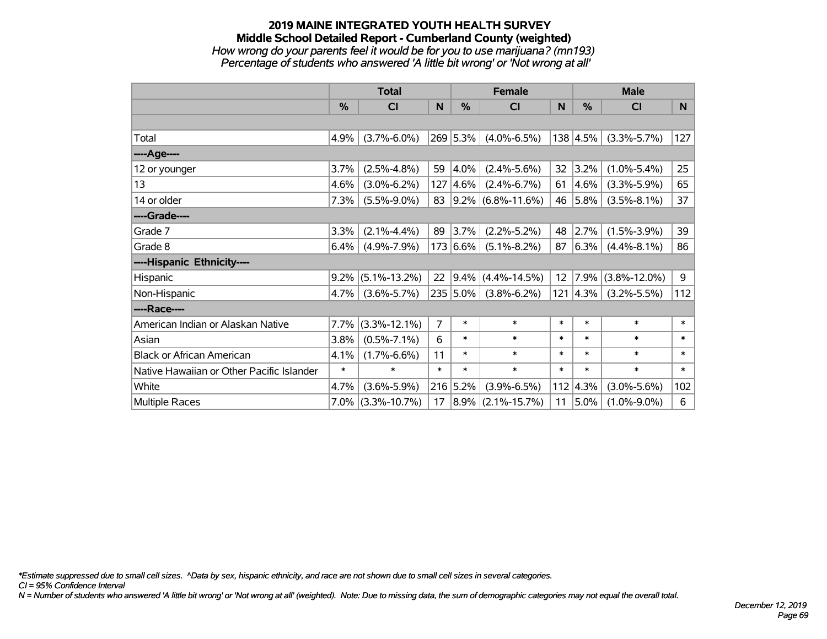### **2019 MAINE INTEGRATED YOUTH HEALTH SURVEY Middle School Detailed Report - Cumberland County (weighted)** *How wrong do your parents feel it would be for you to use marijuana? (mn193) Percentage of students who answered 'A little bit wrong' or 'Not wrong at all'*

|                                           | <b>Total</b> |                    | <b>Female</b>  |           |                        | <b>Male</b> |                  |                    |        |
|-------------------------------------------|--------------|--------------------|----------------|-----------|------------------------|-------------|------------------|--------------------|--------|
|                                           | %            | C <sub>l</sub>     | N              | %         | <b>CI</b>              | N           | $\frac{0}{0}$    | <b>CI</b>          | N      |
|                                           |              |                    |                |           |                        |             |                  |                    |        |
| Total                                     | 4.9%         | $(3.7\% - 6.0\%)$  |                | 269 5.3%  | $(4.0\% - 6.5\%)$      |             | 138 4.5%         | $(3.3\% - 5.7\%)$  | 127    |
| ---- Age----                              |              |                    |                |           |                        |             |                  |                    |        |
| 12 or younger                             | 3.7%         | $(2.5\% - 4.8\%)$  | 59             | 4.0%      | $(2.4\% - 5.6\%)$      | 32          | 3.2%             | $(1.0\% - 5.4\%)$  | 25     |
| 13                                        | 4.6%         | $(3.0\% - 6.2\%)$  | 127            | $ 4.6\% $ | $(2.4\% - 6.7\%)$      | 61          | 4.6%             | $(3.3\% - 5.9\%)$  | 65     |
| 14 or older                               | 7.3%         | $(5.5\% - 9.0\%)$  | 83             |           | $ 9.2\% $ (6.8%-11.6%) |             | 46 5.8%          | $(3.5\% - 8.1\%)$  | 37     |
| ----Grade----                             |              |                    |                |           |                        |             |                  |                    |        |
| Grade 7                                   | 3.3%         | $(2.1\% - 4.4\%)$  | 89             | 3.7%      | $(2.2\% - 5.2\%)$      | 48          | 2.7%             | $(1.5\% - 3.9\%)$  | 39     |
| Grade 8                                   | 6.4%         | $(4.9\% - 7.9\%)$  |                | 173 6.6%  | $(5.1\% - 8.2\%)$      | 87          | 6.3%             | $(4.4\% - 8.1\%)$  | 86     |
| ----Hispanic Ethnicity----                |              |                    |                |           |                        |             |                  |                    |        |
| Hispanic                                  | 9.2%         | $(5.1\% - 13.2\%)$ | 22             | 9.4%      | $(4.4\% - 14.5\%)$     | 12          | 7.9%             | $(3.8\% - 12.0\%)$ | 9      |
| Non-Hispanic                              | 4.7%         | $(3.6\% - 5.7\%)$  |                | 235 5.0%  | $(3.8\% - 6.2\%)$      |             | $121 \,   4.3\%$ | $(3.2\% - 5.5\%)$  | 112    |
| ----Race----                              |              |                    |                |           |                        |             |                  |                    |        |
| American Indian or Alaskan Native         | 7.7%         | $(3.3\% - 12.1\%)$ | $\overline{7}$ | $\ast$    | $\ast$                 | $\ast$      | $\ast$           | $\ast$             | $\ast$ |
| Asian                                     | 3.8%         | $(0.5\% - 7.1\%)$  | 6              | $\ast$    | $\ast$                 | $\ast$      | $\ast$           | $\ast$             | $\ast$ |
| <b>Black or African American</b>          | 4.1%         | $(1.7\% - 6.6\%)$  | 11             | $\ast$    | $\ast$                 | $\ast$      | $\ast$           | $\ast$             | $\ast$ |
| Native Hawaiian or Other Pacific Islander | $\ast$       | $\ast$             | $\ast$         | $\ast$    | $\ast$                 | $\ast$      | $\ast$           | $\ast$             | $\ast$ |
| White                                     | 4.7%         | $(3.6\% - 5.9\%)$  |                | 216 5.2%  | $(3.9\% - 6.5\%)$      |             | 112   4.3%       | $(3.0\% - 5.6\%)$  | 102    |
| <b>Multiple Races</b>                     | $7.0\%$      | $(3.3\% - 10.7\%)$ | 17             | $8.9\%$   | $(2.1\% - 15.7\%)$     | 11          | 5.0%             | $(1.0\% - 9.0\%)$  | 6      |

*\*Estimate suppressed due to small cell sizes. ^Data by sex, hispanic ethnicity, and race are not shown due to small cell sizes in several categories.*

*CI = 95% Confidence Interval*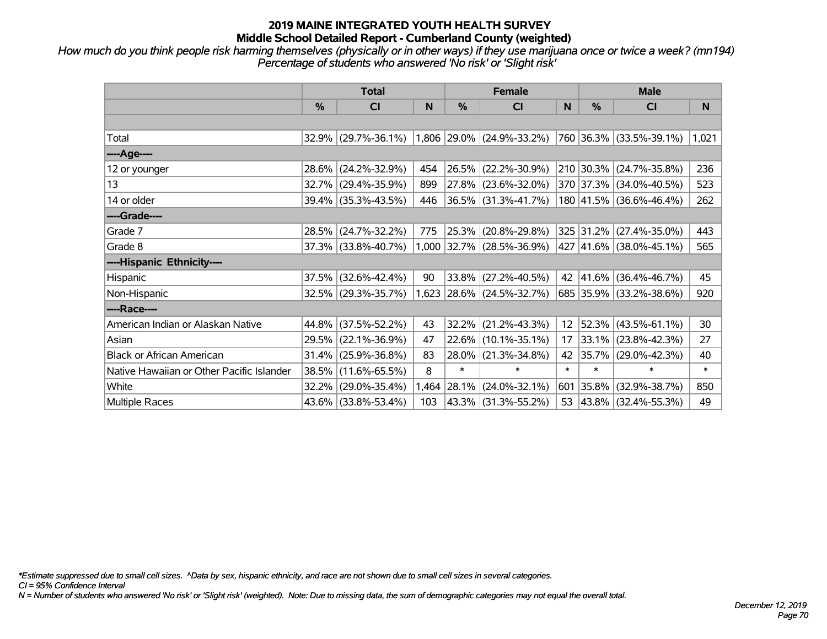*How much do you think people risk harming themselves (physically or in other ways) if they use marijuana once or twice a week? (mn194) Percentage of students who answered 'No risk' or 'Slight risk'*

|                                           | <b>Total</b> |                        |       | <b>Female</b> |                             | <b>Male</b>     |               |                         |        |
|-------------------------------------------|--------------|------------------------|-------|---------------|-----------------------------|-----------------|---------------|-------------------------|--------|
|                                           | %            | <b>CI</b>              | N     | %             | <b>CI</b>                   | N               | $\frac{0}{0}$ | <b>CI</b>               | N      |
|                                           |              |                        |       |               |                             |                 |               |                         |        |
| Total                                     |              | $32.9\%$ (29.7%-36.1%) |       |               | $1,806$ 29.0% (24.9%-33.2%) |                 |               | 760 36.3% (33.5%-39.1%) | 1,021  |
| ----Age----                               |              |                        |       |               |                             |                 |               |                         |        |
| 12 or younger                             | 28.6%        | $(24.2\% - 32.9\%)$    | 454   |               | 26.5% (22.2%-30.9%)         |                 |               | 210 30.3% (24.7%-35.8%) | 236    |
| 13                                        | 32.7%        | $(29.4\% - 35.9\%)$    | 899   |               | 27.8% (23.6%-32.0%)         |                 |               | 370 37.3% (34.0%-40.5%) | 523    |
| 14 or older                               | $39.4\%$     | $(35.3\% - 43.5\%)$    | 446   |               | $36.5\%$ (31.3%-41.7%)      |                 |               | 180 41.5% (36.6%-46.4%) | 262    |
| ----Grade----                             |              |                        |       |               |                             |                 |               |                         |        |
| Grade 7                                   | 28.5%        | $(24.7\% - 32.2\%)$    | 775   | 25.3%         | $(20.8\% - 29.8\%)$         |                 |               | 325 31.2% (27.4%-35.0%) | 443    |
| Grade 8                                   |              | $37.3\%$ (33.8%-40.7%) |       |               | $1,000$ 32.7% (28.5%-36.9%) |                 |               | 427 41.6% (38.0%-45.1%) | 565    |
| ----Hispanic Ethnicity----                |              |                        |       |               |                             |                 |               |                         |        |
| Hispanic                                  | 37.5%        | $(32.6\% - 42.4\%)$    | 90    | 33.8%         | $(27.2\% - 40.5\%)$         | 42              | 41.6%         | $(36.4\% - 46.7\%)$     | 45     |
| Non-Hispanic                              |              | $32.5\%$ (29.3%-35.7%) |       |               | 1,623 28.6% (24.5%-32.7%)   |                 |               | 685 35.9% (33.2%-38.6%) | 920    |
| ----Race----                              |              |                        |       |               |                             |                 |               |                         |        |
| American Indian or Alaskan Native         | 44.8%        | $(37.5\% - 52.2\%)$    | 43    | 32.2%         | $(21.2\% - 43.3\%)$         | 12 <sub>2</sub> |               | $52.3\%$ (43.5%-61.1%)  | 30     |
| Asian                                     | 29.5%        | $(22.1\% - 36.9\%)$    | 47    |               | 22.6% (10.1%-35.1%)         | 17              |               | $33.1\%$ (23.8%-42.3%)  | 27     |
| <b>Black or African American</b>          | 31.4%        | $(25.9\% - 36.8\%)$    | 83    | 28.0%         | $(21.3\% - 34.8\%)$         | 42              |               | 35.7% (29.0%-42.3%)     | 40     |
| Native Hawaiian or Other Pacific Islander | 38.5%        | $(11.6\% - 65.5\%)$    | 8     | $\ast$        | $\ast$                      | $\ast$          | $\ast$        | $\ast$                  | $\ast$ |
| White                                     | 32.2%        | $(29.0\% - 35.4\%)$    | 1,464 | 28.1%         | $(24.0\% - 32.1\%)$         | 601             | 35.8%         | $(32.9\% - 38.7\%)$     | 850    |
| Multiple Races                            | $43.6\%$     | $(33.8\% - 53.4\%)$    | 103   |               | 43.3% (31.3%-55.2%)         |                 |               | 53 43.8% (32.4%-55.3%)  | 49     |

*\*Estimate suppressed due to small cell sizes. ^Data by sex, hispanic ethnicity, and race are not shown due to small cell sizes in several categories.*

*CI = 95% Confidence Interval*

*N = Number of students who answered 'No risk' or 'Slight risk' (weighted). Note: Due to missing data, the sum of demographic categories may not equal the overall total.*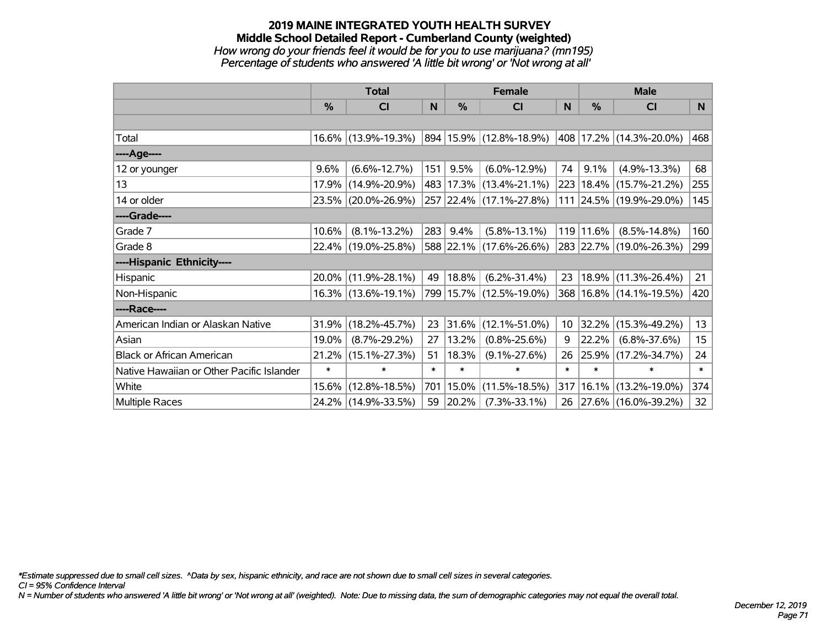### **2019 MAINE INTEGRATED YOUTH HEALTH SURVEY Middle School Detailed Report - Cumberland County (weighted)** *How wrong do your friends feel it would be for you to use marijuana? (mn195) Percentage of students who answered 'A little bit wrong' or 'Not wrong at all'*

|                                           | <b>Total</b> |                        |        | <b>Female</b> | <b>Male</b>                 |              |        |                             |        |
|-------------------------------------------|--------------|------------------------|--------|---------------|-----------------------------|--------------|--------|-----------------------------|--------|
|                                           | $\%$         | <b>CI</b>              | N      | $\%$          | <b>CI</b>                   | <sub>N</sub> | %      | <b>CI</b>                   | N      |
|                                           |              |                        |        |               |                             |              |        |                             |        |
| Total                                     |              | 16.6% (13.9%-19.3%)    |        |               | 894   15.9%   (12.8%-18.9%) |              |        | 408 17.2% (14.3%-20.0%)     | 468    |
| ----Age----                               |              |                        |        |               |                             |              |        |                             |        |
| 12 or younger                             | 9.6%         | $(6.6\% - 12.7\%)$     | 151    | 9.5%          | $(6.0\% - 12.9\%)$          | 74           | 9.1%   | $(4.9\% - 13.3\%)$          | 68     |
| 13                                        | 17.9%        | $(14.9\% - 20.9\%)$    |        |               | 483 17.3% (13.4%-21.1%)     | 223          |        | $18.4\%$ (15.7%-21.2%)      | 255    |
| 14 or older                               |              | 23.5% (20.0%-26.9%)    |        |               | 257 22.4% (17.1%-27.8%)     |              |        | 111 24.5% (19.9%-29.0%)     | 145    |
| ----Grade----                             |              |                        |        |               |                             |              |        |                             |        |
| Grade 7                                   | 10.6%        | $(8.1\% - 13.2\%)$     | 283    | 9.4%          | $(5.8\% - 13.1\%)$          | 119          | 11.6%  | $(8.5\% - 14.8\%)$          | 160    |
| Grade 8                                   |              | 22.4% (19.0%-25.8%)    |        |               | 588 22.1% (17.6%-26.6%)     |              |        | 283 22.7% (19.0%-26.3%)     | 299    |
| ----Hispanic Ethnicity----                |              |                        |        |               |                             |              |        |                             |        |
| Hispanic                                  | 20.0%        | $(11.9\% - 28.1\%)$    | 49     | $ 18.8\% $    | $(6.2\% - 31.4\%)$          | 23           | 18.9%  | $(11.3\% - 26.4\%)$         | 21     |
| Non-Hispanic                              |              | $16.3\%$ (13.6%-19.1%) |        |               | 799 15.7% (12.5%-19.0%)     |              |        | 368   16.8%   (14.1%-19.5%) | 420    |
| ----Race----                              |              |                        |        |               |                             |              |        |                             |        |
| American Indian or Alaskan Native         | 31.9%        | $(18.2\% - 45.7\%)$    | 23     | 31.6%         | $(12.1\% - 51.0\%)$         | 10           | 32.2%  | $(15.3\% - 49.2\%)$         | 13     |
| Asian                                     | 19.0%        | $(8.7\% - 29.2\%)$     | 27     | 13.2%         | $(0.8\% - 25.6\%)$          | 9            | 22.2%  | $(6.8\% - 37.6\%)$          | 15     |
| <b>Black or African American</b>          | 21.2%        | $(15.1\% - 27.3\%)$    | 51     | 18.3%         | $(9.1\% - 27.6\%)$          | 26           | 25.9%  | $(17.2\% - 34.7\%)$         | 24     |
| Native Hawaiian or Other Pacific Islander | $\ast$       | $\ast$                 | $\ast$ | $\ast$        | $\ast$                      | $\ast$       | $\ast$ | $\ast$                      | $\ast$ |
| White                                     | 15.6%        | $(12.8\% - 18.5\%)$    | 701    | $ 15.0\% $    | $(11.5\% - 18.5\%)$         | 317          | 16.1%  | $(13.2\% - 19.0\%)$         | 374    |
| Multiple Races                            |              | 24.2% (14.9%-33.5%)    | 59     | $ 20.2\% $    | $(7.3\% - 33.1\%)$          | 26           |        | 27.6% (16.0%-39.2%)         | 32     |

*\*Estimate suppressed due to small cell sizes. ^Data by sex, hispanic ethnicity, and race are not shown due to small cell sizes in several categories.*

*CI = 95% Confidence Interval*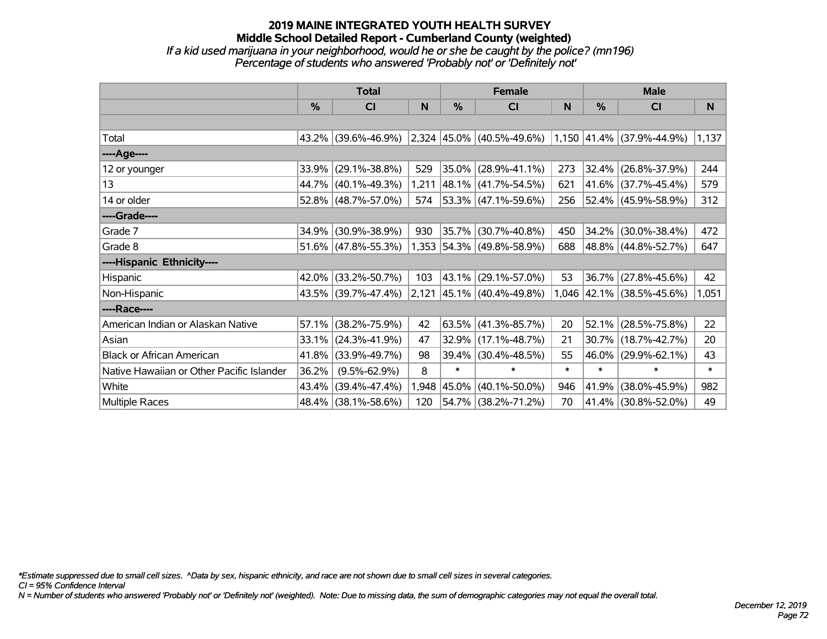### **2019 MAINE INTEGRATED YOUTH HEALTH SURVEY Middle School Detailed Report - Cumberland County (weighted)** *If a kid used marijuana in your neighborhood, would he or she be caught by the police? (mn196) Percentage of students who answered 'Probably not' or 'Definitely not'*

|                                           | <b>Total</b>  |                        |       | <b>Female</b> |                           | <b>Male</b> |               |                           |        |
|-------------------------------------------|---------------|------------------------|-------|---------------|---------------------------|-------------|---------------|---------------------------|--------|
|                                           | $\frac{0}{0}$ | C <sub>l</sub>         | N     | %             | <b>CI</b>                 | N           | $\frac{0}{0}$ | <b>CI</b>                 | N      |
|                                           |               |                        |       |               |                           |             |               |                           |        |
| Total                                     |               | 43.2% (39.6%-46.9%)    |       |               | 2,324 45.0% (40.5%-49.6%) |             |               | 1,150 41.4% (37.9%-44.9%) | 1,137  |
| ----Age----                               |               |                        |       |               |                           |             |               |                           |        |
| 12 or younger                             | 33.9%         | $(29.1\% - 38.8\%)$    | 529   | 35.0%         | $(28.9\% - 41.1\%)$       | 273         | 32.4%         | $(26.8\% - 37.9\%)$       | 244    |
| 13                                        |               | 44.7% (40.1%-49.3%)    | 1,211 |               | $ 48.1\% $ (41.7%-54.5%)  | 621         |               | 41.6% (37.7%-45.4%)       | 579    |
| 14 or older                               |               | $52.8\%$ (48.7%-57.0%) | 574   |               | $ 53.3\% $ (47.1%-59.6%)  | 256         |               | 52.4% (45.9%-58.9%)       | 312    |
| ----Grade----                             |               |                        |       |               |                           |             |               |                           |        |
| Grade 7                                   | 34.9%         | $(30.9\% - 38.9\%)$    | 930   | 35.7%         | $(30.7\% - 40.8\%)$       | 450         | $34.2\%$      | $(30.0\% - 38.4\%)$       | 472    |
| Grade 8                                   |               | $51.6\%$ (47.8%-55.3%) |       |               | 1,353 54.3% (49.8%-58.9%) | 688         |               | 48.8% (44.8%-52.7%)       | 647    |
| ----Hispanic Ethnicity----                |               |                        |       |               |                           |             |               |                           |        |
| Hispanic                                  | 42.0%         | $(33.2\% - 50.7\%)$    | 103   | 43.1%         | $(29.1\% - 57.0\%)$       | 53          | 36.7%         | $(27.8\% - 45.6\%)$       | 42     |
| Non-Hispanic                              |               | 43.5% (39.7%-47.4%)    |       |               | 2,121 45.1% (40.4%-49.8%) |             |               | 1,046 42.1% (38.5%-45.6%) | 1,051  |
| ----Race----                              |               |                        |       |               |                           |             |               |                           |        |
| American Indian or Alaskan Native         | 57.1%         | $(38.2\% - 75.9\%)$    | 42    |               | $63.5\%$ (41.3%-85.7%)    | 20          | 52.1%         | $(28.5\% - 75.8\%)$       | 22     |
| Asian                                     | 33.1%         | $(24.3\% - 41.9\%)$    | 47    | 32.9%         | $(17.1\% - 48.7\%)$       | 21          | 30.7%         | $(18.7\% - 42.7\%)$       | 20     |
| <b>Black or African American</b>          | 41.8%         | $(33.9\% - 49.7\%)$    | 98    | 39.4%         | $(30.4\% - 48.5\%)$       | 55          | 46.0%         | $(29.9\% - 62.1\%)$       | 43     |
| Native Hawaiian or Other Pacific Islander | 36.2%         | $(9.5\% - 62.9\%)$     | 8     | $\ast$        | $\ast$                    | $\ast$      | $\ast$        | $\ast$                    | $\ast$ |
| White                                     | 43.4%         | $(39.4\% - 47.4\%)$    | 1,948 | 45.0%         | $(40.1\% - 50.0\%)$       | 946         | 41.9%         | $(38.0\% - 45.9\%)$       | 982    |
| <b>Multiple Races</b>                     |               | 48.4% (38.1%-58.6%)    | 120   |               | 54.7% (38.2%-71.2%)       | 70          |               | 41.4% (30.8%-52.0%)       | 49     |

*\*Estimate suppressed due to small cell sizes. ^Data by sex, hispanic ethnicity, and race are not shown due to small cell sizes in several categories.*

*CI = 95% Confidence Interval*

*N = Number of students who answered 'Probably not' or 'Definitely not' (weighted). Note: Due to missing data, the sum of demographic categories may not equal the overall total.*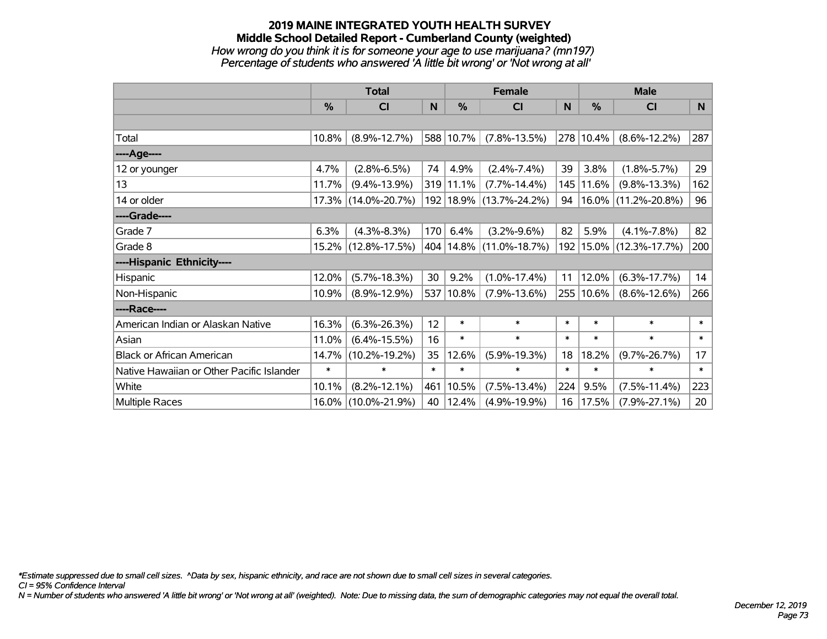#### **2019 MAINE INTEGRATED YOUTH HEALTH SURVEY Middle School Detailed Report - Cumberland County (weighted)** *How wrong do you think it is for someone your age to use marijuana? (mn197) Percentage of students who answered 'A little bit wrong' or 'Not wrong at all'*

|                                           | <b>Total</b> |                     |        | <b>Female</b> | <b>Male</b>                 |        |               |                        |                 |
|-------------------------------------------|--------------|---------------------|--------|---------------|-----------------------------|--------|---------------|------------------------|-----------------|
|                                           | %            | CI                  | N      | $\%$          | <b>CI</b>                   | N      | $\frac{0}{0}$ | <b>CI</b>              | N               |
|                                           |              |                     |        |               |                             |        |               |                        |                 |
| Total                                     | 10.8%        | $(8.9\% - 12.7\%)$  |        | 588 10.7%     | $(7.8\% - 13.5\%)$          |        | 278 10.4%     | $(8.6\% - 12.2\%)$     | 287             |
| ----Age----                               |              |                     |        |               |                             |        |               |                        |                 |
| 12 or younger                             | 4.7%         | $(2.8\% - 6.5\%)$   | 74     | 4.9%          | $(2.4\% - 7.4\%)$           | 39     | 3.8%          | $(1.8\% - 5.7\%)$      | 29              |
| 13                                        | 11.7%        | $(9.4\% - 13.9\%)$  |        | 319 11.1%     | $(7.7\% - 14.4\%)$          | 145    | 11.6%         | $(9.8\% - 13.3\%)$     | 162             |
| 14 or older                               |              | 17.3% (14.0%-20.7%) |        |               | 192   18.9%   (13.7%-24.2%) | 94     |               | $16.0\%$ (11.2%-20.8%) | 96              |
| ----Grade----                             |              |                     |        |               |                             |        |               |                        |                 |
| Grade 7                                   | 6.3%         | $(4.3\% - 8.3\%)$   | 170    | 6.4%          | $(3.2\% - 9.6\%)$           | 82     | 5.9%          | $(4.1\% - 7.8\%)$      | 82              |
| Grade 8                                   |              | 15.2% (12.8%-17.5%) |        |               | 404   14.8%   (11.0%-18.7%) | 192    |               | $15.0\%$ (12.3%-17.7%) | 200             |
| ----Hispanic Ethnicity----                |              |                     |        |               |                             |        |               |                        |                 |
| Hispanic                                  | 12.0%        | $(5.7\% - 18.3\%)$  | 30     | 9.2%          | $(1.0\% - 17.4\%)$          | 11     | 12.0%         | $(6.3\% - 17.7\%)$     | 14              |
| Non-Hispanic                              | 10.9%        | $(8.9\% - 12.9\%)$  |        | 537 10.8%     | $(7.9\% - 13.6\%)$          | 255    | 10.6%         | $(8.6\% - 12.6\%)$     | 266             |
| ----Race----                              |              |                     |        |               |                             |        |               |                        |                 |
| American Indian or Alaskan Native         | 16.3%        | $(6.3\% - 26.3\%)$  | 12     | $\ast$        | $\ast$                      | $\ast$ | $\ast$        | $\ast$                 | $\ast$          |
| Asian                                     | 11.0%        | $(6.4\% - 15.5\%)$  | 16     | $\ast$        | $\ast$                      | $\ast$ | $\ast$        | $\ast$                 | $\ast$          |
| <b>Black or African American</b>          | 14.7%        | $(10.2\% - 19.2\%)$ | 35     | 12.6%         | $(5.9\% - 19.3\%)$          | 18     | 18.2%         | $(9.7\% - 26.7\%)$     | 17              |
| Native Hawaiian or Other Pacific Islander | $\ast$       | $\ast$              | $\ast$ | $\ast$        | $\ast$                      | $\ast$ | $\ast$        | $\ast$                 | $\ast$          |
| White                                     | 10.1%        | $(8.2\% - 12.1\%)$  | 461    | 10.5%         | $(7.5\% - 13.4\%)$          | 224    | 9.5%          | $(7.5\% - 11.4\%)$     | 223             |
| Multiple Races                            | $16.0\%$     | $(10.0\% - 21.9\%)$ | 40     | 12.4%         | $(4.9\% - 19.9\%)$          | 16     | 17.5%         | $(7.9\% - 27.1\%)$     | 20 <sub>2</sub> |

*\*Estimate suppressed due to small cell sizes. ^Data by sex, hispanic ethnicity, and race are not shown due to small cell sizes in several categories.*

*CI = 95% Confidence Interval*

*N = Number of students who answered 'A little bit wrong' or 'Not wrong at all' (weighted). Note: Due to missing data, the sum of demographic categories may not equal the overall total.*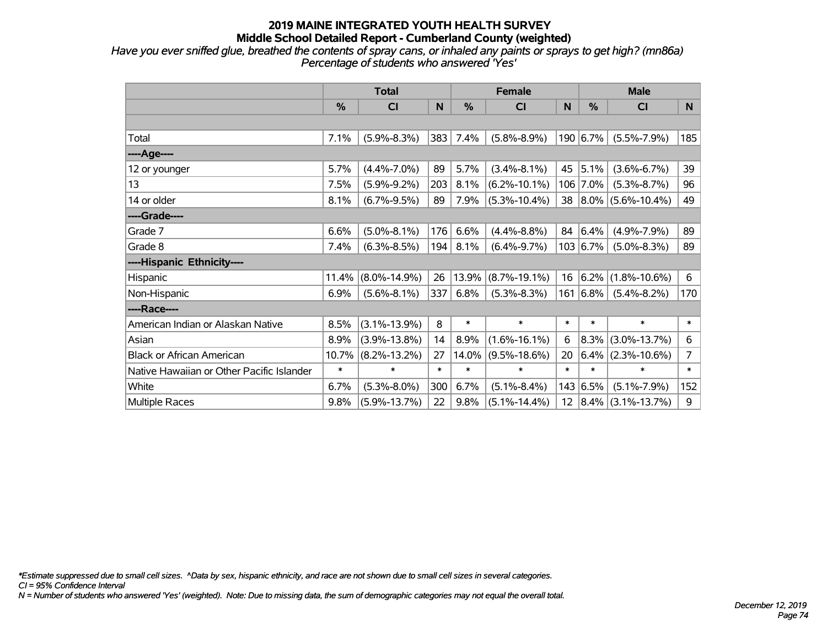*Have you ever sniffed glue, breathed the contents of spray cans, or inhaled any paints or sprays to get high? (mn86a) Percentage of students who answered 'Yes'*

|                                           | <b>Total</b> |                    |        |        | <b>Female</b>      |                 |            | <b>Male</b>            |                |  |  |
|-------------------------------------------|--------------|--------------------|--------|--------|--------------------|-----------------|------------|------------------------|----------------|--|--|
|                                           | %            | <b>CI</b>          | N      | %      | <b>CI</b>          | N               | %          | <b>CI</b>              | N              |  |  |
|                                           |              |                    |        |        |                    |                 |            |                        |                |  |  |
| Total                                     | 7.1%         | $(5.9\% - 8.3\%)$  | 383    | 7.4%   | $(5.8\% - 8.9\%)$  |                 | 190 6.7%   | $(5.5\% - 7.9\%)$      | 185            |  |  |
| ----Age----                               |              |                    |        |        |                    |                 |            |                        |                |  |  |
| 12 or younger                             | 5.7%         | $(4.4\% - 7.0\%)$  | 89     | 5.7%   | $(3.4\% - 8.1\%)$  | 45              | 5.1%       | $(3.6\% - 6.7\%)$      | 39             |  |  |
| 13                                        | 7.5%         | $(5.9\% - 9.2\%)$  | 203    | 8.1%   | $(6.2\% - 10.1\%)$ |                 | 106 7.0%   | $(5.3\% - 8.7\%)$      | 96             |  |  |
| 14 or older                               | 8.1%         | $(6.7\% - 9.5\%)$  | 89     | 7.9%   | $(5.3\% - 10.4\%)$ |                 |            | 38 8.0% (5.6%-10.4%)   | 49             |  |  |
| ----Grade----                             |              |                    |        |        |                    |                 |            |                        |                |  |  |
| Grade 7                                   | 6.6%         | $(5.0\% - 8.1\%)$  | 176    | 6.6%   | $(4.4\% - 8.8\%)$  | 84              | 6.4%       | $(4.9\% - 7.9\%)$      | 89             |  |  |
| Grade 8                                   | 7.4%         | $(6.3\% - 8.5\%)$  | 194    | 8.1%   | $(6.4\% - 9.7\%)$  |                 | 103   6.7% | $(5.0\% - 8.3\%)$      | 89             |  |  |
| ----Hispanic Ethnicity----                |              |                    |        |        |                    |                 |            |                        |                |  |  |
| Hispanic                                  | 11.4%        | $(8.0\% - 14.9\%)$ | 26     | 13.9%  | $(8.7\% - 19.1\%)$ | 16              | 6.2%       | $(1.8\% - 10.6\%)$     | 6              |  |  |
| Non-Hispanic                              | 6.9%         | $(5.6\% - 8.1\%)$  | 337    | 6.8%   | $(5.3\% - 8.3\%)$  |                 | 161 6.8%   | $(5.4\% - 8.2\%)$      | 170            |  |  |
| ----Race----                              |              |                    |        |        |                    |                 |            |                        |                |  |  |
| American Indian or Alaskan Native         | 8.5%         | $(3.1\% - 13.9\%)$ | 8      | $\ast$ | $\ast$             | $\ast$          | $\ast$     | $\ast$                 | $\ast$         |  |  |
| Asian                                     | 8.9%         | $(3.9\% - 13.8\%)$ | 14     | 8.9%   | $(1.6\% - 16.1\%)$ | 6               | $8.3\%$    | $(3.0\% - 13.7\%)$     | 6              |  |  |
| <b>Black or African American</b>          | 10.7%        | $(8.2\% - 13.2\%)$ | 27     | 14.0%  | $(9.5\% - 18.6\%)$ | 20              | 6.4%       | $(2.3\% - 10.6\%)$     | $\overline{7}$ |  |  |
| Native Hawaiian or Other Pacific Islander | $\ast$       | $\ast$             | $\ast$ | $\ast$ | $\ast$             | $\ast$          | $\ast$     | $\ast$                 | $\ast$         |  |  |
| White                                     | 6.7%         | $(5.3\% - 8.0\%)$  | 300    | 6.7%   | $(5.1\% - 8.4\%)$  |                 | 143 6.5%   | $(5.1\% - 7.9\%)$      | 152            |  |  |
| <b>Multiple Races</b>                     | 9.8%         | $(5.9\% - 13.7\%)$ | 22     | 9.8%   | $(5.1\% - 14.4\%)$ | 12 <sup>2</sup> |            | $ 8.4\% $ (3.1%-13.7%) | 9              |  |  |

*\*Estimate suppressed due to small cell sizes. ^Data by sex, hispanic ethnicity, and race are not shown due to small cell sizes in several categories.*

*CI = 95% Confidence Interval*

*N = Number of students who answered 'Yes' (weighted). Note: Due to missing data, the sum of demographic categories may not equal the overall total.*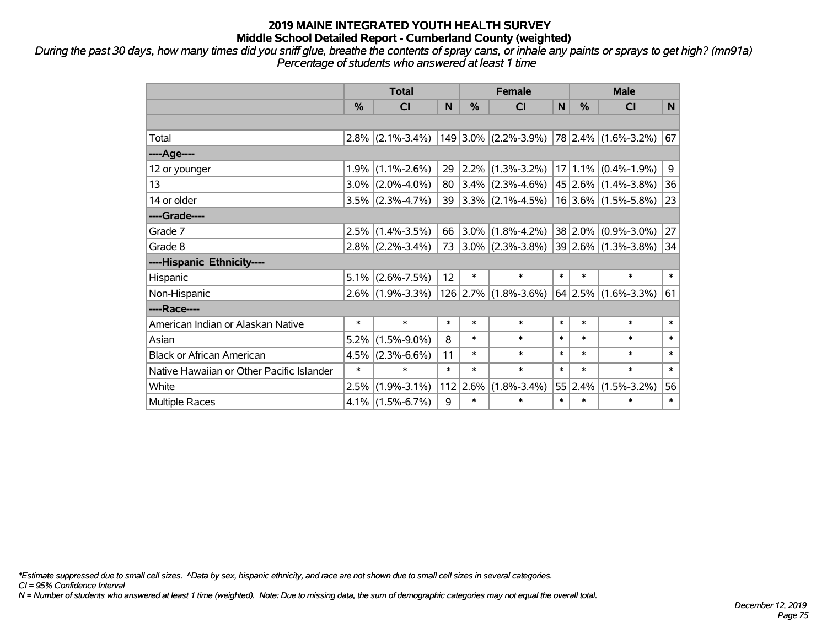*During the past 30 days, how many times did you sniff glue, breathe the contents of spray cans, or inhale any paints or sprays to get high? (mn91a) Percentage of students who answered at least 1 time*

|                                           | <b>Total</b>  |                     |        | <b>Female</b> |                                                              |        | <b>Male</b>   |                         |        |  |
|-------------------------------------------|---------------|---------------------|--------|---------------|--------------------------------------------------------------|--------|---------------|-------------------------|--------|--|
|                                           | $\frac{0}{2}$ | <b>CI</b>           | N      | $\%$          | <b>CI</b>                                                    | N      | $\frac{0}{2}$ | <b>CI</b>               | N      |  |
|                                           |               |                     |        |               |                                                              |        |               |                         |        |  |
| Total                                     |               |                     |        |               | $2.8\%$ (2.1%-3.4%) 149 3.0% (2.2%-3.9%) 78 2.4% (1.6%-3.2%) |        |               |                         | 67     |  |
| ----Age----                               |               |                     |        |               |                                                              |        |               |                         |        |  |
| 12 or younger                             | $1.9\%$       | $(1.1\% - 2.6\%)$   | 29     | $ 2.2\% $     | $(1.3\% - 3.2\%)$                                            |        | $17 1.1\% $   | $(0.4\% - 1.9\%)$       | 9      |  |
| 13                                        |               | $3.0\%$ (2.0%-4.0%) | 80     |               | $ 3.4\% $ (2.3%-4.6%)                                        |        |               | $45 2.6\% $ (1.4%-3.8%) | 36     |  |
| 14 or older                               |               | $3.5\%$ (2.3%-4.7%) | 39     |               | $ 3.3\% $ (2.1%-4.5%)                                        |        |               | $16 3.6\% $ (1.5%-5.8%) | 23     |  |
| ----Grade----                             |               |                     |        |               |                                                              |        |               |                         |        |  |
| Grade 7                                   | 2.5%          | $(1.4\% - 3.5\%)$   | 66     | $ 3.0\% $     | $(1.8\% - 4.2\%)$                                            |        | $38 2.0\% $   | $(0.9\% - 3.0\%)$       | 27     |  |
| Grade 8                                   |               | $2.8\%$ (2.2%-3.4%) | 73     |               | $ 3.0\% $ (2.3%-3.8%) $ 39 2.6\% $ (1.3%-3.8%)               |        |               |                         | 34     |  |
| ----Hispanic Ethnicity----                |               |                     |        |               |                                                              |        |               |                         |        |  |
| Hispanic                                  | $5.1\%$       | $(2.6\% - 7.5\%)$   | 12     | $\ast$        | $\ast$                                                       | $\ast$ | $\ast$        | $\ast$                  | $\ast$ |  |
| Non-Hispanic                              |               | $2.6\%$ (1.9%-3.3%) |        | $126$ 2.7%    | $(1.8\% - 3.6\%)$                                            |        | 64 2.5%       | $(1.6\% - 3.3\%)$       | 61     |  |
| ----Race----                              |               |                     |        |               |                                                              |        |               |                         |        |  |
| American Indian or Alaskan Native         | $\ast$        | $\ast$              | $\ast$ | $\ast$        | $\ast$                                                       | $\ast$ | $\ast$        | $\ast$                  | $\ast$ |  |
| Asian                                     | 5.2%          | $(1.5\% - 9.0\%)$   | 8      | $\ast$        | $\ast$                                                       | $\ast$ | $\ast$        | $\ast$                  | $\ast$ |  |
| <b>Black or African American</b>          | 4.5%          | $(2.3\% - 6.6\%)$   | 11     | $\ast$        | $\ast$                                                       | $\ast$ | $\ast$        | $\ast$                  | $\ast$ |  |
| Native Hawaiian or Other Pacific Islander | $\ast$        | $\ast$              | $\ast$ | $\ast$        | $\ast$                                                       | $\ast$ | $\ast$        | $\ast$                  | $\ast$ |  |
| White                                     | 2.5%          | $(1.9\% - 3.1\%)$   |        | $112$ 2.6%    | $(1.8\% - 3.4\%)$                                            |        | 55 2.4%       | $(1.5\% - 3.2\%)$       | 56     |  |
| <b>Multiple Races</b>                     |               | $4.1\%$ (1.5%-6.7%) | 9      | $\ast$        | $\ast$                                                       | $\ast$ | $\ast$        | $\ast$                  | $\ast$ |  |

*\*Estimate suppressed due to small cell sizes. ^Data by sex, hispanic ethnicity, and race are not shown due to small cell sizes in several categories.*

*CI = 95% Confidence Interval*

*N = Number of students who answered at least 1 time (weighted). Note: Due to missing data, the sum of demographic categories may not equal the overall total.*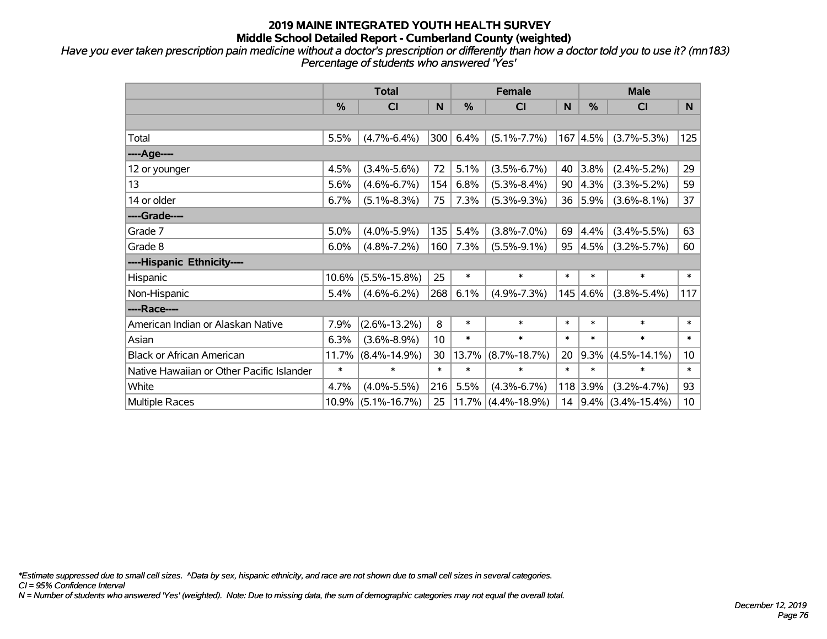*Have you ever taken prescription pain medicine without a doctor's prescription or differently than how a doctor told you to use it? (mn183) Percentage of students who answered 'Yes'*

|                                           | <b>Total</b> |                    |        |        | <b>Female</b>         |        |                  | <b>Male</b>            |                 |  |
|-------------------------------------------|--------------|--------------------|--------|--------|-----------------------|--------|------------------|------------------------|-----------------|--|
|                                           | $\%$         | <b>CI</b>          | N      | $\%$   | <b>CI</b>             | N      | %                | <b>CI</b>              | N               |  |
|                                           |              |                    |        |        |                       |        |                  |                        |                 |  |
| Total                                     | 5.5%         | $(4.7\% - 6.4\%)$  | 300    | 6.4%   | $(5.1\% - 7.7\%)$     |        | $167 \,   4.5\%$ | $(3.7\% - 5.3\%)$      | 125             |  |
| ---- Age----                              |              |                    |        |        |                       |        |                  |                        |                 |  |
| 12 or younger                             | 4.5%         | $(3.4\% - 5.6\%)$  | 72     | 5.1%   | $(3.5\% - 6.7\%)$     | 40     | 3.8%             | $(2.4\% - 5.2\%)$      | 29              |  |
| 13                                        | 5.6%         | $(4.6\% - 6.7\%)$  | 154    | 6.8%   | $(5.3\% - 8.4\%)$     | 90     | 4.3%             | $(3.3\% - 5.2\%)$      | 59              |  |
| 14 or older                               | 6.7%         | $(5.1\% - 8.3\%)$  | 75     | 7.3%   | $(5.3\% - 9.3\%)$     | 36     | 5.9%             | $(3.6\% - 8.1\%)$      | 37              |  |
| ----Grade----                             |              |                    |        |        |                       |        |                  |                        |                 |  |
| Grade 7                                   | 5.0%         | $(4.0\% - 5.9\%)$  | 135    | 5.4%   | $(3.8\% - 7.0\%)$     | 69     | 4.4%             | $(3.4\% - 5.5\%)$      | 63              |  |
| Grade 8                                   | 6.0%         | $(4.8\% - 7.2\%)$  | 160    | 7.3%   | $(5.5\% - 9.1\%)$     | 95     | 4.5%             | $(3.2\% - 5.7\%)$      | 60              |  |
| ----Hispanic Ethnicity----                |              |                    |        |        |                       |        |                  |                        |                 |  |
| Hispanic                                  | 10.6%        | $(5.5\% - 15.8\%)$ | 25     | $\ast$ | $\ast$                | $\ast$ | $\ast$           | $\ast$                 | $\ast$          |  |
| Non-Hispanic                              | 5.4%         | $(4.6\% - 6.2\%)$  | 268    | 6.1%   | $(4.9\% - 7.3\%)$     |        | 145 4.6%         | $(3.8\% - 5.4\%)$      | 117             |  |
| ----Race----                              |              |                    |        |        |                       |        |                  |                        |                 |  |
| American Indian or Alaskan Native         | 7.9%         | $(2.6\% - 13.2\%)$ | 8      | $\ast$ | $\ast$                | $\ast$ | $\ast$           | $\ast$                 | $\ast$          |  |
| Asian                                     | 6.3%         | $(3.6\% - 8.9\%)$  | 10     | $\ast$ | $\ast$                | $\ast$ | $\ast$           | $\ast$                 | $\ast$          |  |
| <b>Black or African American</b>          | 11.7%        | $(8.4\% - 14.9\%)$ | 30     | 13.7%  | $(8.7\% - 18.7\%)$    | 20     | 9.3%             | $(4.5\% - 14.1\%)$     | 10              |  |
| Native Hawaiian or Other Pacific Islander | $\ast$       | $\ast$             | $\ast$ | $\ast$ | $\ast$                | $\ast$ | $\ast$           | $\ast$                 | $\ast$          |  |
| White                                     | 4.7%         | $(4.0\% - 5.5\%)$  | 216    | 5.5%   | $(4.3\% - 6.7\%)$     |        | $118$ 3.9%       | $(3.2\% - 4.7\%)$      | 93              |  |
| <b>Multiple Races</b>                     | 10.9%        | $(5.1\% - 16.7\%)$ | 25     |        | $11.7\%$ (4.4%-18.9%) | 14     |                  | $ 9.4\% $ (3.4%-15.4%) | 10 <sub>1</sub> |  |

*\*Estimate suppressed due to small cell sizes. ^Data by sex, hispanic ethnicity, and race are not shown due to small cell sizes in several categories.*

*CI = 95% Confidence Interval*

*N = Number of students who answered 'Yes' (weighted). Note: Due to missing data, the sum of demographic categories may not equal the overall total.*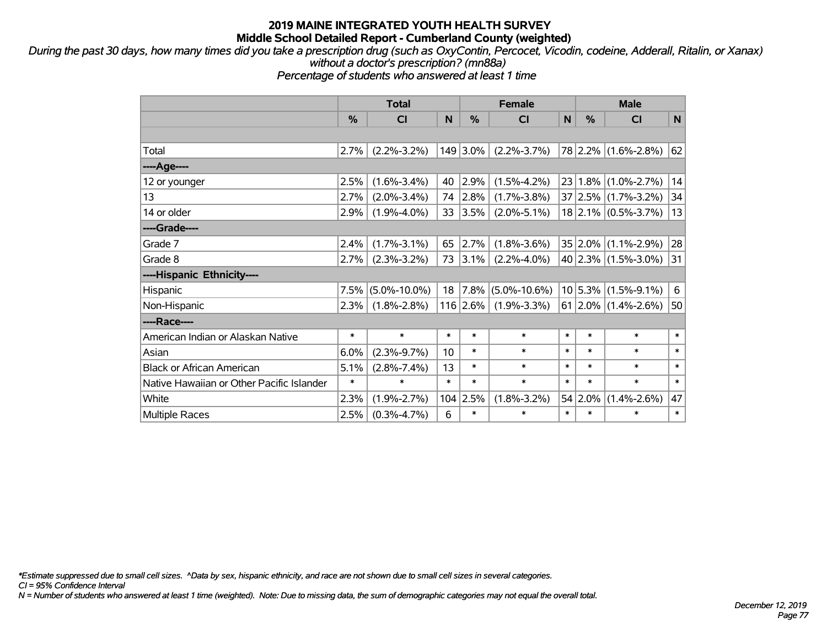*During the past 30 days, how many times did you take a prescription drug (such as OxyContin, Percocet, Vicodin, codeine, Adderall, Ritalin, or Xanax) without a doctor's prescription? (mn88a)*

*Percentage of students who answered at least 1 time*

|                                           | <b>Total</b> |                    |        |               | <b>Female</b>      |             | <b>Male</b> |                           |        |  |
|-------------------------------------------|--------------|--------------------|--------|---------------|--------------------|-------------|-------------|---------------------------|--------|--|
|                                           | %            | <b>CI</b>          | N      | $\frac{0}{0}$ | <b>CI</b>          | $\mathbf N$ | %           | C <sub>1</sub>            | N      |  |
|                                           |              |                    |        |               |                    |             |             |                           |        |  |
| Total                                     | 2.7%         | $(2.2\% - 3.2\%)$  |        | 149 3.0%      | $(2.2\% - 3.7\%)$  |             |             | 78 2.2% (1.6%-2.8%)       | 62     |  |
| ---- Age----                              |              |                    |        |               |                    |             |             |                           |        |  |
| 12 or younger                             | 2.5%         | $(1.6\% - 3.4\%)$  | 40     | 2.9%          | $(1.5\% - 4.2\%)$  | 23          |             | $1.8\%$ (1.0%-2.7%)       | 14     |  |
| 13                                        | 2.7%         | $(2.0\% - 3.4\%)$  | 74     | 2.8%          | $(1.7\% - 3.8\%)$  |             |             | $37 2.5\% $ (1.7%-3.2%)   | 34     |  |
| 14 or older                               | 2.9%         | $(1.9\% - 4.0\%)$  | 33     | 3.5%          | $(2.0\% - 5.1\%)$  |             |             | $18$ 2.1% (0.5%-3.7%)     | 13     |  |
| ----Grade----                             |              |                    |        |               |                    |             |             |                           |        |  |
| Grade 7                                   | 2.4%         | $(1.7\% - 3.1\%)$  | 65     | 2.7%          | $(1.8\% - 3.6\%)$  |             | 35 2.0%     | $(1.1\% - 2.9\%)$         | 28     |  |
| Grade 8                                   | 2.7%         | $(2.3\% - 3.2\%)$  | 73     | 3.1%          | $(2.2\% - 4.0\%)$  |             |             | 40 2.3% $(1.5\% - 3.0\%)$ | 31     |  |
| ----Hispanic Ethnicity----                |              |                    |        |               |                    |             |             |                           |        |  |
| Hispanic                                  | 7.5%         | $(5.0\% - 10.0\%)$ | 18     | 7.8%          | $(5.0\% - 10.6\%)$ |             | $10 5.3\% $ | $(1.5\% - 9.1\%)$         | 6      |  |
| Non-Hispanic                              | 2.3%         | $(1.8\% - 2.8\%)$  |        | 116 2.6%      | $(1.9\% - 3.3\%)$  |             |             | $61$  2.0% (1.4%-2.6%)    | 50     |  |
| ----Race----                              |              |                    |        |               |                    |             |             |                           |        |  |
| American Indian or Alaskan Native         | $\ast$       | $\ast$             | $\ast$ | $\ast$        | $\ast$             | $\ast$      | $\ast$      | $\ast$                    | $\ast$ |  |
| Asian                                     | 6.0%         | $(2.3\% - 9.7\%)$  | 10     | $\ast$        | $\ast$             | $\ast$      | $\ast$      | $\ast$                    | $\ast$ |  |
| <b>Black or African American</b>          | 5.1%         | $(2.8\% - 7.4\%)$  | 13     | $\ast$        | $\ast$             | $\ast$      | $\ast$      | $\ast$                    | $\ast$ |  |
| Native Hawaiian or Other Pacific Islander | $\ast$       | $\ast$             | $\ast$ | $\ast$        | $\ast$             | $\ast$      | $\ast$      | $\ast$                    | $\ast$ |  |
| White                                     | 2.3%         | $(1.9\% - 2.7\%)$  | 104    | 2.5%          | $(1.8\% - 3.2\%)$  |             | 54 2.0%     | $(1.4\% - 2.6\%)$         | 47     |  |
| Multiple Races                            | 2.5%         | $(0.3\% - 4.7\%)$  | 6      | $\ast$        | $\ast$             | $\ast$      | $\ast$      | $\ast$                    | $\ast$ |  |

*\*Estimate suppressed due to small cell sizes. ^Data by sex, hispanic ethnicity, and race are not shown due to small cell sizes in several categories.*

*CI = 95% Confidence Interval*

*N = Number of students who answered at least 1 time (weighted). Note: Due to missing data, the sum of demographic categories may not equal the overall total.*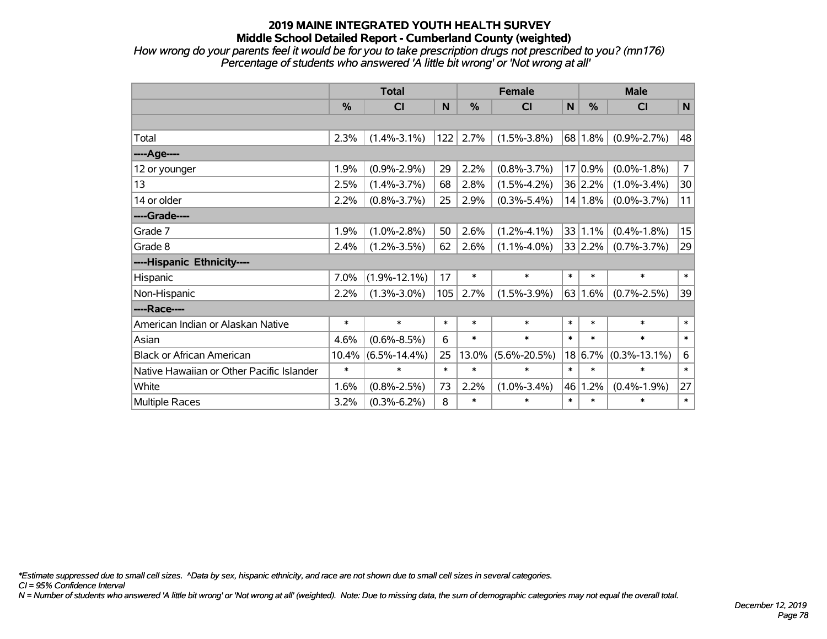*How wrong do your parents feel it would be for you to take prescription drugs not prescribed to you? (mn176) Percentage of students who answered 'A little bit wrong' or 'Not wrong at all'*

|                                           | <b>Total</b> |                    |        | <b>Female</b> |                    |        | <b>Male</b> |                    |                |  |
|-------------------------------------------|--------------|--------------------|--------|---------------|--------------------|--------|-------------|--------------------|----------------|--|
|                                           | %            | C <sub>l</sub>     | N      | %             | <b>CI</b>          | N      | $\%$        | <b>CI</b>          | $\mathbf N$    |  |
|                                           |              |                    |        |               |                    |        |             |                    |                |  |
| Total                                     | 2.3%         | $(1.4\% - 3.1\%)$  | 122    | 2.7%          | $(1.5\% - 3.8\%)$  |        | 68 1.8%     | $(0.9\% - 2.7\%)$  | 48             |  |
| ---- Age----                              |              |                    |        |               |                    |        |             |                    |                |  |
| 12 or younger                             | 1.9%         | $(0.9\% - 2.9\%)$  | 29     | 2.2%          | $(0.8\% - 3.7\%)$  | 17     | 0.9%        | $(0.0\% - 1.8\%)$  | $\overline{7}$ |  |
| 13                                        | 2.5%         | $(1.4\% - 3.7\%)$  | 68     | 2.8%          | $(1.5\% - 4.2\%)$  |        | 36 2.2%     | $(1.0\% - 3.4\%)$  | 30             |  |
| 14 or older                               | 2.2%         | $(0.8\% - 3.7\%)$  | 25     | 2.9%          | $(0.3\% - 5.4\%)$  |        | 14 1.8%     | $(0.0\% - 3.7\%)$  | 11             |  |
| ----Grade----                             |              |                    |        |               |                    |        |             |                    |                |  |
| Grade 7                                   | 1.9%         | $(1.0\% - 2.8\%)$  | 50     | 2.6%          | $(1.2\% - 4.1\%)$  |        | 33 1.1%     | $(0.4\% - 1.8\%)$  | 15             |  |
| Grade 8                                   | 2.4%         | $(1.2\% - 3.5\%)$  | 62     | 2.6%          | $(1.1\% - 4.0\%)$  |        | 33 2.2%     | $(0.7\% - 3.7\%)$  | 29             |  |
| ----Hispanic Ethnicity----                |              |                    |        |               |                    |        |             |                    |                |  |
| Hispanic                                  | 7.0%         | $(1.9\% - 12.1\%)$ | 17     | $\ast$        | $\ast$             | $\ast$ | $\ast$      | $\ast$             | $\ast$         |  |
| Non-Hispanic                              | 2.2%         | $(1.3\% - 3.0\%)$  | 105    | 2.7%          | $(1.5\% - 3.9\%)$  |        | 63 1.6%     | $(0.7\% - 2.5\%)$  | 39             |  |
| ----Race----                              |              |                    |        |               |                    |        |             |                    |                |  |
| American Indian or Alaskan Native         | $\ast$       | $\ast$             | $\ast$ | $\ast$        | $\ast$             | $\ast$ | $\ast$      | $\ast$             | $\ast$         |  |
| Asian                                     | 4.6%         | $(0.6\% - 8.5\%)$  | 6      | $\ast$        | $\ast$             | $\ast$ | $\ast$      | $\ast$             | $\ast$         |  |
| <b>Black or African American</b>          | 10.4%        | $(6.5\% - 14.4\%)$ | 25     | 13.0%         | $(5.6\% - 20.5\%)$ | 18     | 6.7%        | $(0.3\% - 13.1\%)$ | 6              |  |
| Native Hawaiian or Other Pacific Islander | $\ast$       | $\ast$             | $\ast$ | $\ast$        | $\ast$             | $\ast$ | $\ast$      | $\ast$             | $\ast$         |  |
| White                                     | 1.6%         | $(0.8\% - 2.5\%)$  | 73     | 2.2%          | $(1.0\% - 3.4\%)$  |        | 46 1.2%     | $(0.4\% - 1.9\%)$  | 27             |  |
| <b>Multiple Races</b>                     | 3.2%         | $(0.3\% - 6.2\%)$  | 8      | $\ast$        | $\ast$             | $\ast$ | $\ast$      | $\ast$             | $\ast$         |  |

*\*Estimate suppressed due to small cell sizes. ^Data by sex, hispanic ethnicity, and race are not shown due to small cell sizes in several categories.*

*CI = 95% Confidence Interval*

*N = Number of students who answered 'A little bit wrong' or 'Not wrong at all' (weighted). Note: Due to missing data, the sum of demographic categories may not equal the overall total.*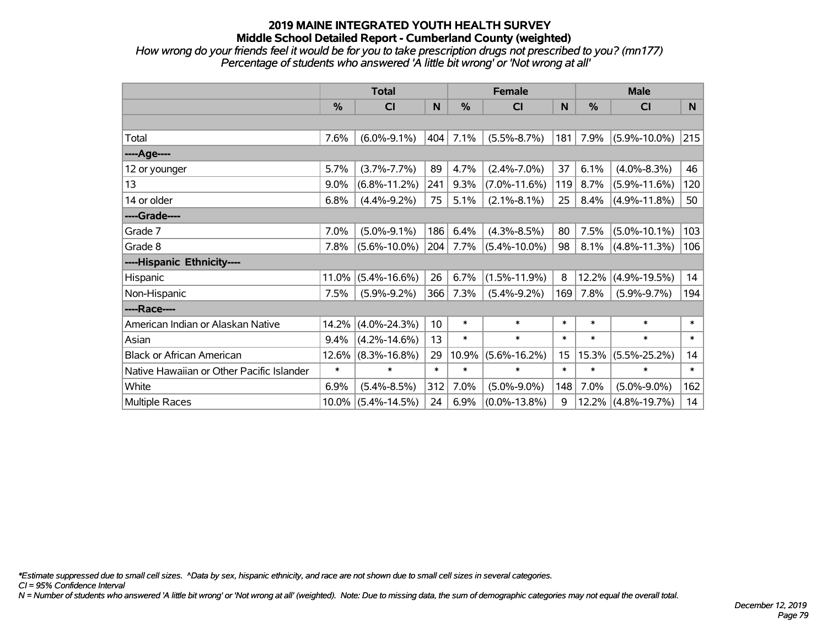*How wrong do your friends feel it would be for you to take prescription drugs not prescribed to you? (mn177) Percentage of students who answered 'A little bit wrong' or 'Not wrong at all'*

|                                           | <b>Total</b> |                    |        |        | <b>Female</b>      |        |        | <b>Male</b>        |        |  |  |
|-------------------------------------------|--------------|--------------------|--------|--------|--------------------|--------|--------|--------------------|--------|--|--|
|                                           | %            | <b>CI</b>          | N      | %      | <b>CI</b>          | N      | %      | <b>CI</b>          | N      |  |  |
|                                           |              |                    |        |        |                    |        |        |                    |        |  |  |
| Total                                     | 7.6%         | $(6.0\% - 9.1\%)$  | 404    | 7.1%   | $(5.5\% - 8.7\%)$  | 181    | 7.9%   | $(5.9\% - 10.0\%)$ | 215    |  |  |
| ----Age----                               |              |                    |        |        |                    |        |        |                    |        |  |  |
| 12 or younger                             | 5.7%         | $(3.7\% - 7.7\%)$  | 89     | 4.7%   | $(2.4\% - 7.0\%)$  | 37     | 6.1%   | $(4.0\% - 8.3\%)$  | 46     |  |  |
| 13                                        | 9.0%         | $(6.8\% - 11.2\%)$ | 241    | 9.3%   | $(7.0\% - 11.6\%)$ | 119    | 8.7%   | $(5.9\% - 11.6\%)$ | 120    |  |  |
| 14 or older                               | 6.8%         | $(4.4\% - 9.2\%)$  | 75     | 5.1%   | $(2.1\% - 8.1\%)$  | 25     | 8.4%   | $(4.9\% - 11.8\%)$ | 50     |  |  |
| ----Grade----                             |              |                    |        |        |                    |        |        |                    |        |  |  |
| Grade 7                                   | 7.0%         | $(5.0\% - 9.1\%)$  | 186    | 6.4%   | $(4.3\% - 8.5\%)$  | 80     | 7.5%   | $(5.0\% - 10.1\%)$ | 103    |  |  |
| Grade 8                                   | 7.8%         | $(5.6\% - 10.0\%)$ | 204    | 7.7%   | $(5.4\% - 10.0\%)$ | 98     | 8.1%   | $(4.8\% - 11.3\%)$ | 106    |  |  |
| ----Hispanic Ethnicity----                |              |                    |        |        |                    |        |        |                    |        |  |  |
| Hispanic                                  | 11.0%        | $(5.4\% - 16.6\%)$ | 26     | 6.7%   | $(1.5\% - 11.9\%)$ | 8      | 12.2%  | $(4.9\% - 19.5\%)$ | 14     |  |  |
| Non-Hispanic                              | 7.5%         | $(5.9\% - 9.2\%)$  | 366    | 7.3%   | $(5.4\% - 9.2\%)$  | 169    | 7.8%   | $(5.9\% - 9.7\%)$  | 194    |  |  |
| ----Race----                              |              |                    |        |        |                    |        |        |                    |        |  |  |
| American Indian or Alaskan Native         | 14.2%        | $(4.0\% - 24.3\%)$ | 10     | $\ast$ | $\ast$             | $\ast$ | $\ast$ | $\ast$             | $\ast$ |  |  |
| Asian                                     | 9.4%         | $(4.2\% - 14.6\%)$ | 13     | $\ast$ | $\ast$             | $\ast$ | $\ast$ | $\ast$             | $\ast$ |  |  |
| <b>Black or African American</b>          | 12.6%        | $(8.3\% - 16.8\%)$ | 29     | 10.9%  | $(5.6\% - 16.2\%)$ | 15     | 15.3%  | $(5.5\% - 25.2\%)$ | 14     |  |  |
| Native Hawaiian or Other Pacific Islander | $\ast$       | $\ast$             | $\ast$ | $\ast$ | $\ast$             | $\ast$ | $\ast$ | $\ast$             | $\ast$ |  |  |
| White                                     | 6.9%         | $(5.4\% - 8.5\%)$  | 312    | 7.0%   | $(5.0\% - 9.0\%)$  | 148    | 7.0%   | $(5.0\% - 9.0\%)$  | 162    |  |  |
| <b>Multiple Races</b>                     | $10.0\%$     | $(5.4\% - 14.5\%)$ | 24     | 6.9%   | $(0.0\% - 13.8\%)$ | 9      | 12.2%  | $(4.8\% - 19.7\%)$ | 14     |  |  |

*\*Estimate suppressed due to small cell sizes. ^Data by sex, hispanic ethnicity, and race are not shown due to small cell sizes in several categories.*

*CI = 95% Confidence Interval*

*N = Number of students who answered 'A little bit wrong' or 'Not wrong at all' (weighted). Note: Due to missing data, the sum of demographic categories may not equal the overall total.*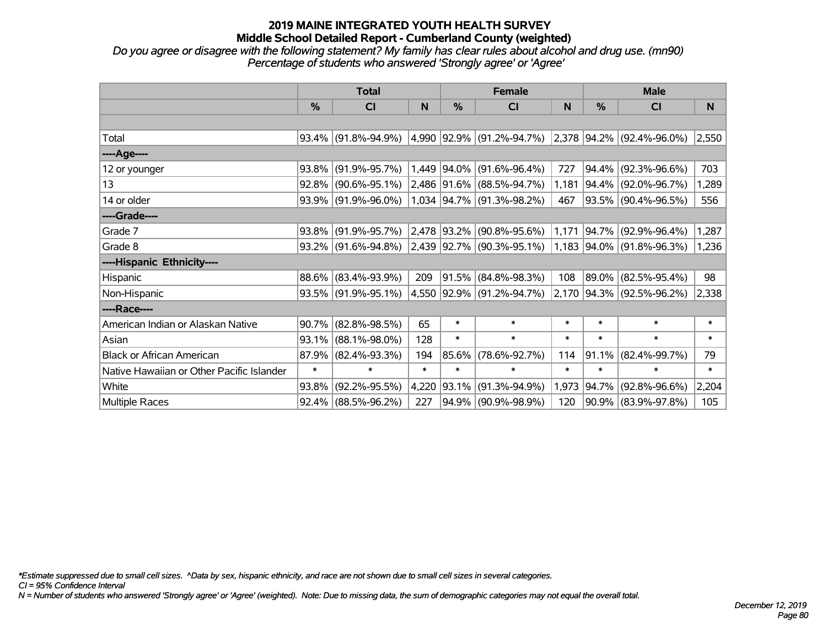*Do you agree or disagree with the following statement? My family has clear rules about alcohol and drug use. (mn90) Percentage of students who answered 'Strongly agree' or 'Agree'*

|                                           | <b>Total</b> |                        |        |            | <b>Female</b>                                                       |        | <b>Male</b> |                           |        |  |
|-------------------------------------------|--------------|------------------------|--------|------------|---------------------------------------------------------------------|--------|-------------|---------------------------|--------|--|
|                                           | $\%$         | <b>CI</b>              | N      | %          | <b>CI</b>                                                           | N      | %           | <b>CI</b>                 | N.     |  |
|                                           |              |                        |        |            |                                                                     |        |             |                           |        |  |
| Total                                     |              | $93.4\%$ (91.8%-94.9%) |        |            | $(4,990)$ 92.9% $(91.2\% - 94.7\%)$ 2,378 94.2% $(92.4\% - 96.0\%)$ |        |             |                           | 2,550  |  |
| ----Age----                               |              |                        |        |            |                                                                     |        |             |                           |        |  |
| 12 or younger                             | 93.8%        | $(91.9\% - 95.7\%)$    | 1,449  |            | $ 94.0\% $ (91.6%-96.4%)                                            | 727    | $94.4\%$    | $(92.3\% - 96.6\%)$       | 703    |  |
| 13                                        | $92.8\%$     | $(90.6\% - 95.1\%)$    |        |            | 2,486 91.6% (88.5%-94.7%)                                           | 1,181  |             | 94.4% (92.0%-96.7%)       | 1,289  |  |
| 14 or older                               |              | 93.9% (91.9%-96.0%)    |        |            | 1,034 94.7% (91.3%-98.2%)                                           | 467    |             | 93.5% (90.4%-96.5%)       | 556    |  |
| ----Grade----                             |              |                        |        |            |                                                                     |        |             |                           |        |  |
| Grade 7                                   | 93.8%        | $(91.9\% - 95.7\%)$    |        |            | $2,478$ 93.2% (90.8%-95.6%)                                         | 1,171  |             | 94.7% (92.9%-96.4%)       | 1,287  |  |
| Grade 8                                   |              | $93.2\%$ (91.6%-94.8%) |        |            | $ 2,439 92.7\% $ (90.3%-95.1%) $ 1,183 94.0\% $ (91.8%-96.3%)       |        |             |                           | 1,236  |  |
| ----Hispanic Ethnicity----                |              |                        |        |            |                                                                     |        |             |                           |        |  |
| Hispanic                                  | 88.6%        | $(83.4\% - 93.9\%)$    | 209    | $ 91.5\% $ | $(84.8\% - 98.3\%)$                                                 | 108    | 89.0%       | $(82.5\% - 95.4\%)$       | 98     |  |
| Non-Hispanic                              |              | 93.5% (91.9%-95.1%)    |        |            | 4,550 92.9% (91.2%-94.7%)                                           |        |             | 2,170 94.3% (92.5%-96.2%) | 2,338  |  |
| ----Race----                              |              |                        |        |            |                                                                     |        |             |                           |        |  |
| American Indian or Alaskan Native         | 90.7%        | $(82.8\% - 98.5\%)$    | 65     | $\ast$     | $\ast$                                                              | $\ast$ | $\ast$      | $\ast$                    | $\ast$ |  |
| Asian                                     | 93.1%        | $(88.1\% - 98.0\%)$    | 128    | $\ast$     | $\ast$                                                              | $\ast$ | $\ast$      | $\ast$                    | $\ast$ |  |
| <b>Black or African American</b>          | 87.9%        | $(82.4\% - 93.3\%)$    | 194    | 85.6%      | $(78.6\% - 92.7\%)$                                                 | 114    | 91.1%       | $(82.4\% - 99.7\%)$       | 79     |  |
| Native Hawaiian or Other Pacific Islander | $\ast$       | $\ast$                 | $\ast$ | $\ast$     | $\ast$                                                              | $\ast$ | $\ast$      | $\ast$                    | $\ast$ |  |
| White                                     | 93.8%        | $(92.2\% - 95.5\%)$    | 4,220  | 93.1%      | $(91.3\% - 94.9\%)$                                                 | 1,973  | $ 94.7\% $  | $(92.8\% - 96.6\%)$       | 2,204  |  |
| Multiple Races                            |              | $92.4\%$ (88.5%-96.2%) | 227    |            | 94.9% (90.9%-98.9%)                                                 | 120    |             | 90.9% (83.9%-97.8%)       | 105    |  |

*\*Estimate suppressed due to small cell sizes. ^Data by sex, hispanic ethnicity, and race are not shown due to small cell sizes in several categories.*

*CI = 95% Confidence Interval*

*N = Number of students who answered 'Strongly agree' or 'Agree' (weighted). Note: Due to missing data, the sum of demographic categories may not equal the overall total.*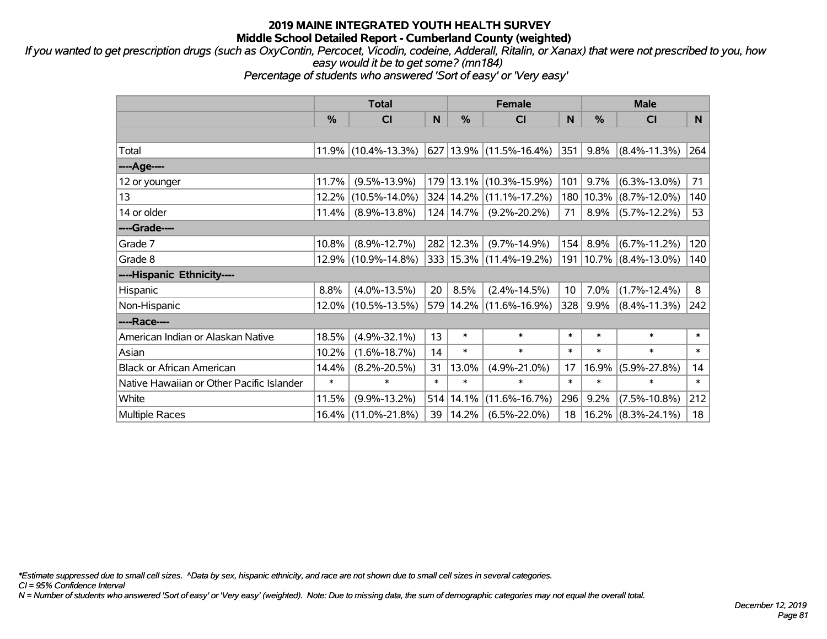*If you wanted to get prescription drugs (such as OxyContin, Percocet, Vicodin, codeine, Adderall, Ritalin, or Xanax) that were not prescribed to you, how easy would it be to get some? (mn184)*

*Percentage of students who answered 'Sort of easy' or 'Very easy'*

|                                           | <b>Total</b> |                     |        | <b>Female</b> |                             |                 | <b>Male</b> |                            |        |  |
|-------------------------------------------|--------------|---------------------|--------|---------------|-----------------------------|-----------------|-------------|----------------------------|--------|--|
|                                           | %            | <b>CI</b>           | N      | %             | <b>CI</b>                   | N.              | $\%$        | <b>CI</b>                  | N.     |  |
|                                           |              |                     |        |               |                             |                 |             |                            |        |  |
| Total                                     |              | 11.9% (10.4%-13.3%) |        |               | 627   13.9%   (11.5%-16.4%) | 351             | 9.8%        | $(8.4\% - 11.3\%)$         | 264    |  |
| ----Age----                               |              |                     |        |               |                             |                 |             |                            |        |  |
| 12 or younger                             | 11.7%        | $(9.5\% - 13.9\%)$  |        | 179   13.1%   | $(10.3\% - 15.9\%)$         | 101             | $9.7\%$     | $(6.3\% - 13.0\%)$         | 71     |  |
| 13                                        | 12.2%        | $(10.5\% - 14.0\%)$ |        |               | 324 14.2% (11.1%-17.2%)     |                 |             | 180   10.3%   (8.7%-12.0%) | 140    |  |
| 14 or older                               | 11.4%        | $(8.9\% - 13.8\%)$  |        | 124 14.7%     | $(9.2\% - 20.2\%)$          | 71              |             | $8.9\%$ (5.7%-12.2%)       | 53     |  |
| ----Grade----                             |              |                     |        |               |                             |                 |             |                            |        |  |
| Grade 7                                   | 10.8%        | $(8.9\% - 12.7\%)$  |        | 282 12.3%     | $(9.7\% - 14.9\%)$          | 154             | 8.9%        | $(6.7\% - 11.2\%)$         | 120    |  |
| Grade 8                                   |              | 12.9% (10.9%-14.8%) |        |               | 333 15.3% (11.4%-19.2%)     |                 |             | 191   10.7%   (8.4%-13.0%) | 140    |  |
| ----Hispanic Ethnicity----                |              |                     |        |               |                             |                 |             |                            |        |  |
| Hispanic                                  | 8.8%         | $(4.0\% - 13.5\%)$  | 20     | 8.5%          | $(2.4\% - 14.5\%)$          | 10 <sup>1</sup> | 7.0%        | $(1.7\% - 12.4\%)$         | 8      |  |
| Non-Hispanic                              | 12.0%        | $(10.5\% - 13.5\%)$ |        |               | 579 14.2% (11.6%-16.9%)     | 328             | $9.9\%$     | $(8.4\% - 11.3\%)$         | 242    |  |
| ----Race----                              |              |                     |        |               |                             |                 |             |                            |        |  |
| American Indian or Alaskan Native         | 18.5%        | $(4.9\% - 32.1\%)$  | 13     | $\ast$        | $\ast$                      | $\ast$          | $\ast$      | $\ast$                     | $\ast$ |  |
| Asian                                     | 10.2%        | $(1.6\% - 18.7\%)$  | 14     | $\ast$        | $\ast$                      | $\ast$          | $\ast$      | $\ast$                     | $\ast$ |  |
| <b>Black or African American</b>          | 14.4%        | $(8.2\% - 20.5\%)$  | 31     | 13.0%         | $(4.9\% - 21.0\%)$          | 17              | 16.9%       | $(5.9\% - 27.8\%)$         | 14     |  |
| Native Hawaiian or Other Pacific Islander | $\ast$       | $\ast$              | $\ast$ | $\ast$        | $\ast$                      | $\ast$          | $\ast$      | $\ast$                     | $\ast$ |  |
| White                                     | 11.5%        | $(9.9\% - 13.2\%)$  | 514    | 14.1%         | $(11.6\% - 16.7\%)$         | 296             | 9.2%        | $(7.5\% - 10.8\%)$         | 212    |  |
| <b>Multiple Races</b>                     | $16.4\%$     | $(11.0\% - 21.8\%)$ | 39     | 14.2%         | $(6.5\% - 22.0\%)$          | 18              | 16.2%       | $(8.3\% - 24.1\%)$         | 18     |  |

*\*Estimate suppressed due to small cell sizes. ^Data by sex, hispanic ethnicity, and race are not shown due to small cell sizes in several categories.*

*CI = 95% Confidence Interval*

*N = Number of students who answered 'Sort of easy' or 'Very easy' (weighted). Note: Due to missing data, the sum of demographic categories may not equal the overall total.*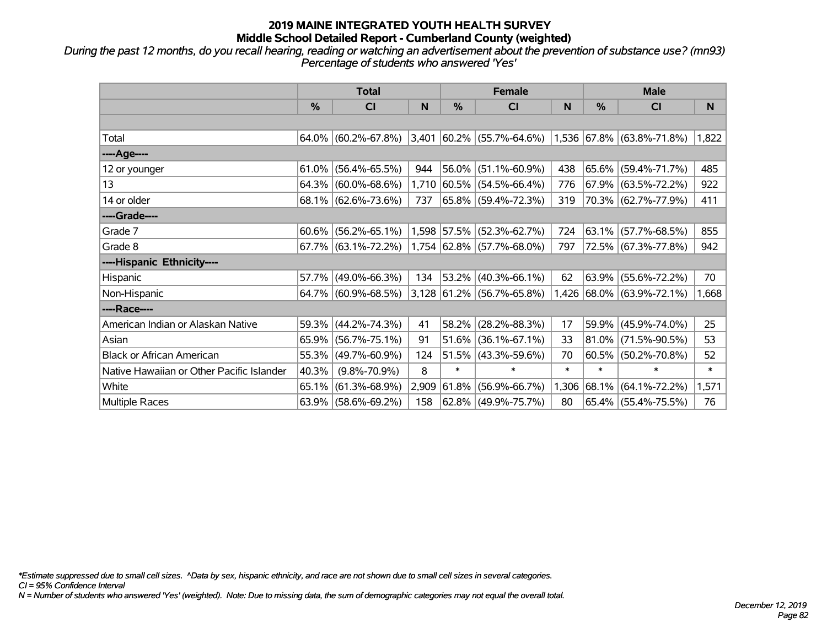*During the past 12 months, do you recall hearing, reading or watching an advertisement about the prevention of substance use? (mn93) Percentage of students who answered 'Yes'*

|                                           | <b>Total</b> |                                                  |       |        | <b>Female</b>                      |        | <b>Male</b> |                           |        |  |
|-------------------------------------------|--------------|--------------------------------------------------|-------|--------|------------------------------------|--------|-------------|---------------------------|--------|--|
|                                           | $\%$         | C <sub>l</sub>                                   | N     | $\%$   | CI                                 | N      | $\%$        | C <sub>l</sub>            | N      |  |
|                                           |              |                                                  |       |        |                                    |        |             |                           |        |  |
| Total                                     |              | $64.0\%$ (60.2%-67.8%)                           |       |        | $ 3,401 60.2\% $ (55.7%-64.6%)     |        |             | 1,536 67.8% (63.8%-71.8%) | 1,822  |  |
| ----Age----                               |              |                                                  |       |        |                                    |        |             |                           |        |  |
| 12 or younger                             | 61.0%        | $(56.4\% - 65.5\%)$                              | 944   |        | 56.0% (51.1%-60.9%)                | 438    | 65.6%       | $(59.4\% - 71.7\%)$       | 485    |  |
| 13                                        |              | $64.3\%$ (60.0%-68.6%)                           |       |        | 1,710 60.5% (54.5%-66.4%)          | 776    |             | $67.9\%$ (63.5%-72.2%)    | 922    |  |
| 14 or older                               |              | $68.1\%$ (62.6%-73.6%)                           | 737   |        | $ 65.8\%  (59.4\% - 72.3\%)$       | 319    |             | 70.3% (62.7%-77.9%)       | 411    |  |
| ----Grade----                             |              |                                                  |       |        |                                    |        |             |                           |        |  |
| Grade 7                                   |              | $60.6\%$ (56.2%-65.1%)                           |       |        | $1,598$ 57.5% (52.3%-62.7%)        | 724    | 63.1%       | $(57.7\% - 68.5\%)$       | 855    |  |
| Grade 8                                   |              | $67.7\%$ (63.1%-72.2%) 1,754 62.8% (57.7%-68.0%) |       |        |                                    | 797    |             | 72.5% (67.3%-77.8%)       | 942    |  |
| ----Hispanic Ethnicity----                |              |                                                  |       |        |                                    |        |             |                           |        |  |
| <b>Hispanic</b>                           |              | 57.7% (49.0%-66.3%)                              | 134   | 53.2%  | $(40.3\% - 66.1\%)$                | 62     | 63.9%       | $(55.6\% - 72.2\%)$       | 70     |  |
| Non-Hispanic                              |              | 64.7% (60.9%-68.5%)                              |       |        | $ 3,128 61.2\%  (56.7\% - 65.8\%)$ |        |             | 1,426 68.0% (63.9%-72.1%) | 1,668  |  |
| ----Race----                              |              |                                                  |       |        |                                    |        |             |                           |        |  |
| American Indian or Alaskan Native         |              | 59.3% (44.2%-74.3%)                              | 41    | 58.2%  | $(28.2\% - 88.3\%)$                | 17     | 59.9%       | $(45.9\% - 74.0\%)$       | 25     |  |
| Asian                                     |              | 65.9% (56.7%-75.1%)                              | 91    | 51.6%  | $(36.1\% - 67.1\%)$                | 33     | $ 81.0\% $  | $(71.5\% - 90.5\%)$       | 53     |  |
| <b>Black or African American</b>          |              | 55.3% (49.7%-60.9%)                              | 124   |        | $51.5\%$ (43.3%-59.6%)             | 70     |             | $60.5\%$ (50.2%-70.8%)    | 52     |  |
| Native Hawaiian or Other Pacific Islander | 40.3%        | $(9.8\% - 70.9\%)$                               | 8     | $\ast$ | $\ast$                             | $\ast$ | $\ast$      | $\ast$                    | $\ast$ |  |
| White                                     |              | $65.1\%$ (61.3%-68.9%)                           | 2,909 | 61.8%  | $(56.9\% - 66.7\%)$                |        | 1,306 68.1% | $(64.1\% - 72.2\%)$       | 1,571  |  |
| Multiple Races                            |              | $63.9\%$ (58.6%-69.2%)                           | 158   |        | 62.8% (49.9%-75.7%)                | 80     |             | 65.4% (55.4%-75.5%)       | 76     |  |

*\*Estimate suppressed due to small cell sizes. ^Data by sex, hispanic ethnicity, and race are not shown due to small cell sizes in several categories.*

*CI = 95% Confidence Interval*

*N = Number of students who answered 'Yes' (weighted). Note: Due to missing data, the sum of demographic categories may not equal the overall total.*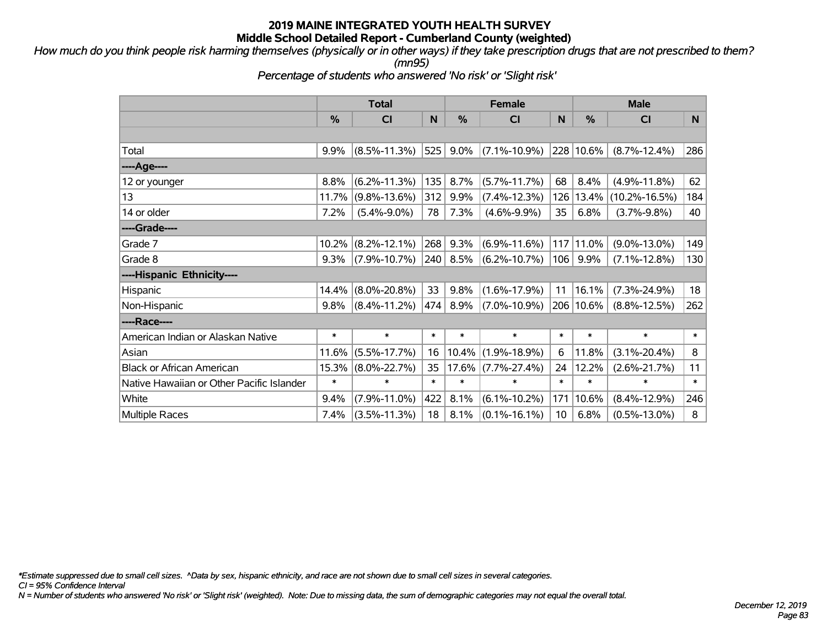*How much do you think people risk harming themselves (physically or in other ways) if they take prescription drugs that are not prescribed to them? (mn95)*

*Percentage of students who answered 'No risk' or 'Slight risk'*

|                                           | <b>Total</b> |                    |        |          | <b>Female</b>      |                 | <b>Male</b>   |                     |        |  |
|-------------------------------------------|--------------|--------------------|--------|----------|--------------------|-----------------|---------------|---------------------|--------|--|
|                                           | %            | CI                 | N      | %        | C <sub>1</sub>     | N               | $\frac{0}{0}$ | <b>CI</b>           | N.     |  |
|                                           |              |                    |        |          |                    |                 |               |                     |        |  |
| Total                                     | 9.9%         | $(8.5\% - 11.3\%)$ | 525    | 9.0%     | $(7.1\% - 10.9\%)$ |                 | 228 10.6%     | $(8.7\% - 12.4\%)$  | 286    |  |
| ----Age----                               |              |                    |        |          |                    |                 |               |                     |        |  |
| 12 or younger                             | 8.8%         | $(6.2\% - 11.3\%)$ | 135    | 8.7%     | $(5.7\% - 11.7\%)$ | 68              | 8.4%          | $(4.9\% - 11.8\%)$  | 62     |  |
| 13                                        | 11.7%        | $(9.8\% - 13.6\%)$ | 312    | 9.9%     | $(7.4\% - 12.3\%)$ | 126             | 13.4%         | $(10.2\% - 16.5\%)$ | 184    |  |
| 14 or older                               | 7.2%         | $(5.4\% - 9.0\%)$  | 78     | 7.3%     | $(4.6\% - 9.9\%)$  | 35              | 6.8%          | $(3.7\% - 9.8\%)$   | 40     |  |
| ----Grade----                             |              |                    |        |          |                    |                 |               |                     |        |  |
| Grade 7                                   | 10.2%        | $(8.2\% - 12.1\%)$ | 268    | 9.3%     | $(6.9\% - 11.6\%)$ |                 | 117 11.0%     | $(9.0\% - 13.0\%)$  | 149    |  |
| Grade 8                                   | 9.3%         | $(7.9\% - 10.7\%)$ | 240    | 8.5%     | $(6.2\% - 10.7\%)$ | 106             | $9.9\%$       | $(7.1\% - 12.8\%)$  | 130    |  |
| ----Hispanic Ethnicity----                |              |                    |        |          |                    |                 |               |                     |        |  |
| Hispanic                                  | 14.4%        | $(8.0\% - 20.8\%)$ | 33     | 9.8%     | $(1.6\% - 17.9\%)$ | 11              | 16.1%         | $(7.3\% - 24.9\%)$  | 18     |  |
| Non-Hispanic                              | 9.8%         | $(8.4\% - 11.2\%)$ | 474    | 8.9%     | $(7.0\% - 10.9\%)$ |                 | 206 10.6%     | $(8.8\% - 12.5\%)$  | 262    |  |
| ----Race----                              |              |                    |        |          |                    |                 |               |                     |        |  |
| American Indian or Alaskan Native         | $\ast$       | $\ast$             | $\ast$ | $\ast$   | $\ast$             | $\ast$          | $\ast$        | $\ast$              | $\ast$ |  |
| Asian                                     | 11.6%        | $(5.5\% - 17.7\%)$ | 16     | $10.4\%$ | $(1.9\% - 18.9\%)$ | 6               | 11.8%         | $(3.1\% - 20.4\%)$  | 8      |  |
| <b>Black or African American</b>          | 15.3%        | $(8.0\% - 22.7\%)$ | 35     |          | 17.6% (7.7%-27.4%) | 24              | 12.2%         | $(2.6\% - 21.7\%)$  | 11     |  |
| Native Hawaiian or Other Pacific Islander | $\ast$       | $\ast$             | $\ast$ | $\ast$   | $\ast$             | $\ast$          | $\ast$        | $\ast$              | $\ast$ |  |
| White                                     | 9.4%         | $(7.9\% - 11.0\%)$ | 422    | 8.1%     | $(6.1\% - 10.2\%)$ | 171             | 10.6%         | $(8.4\% - 12.9\%)$  | 246    |  |
| <b>Multiple Races</b>                     | 7.4%         | $(3.5\% - 11.3\%)$ | 18     | 8.1%     | $(0.1\% - 16.1\%)$ | 10 <sup>°</sup> | 6.8%          | $(0.5\% - 13.0\%)$  | 8      |  |

*\*Estimate suppressed due to small cell sizes. ^Data by sex, hispanic ethnicity, and race are not shown due to small cell sizes in several categories.*

*CI = 95% Confidence Interval*

*N = Number of students who answered 'No risk' or 'Slight risk' (weighted). Note: Due to missing data, the sum of demographic categories may not equal the overall total.*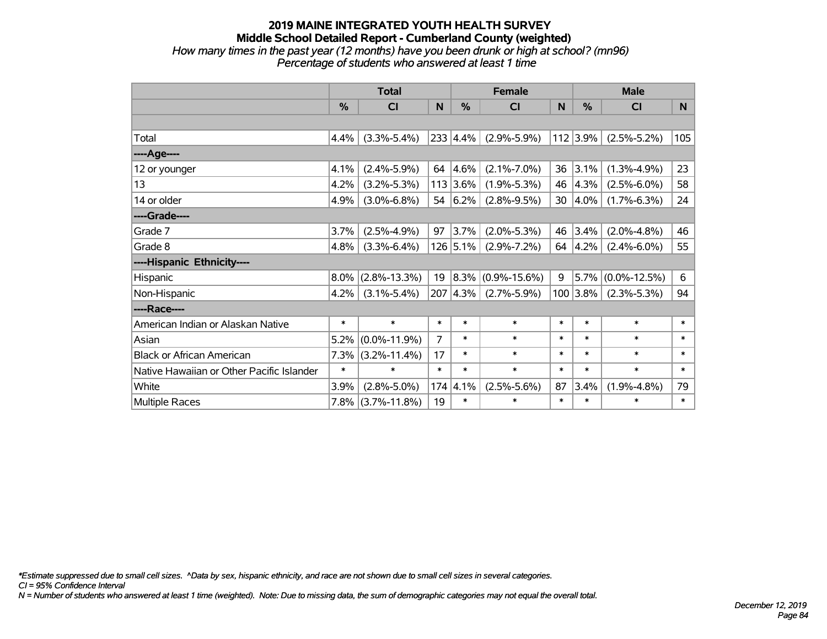#### **2019 MAINE INTEGRATED YOUTH HEALTH SURVEY Middle School Detailed Report - Cumberland County (weighted)** *How many times in the past year (12 months) have you been drunk or high at school? (mn96) Percentage of students who answered at least 1 time*

|                                           | <b>Total</b> |                    |        |               | <b>Female</b>      |        |               | <b>Male</b>        |        |  |
|-------------------------------------------|--------------|--------------------|--------|---------------|--------------------|--------|---------------|--------------------|--------|--|
|                                           | %            | CI                 | N      | $\frac{0}{0}$ | <b>CI</b>          | N      | $\frac{0}{0}$ | <b>CI</b>          | N      |  |
|                                           |              |                    |        |               |                    |        |               |                    |        |  |
| Total                                     | 4.4%         | $(3.3\% - 5.4\%)$  |        | 233 4.4%      | $(2.9\% - 5.9\%)$  |        | $112$ 3.9%    | $(2.5\% - 5.2\%)$  | 105    |  |
| ---- Age----                              |              |                    |        |               |                    |        |               |                    |        |  |
| 12 or younger                             | 4.1%         | $(2.4\% - 5.9\%)$  | 64     | 4.6%          | $(2.1\% - 7.0\%)$  | 36     | 3.1%          | $(1.3\% - 4.9\%)$  | 23     |  |
| 13                                        | 4.2%         | $(3.2\% - 5.3\%)$  |        | 113 3.6%      | $(1.9\% - 5.3\%)$  | 46     | 4.3%          | $(2.5\% - 6.0\%)$  | 58     |  |
| 14 or older                               | 4.9%         | $(3.0\% - 6.8\%)$  |        | 54 $ 6.2%$    | $(2.8\% - 9.5\%)$  | 30     | $ 4.0\%$      | $(1.7\% - 6.3\%)$  | 24     |  |
| ----Grade----                             |              |                    |        |               |                    |        |               |                    |        |  |
| Grade 7                                   | 3.7%         | $(2.5\% - 4.9\%)$  | 97     | 3.7%          | $(2.0\% - 5.3\%)$  | 46     | 3.4%          | $(2.0\% - 4.8\%)$  | 46     |  |
| Grade 8                                   | 4.8%         | $(3.3\% - 6.4\%)$  |        | 126 5.1%      | $(2.9\% - 7.2\%)$  | 64     | 4.2%          | $(2.4\% - 6.0\%)$  | 55     |  |
| ----Hispanic Ethnicity----                |              |                    |        |               |                    |        |               |                    |        |  |
| Hispanic                                  | 8.0%         | $(2.8\% - 13.3\%)$ | 19     | 8.3%          | $(0.9\% - 15.6\%)$ | 9      | 5.7%          | $(0.0\% - 12.5\%)$ | 6      |  |
| Non-Hispanic                              | 4.2%         | $(3.1\% - 5.4\%)$  |        | 207 4.3%      | $(2.7\% - 5.9\%)$  |        | $100$ 3.8%    | $(2.3\% - 5.3\%)$  | 94     |  |
| ----Race----                              |              |                    |        |               |                    |        |               |                    |        |  |
| American Indian or Alaskan Native         | $\ast$       | $\ast$             | $\ast$ | $\ast$        | $\ast$             | $\ast$ | $\ast$        | $\ast$             | $\ast$ |  |
| Asian                                     | 5.2%         | $(0.0\% - 11.9\%)$ | 7      | $\ast$        | $\ast$             | $\ast$ | $\ast$        | $\ast$             | $\ast$ |  |
| <b>Black or African American</b>          | 7.3%         | $(3.2\% - 11.4\%)$ | 17     | $\ast$        | $\ast$             | $\ast$ | $\ast$        | $\ast$             | $\ast$ |  |
| Native Hawaiian or Other Pacific Islander | $\ast$       | $\ast$             | $\ast$ | $\ast$        | $\ast$             | $\ast$ | $\ast$        | $\ast$             | $\ast$ |  |
| White                                     | 3.9%         | $(2.8\% - 5.0\%)$  | 174    | 4.1%          | $(2.5\% - 5.6\%)$  | 87     | 3.4%          | $(1.9\% - 4.8\%)$  | 79     |  |
| <b>Multiple Races</b>                     | 7.8%         | $(3.7\% - 11.8\%)$ | 19     | $\ast$        | $\ast$             | $\ast$ | $\ast$        | $\ast$             | $\ast$ |  |

*\*Estimate suppressed due to small cell sizes. ^Data by sex, hispanic ethnicity, and race are not shown due to small cell sizes in several categories.*

*CI = 95% Confidence Interval*

*N = Number of students who answered at least 1 time (weighted). Note: Due to missing data, the sum of demographic categories may not equal the overall total.*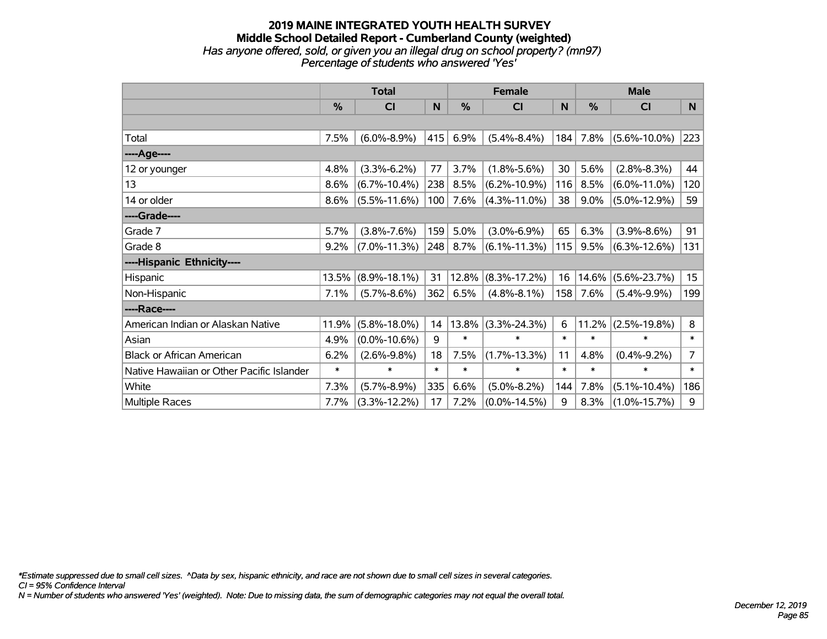#### **2019 MAINE INTEGRATED YOUTH HEALTH SURVEY Middle School Detailed Report - Cumberland County (weighted)** *Has anyone offered, sold, or given you an illegal drug on school property? (mn97) Percentage of students who answered 'Yes'*

|                                           | <b>Total</b> |                    |        | <b>Female</b> |                    |        | <b>Male</b> |                    |                  |
|-------------------------------------------|--------------|--------------------|--------|---------------|--------------------|--------|-------------|--------------------|------------------|
|                                           | %            | <b>CI</b>          | N      | %             | <b>CI</b>          | N      | %           | <b>CI</b>          | N                |
|                                           |              |                    |        |               |                    |        |             |                    |                  |
| Total                                     | 7.5%         | $(6.0\% - 8.9\%)$  | 415    | 6.9%          | $(5.4\% - 8.4\%)$  | 184    | 7.8%        | $(5.6\% - 10.0\%)$ | 223              |
| ----Age----                               |              |                    |        |               |                    |        |             |                    |                  |
| 12 or younger                             | 4.8%         | $(3.3\% - 6.2\%)$  | 77     | 3.7%          | $(1.8\% - 5.6\%)$  | 30     | 5.6%        | $(2.8\% - 8.3\%)$  | 44               |
| 13                                        | 8.6%         | $(6.7\% - 10.4\%)$ | 238    | 8.5%          | $(6.2\% - 10.9\%)$ | 116    | 8.5%        | $(6.0\% - 11.0\%)$ | 120              |
| 14 or older                               | 8.6%         | $(5.5\% - 11.6\%)$ | 100    | 7.6%          | $(4.3\% - 11.0\%)$ | 38     | 9.0%        | $(5.0\% - 12.9\%)$ | 59               |
| ----Grade----                             |              |                    |        |               |                    |        |             |                    |                  |
| Grade 7                                   | 5.7%         | $(3.8\% - 7.6\%)$  | 159    | 5.0%          | $(3.0\% - 6.9\%)$  | 65     | 6.3%        | $(3.9\% - 8.6\%)$  | 91               |
| Grade 8                                   | 9.2%         | $(7.0\% - 11.3\%)$ | 248    | 8.7%          | $(6.1\% - 11.3\%)$ | 115    | 9.5%        | $(6.3\% - 12.6\%)$ | 131              |
| ----Hispanic Ethnicity----                |              |                    |        |               |                    |        |             |                    |                  |
| Hispanic                                  | 13.5%        | $(8.9\% - 18.1\%)$ | 31     | 12.8%         | $(8.3\% - 17.2\%)$ | 16     | 14.6%       | $(5.6\% - 23.7\%)$ | 15 <sub>15</sub> |
| Non-Hispanic                              | 7.1%         | $(5.7\% - 8.6\%)$  | 362    | 6.5%          | $(4.8\% - 8.1\%)$  | 158    | 7.6%        | $(5.4\% - 9.9\%)$  | 199              |
| ----Race----                              |              |                    |        |               |                    |        |             |                    |                  |
| American Indian or Alaskan Native         | 11.9%        | $(5.8\% - 18.0\%)$ | 14     | 13.8%         | $(3.3\% - 24.3\%)$ | 6      | 11.2%       | $(2.5\% - 19.8\%)$ | 8                |
| Asian                                     | 4.9%         | $(0.0\% - 10.6\%)$ | 9      | $\ast$        | $\ast$             | $\ast$ | $\ast$      | $\ast$             | $\ast$           |
| <b>Black or African American</b>          | 6.2%         | $(2.6\% - 9.8\%)$  | 18     | 7.5%          | $(1.7\% - 13.3\%)$ | 11     | 4.8%        | $(0.4\% - 9.2\%)$  | $\overline{7}$   |
| Native Hawaiian or Other Pacific Islander | $\ast$       | $\ast$             | $\ast$ | $\ast$        | $\ast$             | $\ast$ | $\ast$      | $\ast$             | $\ast$           |
| White                                     | 7.3%         | $(5.7\% - 8.9\%)$  | 335    | 6.6%          | $(5.0\% - 8.2\%)$  | 144    | 7.8%        | $(5.1\% - 10.4\%)$ | 186              |
| <b>Multiple Races</b>                     | 7.7%         | $(3.3\% - 12.2\%)$ | 17     | 7.2%          | $(0.0\% - 14.5\%)$ | 9      | 8.3%        | $(1.0\% - 15.7\%)$ | 9                |

*\*Estimate suppressed due to small cell sizes. ^Data by sex, hispanic ethnicity, and race are not shown due to small cell sizes in several categories.*

*CI = 95% Confidence Interval*

*N = Number of students who answered 'Yes' (weighted). Note: Due to missing data, the sum of demographic categories may not equal the overall total.*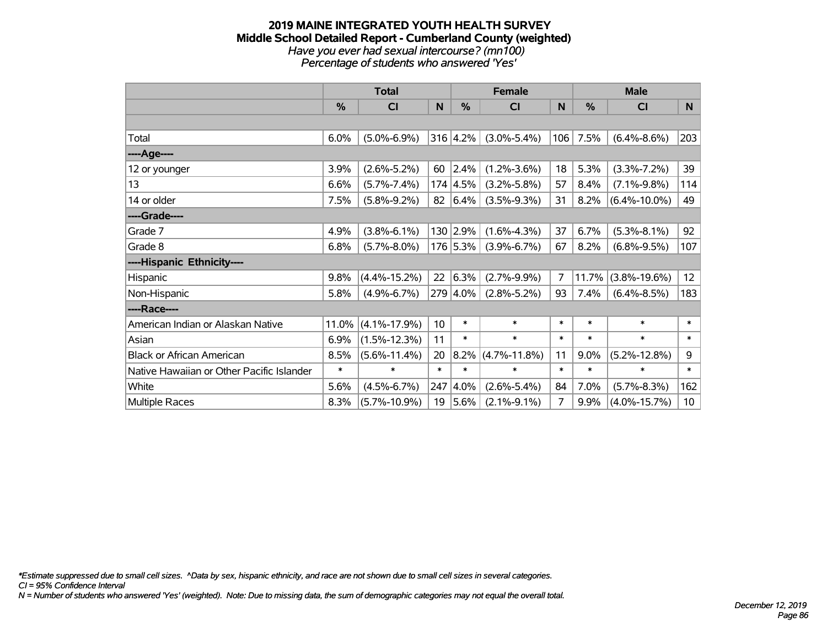#### **2019 MAINE INTEGRATED YOUTH HEALTH SURVEY Middle School Detailed Report - Cumberland County (weighted)** *Have you ever had sexual intercourse? (mn100) Percentage of students who answered 'Yes'*

|                                           | <b>Total</b>  |                    |                 | <b>Female</b>    |                    |        | <b>Male</b> |                    |                 |
|-------------------------------------------|---------------|--------------------|-----------------|------------------|--------------------|--------|-------------|--------------------|-----------------|
|                                           | $\frac{0}{0}$ | C <sub>1</sub>     | $\mathsf{N}$    | %                | <b>CI</b>          | N      | %           | <b>CI</b>          | N               |
|                                           |               |                    |                 |                  |                    |        |             |                    |                 |
| Total                                     | 6.0%          | $(5.0\% - 6.9\%)$  |                 | 316 4.2%         | $(3.0\% - 5.4\%)$  | 106    | 7.5%        | $(6.4\% - 8.6\%)$  | 203             |
| ----Age----                               |               |                    |                 |                  |                    |        |             |                    |                 |
| 12 or younger                             | 3.9%          | $(2.6\% - 5.2\%)$  | 60              | 2.4%             | $(1.2\% - 3.6\%)$  | 18     | 5.3%        | $(3.3\% - 7.2\%)$  | 39              |
| 13                                        | 6.6%          | $(5.7\% - 7.4\%)$  |                 | $174 \,   4.5\%$ | $(3.2\% - 5.8\%)$  | 57     | 8.4%        | $(7.1\% - 9.8\%)$  | 114             |
| 14 or older                               | 7.5%          | $(5.8\% - 9.2\%)$  |                 | 82 $ 6.4%$       | $(3.5\% - 9.3\%)$  | 31     | 8.2%        | $(6.4\% - 10.0\%)$ | 49              |
| ----Grade----                             |               |                    |                 |                  |                    |        |             |                    |                 |
| Grade 7                                   | 4.9%          | $(3.8\% - 6.1\%)$  |                 | 130 2.9%         | $(1.6\% - 4.3\%)$  | 37     | 6.7%        | $(5.3\% - 8.1\%)$  | 92              |
| Grade 8                                   | 6.8%          | $(5.7\% - 8.0\%)$  |                 | 176 5.3%         | $(3.9\% - 6.7\%)$  | 67     | 8.2%        | $(6.8\% - 9.5\%)$  | 107             |
| ----Hispanic Ethnicity----                |               |                    |                 |                  |                    |        |             |                    |                 |
| Hispanic                                  | 9.8%          | $(4.4\% - 15.2\%)$ | 22              | 6.3%             | $(2.7\% - 9.9\%)$  | 7      | 11.7%       | $(3.8\% - 19.6\%)$ | 12 <sub>2</sub> |
| Non-Hispanic                              | 5.8%          | $(4.9\% - 6.7\%)$  |                 | 279 4.0%         | $(2.8\% - 5.2\%)$  | 93     | 7.4%        | $(6.4\% - 8.5\%)$  | 183             |
| ----Race----                              |               |                    |                 |                  |                    |        |             |                    |                 |
| American Indian or Alaskan Native         | 11.0%         | $(4.1\% - 17.9\%)$ | 10 <sup>1</sup> | $\ast$           | $\ast$             | $\ast$ | $\ast$      | $\ast$             | $\ast$          |
| Asian                                     | 6.9%          | $(1.5\% - 12.3\%)$ | 11              | $\ast$           | $\ast$             | $\ast$ | $\ast$      | $\ast$             | $\ast$          |
| <b>Black or African American</b>          | 8.5%          | $(5.6\% - 11.4\%)$ | 20              | 8.2%             | $(4.7\% - 11.8\%)$ | 11     | 9.0%        | $(5.2\% - 12.8\%)$ | 9               |
| Native Hawaiian or Other Pacific Islander | $\ast$        | $\ast$             | $\ast$          | $\ast$           | $\ast$             | $\ast$ | $\ast$      | $\ast$             | $\ast$          |
| White                                     | 5.6%          | $(4.5\% - 6.7\%)$  | 247             | $ 4.0\%$         | $(2.6\% - 5.4\%)$  | 84     | 7.0%        | $(5.7\% - 8.3\%)$  | 162             |
| <b>Multiple Races</b>                     | 8.3%          | $(5.7\% - 10.9\%)$ | 19              | 5.6%             | $(2.1\% - 9.1\%)$  | 7      | 9.9%        | $(4.0\% - 15.7\%)$ | 10 <sup>1</sup> |

*\*Estimate suppressed due to small cell sizes. ^Data by sex, hispanic ethnicity, and race are not shown due to small cell sizes in several categories.*

*CI = 95% Confidence Interval*

*N = Number of students who answered 'Yes' (weighted). Note: Due to missing data, the sum of demographic categories may not equal the overall total.*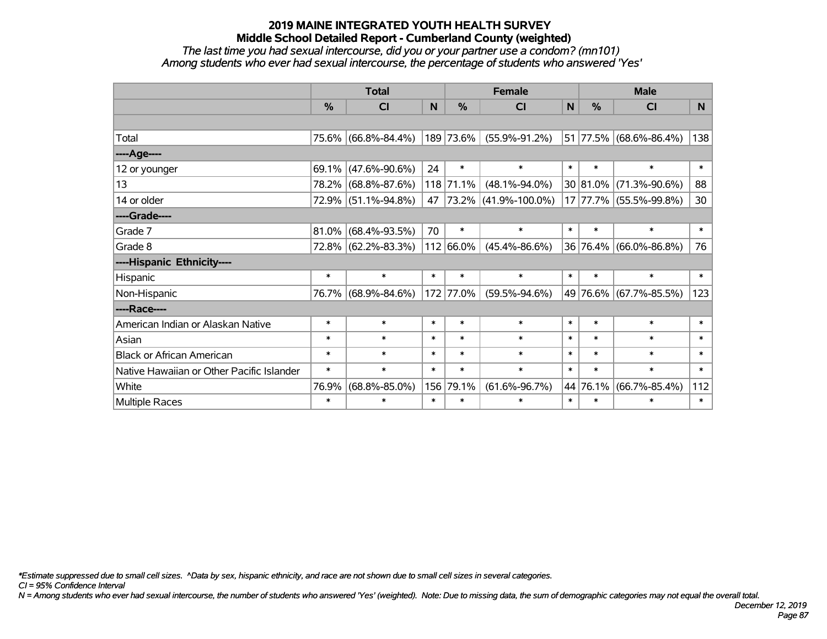*The last time you had sexual intercourse, did you or your partner use a condom? (mn101) Among students who ever had sexual intercourse, the percentage of students who answered 'Yes'*

|                                           | <b>Total</b> |                     |        | <b>Female</b> | <b>Male</b>               |        |          |                        |                 |
|-------------------------------------------|--------------|---------------------|--------|---------------|---------------------------|--------|----------|------------------------|-----------------|
|                                           | %            | CI                  | N      | $\frac{9}{6}$ | <b>CI</b>                 | N      | %        | <b>CI</b>              | N               |
|                                           |              |                     |        |               |                           |        |          |                        |                 |
| Total                                     |              | 75.6% (66.8%-84.4%) |        | 189 73.6%     | $(55.9\% - 91.2\%)$       |        |          | 51 77.5% (68.6%-86.4%) | 138             |
| ----Age----                               |              |                     |        |               |                           |        |          |                        |                 |
| 12 or younger                             | 69.1%        | $(47.6\% - 90.6\%)$ | 24     | $\ast$        | $\ast$                    | $\ast$ | $\ast$   | $\ast$                 | $\ast$          |
| 13                                        | 78.2%        | $(68.8\% - 87.6\%)$ |        | 118 71.1%     | $(48.1\% - 94.0\%)$       |        | 30 81.0% | $(71.3\% - 90.6\%)$    | 88              |
| 14 or older                               |              | 72.9% (51.1%-94.8%) | 47     |               | $ 73.2\% $ (41.9%-100.0%) |        |          | 17 77.7% (55.5%-99.8%) | 30 <sub>o</sub> |
| ----Grade----                             |              |                     |        |               |                           |        |          |                        |                 |
| Grade 7                                   | 81.0%        | $(68.4\% - 93.5\%)$ | 70     | $\ast$        | $\ast$                    | $\ast$ | $\ast$   | $\ast$                 | $\ast$          |
| Grade 8                                   |              | 72.8% (62.2%-83.3%) |        | 112 66.0%     | $(45.4\% - 86.6\%)$       |        | 36 76.4% | $(66.0\% - 86.8\%)$    | 76              |
| ----Hispanic Ethnicity----                |              |                     |        |               |                           |        |          |                        |                 |
| Hispanic                                  | $\ast$       | $\ast$              | $\ast$ | $\ast$        | $\ast$                    | $\ast$ | $\ast$   | $\ast$                 | $\ast$          |
| Non-Hispanic                              | 76.7%        | $(68.9\% - 84.6\%)$ |        | 172 77.0%     | $(59.5\% - 94.6\%)$       |        |          | 49 76.6% (67.7%-85.5%) | 123             |
| ----Race----                              |              |                     |        |               |                           |        |          |                        |                 |
| American Indian or Alaskan Native         | $\ast$       | $\ast$              | $\ast$ | $\ast$        | $\ast$                    | $\ast$ | $\ast$   | $\ast$                 | $\ast$          |
| Asian                                     | $\ast$       | $\ast$              | $\ast$ | $\ast$        | $\ast$                    | $\ast$ | $\ast$   | $\ast$                 | $\ast$          |
| <b>Black or African American</b>          | $\ast$       | $\ast$              | $\ast$ | $\ast$        | $\ast$                    | $\ast$ | $\ast$   | $\ast$                 | $\ast$          |
| Native Hawaiian or Other Pacific Islander | $\ast$       | $\ast$              | $\ast$ | $\ast$        | $\ast$                    | $\ast$ | $\ast$   | $\ast$                 | $\ast$          |
| White                                     | 76.9%        | $(68.8\% - 85.0\%)$ |        | 156 79.1%     | $(61.6\% - 96.7\%)$       | 44     | 76.1%    | $(66.7\% - 85.4\%)$    | 112             |
| <b>Multiple Races</b>                     | $\ast$       | $\ast$              | $\ast$ | $\ast$        | *                         | $\ast$ | $\ast$   | $\ast$                 | $\ast$          |

*\*Estimate suppressed due to small cell sizes. ^Data by sex, hispanic ethnicity, and race are not shown due to small cell sizes in several categories.*

*CI = 95% Confidence Interval*

*N = Among students who ever had sexual intercourse, the number of students who answered 'Yes' (weighted). Note: Due to missing data, the sum of demographic categories may not equal the overall total.*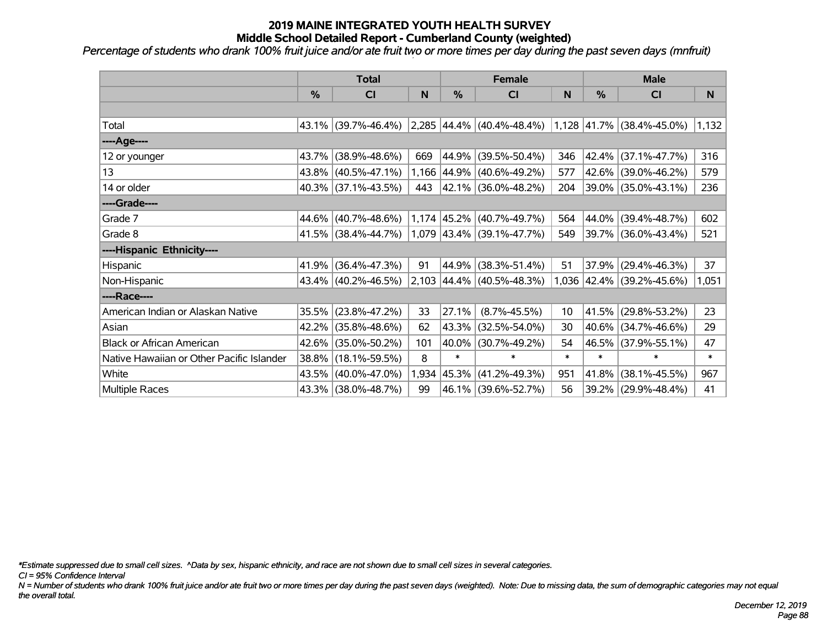*Percentage of students who drank 100% fruit juice and/or ate fruit two or more times per day during the past seven days (mnfruit)*

|                                           | <b>Total</b> |                        |       | <b>Female</b> |                              | <b>Male</b> |            |                             |        |
|-------------------------------------------|--------------|------------------------|-------|---------------|------------------------------|-------------|------------|-----------------------------|--------|
|                                           | $\%$         | CI                     | N     | $\%$          | <b>CI</b>                    | N           | %          | CI                          | N      |
|                                           |              |                        |       |               |                              |             |            |                             |        |
| Total                                     |              | 43.1% (39.7%-46.4%)    |       |               | $2,285$ 44.4% (40.4%-48.4%)  |             |            | $1,128$ 41.7% (38.4%-45.0%) | 1,132  |
| ----Age----                               |              |                        |       |               |                              |             |            |                             |        |
| 12 or younger                             | 43.7%        | $(38.9\% - 48.6\%)$    | 669   | 44.9%         | $(39.5\% - 50.4\%)$          | 346         | 42.4%      | $(37.1\% - 47.7\%)$         | 316    |
| 13                                        |              | $43.8\%$ (40.5%-47.1%) |       | 1,166 44.9%   | $(40.6\% - 49.2\%)$          | 577         | $42.6\%$   | $(39.0\% - 46.2\%)$         | 579    |
| 14 or older                               |              | 40.3% (37.1%-43.5%)    | 443   |               | $ 42.1\% $ (36.0%-48.2%)     | 204         |            | 39.0% (35.0%-43.1%)         | 236    |
| ----Grade----                             |              |                        |       |               |                              |             |            |                             |        |
| Grade 7                                   | 44.6%        | $(40.7\% - 48.6\%)$    |       |               | $1,174$ 45.2% (40.7%-49.7%)  | 564         | 44.0%      | $(39.4\% - 48.7\%)$         | 602    |
| Grade 8                                   |              | 41.5% (38.4%-44.7%)    |       |               | $1,079$  43.4% (39.1%-47.7%) | 549         |            | 39.7% (36.0%-43.4%)         | 521    |
| ----Hispanic Ethnicity----                |              |                        |       |               |                              |             |            |                             |        |
| <b>Hispanic</b>                           | 41.9%        | $(36.4\% - 47.3\%)$    | 91    | 44.9%         | $(38.3\% - 51.4\%)$          | 51          | 37.9%      | $(29.4\% - 46.3\%)$         | 37     |
| Non-Hispanic                              |              | 43.4% (40.2%-46.5%)    |       |               | 2,103 44.4% (40.5%-48.3%)    |             |            | 1,036 42.4% (39.2%-45.6%)   | 1,051  |
| ----Race----                              |              |                        |       |               |                              |             |            |                             |        |
| American Indian or Alaskan Native         | 35.5%        | $(23.8\% - 47.2\%)$    | 33    | 27.1%         | $(8.7\% - 45.5\%)$           | 10          | $ 41.5\% $ | $(29.8\% - 53.2\%)$         | 23     |
| Asian                                     | 42.2%        | $(35.8\% - 48.6\%)$    | 62    | 43.3%         | $(32.5\% - 54.0\%)$          | 30          | $40.6\%$   | $(34.7\% - 46.6\%)$         | 29     |
| <b>Black or African American</b>          | 42.6%        | $(35.0\% - 50.2\%)$    | 101   | 40.0%         | $(30.7\% - 49.2\%)$          | 54          | 46.5%      | $(37.9\% - 55.1\%)$         | 47     |
| Native Hawaiian or Other Pacific Islander | 38.8%        | $(18.1\% - 59.5\%)$    | 8     | $\ast$        | $\ast$                       | $\ast$      | $\ast$     | $\ast$                      | $\ast$ |
| White                                     | 43.5%        | $(40.0\% - 47.0\%)$    | 1,934 | 45.3%         | $(41.2\% - 49.3\%)$          | 951         | 41.8%      | $(38.1\% - 45.5\%)$         | 967    |
| Multiple Races                            |              | 43.3% (38.0%-48.7%)    | 99    |               | 46.1% (39.6%-52.7%)          | 56          |            | 39.2% (29.9%-48.4%)         | 41     |

*\*Estimate suppressed due to small cell sizes. ^Data by sex, hispanic ethnicity, and race are not shown due to small cell sizes in several categories.*

*CI = 95% Confidence Interval*

*N = Number of students who drank 100% fruit juice and/or ate fruit two or more times per day during the past seven days (weighted). Note: Due to missing data, the sum of demographic categories may not equal the overall total.*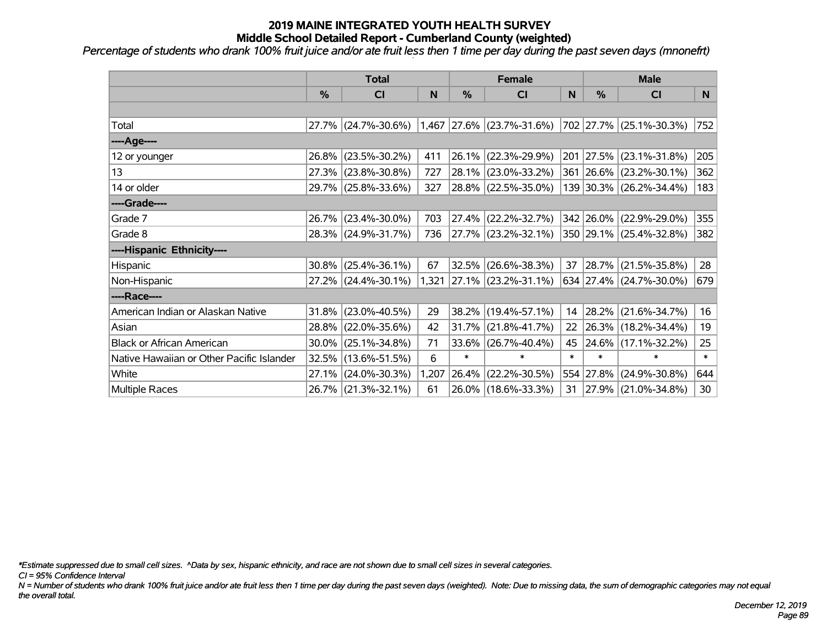*Percentage of students who drank 100% fruit juice and/or ate fruit less then 1 time per day during the past seven days (mnonefrt)*

|                                           | <b>Total</b>  |                     |       | <b>Female</b> | <b>Male</b>                 |        |               |                          |          |
|-------------------------------------------|---------------|---------------------|-------|---------------|-----------------------------|--------|---------------|--------------------------|----------|
|                                           | $\frac{0}{0}$ | C <sub>l</sub>      | N     | $\frac{0}{0}$ | <b>CI</b>                   | N      | $\frac{0}{0}$ | <b>CI</b>                | <b>N</b> |
|                                           |               |                     |       |               |                             |        |               |                          |          |
| Total                                     |               | 27.7% (24.7%-30.6%) |       |               | $1,467$ 27.6% (23.7%-31.6%) |        |               | 702 27.7% (25.1%-30.3%)  | 752      |
| ----Age----                               |               |                     |       |               |                             |        |               |                          |          |
| 12 or younger                             | 26.8%         | $(23.5\% - 30.2\%)$ | 411   | 26.1%         | $(22.3\% - 29.9\%)$         |        | 201 27.5%     | $(23.1\% - 31.8\%)$      | 205      |
| 13                                        | 27.3%         | $(23.8\% - 30.8\%)$ | 727   | 28.1%         | $(23.0\% - 33.2\%)$         |        |               | 361 26.6% (23.2%-30.1%)  | 362      |
| 14 or older                               |               | 29.7% (25.8%-33.6%) | 327   |               | 28.8% (22.5%-35.0%)         |        |               | 139 30.3% (26.2%-34.4%)  | 183      |
| ----Grade----                             |               |                     |       |               |                             |        |               |                          |          |
| Grade 7                                   | 26.7%         | $(23.4\% - 30.0\%)$ | 703   | 27.4%         | $(22.2\% - 32.7\%)$         |        |               | 342 26.0% (22.9%-29.0%)  | 355      |
| Grade 8                                   |               | 28.3% (24.9%-31.7%) | 736   |               | $27.7\%$ (23.2%-32.1%)      |        |               | 350 29.1% (25.4%-32.8%)  | 382      |
| ----Hispanic Ethnicity----                |               |                     |       |               |                             |        |               |                          |          |
| Hispanic                                  | 30.8%         | $(25.4\% - 36.1\%)$ | 67    | 32.5%         | $(26.6\% - 38.3\%)$         | 37     | $ 28.7\% $    | $(21.5\% - 35.8\%)$      | 28       |
| Non-Hispanic                              |               | 27.2% (24.4%-30.1%) |       |               | 1,321 27.1% (23.2%-31.1%)   |        |               | 634 27.4% (24.7%-30.0%)  | 679      |
| ----Race----                              |               |                     |       |               |                             |        |               |                          |          |
| American Indian or Alaskan Native         | 31.8%         | $(23.0\% - 40.5\%)$ | 29    | 38.2%         | $(19.4\% - 57.1\%)$         | 14     | $ 28.2\% $    | $(21.6\% - 34.7\%)$      | 16       |
| Asian                                     | 28.8%         | $(22.0\% - 35.6\%)$ | 42    | 31.7%         | $(21.8\% - 41.7\%)$         | 22     |               | 26.3% (18.2%-34.4%)      | 19       |
| <b>Black or African American</b>          | 30.0%         | $(25.1\% - 34.8\%)$ | 71    | 33.6%         | $(26.7\% - 40.4\%)$         | 45     |               | 24.6% (17.1%-32.2%)      | 25       |
| Native Hawaiian or Other Pacific Islander | 32.5%         | $(13.6\% - 51.5\%)$ | 6     | $\ast$        | $\ast$                      | $\ast$ | $\ast$        | $\ast$                   | $\ast$   |
| White                                     | 27.1%         | $(24.0\% - 30.3\%)$ | 1,207 | 26.4%         | $(22.2\% - 30.5\%)$         |        | 554 27.8%     | $(24.9\% - 30.8\%)$      | 644      |
| Multiple Races                            |               | 26.7% (21.3%-32.1%) | 61    |               | 26.0% (18.6%-33.3%)         | 31     |               | $ 27.9\% $ (21.0%-34.8%) | 30       |

*\*Estimate suppressed due to small cell sizes. ^Data by sex, hispanic ethnicity, and race are not shown due to small cell sizes in several categories.*

*CI = 95% Confidence Interval*

*N = Number of students who drank 100% fruit juice and/or ate fruit less then 1 time per day during the past seven days (weighted). Note: Due to missing data, the sum of demographic categories may not equal the overall total.*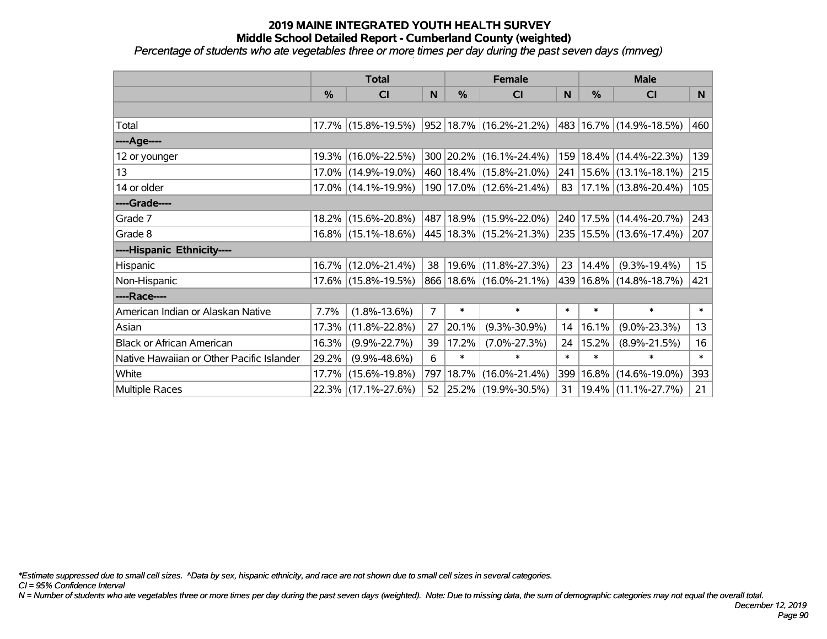*Percentage of students who ate vegetables three or more times per day during the past seven days (mnveg)*

|                                           | <b>Total</b>  |                        |                | <b>Female</b> |                             | <b>Male</b>     |        |                             |                  |
|-------------------------------------------|---------------|------------------------|----------------|---------------|-----------------------------|-----------------|--------|-----------------------------|------------------|
|                                           | $\frac{0}{0}$ | CI                     | N              | $\frac{0}{0}$ | <b>CI</b>                   | N               | %      | <b>CI</b>                   | N                |
|                                           |               |                        |                |               |                             |                 |        |                             |                  |
| Total                                     |               | 17.7% (15.8%-19.5%)    |                |               | 952   18.7%   (16.2%-21.2%) |                 |        | 483 16.7% (14.9%-18.5%)     | 460              |
| ----Age----                               |               |                        |                |               |                             |                 |        |                             |                  |
| 12 or younger                             |               | 19.3% (16.0%-22.5%)    |                |               | 300 20.2% (16.1%-24.4%)     | 159             |        | 18.4% (14.4%-22.3%)         | 139              |
| 13                                        |               | 17.0% (14.9%-19.0%)    |                |               | 460 18.4% (15.8%-21.0%)     |                 |        | 241   15.6%   (13.1%-18.1%) | 215              |
| 14 or older                               |               | 17.0% (14.1%-19.9%)    |                |               | 190 17.0% (12.6%-21.4%)     | 83 <sup>1</sup> |        | $17.1\%$ (13.8%-20.4%)      | 105              |
| ----Grade----                             |               |                        |                |               |                             |                 |        |                             |                  |
| Grade 7                                   |               | 18.2% (15.6%-20.8%)    |                |               | 487 18.9% (15.9%-22.0%)     | 240             |        | 17.5% (14.4%-20.7%)         | 243              |
| Grade 8                                   |               | $16.8\%$ (15.1%-18.6%) |                |               | 445 18.3% (15.2%-21.3%)     |                 |        | 235   15.5%   (13.6%-17.4%) | 207              |
| ----Hispanic Ethnicity----                |               |                        |                |               |                             |                 |        |                             |                  |
| Hispanic                                  |               | 16.7% (12.0%-21.4%)    | 38             |               | 19.6% (11.8%-27.3%)         | 23              | 14.4%  | $(9.3\% - 19.4\%)$          | 15 <sub>15</sub> |
| Non-Hispanic                              |               | 17.6% (15.8%-19.5%)    |                |               | 866 18.6% (16.0%-21.1%)     |                 |        | 439 16.8% (14.8%-18.7%)     | 421              |
| ----Race----                              |               |                        |                |               |                             |                 |        |                             |                  |
| American Indian or Alaskan Native         | 7.7%          | $(1.8\% - 13.6\%)$     | $\overline{7}$ | $\ast$        | $\ast$                      | $\ast$          | $\ast$ | $\ast$                      | $\ast$           |
| Asian                                     | 17.3%         | $(11.8\% - 22.8\%)$    | 27             | 20.1%         | $(9.3\% - 30.9\%)$          | 14              | 16.1%  | $(9.0\% - 23.3\%)$          | 13               |
| <b>Black or African American</b>          | 16.3%         | $(9.9\% - 22.7\%)$     | 39             | 17.2%         | $(7.0\% - 27.3\%)$          | 24              | 15.2%  | $(8.9\% - 21.5\%)$          | 16               |
| Native Hawaiian or Other Pacific Islander | 29.2%         | $(9.9\% - 48.6\%)$     | 6              | $\ast$        | $\ast$                      | $\ast$          | $\ast$ | $\ast$                      | $\ast$           |
| White                                     | 17.7%         | $(15.6\% - 19.8\%)$    | 797            | 18.7%         | $(16.0\% - 21.4\%)$         | 399             | 16.8%  | $(14.6\% - 19.0\%)$         | 393              |
| <b>Multiple Races</b>                     |               | 22.3% (17.1%-27.6%)    |                |               | 52 25.2% (19.9%-30.5%)      | 31              |        | $19.4\%$ (11.1%-27.7%)      | $21 \mid$        |

*\*Estimate suppressed due to small cell sizes. ^Data by sex, hispanic ethnicity, and race are not shown due to small cell sizes in several categories.*

*CI = 95% Confidence Interval*

*N = Number of students who ate vegetables three or more times per day during the past seven days (weighted). Note: Due to missing data, the sum of demographic categories may not equal the overall total.*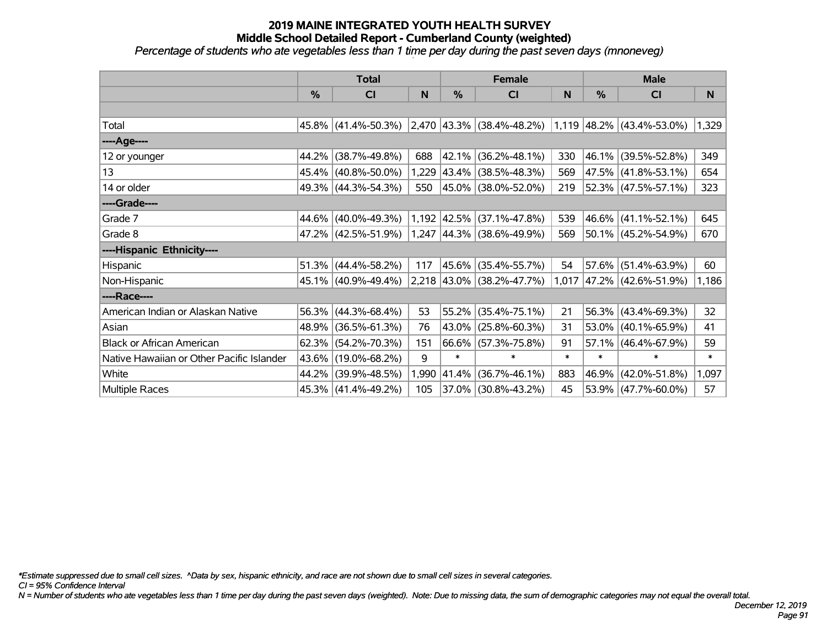*Percentage of students who ate vegetables less than 1 time per day during the past seven days (mnoneveg)*

|                                           | <b>Total</b> |                        |       | <b>Female</b> |                                                          | <b>Male</b> |            |                        |        |
|-------------------------------------------|--------------|------------------------|-------|---------------|----------------------------------------------------------|-------------|------------|------------------------|--------|
|                                           | $\%$         | <b>CI</b>              | N     | $\%$          | <b>CI</b>                                                | N           | %          | <b>CI</b>              | N.     |
|                                           |              |                        |       |               |                                                          |             |            |                        |        |
| Total                                     |              | 45.8% (41.4%-50.3%)    |       |               | $ 2,470 43.3\% $ (38.4%-48.2%) 1,119 48.2% (43.4%-53.0%) |             |            |                        | 1,329  |
| ----Age----                               |              |                        |       |               |                                                          |             |            |                        |        |
| 12 or younger                             | 44.2%        | $(38.7\% - 49.8\%)$    | 688   | 42.1%         | $(36.2\% - 48.1\%)$                                      | 330         | $ 46.1\% $ | $(39.5\% - 52.8\%)$    | 349    |
| 13                                        |              | 45.4% (40.8%-50.0%)    | 1,229 |               | $ 43.4\% $ (38.5%-48.3%)                                 | 569         |            | 47.5% (41.8%-53.1%)    | 654    |
| 14 or older                               |              | 49.3% (44.3%-54.3%)    | 550   |               | 45.0% (38.0%-52.0%)                                      | 219         |            | 52.3% (47.5%-57.1%)    | 323    |
| ----Grade----                             |              |                        |       |               |                                                          |             |            |                        |        |
| Grade 7                                   | 44.6%        | $(40.0\% - 49.3\%)$    |       | 1,192 42.5%   | $(37.1\% - 47.8\%)$                                      | 539         |            | 46.6% (41.1%-52.1%)    | 645    |
| Grade 8                                   |              | 47.2% (42.5%-51.9%)    |       |               | $1,247$  44.3% (38.6%-49.9%)                             | 569         |            | 50.1% (45.2%-54.9%)    | 670    |
| ----Hispanic Ethnicity----                |              |                        |       |               |                                                          |             |            |                        |        |
| Hispanic                                  | 51.3%        | $(44.4\% - 58.2\%)$    | 117   | 45.6%         | $(35.4\% - 55.7\%)$                                      | 54          | 57.6%      | $(51.4\% - 63.9\%)$    | 60     |
| Non-Hispanic                              |              | 45.1% (40.9%-49.4%)    |       |               | 2,218 43.0% (38.2%-47.7%)                                | 1,017       |            | 47.2% (42.6%-51.9%)    | 1,186  |
| ----Race----                              |              |                        |       |               |                                                          |             |            |                        |        |
| American Indian or Alaskan Native         |              | $56.3\%$ (44.3%-68.4%) | 53    | 55.2%         | $(35.4\% - 75.1\%)$                                      | 21          |            | 56.3% (43.4%-69.3%)    | 32     |
| Asian                                     | 48.9%        | $(36.5\% - 61.3\%)$    | 76    | $43.0\%$      | $(25.8\% - 60.3\%)$                                      | 31          |            | 53.0% (40.1%-65.9%)    | 41     |
| <b>Black or African American</b>          | 62.3%        | $(54.2\% - 70.3\%)$    | 151   |               | 66.6% (57.3%-75.8%)                                      | 91          |            | $57.1\%$ (46.4%-67.9%) | 59     |
| Native Hawaiian or Other Pacific Islander | 43.6%        | $(19.0\% - 68.2\%)$    | 9     | $\ast$        | $\ast$                                                   | $\ast$      | $\ast$     | $\ast$                 | $\ast$ |
| White                                     | 44.2%        | $(39.9\% - 48.5\%)$    | 1,990 | 41.4%         | $(36.7\% - 46.1\%)$                                      | 883         | $ 46.9\% $ | $(42.0\% - 51.8\%)$    | 1,097  |
| <b>Multiple Races</b>                     |              | 45.3% (41.4%-49.2%)    | 105   |               | 37.0% (30.8%-43.2%)                                      | 45          |            | $53.9\%$ (47.7%-60.0%) | 57     |

*\*Estimate suppressed due to small cell sizes. ^Data by sex, hispanic ethnicity, and race are not shown due to small cell sizes in several categories.*

*CI = 95% Confidence Interval*

*N = Number of students who ate vegetables less than 1 time per day during the past seven days (weighted). Note: Due to missing data, the sum of demographic categories may not equal the overall total.*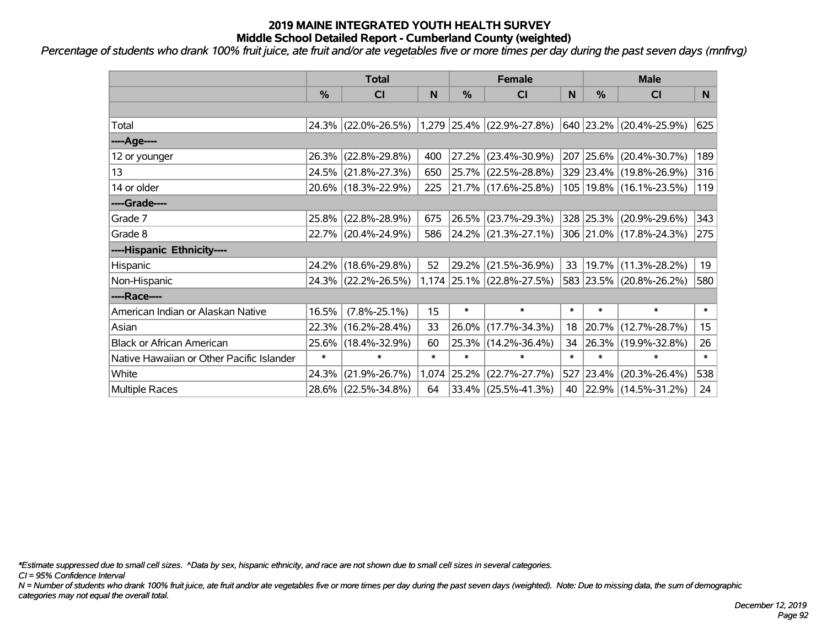*Percentage of students who drank 100% fruit juice, ate fruit and/or ate vegetables five or more times per day during the past seven days (mnfrvg) '*

|                                           | <b>Total</b> |                     |        |        | <b>Female</b>             | <b>Male</b> |           |                             |        |
|-------------------------------------------|--------------|---------------------|--------|--------|---------------------------|-------------|-----------|-----------------------------|--------|
|                                           | %            | CI                  | N      | %      | <b>CI</b>                 | N           | %         | <b>CI</b>                   | N      |
|                                           |              |                     |        |        |                           |             |           |                             |        |
| Total                                     |              | 24.3% (22.0%-26.5%) |        |        | 1,279 25.4% (22.9%-27.8%) |             |           | 640 23.2% (20.4%-25.9%)     | 625    |
| ----Age----                               |              |                     |        |        |                           |             |           |                             |        |
| 12 or younger                             | 26.3%        | $(22.8\% - 29.8\%)$ | 400    | 27.2%  | $(23.4\% - 30.9\%)$       | 207         | 25.6%     | $(20.4\% - 30.7\%)$         | 189    |
| 13                                        |              | 24.5% (21.8%-27.3%) | 650    |        | 25.7% (22.5%-28.8%)       |             |           | 329 23.4% (19.8%-26.9%)     | 316    |
| 14 or older                               |              | 20.6% (18.3%-22.9%) | 225    |        | $ 21.7\% $ (17.6%-25.8%)  |             |           | 105   19.8%   (16.1%-23.5%) | 119    |
| ----Grade----                             |              |                     |        |        |                           |             |           |                             |        |
| Grade 7                                   | 25.8%        | $(22.8\% - 28.9\%)$ | 675    | 26.5%  | $(23.7\% - 29.3\%)$       |             | 328 25.3% | $(20.9\% - 29.6\%)$         | 343    |
| Grade 8                                   |              | 22.7% (20.4%-24.9%) | 586    |        | 24.2% (21.3%-27.1%)       |             |           | 306 21.0% (17.8%-24.3%)     | 275    |
| ----Hispanic Ethnicity----                |              |                     |        |        |                           |             |           |                             |        |
| Hispanic                                  | 24.2%        | $(18.6\% - 29.8\%)$ | 52     | 29.2%  | $(21.5\% - 36.9\%)$       | 33          | 19.7%     | $(11.3\% - 28.2\%)$         | 19     |
| Non-Hispanic                              |              | 24.3% (22.2%-26.5%) |        |        | 1,174 25.1% (22.8%-27.5%) |             |           | 583 23.5% (20.8%-26.2%)     | 580    |
| ----Race----                              |              |                     |        |        |                           |             |           |                             |        |
| American Indian or Alaskan Native         | 16.5%        | $(7.8\% - 25.1\%)$  | 15     | $\ast$ | $\ast$                    | $\ast$      | $\ast$    | $\ast$                      | $\ast$ |
| Asian                                     | 22.3%        | $(16.2\% - 28.4\%)$ | 33     | 26.0%  | $(17.7\% - 34.3\%)$       | 18          | 20.7%     | $(12.7\% - 28.7\%)$         | 15     |
| <b>Black or African American</b>          | 25.6%        | $(18.4\% - 32.9\%)$ | 60     | 25.3%  | $(14.2\% - 36.4\%)$       | 34          | 26.3%     | $(19.9\% - 32.8\%)$         | 26     |
| Native Hawaiian or Other Pacific Islander | $\ast$       | $\ast$              | $\ast$ | $\ast$ | $\ast$                    | $\ast$      | $\ast$    | $\ast$                      | $\ast$ |
| White                                     | 24.3%        | $(21.9\% - 26.7\%)$ | 1,074  | 25.2%  | $(22.7\% - 27.7\%)$       | 527         | 23.4%     | $(20.3\% - 26.4\%)$         | 538    |
| <b>Multiple Races</b>                     |              | 28.6% (22.5%-34.8%) | 64     |        | $ 33.4\% $ (25.5%-41.3%)  | 40          |           | $ 22.9\% $ (14.5%-31.2%)    | 24     |

*\*Estimate suppressed due to small cell sizes. ^Data by sex, hispanic ethnicity, and race are not shown due to small cell sizes in several categories.*

*CI = 95% Confidence Interval*

*N = Number of students who drank 100% fruit juice, ate fruit and/or ate vegetables five or more times per day during the past seven days (weighted). Note: Due to missing data, the sum of demographic categories may not equal the overall total.*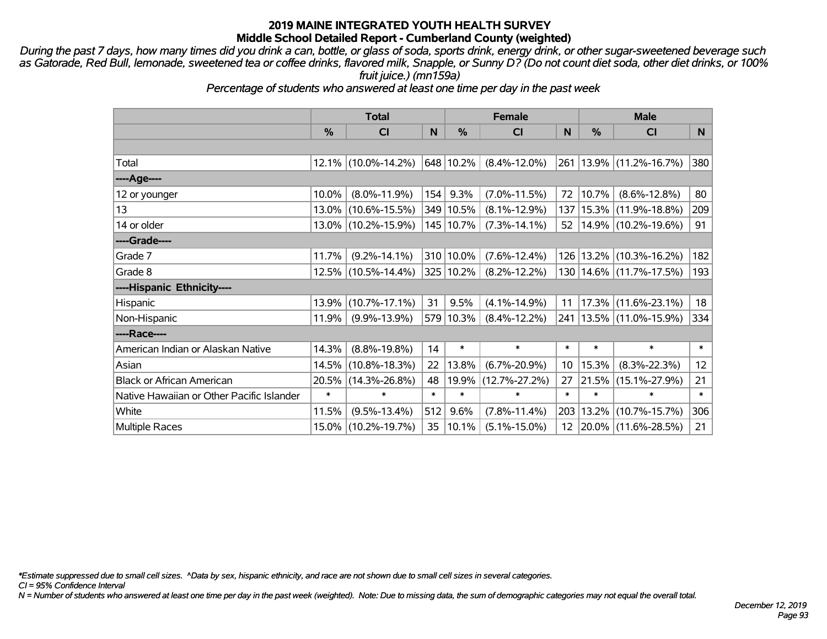*During the past 7 days, how many times did you drink a can, bottle, or glass of soda, sports drink, energy drink, or other sugar-sweetened beverage such as Gatorade, Red Bull, lemonade, sweetened tea or coffee drinks, flavored milk, Snapple, or Sunny D? (Do not count diet soda, other diet drinks, or 100% fruit juice.) (mn159a)*

*Percentage of students who answered at least one time per day in the past week*

|                                           | <b>Total</b>  |                        |        | <b>Female</b> | <b>Male</b>         |                 |               |                             |                 |
|-------------------------------------------|---------------|------------------------|--------|---------------|---------------------|-----------------|---------------|-----------------------------|-----------------|
|                                           | $\frac{0}{0}$ | <b>CI</b>              | N      | $\frac{9}{6}$ | <b>CI</b>           | N               | $\frac{0}{0}$ | CI                          | N               |
|                                           |               |                        |        |               |                     |                 |               |                             |                 |
| Total                                     |               | $12.1\%$ (10.0%-14.2%) |        | 648 10.2%     | $(8.4\% - 12.0\%)$  | 261             |               | 13.9% (11.2%-16.7%)         | 380             |
| ----Age----                               |               |                        |        |               |                     |                 |               |                             |                 |
| 12 or younger                             | 10.0%         | $(8.0\% - 11.9\%)$     | 154    | 9.3%          | $(7.0\% - 11.5\%)$  | 72              | 10.7%         | $(8.6\% - 12.8\%)$          | 80              |
| 13                                        | $13.0\%$      | $(10.6\% - 15.5\%)$    |        | 349 10.5%     | $(8.1\% - 12.9\%)$  | 137             | 15.3%         | $(11.9\% - 18.8\%)$         | 209             |
| 14 or older                               |               | 13.0% (10.2%-15.9%)    |        | 145   10.7%   | $(7.3\% - 14.1\%)$  | 52              |               | 14.9% (10.2%-19.6%)         | 91              |
| ----Grade----                             |               |                        |        |               |                     |                 |               |                             |                 |
| Grade 7                                   | 11.7%         | $(9.2\% - 14.1\%)$     |        | 310 10.0%     | $(7.6\% - 12.4\%)$  | 126             | 13.2%         | $(10.3\% - 16.2\%)$         | 182             |
| Grade 8                                   |               | 12.5% (10.5%-14.4%)    |        | 325 10.2%     | $(8.2\% - 12.2\%)$  |                 |               | 130   14.6%   (11.7%-17.5%) | 193             |
| ----Hispanic Ethnicity----                |               |                        |        |               |                     |                 |               |                             |                 |
| Hispanic                                  | 13.9%         | $(10.7\% - 17.1\%)$    | 31     | 9.5%          | $(4.1\% - 14.9\%)$  | 11              | 17.3%         | $(11.6\% - 23.1\%)$         | 18              |
| Non-Hispanic                              | 11.9%         | $(9.9\% - 13.9\%)$     |        | 579 10.3%     | $(8.4\% - 12.2\%)$  |                 |               | 241   13.5%   (11.0%-15.9%) | 334             |
| ----Race----                              |               |                        |        |               |                     |                 |               |                             |                 |
| American Indian or Alaskan Native         | 14.3%         | $(8.8\% - 19.8\%)$     | 14     | $\ast$        | $\ast$              | $\ast$          | $\ast$        | $\ast$                      | $\ast$          |
| Asian                                     | 14.5%         | $(10.8\% - 18.3\%)$    | 22     | 13.8%         | $(6.7\% - 20.9\%)$  | 10 <sup>°</sup> | 15.3%         | $(8.3\% - 22.3\%)$          | 12 <sup>°</sup> |
| <b>Black or African American</b>          | 20.5%         | $(14.3\% - 26.8\%)$    | 48     | 19.9%         | $(12.7\% - 27.2\%)$ | 27              | 21.5%         | $(15.1\% - 27.9\%)$         | 21              |
| Native Hawaiian or Other Pacific Islander | $\ast$        | $\ast$                 | $\ast$ | $\ast$        | $\ast$              | $\ast$          | $\ast$        | $\ast$                      | $\ast$          |
| White                                     | 11.5%         | $(9.5\% - 13.4\%)$     | 512    | 9.6%          | $(7.8\% - 11.4\%)$  | 203             | 13.2%         | $(10.7\% - 15.7\%)$         | 306             |
| <b>Multiple Races</b>                     | 15.0%         | $(10.2\% - 19.7\%)$    | 35     | 10.1%         | $(5.1\% - 15.0\%)$  |                 |               | 12 20.0% (11.6%-28.5%)      | $21 \mid$       |

*\*Estimate suppressed due to small cell sizes. ^Data by sex, hispanic ethnicity, and race are not shown due to small cell sizes in several categories.*

*CI = 95% Confidence Interval*

*N = Number of students who answered at least one time per day in the past week (weighted). Note: Due to missing data, the sum of demographic categories may not equal the overall total.*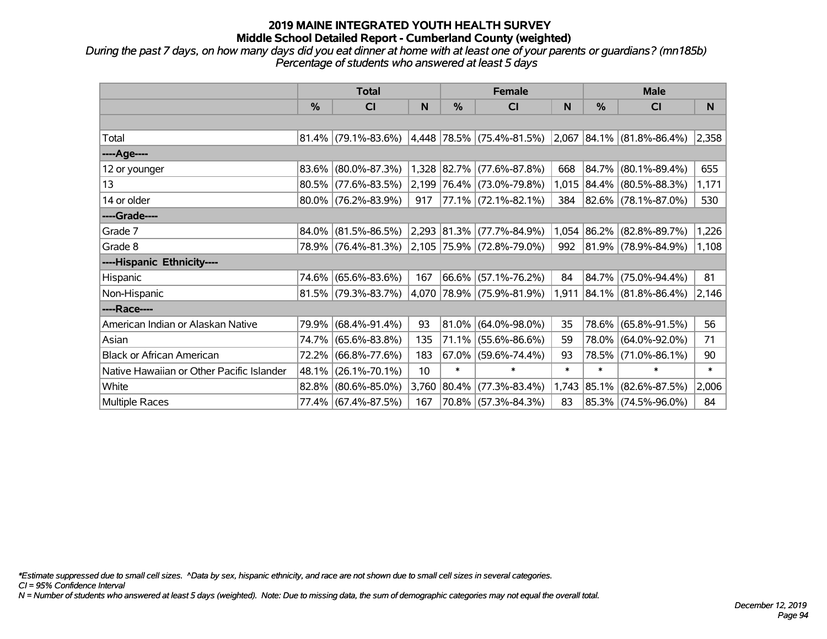*During the past 7 days, on how many days did you eat dinner at home with at least one of your parents or guardians? (mn185b) Percentage of students who answered at least 5 days*

|                                           | <b>Total</b> |                                                  |       | <b>Female</b> |                           | <b>Male</b> |             |                                    |        |
|-------------------------------------------|--------------|--------------------------------------------------|-------|---------------|---------------------------|-------------|-------------|------------------------------------|--------|
|                                           | %            | <b>CI</b>                                        | N     | $\%$          | <b>CI</b>                 | N           | %           | <b>CI</b>                          | N.     |
|                                           |              |                                                  |       |               |                           |             |             |                                    |        |
| Total                                     |              | $81.4\%$ (79.1%-83.6%) 4,448 78.5% (75.4%-81.5%) |       |               |                           |             |             | $ 2,067 84.1\%  (81.8\% - 86.4\%)$ | 2,358  |
| ----Age----                               |              |                                                  |       |               |                           |             |             |                                    |        |
| 12 or younger                             | 83.6%        | $(80.0\% - 87.3\%)$                              |       |               | 1,328 82.7% (77.6%-87.8%) | 668         | $84.7\%$    | $(80.1\% - 89.4\%)$                | 655    |
| 13                                        |              | 80.5% (77.6%-83.5%)                              |       |               | 2,199 76.4% (73.0%-79.8%) |             |             | 1,015 84.4% (80.5%-88.3%)          | 1,171  |
| 14 or older                               |              | $80.0\%$ (76.2%-83.9%)                           | 917   |               | 77.1% (72.1%-82.1%)       | 384         |             | $ 82.6\% $ (78.1%-87.0%)           | 530    |
| ----Grade----                             |              |                                                  |       |               |                           |             |             |                                    |        |
| Grade 7                                   | 84.0%        | $(81.5\% - 86.5\%)$                              |       |               | 2,293 81.3% (77.7%-84.9%) |             | 1,054 86.2% | $(82.8\% - 89.7\%)$                | 1,226  |
| Grade 8                                   |              | 78.9% (76.4%-81.3%) 2,105 75.9% (72.8%-79.0%)    |       |               |                           | 992         |             | $ 81.9\% $ (78.9%-84.9%)           | 1,108  |
| ----Hispanic Ethnicity----                |              |                                                  |       |               |                           |             |             |                                    |        |
| Hispanic                                  | 74.6%        | $(65.6\% - 83.6\%)$                              | 167   | 66.6%         | $(57.1\% - 76.2\%)$       | 84          | 84.7%       | $(75.0\% - 94.4\%)$                | 81     |
| Non-Hispanic                              |              | 81.5% (79.3%-83.7%)                              |       |               | 4,070 78.9% (75.9%-81.9%) | 1,911       |             | $ 84.1\% $ (81.8%-86.4%)           | 2,146  |
| ----Race----                              |              |                                                  |       |               |                           |             |             |                                    |        |
| American Indian or Alaskan Native         | 79.9%        | $(68.4\% - 91.4\%)$                              | 93    | 81.0%         | $(64.0\% - 98.0\%)$       | 35          | 78.6%       | $(65.8\% - 91.5\%)$                | 56     |
| Asian                                     | 74.7%        | $(65.6\% - 83.8\%)$                              | 135   | $ 71.1\% $    | $(55.6\% - 86.6\%)$       | 59          | 78.0%       | $(64.0\% - 92.0\%)$                | 71     |
| <b>Black or African American</b>          | 72.2%        | $(66.8\% - 77.6\%)$                              | 183   | $67.0\%$      | $(59.6\% - 74.4\%)$       | 93          | 78.5%       | $(71.0\% - 86.1\%)$                | 90     |
| Native Hawaiian or Other Pacific Islander | 48.1%        | $(26.1\% - 70.1\%)$                              | 10    | $\ast$        | $\ast$                    | $\ast$      | $\ast$      | $\ast$                             | $\ast$ |
| White                                     | $82.8\%$     | $(80.6\% - 85.0\%)$                              | 3,760 | 80.4%         | $(77.3\% - 83.4\%)$       | 1,743       | $ 85.1\% $  | $(82.6\% - 87.5\%)$                | 2,006  |
| <b>Multiple Races</b>                     |              | 77.4% (67.4%-87.5%)                              | 167   |               | 70.8% (57.3%-84.3%)       | 83          |             | 85.3% (74.5%-96.0%)                | 84     |

*\*Estimate suppressed due to small cell sizes. ^Data by sex, hispanic ethnicity, and race are not shown due to small cell sizes in several categories.*

*CI = 95% Confidence Interval*

*N = Number of students who answered at least 5 days (weighted). Note: Due to missing data, the sum of demographic categories may not equal the overall total.*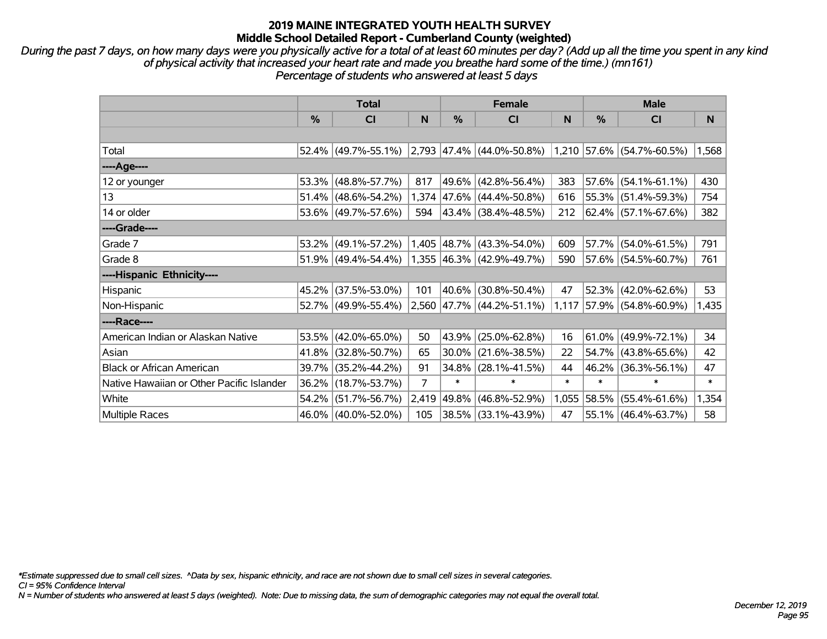*During the past 7 days, on how many days were you physically active for a total of at least 60 minutes per day? (Add up all the time you spent in any kind of physical activity that increased your heart rate and made you breathe hard some of the time.) (mn161) Percentage of students who answered at least 5 days*

|                                           | <b>Total</b> |                        |                | <b>Female</b> |                                | <b>Male</b> |          |                             |        |
|-------------------------------------------|--------------|------------------------|----------------|---------------|--------------------------------|-------------|----------|-----------------------------|--------|
|                                           | %            | CI                     | N              | %             | CI                             | N           | %        | <b>CI</b>                   | N.     |
|                                           |              |                        |                |               |                                |             |          |                             |        |
| Total                                     |              | $52.4\%$ (49.7%-55.1%) |                |               | $ 2,793 47.4\% $ (44.0%-50.8%) |             |          | $1,210$ 57.6% (54.7%-60.5%) | 1,568  |
| ----Age----                               |              |                        |                |               |                                |             |          |                             |        |
| 12 or younger                             | 53.3%        | $(48.8\% - 57.7\%)$    | 817            | $ 49.6\% $    | $(42.8\% - 56.4\%)$            | 383         |          | $57.6\%$ (54.1%-61.1%)      | 430    |
| 13                                        | 51.4%        | $(48.6\% - 54.2\%)$    |                |               | 1,374 47.6% (44.4%-50.8%)      | 616         |          | 55.3% (51.4%-59.3%)         | 754    |
| 14 or older                               |              | 53.6% (49.7%-57.6%)    | 594            |               | $ 43.4\% $ (38.4%-48.5%)       | 212         |          | 62.4% (57.1%-67.6%)         | 382    |
| ----Grade----                             |              |                        |                |               |                                |             |          |                             |        |
| Grade 7                                   | 53.2%        | $(49.1\% - 57.2\%)$    |                | 1,405 48.7%   | $(43.3\% - 54.0\%)$            | 609         | 57.7%    | $(54.0\% - 61.5\%)$         | 791    |
| Grade 8                                   |              | $51.9\%$ (49.4%-54.4%) |                |               | $1,355$ 46.3% (42.9%-49.7%)    | 590         |          | $57.6\%$ (54.5%-60.7%)      | 761    |
| ----Hispanic Ethnicity----                |              |                        |                |               |                                |             |          |                             |        |
| Hispanic                                  | 45.2%        | $(37.5\% - 53.0\%)$    | 101            | $ 40.6\% $    | $(30.8\% - 50.4\%)$            | 47          | 52.3%    | $(42.0\% - 62.6\%)$         | 53     |
| Non-Hispanic                              |              | 52.7% (49.9%-55.4%)    |                |               | 2,560 47.7% (44.2%-51.1%)      | 1,117       |          | 57.9% (54.8%-60.9%)         | 1,435  |
| ----Race----                              |              |                        |                |               |                                |             |          |                             |        |
| American Indian or Alaskan Native         | 53.5%        | $(42.0\% - 65.0\%)$    | 50             | $ 43.9\% $    | $(25.0\% - 62.8\%)$            | 16          |          | $61.0\%$ (49.9%-72.1%)      | 34     |
| Asian                                     | 41.8%        | $(32.8\% - 50.7\%)$    | 65             | $30.0\%$      | $(21.6\% - 38.5\%)$            | 22          |          | $54.7\%$ (43.8%-65.6%)      | 42     |
| <b>Black or African American</b>          | 39.7%        | $(35.2\% - 44.2\%)$    | 91             | $34.8\%$      | $(28.1\% - 41.5\%)$            | 44          | $46.2\%$ | $(36.3\% - 56.1\%)$         | 47     |
| Native Hawaiian or Other Pacific Islander | 36.2%        | $(18.7\% - 53.7\%)$    | $\overline{7}$ | $\ast$        | $\ast$                         | $\ast$      | $\ast$   | $\ast$                      | $\ast$ |
| White                                     | 54.2%        | $(51.7\% - 56.7\%)$    | 2,419          | $ 49.8\% $    | $(46.8\% - 52.9\%)$            | 1,055       | 58.5%    | $(55.4\% - 61.6\%)$         | 1,354  |
| Multiple Races                            |              | 46.0% (40.0%-52.0%)    | 105            |               | 38.5% (33.1%-43.9%)            | 47          |          | 55.1% (46.4%-63.7%)         | 58     |

*\*Estimate suppressed due to small cell sizes. ^Data by sex, hispanic ethnicity, and race are not shown due to small cell sizes in several categories.*

*CI = 95% Confidence Interval*

*N = Number of students who answered at least 5 days (weighted). Note: Due to missing data, the sum of demographic categories may not equal the overall total.*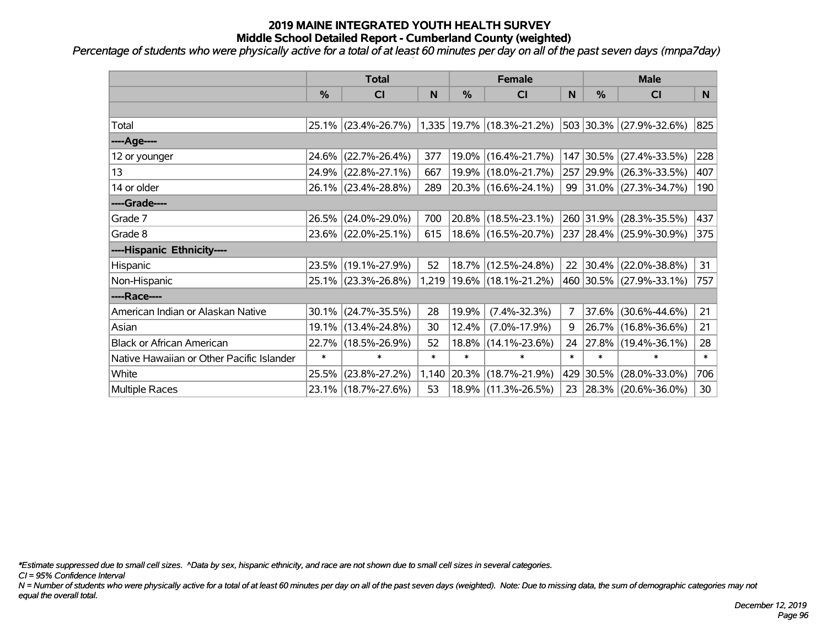*Percentage of students who were physically active for a total of at least 60 minutes per day on all of the past seven days (mnpa7day)*

|                                           | <b>Total</b> |                     |        | <b>Female</b> |                                 | <b>Male</b>    |            |                          |        |
|-------------------------------------------|--------------|---------------------|--------|---------------|---------------------------------|----------------|------------|--------------------------|--------|
|                                           | %            | CI                  | N      | %             | CI                              | N              | %          | <b>CI</b>                | N      |
|                                           |              |                     |        |               |                                 |                |            |                          |        |
| Total                                     |              | 25.1% (23.4%-26.7%) |        |               | $1,335$   19.7%   (18.3%-21.2%) |                |            | 503 30.3% (27.9%-32.6%)  | 825    |
| ----Age----                               |              |                     |        |               |                                 |                |            |                          |        |
| 12 or younger                             | 24.6%        | $(22.7\% - 26.4\%)$ | 377    |               | 19.0% (16.4%-21.7%)             |                | 147 30.5%  | $(27.4\% - 33.5\%)$      | 228    |
| 13                                        |              | 24.9% (22.8%-27.1%) | 667    |               | 19.9% (18.0%-21.7%)             |                |            | 257 29.9% (26.3%-33.5%)  | 407    |
| 14 or older                               |              | 26.1% (23.4%-28.8%) | 289    |               | 20.3% (16.6%-24.1%)             |                |            | 99 31.0% (27.3%-34.7%)   | 190    |
| ----Grade----                             |              |                     |        |               |                                 |                |            |                          |        |
| Grade 7                                   |              | 26.5% (24.0%-29.0%) | 700    | 20.8%         | $(18.5\% - 23.1\%)$             |                |            | 260 31.9% (28.3%-35.5%)  | 437    |
| Grade 8                                   |              | 23.6% (22.0%-25.1%) | 615    |               | 18.6% (16.5%-20.7%)             |                |            | 237 28.4% (25.9%-30.9%)  | 375    |
| ----Hispanic Ethnicity----                |              |                     |        |               |                                 |                |            |                          |        |
| Hispanic                                  |              | 23.5% (19.1%-27.9%) | 52     |               | 18.7% (12.5%-24.8%)             | 22             |            | $ 30.4\% $ (22.0%-38.8%) | 31     |
| Non-Hispanic                              |              | 25.1% (23.3%-26.8%) |        |               | 1,219   19.6%   (18.1%-21.2%)   |                |            | 460 30.5% (27.9%-33.1%)  | 757    |
| ----Race----                              |              |                     |        |               |                                 |                |            |                          |        |
| American Indian or Alaskan Native         |              | 30.1% (24.7%-35.5%) | 28     | 19.9%         | $(7.4\% - 32.3\%)$              | $\overline{7}$ | $ 37.6\% $ | $(30.6\% - 44.6\%)$      | 21     |
| Asian                                     |              | 19.1% (13.4%-24.8%) | 30     | 12.4%         | $(7.0\% - 17.9\%)$              | 9              |            | 26.7% (16.8%-36.6%)      | 21     |
| <b>Black or African American</b>          | 22.7%        | $(18.5\% - 26.9\%)$ | 52     | 18.8%         | $(14.1\% - 23.6\%)$             | 24             |            | $ 27.8\% $ (19.4%-36.1%) | 28     |
| Native Hawaiian or Other Pacific Islander | $\ast$       | $\ast$              | $\ast$ | $\ast$        | $\ast$                          | $\ast$         | $\ast$     | $\ast$                   | $\ast$ |
| White                                     | 25.5%        | $(23.8\% - 27.2\%)$ | 1,140  | 20.3%         | $(18.7\% - 21.9\%)$             |                | 429 30.5%  | $(28.0\% - 33.0\%)$      | 706    |
| <b>Multiple Races</b>                     |              | 23.1% (18.7%-27.6%) | 53     |               | 18.9% (11.3%-26.5%)             | 23             |            | $ 28.3\% $ (20.6%-36.0%) | 30     |

*\*Estimate suppressed due to small cell sizes. ^Data by sex, hispanic ethnicity, and race are not shown due to small cell sizes in several categories.*

*CI = 95% Confidence Interval*

*N = Number of students who were physically active for a total of at least 60 minutes per day on all of the past seven days (weighted). Note: Due to missing data, the sum of demographic categories may not equal the overall total.*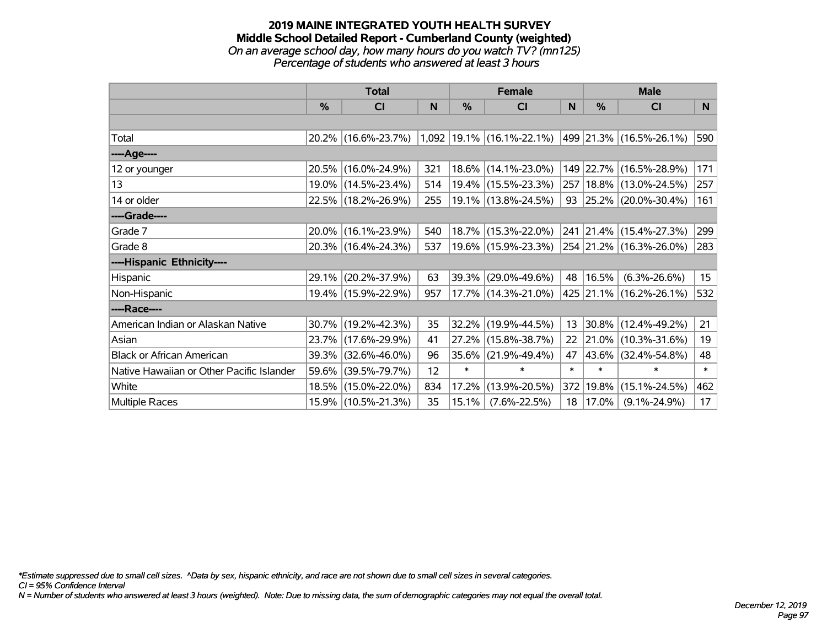#### **2019 MAINE INTEGRATED YOUTH HEALTH SURVEY Middle School Detailed Report - Cumberland County (weighted)** *On an average school day, how many hours do you watch TV? (mn125) Percentage of students who answered at least 3 hours*

|                                           | <b>Total</b>  |                     |     | <b>Female</b> |                                 | <b>Male</b> |               |                             |                  |
|-------------------------------------------|---------------|---------------------|-----|---------------|---------------------------------|-------------|---------------|-----------------------------|------------------|
|                                           | $\frac{0}{0}$ | CI                  | N   | %             | <b>CI</b>                       | N           | $\frac{0}{0}$ | <b>CI</b>                   | N                |
|                                           |               |                     |     |               |                                 |             |               |                             |                  |
| Total                                     |               | 20.2% (16.6%-23.7%) |     |               | $1,092$   19.1%   (16.1%-22.1%) |             |               | 499   21.3%   (16.5%-26.1%) | 590              |
| ----Age----                               |               |                     |     |               |                                 |             |               |                             |                  |
| 12 or younger                             |               | 20.5% (16.0%-24.9%) | 321 |               | 18.6% (14.1%-23.0%)             |             |               | 149 22.7% (16.5%-28.9%)     | 171              |
| 13                                        |               | 19.0% (14.5%-23.4%) | 514 |               | 19.4% (15.5%-23.3%)             |             |               | 257   18.8%   (13.0%-24.5%) | 257              |
| 14 or older                               |               | 22.5% (18.2%-26.9%) | 255 |               | 19.1% (13.8%-24.5%)             |             |               | 93 25.2% (20.0%-30.4%)      | 161              |
| ----Grade----                             |               |                     |     |               |                                 |             |               |                             |                  |
| Grade 7                                   | 20.0%         | $(16.1\% - 23.9\%)$ | 540 |               | 18.7% (15.3%-22.0%)             |             |               | 241 21.4% (15.4%-27.3%)     | 299              |
| Grade 8                                   |               | 20.3% (16.4%-24.3%) | 537 |               | 19.6% (15.9%-23.3%)             |             |               | 254 21.2% (16.3%-26.0%)     | 283              |
| ----Hispanic Ethnicity----                |               |                     |     |               |                                 |             |               |                             |                  |
| Hispanic                                  | 29.1%         | $(20.2\% - 37.9\%)$ | 63  | 39.3%         | $(29.0\% - 49.6\%)$             | 48          | 16.5%         | $(6.3\% - 26.6\%)$          | 15 <sub>15</sub> |
| Non-Hispanic                              |               | 19.4% (15.9%-22.9%) | 957 |               | 17.7% (14.3%-21.0%)             |             |               | 425 21.1% (16.2%-26.1%)     | 532              |
| ----Race----                              |               |                     |     |               |                                 |             |               |                             |                  |
| American Indian or Alaskan Native         |               | 30.7% (19.2%-42.3%) | 35  | 32.2%         | $(19.9\% - 44.5\%)$             | 13          |               | 30.8% (12.4%-49.2%)         | 21               |
| Asian                                     | 23.7%         | $(17.6\% - 29.9\%)$ | 41  | 27.2%         | $(15.8\% - 38.7\%)$             | 22          | 21.0%         | $(10.3\% - 31.6\%)$         | 19               |
| <b>Black or African American</b>          | 39.3%         | $(32.6\% - 46.0\%)$ | 96  | 35.6%         | $(21.9\% - 49.4\%)$             | 47          | 43.6%         | $(32.4\% - 54.8\%)$         | 48               |
| Native Hawaiian or Other Pacific Islander | 59.6%         | $(39.5\% - 79.7\%)$ | 12  | $\ast$        | $\ast$                          | $\ast$      | $\ast$        | $\ast$                      | $\ast$           |
| White                                     |               | 18.5% (15.0%-22.0%) | 834 | 17.2%         | $(13.9\% - 20.5\%)$             | 372         | 19.8%         | $(15.1\% - 24.5\%)$         | 462              |
| Multiple Races                            |               | 15.9% (10.5%-21.3%) | 35  | 15.1%         | $(7.6\% - 22.5\%)$              | 18          | 17.0%         | $(9.1\% - 24.9\%)$          | 17               |

*\*Estimate suppressed due to small cell sizes. ^Data by sex, hispanic ethnicity, and race are not shown due to small cell sizes in several categories.*

*CI = 95% Confidence Interval*

*N = Number of students who answered at least 3 hours (weighted). Note: Due to missing data, the sum of demographic categories may not equal the overall total.*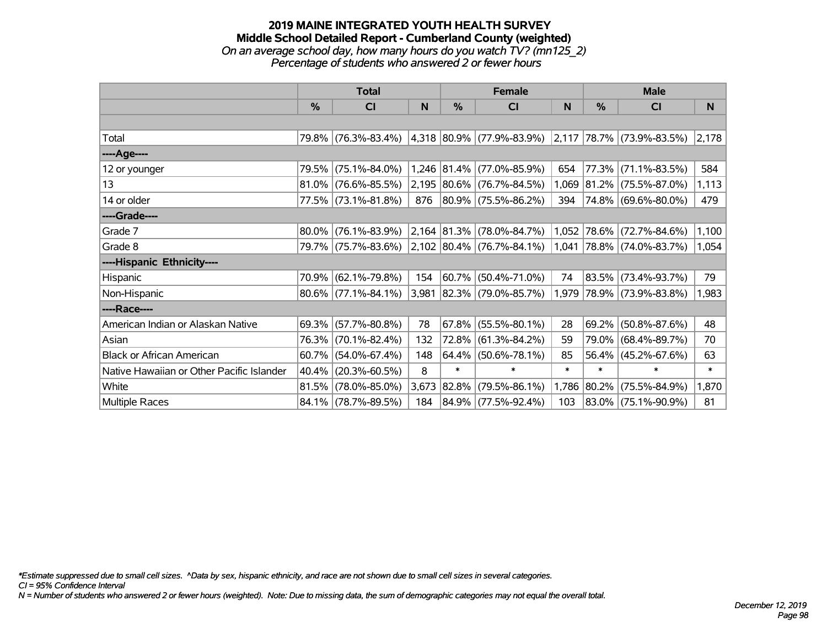#### **2019 MAINE INTEGRATED YOUTH HEALTH SURVEY Middle School Detailed Report - Cumberland County (weighted)** *On an average school day, how many hours do you watch TV? (mn125\_2) Percentage of students who answered 2 or fewer hours*

|                                           | <b>Total</b>  |                        |       | <b>Female</b> |                                                          | <b>Male</b> |               |                          |        |
|-------------------------------------------|---------------|------------------------|-------|---------------|----------------------------------------------------------|-------------|---------------|--------------------------|--------|
|                                           | $\frac{0}{0}$ | CI                     | N     | $\frac{0}{0}$ | <b>CI</b>                                                | N           | $\frac{0}{0}$ | <b>CI</b>                | N      |
|                                           |               |                        |       |               |                                                          |             |               |                          |        |
| Total                                     |               | 79.8% (76.3%-83.4%)    |       |               | $ 4,318 80.9\% $ (77.9%-83.9%) 2,117 78.7% (73.9%-83.5%) |             |               |                          | 2,178  |
| ----Age----                               |               |                        |       |               |                                                          |             |               |                          |        |
| 12 or younger                             | 79.5%         | $(75.1\% - 84.0\%)$    |       |               | 1,246 81.4% (77.0%-85.9%)                                | 654         | 77.3%         | $(71.1\% - 83.5\%)$      | 584    |
| 13                                        | $81.0\%$      | $(76.6\% - 85.5\%)$    |       |               | 2,195 80.6% (76.7%-84.5%)                                | 1,069       |               | 81.2% (75.5%-87.0%)      | 1,113  |
| 14 or older                               |               | 77.5% (73.1%-81.8%)    | 876   |               | 80.9% (75.5%-86.2%)                                      | 394         |               | 74.8% (69.6%-80.0%)      | 479    |
| ----Grade----                             |               |                        |       |               |                                                          |             |               |                          |        |
| Grade 7                                   | 80.0%         | $(76.1\% - 83.9\%)$    |       |               | $2,164$ 81.3% (78.0%-84.7%)                              | 1,052       | 78.6%         | $(72.7\% - 84.6\%)$      | 1,100  |
| Grade 8                                   |               | 79.7% (75.7%-83.6%)    |       |               | $ 2,102 80.4\% $ (76.7%-84.1%)                           | 1,041       |               | 78.8% (74.0%-83.7%)      | 1,054  |
| ----Hispanic Ethnicity----                |               |                        |       |               |                                                          |             |               |                          |        |
| Hispanic                                  | 70.9%         | $(62.1\% - 79.8\%)$    | 154   |               | 60.7% (50.4%-71.0%)                                      | 74          | 83.5%         | $(73.4\% - 93.7\%)$      | 79     |
| Non-Hispanic                              |               | $80.6\%$ (77.1%-84.1%) |       |               | 3,981 82.3% (79.0%-85.7%)                                | 1,979       |               | $ 78.9\% $ (73.9%-83.8%) | 1,983  |
| ----Race----                              |               |                        |       |               |                                                          |             |               |                          |        |
| American Indian or Alaskan Native         | 69.3%         | $(57.7\% - 80.8\%)$    | 78    | 67.8%         | $(55.5\% - 80.1\%)$                                      | 28          | 69.2%         | $(50.8\% - 87.6\%)$      | 48     |
| Asian                                     | 76.3%         | $(70.1\% - 82.4\%)$    | 132   | 72.8%         | $(61.3\% - 84.2\%)$                                      | 59          | 79.0%         | $(68.4\% - 89.7\%)$      | 70     |
| <b>Black or African American</b>          | 60.7%         | $(54.0\% - 67.4\%)$    | 148   |               | $64.4\%$ (50.6%-78.1%)                                   | 85          |               | 56.4% (45.2%-67.6%)      | 63     |
| Native Hawaiian or Other Pacific Islander | 40.4%         | $(20.3\% - 60.5\%)$    | 8     | $\ast$        | $\ast$                                                   | $\ast$      | $\ast$        | $\ast$                   | $\ast$ |
| White                                     | 81.5%         | $(78.0\% - 85.0\%)$    | 3,673 | $ 82.8\% $    | $(79.5\% - 86.1\%)$                                      | 1,786       | $ 80.2\% $    | $(75.5\% - 84.9\%)$      | 1,870  |
| <b>Multiple Races</b>                     |               | 84.1% (78.7%-89.5%)    | 184   |               | 84.9% (77.5%-92.4%)                                      | 103         |               | 83.0% (75.1%-90.9%)      | 81     |

*\*Estimate suppressed due to small cell sizes. ^Data by sex, hispanic ethnicity, and race are not shown due to small cell sizes in several categories.*

*CI = 95% Confidence Interval*

*N = Number of students who answered 2 or fewer hours (weighted). Note: Due to missing data, the sum of demographic categories may not equal the overall total.*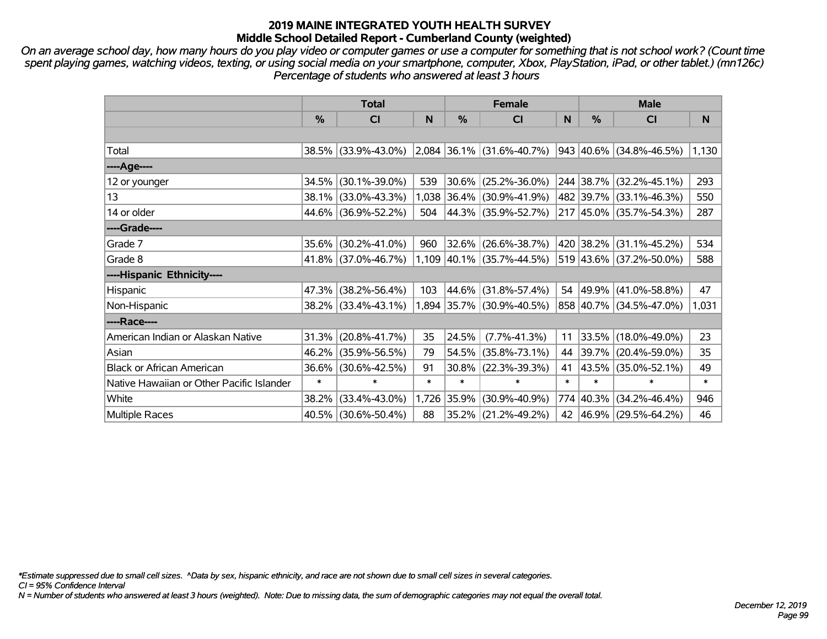*On an average school day, how many hours do you play video or computer games or use a computer for something that is not school work? (Count time spent playing games, watching videos, texting, or using social media on your smartphone, computer, Xbox, PlayStation, iPad, or other tablet.) (mn126c) Percentage of students who answered at least 3 hours*

|                                           | <b>Total</b> |                     | <b>Female</b> |        |                             | <b>Male</b> |           |                         |        |
|-------------------------------------------|--------------|---------------------|---------------|--------|-----------------------------|-------------|-----------|-------------------------|--------|
|                                           | $\%$         | <b>CI</b>           | N             | $\%$   | <b>CI</b>                   | N           | $\%$      | <b>CI</b>               | N      |
|                                           |              |                     |               |        |                             |             |           |                         |        |
| Total                                     |              | 38.5% (33.9%-43.0%) |               |        | $2,084$ 36.1% (31.6%-40.7%) |             |           | 943 40.6% (34.8%-46.5%) | 1,130  |
| ----Age----                               |              |                     |               |        |                             |             |           |                         |        |
| 12 or younger                             | 34.5%        | $(30.1\% - 39.0\%)$ | 539           | 30.6%  | $(25.2\% - 36.0\%)$         |             |           | 244 38.7% (32.2%-45.1%) | 293    |
| 13                                        | 38.1%        | $(33.0\% - 43.3\%)$ | 1,038         |        | $ 36.4\% $ (30.9%-41.9%)    |             |           | 482 39.7% (33.1%-46.3%) | 550    |
| 14 or older                               | 44.6%        | $(36.9\% - 52.2\%)$ | 504           |        | 44.3% (35.9%-52.7%)         |             |           | 217 45.0% (35.7%-54.3%) | 287    |
| ----Grade----                             |              |                     |               |        |                             |             |           |                         |        |
| Grade 7                                   | 35.6%        | $(30.2\% - 41.0\%)$ | 960           | 32.6%  | $(26.6\% - 38.7\%)$         |             |           | 420 38.2% (31.1%-45.2%) | 534    |
| Grade 8                                   |              | 41.8% (37.0%-46.7%) |               |        | 1,109 40.1% (35.7%-44.5%)   |             |           | 519 43.6% (37.2%-50.0%) | 588    |
| ----Hispanic Ethnicity----                |              |                     |               |        |                             |             |           |                         |        |
| Hispanic                                  | 47.3%        | $(38.2\% - 56.4\%)$ | 103           | 44.6%  | $(31.8\% - 57.4\%)$         |             | 54 49.9%  | $(41.0\% - 58.8\%)$     | 47     |
| Non-Hispanic                              |              | 38.2% (33.4%-43.1%) |               |        | 1,894 35.7% (30.9%-40.5%)   |             |           | 858 40.7% (34.5%-47.0%) | 1,031  |
| ----Race----                              |              |                     |               |        |                             |             |           |                         |        |
| American Indian or Alaskan Native         | 31.3%        | $(20.8\% - 41.7\%)$ | 35            | 24.5%  | $(7.7\% - 41.3\%)$          | 11          |           | 33.5% (18.0%-49.0%)     | 23     |
| Asian                                     | 46.2%        | $(35.9\% - 56.5\%)$ | 79            | 54.5%  | $(35.8\% - 73.1\%)$         | 44          | 39.7%     | $(20.4\% - 59.0\%)$     | 35     |
| <b>Black or African American</b>          | 36.6%        | $(30.6\% - 42.5\%)$ | 91            | 30.8%  | $(22.3\% - 39.3\%)$         | 41          |           | 43.5% (35.0%-52.1%)     | 49     |
| Native Hawaiian or Other Pacific Islander | $\ast$       | $\ast$              | $\ast$        | $\ast$ | $\ast$                      | $\ast$      | $\ast$    | $\ast$                  | $\ast$ |
| White                                     | 38.2%        | $(33.4\% - 43.0\%)$ | 1,726         | 35.9%  | $(30.9\% - 40.9\%)$         |             | 774 40.3% | $(34.2\% - 46.4\%)$     | 946    |
| Multiple Races                            |              | 40.5% (30.6%-50.4%) | 88            |        | 35.2% (21.2%-49.2%)         |             |           | 42 46.9% (29.5%-64.2%)  | 46     |

*\*Estimate suppressed due to small cell sizes. ^Data by sex, hispanic ethnicity, and race are not shown due to small cell sizes in several categories.*

*CI = 95% Confidence Interval*

*N = Number of students who answered at least 3 hours (weighted). Note: Due to missing data, the sum of demographic categories may not equal the overall total.*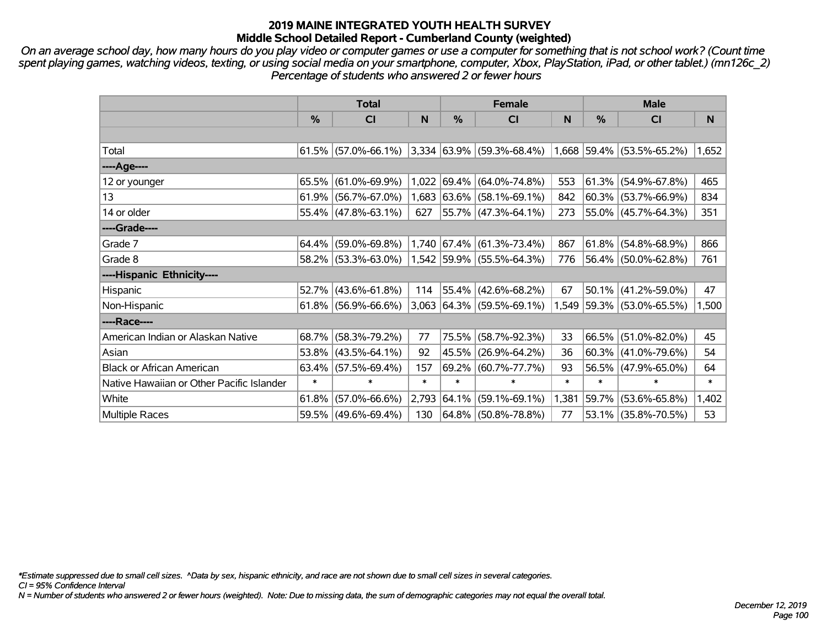*On an average school day, how many hours do you play video or computer games or use a computer for something that is not school work? (Count time spent playing games, watching videos, texting, or using social media on your smartphone, computer, Xbox, PlayStation, iPad, or other tablet.) (mn126c\_2) Percentage of students who answered 2 or fewer hours*

|                                           | <b>Total</b> |                                                  |        | <b>Female</b> |                                                                            | <b>Male</b> |               |                           |        |
|-------------------------------------------|--------------|--------------------------------------------------|--------|---------------|----------------------------------------------------------------------------|-------------|---------------|---------------------------|--------|
|                                           | %            | CI                                               | N      | %             | <b>CI</b>                                                                  | N           | $\frac{0}{0}$ | <b>CI</b>                 | N.     |
|                                           |              |                                                  |        |               |                                                                            |             |               |                           |        |
| Total                                     |              |                                                  |        |               | $61.5\%$ (57.0%-66.1%) 3,334 63.9% (59.3%-68.4%) 1,668 59.4% (53.5%-65.2%) |             |               |                           | 1,652  |
| ----Age----                               |              |                                                  |        |               |                                                                            |             |               |                           |        |
| 12 or younger                             | 65.5%        | $(61.0\% - 69.9\%)$                              | 1,022  |               | $ 69.4\%  (64.0\% - 74.8\%)$                                               | 553         |               | $61.3\%$ (54.9%-67.8%)    | 465    |
| 13                                        |              | $61.9\%$ (56.7%-67.0%)                           |        |               | $1,683$ 63.6% (58.1%-69.1%)                                                | 842         |               | $60.3\%$ (53.7%-66.9%)    | 834    |
| 14 or older                               |              | 55.4% (47.8%-63.1%)                              | 627    |               | 55.7% (47.3%-64.1%)                                                        | 273         |               | $55.0\%$ (45.7%-64.3%)    | 351    |
| ----Grade----                             |              |                                                  |        |               |                                                                            |             |               |                           |        |
| Grade 7                                   | 64.4%        | $(59.0\% - 69.8\%)$                              |        |               | $1,740$ 67.4% (61.3%-73.4%)                                                | 867         |               | $61.8\%$ (54.8%-68.9%)    | 866    |
| Grade 8                                   |              | $58.2\%$ (53.3%-63.0%) 1,542 59.9% (55.5%-64.3%) |        |               |                                                                            | 776         |               | 56.4% (50.0%-62.8%)       | 761    |
| ----Hispanic Ethnicity----                |              |                                                  |        |               |                                                                            |             |               |                           |        |
| Hispanic                                  | 52.7%        | $(43.6\% - 61.8\%)$                              | 114    |               | $55.4\%$ (42.6%-68.2%)                                                     | 67          |               | $50.1\%$ (41.2%-59.0%)    | 47     |
| Non-Hispanic                              |              | $61.8\%$ (56.9%-66.6%)                           |        |               | $3,063$ 64.3% (59.5%-69.1%)                                                |             |               | 1,549 59.3% (53.0%-65.5%) | 1,500  |
| ----Race----                              |              |                                                  |        |               |                                                                            |             |               |                           |        |
| American Indian or Alaskan Native         | 68.7%        | $(58.3\% - 79.2\%)$                              | 77     | 75.5%         | $(58.7\% - 92.3\%)$                                                        | 33          |               | 66.5% (51.0%-82.0%)       | 45     |
| Asian                                     | 53.8%        | $(43.5\% - 64.1\%)$                              | 92     | 45.5%         | $(26.9\% - 64.2\%)$                                                        | 36          |               | $60.3\%$ (41.0%-79.6%)    | 54     |
| <b>Black or African American</b>          | 63.4%        | $(57.5\% - 69.4\%)$                              | 157    | 69.2%         | $(60.7\% - 77.7\%)$                                                        | 93          |               | 56.5% (47.9%-65.0%)       | 64     |
| Native Hawaiian or Other Pacific Islander | $\ast$       | $\ast$                                           | $\ast$ | $\ast$        | $\ast$                                                                     | $\ast$      | $\ast$        | $\ast$                    | $\ast$ |
| White                                     | 61.8%        | $(57.0\% - 66.6\%)$                              | 2,793  | $ 64.1\% $    | $(59.1\% - 69.1\%)$                                                        | 1,381       |               | 59.7% (53.6%-65.8%)       | 1,402  |
| <b>Multiple Races</b>                     |              | 59.5% (49.6%-69.4%)                              | 130    |               | $ 64.8\% $ (50.8%-78.8%)                                                   | 77          |               | 53.1% (35.8%-70.5%)       | 53     |

*\*Estimate suppressed due to small cell sizes. ^Data by sex, hispanic ethnicity, and race are not shown due to small cell sizes in several categories.*

*CI = 95% Confidence Interval*

*N = Number of students who answered 2 or fewer hours (weighted). Note: Due to missing data, the sum of demographic categories may not equal the overall total.*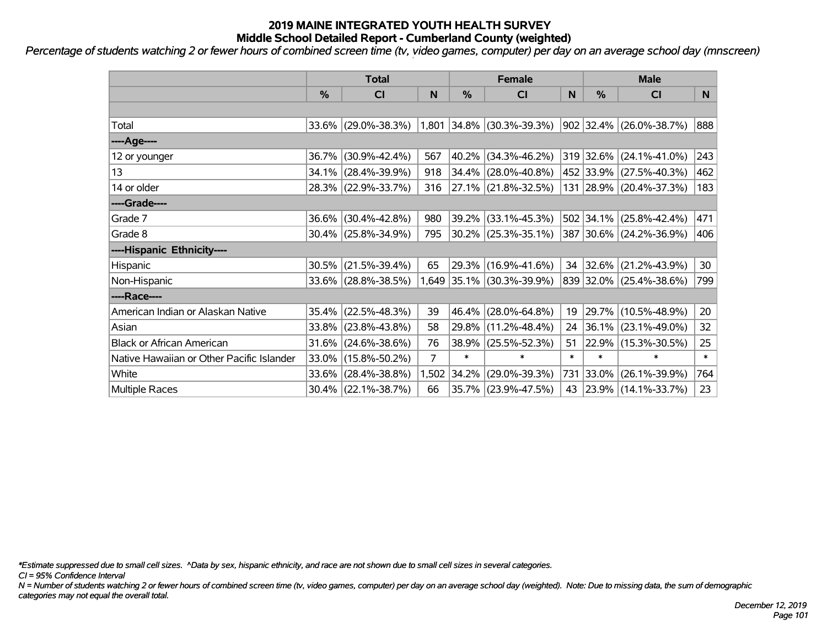*Percentage of students watching 2 or fewer hours of combined screen time (tv, video games, computer) per day on an average school day (mnscreen)*

|                                           | <b>Total</b> |                        |       |        | <b>Female</b>             |        | <b>Male</b> |                          |        |  |
|-------------------------------------------|--------------|------------------------|-------|--------|---------------------------|--------|-------------|--------------------------|--------|--|
|                                           | %            | <b>CI</b>              | N     | %      | <b>CI</b>                 | N      | %           | <b>CI</b>                | N.     |  |
|                                           |              |                        |       |        |                           |        |             |                          |        |  |
| Total                                     |              | 33.6% (29.0%-38.3%)    |       |        | 1,801 34.8% (30.3%-39.3%) |        |             | 902 32.4% (26.0%-38.7%)  | 888    |  |
| ----Age----                               |              |                        |       |        |                           |        |             |                          |        |  |
| 12 or younger                             | 36.7%        | $(30.9\% - 42.4\%)$    | 567   | 40.2%  | $(34.3\% - 46.2\%)$       |        | 319 32.6%   | $(24.1\% - 41.0\%)$      | 243    |  |
| 13                                        |              | 34.1% (28.4%-39.9%)    | 918   |        | $34.4\%$ (28.0%-40.8%)    |        |             | 452 33.9% (27.5%-40.3%)  | 462    |  |
| 14 or older                               |              | 28.3% (22.9%-33.7%)    | 316   |        | 27.1% (21.8%-32.5%)       |        |             | 131 28.9% (20.4%-37.3%)  | 183    |  |
| ----Grade----                             |              |                        |       |        |                           |        |             |                          |        |  |
| Grade 7                                   | 36.6%        | $(30.4\% - 42.8\%)$    | 980   | 39.2%  | $(33.1\% - 45.3\%)$       |        | 502 34.1%   | $(25.8\% - 42.4\%)$      | 471    |  |
| Grade 8                                   |              | $30.4\%$ (25.8%-34.9%) | 795   |        | 30.2% (25.3%-35.1%)       |        |             | 387 30.6% (24.2%-36.9%)  | 406    |  |
| ----Hispanic Ethnicity----                |              |                        |       |        |                           |        |             |                          |        |  |
| Hispanic                                  | 30.5%        | $(21.5\% - 39.4\%)$    | 65    |        | 29.3% (16.9%-41.6%)       | 34     | 32.6%       | $(21.2\% - 43.9\%)$      | 30     |  |
| Non-Hispanic                              |              | 33.6% (28.8%-38.5%)    |       |        | 1,649 35.1% (30.3%-39.9%) |        |             | 839 32.0% (25.4%-38.6%)  | 799    |  |
| ----Race----                              |              |                        |       |        |                           |        |             |                          |        |  |
| American Indian or Alaskan Native         | 35.4%        | $(22.5\% - 48.3\%)$    | 39    | 46.4%  | $(28.0\% - 64.8\%)$       | 19     | 29.7%       | $(10.5\% - 48.9\%)$      | 20     |  |
| Asian                                     | 33.8%        | $(23.8\% - 43.8\%)$    | 58    | 29.8%  | $(11.2\% - 48.4\%)$       | 24     | 36.1%       | $(23.1\% - 49.0\%)$      | 32     |  |
| <b>Black or African American</b>          | 31.6%        | $(24.6\% - 38.6\%)$    | 76    | 38.9%  | $(25.5\% - 52.3\%)$       | 51     | 22.9%       | $(15.3\% - 30.5\%)$      | 25     |  |
| Native Hawaiian or Other Pacific Islander | 33.0%        | $(15.8\% - 50.2\%)$    | 7     | $\ast$ | $\ast$                    | $\ast$ | $\ast$      | $\ast$                   | $\ast$ |  |
| White                                     | 33.6%        | $(28.4\% - 38.8\%)$    | 1,502 | 34.2%  | $(29.0\% - 39.3\%)$       | 731    | 33.0%       | $(26.1\% - 39.9\%)$      | 764    |  |
| Multiple Races                            |              | $30.4\%$ (22.1%-38.7%) | 66    |        | 35.7% (23.9%-47.5%)       | 43     |             | $ 23.9\% $ (14.1%-33.7%) | 23     |  |

*\*Estimate suppressed due to small cell sizes. ^Data by sex, hispanic ethnicity, and race are not shown due to small cell sizes in several categories.*

*CI = 95% Confidence Interval*

*N = Number of students watching 2 or fewer hours of combined screen time (tv, video games, computer) per day on an average school day (weighted). Note: Due to missing data, the sum of demographic categories may not equal the overall total.*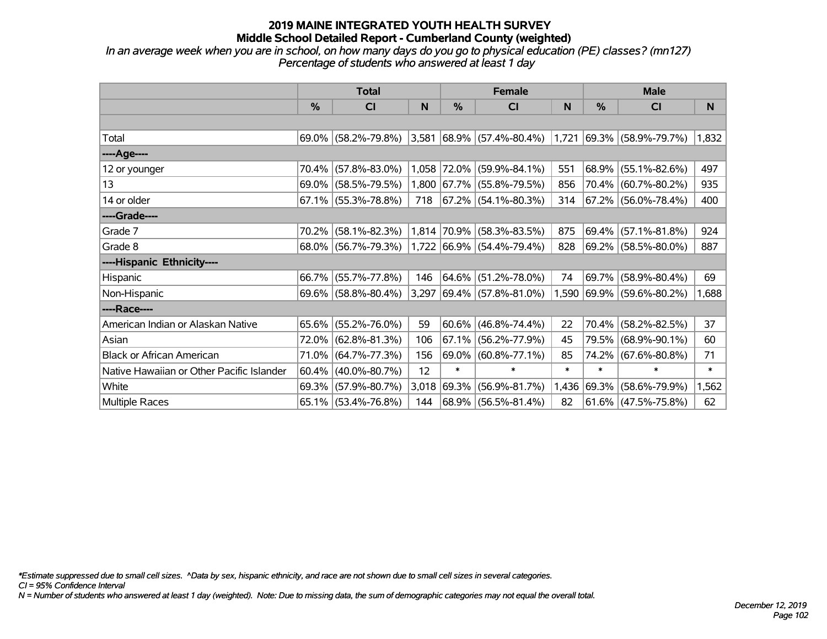*In an average week when you are in school, on how many days do you go to physical education (PE) classes? (mn127) Percentage of students who answered at least 1 day*

|                                           | <b>Total</b> |                        |       | <b>Female</b> |                                           | <b>Male</b> |            |                          |        |
|-------------------------------------------|--------------|------------------------|-------|---------------|-------------------------------------------|-------------|------------|--------------------------|--------|
|                                           | $\%$         | CI                     | N     | $\frac{0}{0}$ | CI                                        | N           | %          | <b>CI</b>                | N      |
|                                           |              |                        |       |               |                                           |             |            |                          |        |
| Total                                     |              | 69.0% (58.2%-79.8%)    |       |               | $ 3,581 68.9\%  (57.4\% - 80.4\%)  1,721$ |             |            | $ 69.3\% $ (58.9%-79.7%) | 1,832  |
| ----Age----                               |              |                        |       |               |                                           |             |            |                          |        |
| 12 or younger                             | 70.4%        | $(57.8\% - 83.0\%)$    |       | 1,058 72.0%   | $(59.9\% - 84.1\%)$                       | 551         | 68.9%      | $(55.1\% - 82.6\%)$      | 497    |
| 13                                        | 69.0%        | $(58.5\% - 79.5\%)$    |       |               | 1,800 67.7% (55.8%-79.5%)                 | 856         |            | 70.4% (60.7%-80.2%)      | 935    |
| 14 or older                               |              | $67.1\%$ (55.3%-78.8%) | 718   |               | 67.2%   (54.1%-80.3%)                     | 314         |            | 67.2% (56.0%-78.4%)      | 400    |
| ----Grade----                             |              |                        |       |               |                                           |             |            |                          |        |
| Grade 7                                   | 70.2%        | $(58.1\% - 82.3\%)$    | 1,814 | $ 70.9\% $    | $(58.3\% - 83.5\%)$                       | 875         | $69.4\%$   | $(57.1\% - 81.8\%)$      | 924    |
| Grade 8                                   |              | 68.0% (56.7%-79.3%)    |       |               | 1,722 66.9% (54.4%-79.4%)                 | 828         |            | 69.2% (58.5%-80.0%)      | 887    |
| ----Hispanic Ethnicity----                |              |                        |       |               |                                           |             |            |                          |        |
| Hispanic                                  | 66.7%        | $(55.7\% - 77.8\%)$    | 146   | 64.6%         | $(51.2\% - 78.0\%)$                       | 74          | 69.7%      | $(58.9\% - 80.4\%)$      | 69     |
| Non-Hispanic                              |              | $69.6\%$ (58.8%-80.4%) | 3,297 |               | $ 69.4\% $ (57.8%-81.0%)                  | 1,590       |            | $ 69.9\% $ (59.6%-80.2%) | 1,688  |
| ----Race----                              |              |                        |       |               |                                           |             |            |                          |        |
| American Indian or Alaskan Native         |              | 65.6% (55.2%-76.0%)    | 59    |               | $60.6\%$ (46.8%-74.4%)                    | 22          | 70.4%      | $(58.2\% - 82.5\%)$      | 37     |
| Asian                                     | 72.0%        | $(62.8\% - 81.3\%)$    | 106   | 67.1%         | $(56.2\% - 77.9\%)$                       | 45          | 79.5%      | $(68.9\% - 90.1\%)$      | 60     |
| <b>Black or African American</b>          | 71.0%        | $(64.7\% - 77.3\%)$    | 156   |               | 69.0% (60.8%-77.1%)                       | 85          | 74.2%      | $(67.6\% - 80.8\%)$      | 71     |
| Native Hawaiian or Other Pacific Islander | 60.4%        | $(40.0\% - 80.7\%)$    | 12    | $\ast$        | $\ast$                                    | $\ast$      | $\ast$     | $\ast$                   | $\ast$ |
| White                                     | 69.3%        | $(57.9\% - 80.7\%)$    | 3,018 | 69.3%         | $(56.9\% - 81.7\%)$                       | 1,436       | $ 69.3\% $ | $(58.6\% - 79.9\%)$      | 1,562  |
| Multiple Races                            |              | 65.1% (53.4%-76.8%)    | 144   |               | 68.9% (56.5%-81.4%)                       | 82          |            | $ 61.6\% $ (47.5%-75.8%) | 62     |

*\*Estimate suppressed due to small cell sizes. ^Data by sex, hispanic ethnicity, and race are not shown due to small cell sizes in several categories.*

*CI = 95% Confidence Interval*

*N = Number of students who answered at least 1 day (weighted). Note: Due to missing data, the sum of demographic categories may not equal the overall total.*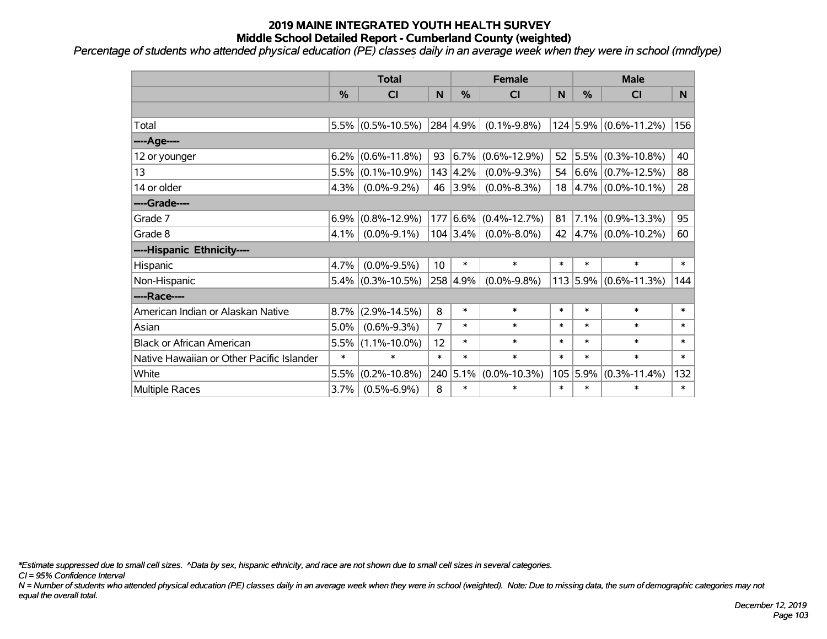*Percentage of students who attended physical education (PE) classes daily in an average week when they were in school (mndlype)*

|                                           | <b>Total</b> |                      |                 | <b>Female</b>    |                    |        | <b>Male</b>   |                                            |                |
|-------------------------------------------|--------------|----------------------|-----------------|------------------|--------------------|--------|---------------|--------------------------------------------|----------------|
|                                           | %            | C <sub>1</sub>       | N               | %                | CI                 | N      | $\frac{0}{0}$ | <b>CI</b>                                  | N <sub>1</sub> |
|                                           |              |                      |                 |                  |                    |        |               |                                            |                |
| Total                                     |              | $5.5\%$ (0.5%-10.5%) |                 | 284 4.9%         | $(0.1\% - 9.8\%)$  |        |               | 124 5.9% (0.6%-11.2%)                      | 156            |
| ----Age----                               |              |                      |                 |                  |                    |        |               |                                            |                |
| 12 or younger                             | 6.2%         | $(0.6\% - 11.8\%)$   | 93              | 6.7%             | $(0.6\% - 12.9\%)$ | 52     | $ 5.5\% $     | $(0.3\% - 10.8\%)$                         | 40             |
| 13                                        | 5.5%         | $(0.1\% - 10.9\%)$   |                 | $143 \mid 4.2\%$ | $(0.0\% - 9.3\%)$  |        |               | 54 $ 6.6\%  (0.7\% - 12.5\%)$              | 88             |
| 14 or older                               | 4.3%         | $(0.0\% - 9.2\%)$    |                 | 46 3.9%          | $(0.0\% - 8.3\%)$  |        |               | $18 \left  4.7\% \right  (0.0\% - 10.1\%)$ | 28             |
| ----Grade----                             |              |                      |                 |                  |                    |        |               |                                            |                |
| Grade 7                                   | 6.9%         | $(0.8\% - 12.9\%)$   | 177             | 6.6%             | $(0.4\% - 12.7\%)$ | 81     |               | $7.1\%$ (0.9%-13.3%)                       | 95             |
| Grade 8                                   | 4.1%         | $(0.0\% - 9.1\%)$    |                 | $104 3.4\% $     | $(0.0\% - 8.0\%)$  | 42     |               | $ 4.7\% $ (0.0%-10.2%)                     | 60             |
| ----Hispanic Ethnicity----                |              |                      |                 |                  |                    |        |               |                                            |                |
| Hispanic                                  | 4.7%         | $(0.0\% - 9.5\%)$    | 10 <sup>1</sup> | $\ast$           | $\ast$             | $\ast$ | $\ast$        | $\ast$                                     | $\ast$         |
| Non-Hispanic                              | 5.4%         | $(0.3\% - 10.5\%)$   |                 | 258 4.9%         | $(0.0\% - 9.8\%)$  |        | $113$ 5.9%    | $(0.6\% - 11.3\%)$                         | 144            |
| ----Race----                              |              |                      |                 |                  |                    |        |               |                                            |                |
| American Indian or Alaskan Native         | 8.7%         | $(2.9\% - 14.5\%)$   | 8               | $\ast$           | $\ast$             | $\ast$ | $\ast$        | $\ast$                                     | $\ast$         |
| Asian                                     | 5.0%         | $(0.6\% - 9.3\%)$    | 7               | $\ast$           | $\ast$             | $\ast$ | $\ast$        | $\ast$                                     | $\ast$         |
| <b>Black or African American</b>          | 5.5%         | $(1.1\% - 10.0\%)$   | 12              | $\ast$           | $\ast$             | $\ast$ | $\ast$        | $\ast$                                     | $\ast$         |
| Native Hawaiian or Other Pacific Islander | $\ast$       | $\ast$               | $\ast$          | $\ast$           | $\ast$             | $\ast$ | $\ast$        | $\ast$                                     | $\ast$         |
| White                                     | 5.5%         | $(0.2\% - 10.8\%)$   |                 | 240 5.1%         | $(0.0\% - 10.3\%)$ |        | $105$ 5.9%    | $(0.3\% - 11.4\%)$                         | 132            |
| Multiple Races                            | 3.7%         | $(0.5\% - 6.9\%)$    | 8               | $\ast$           | $\ast$             | $\ast$ | $\ast$        | $\ast$                                     | $\ast$         |

*\*Estimate suppressed due to small cell sizes. ^Data by sex, hispanic ethnicity, and race are not shown due to small cell sizes in several categories.*

*CI = 95% Confidence Interval*

*N = Number of students who attended physical education (PE) classes daily in an average week when they were in school (weighted). Note: Due to missing data, the sum of demographic categories may not equal the overall total.*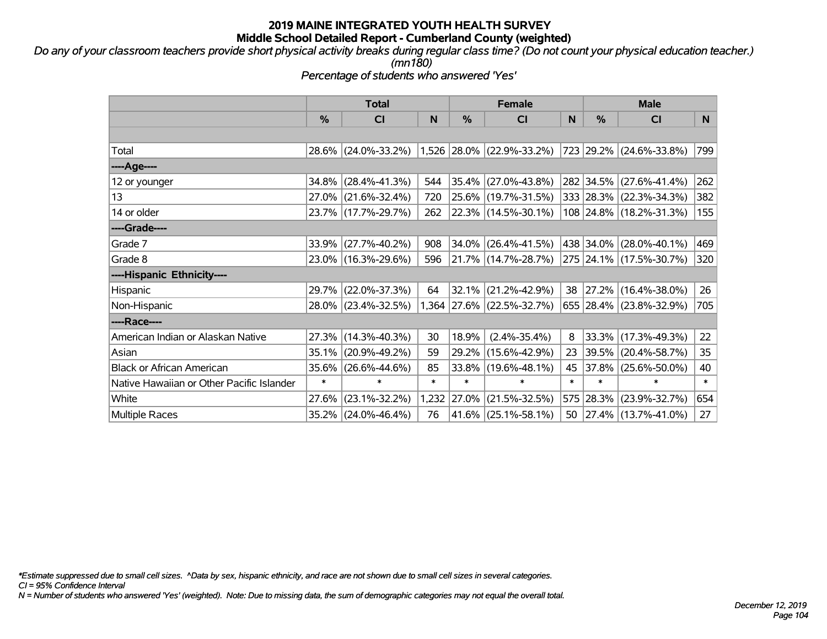*Do any of your classroom teachers provide short physical activity breaks during regular class time? (Do not count your physical education teacher.) (mn180)*

*Percentage of students who answered 'Yes'*

|                                           | <b>Total</b>  |                     |        |        | <b>Female</b>               |        |               | <b>Male</b>              |        |  |
|-------------------------------------------|---------------|---------------------|--------|--------|-----------------------------|--------|---------------|--------------------------|--------|--|
|                                           | $\frac{0}{0}$ | CI                  | N      | $\%$   | C <sub>l</sub>              | N      | $\frac{0}{0}$ | <b>CI</b>                | N      |  |
|                                           |               |                     |        |        |                             |        |               |                          |        |  |
| Total                                     |               | 28.6% (24.0%-33.2%) |        |        | $1,526$ 28.0% (22.9%-33.2%) |        |               | 723 29.2% (24.6%-33.8%)  | 799    |  |
| ----Age----                               |               |                     |        |        |                             |        |               |                          |        |  |
| 12 or younger                             | 34.8%         | $(28.4\% - 41.3\%)$ | 544    | 35.4%  | $(27.0\% - 43.8\%)$         |        |               | 282 34.5% (27.6%-41.4%)  | 262    |  |
| 13                                        |               | 27.0% (21.6%-32.4%) | 720    |        | 25.6% (19.7%-31.5%)         |        |               | 333 28.3% (22.3%-34.3%)  | 382    |  |
| 14 or older                               |               | 23.7% (17.7%-29.7%) | 262    |        | 22.3% (14.5%-30.1%)         |        |               | 108 24.8% (18.2%-31.3%)  | 155    |  |
| ----Grade----                             |               |                     |        |        |                             |        |               |                          |        |  |
| Grade 7                                   |               | 33.9% (27.7%-40.2%) | 908    | 34.0%  | $(26.4\% - 41.5\%)$         |        |               | 438 34.0% (28.0%-40.1%)  | 469    |  |
| Grade 8                                   |               | 23.0% (16.3%-29.6%) | 596    |        | 21.7% (14.7%-28.7%)         |        |               | 275 24.1% (17.5%-30.7%)  | 320    |  |
| ----Hispanic Ethnicity----                |               |                     |        |        |                             |        |               |                          |        |  |
| Hispanic                                  | 29.7%         | $(22.0\% - 37.3\%)$ | 64     | 32.1%  | $(21.2\% - 42.9\%)$         | 38     |               | 27.2% (16.4%-38.0%)      | 26     |  |
| Non-Hispanic                              |               | 28.0% (23.4%-32.5%) |        |        | 1,364 27.6% (22.5%-32.7%)   |        |               | 655 28.4% (23.8%-32.9%)  | 705    |  |
| ----Race----                              |               |                     |        |        |                             |        |               |                          |        |  |
| American Indian or Alaskan Native         | 27.3%         | $(14.3\% - 40.3\%)$ | 30     | 18.9%  | $(2.4\% - 35.4\%)$          | 8      |               | 33.3% (17.3%-49.3%)      | 22     |  |
| Asian                                     | 35.1%         | $(20.9\% - 49.2\%)$ | 59     | 29.2%  | $(15.6\% - 42.9\%)$         | 23     |               | 39.5% (20.4%-58.7%)      | 35     |  |
| <b>Black or African American</b>          | 35.6%         | $(26.6\% - 44.6\%)$ | 85     | 33.8%  | $(19.6\% - 48.1\%)$         | 45     |               | 37.8% (25.6%-50.0%)      | 40     |  |
| Native Hawaiian or Other Pacific Islander | $\ast$        | $\ast$              | $\ast$ | $\ast$ | $\ast$                      | $\ast$ | $\ast$        | $\ast$                   | $\ast$ |  |
| White                                     | 27.6%         | $(23.1\% - 32.2\%)$ | 1,232  | 27.0%  | $(21.5\% - 32.5\%)$         |        | 575 28.3%     | $(23.9\% - 32.7\%)$      | 654    |  |
| <b>Multiple Races</b>                     | 35.2%         | $(24.0\% - 46.4\%)$ | 76     | 41.6%  | $(25.1\% - 58.1\%)$         | 50     |               | $ 27.4\% $ (13.7%-41.0%) | 27     |  |

*\*Estimate suppressed due to small cell sizes. ^Data by sex, hispanic ethnicity, and race are not shown due to small cell sizes in several categories.*

*CI = 95% Confidence Interval*

*N = Number of students who answered 'Yes' (weighted). Note: Due to missing data, the sum of demographic categories may not equal the overall total.*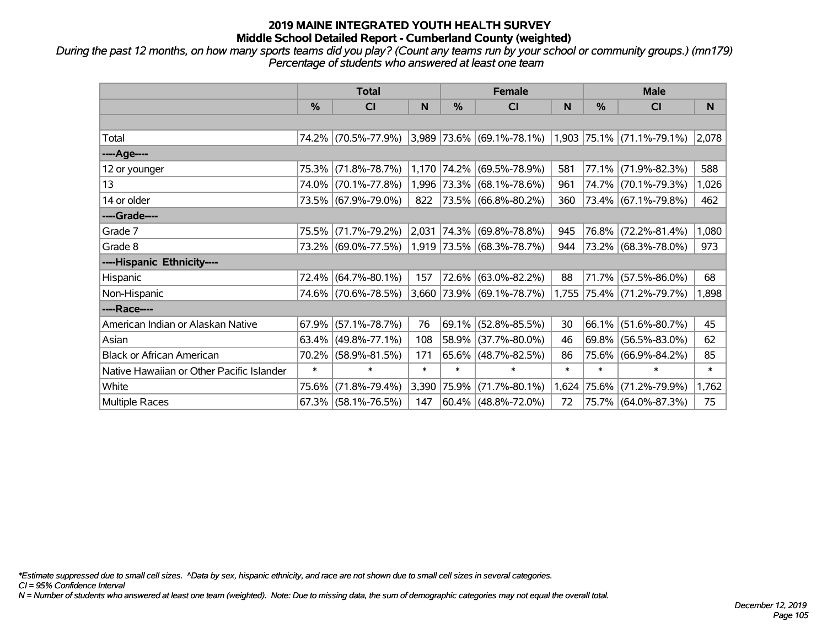*During the past 12 months, on how many sports teams did you play? (Count any teams run by your school or community groups.) (mn179) Percentage of students who answered at least one team*

|                                           | <b>Total</b> |                        |        | <b>Female</b> |                           | <b>Male</b> |        |                             |        |
|-------------------------------------------|--------------|------------------------|--------|---------------|---------------------------|-------------|--------|-----------------------------|--------|
|                                           | $\%$         | <b>CI</b>              | N      | $\%$          | <b>CI</b>                 | N           | %      | <b>CI</b>                   | N      |
|                                           |              |                        |        |               |                           |             |        |                             |        |
| Total                                     |              | 74.2% (70.5%-77.9%)    |        |               | 3,989 73.6% (69.1%-78.1%) |             |        | $1,903$ 75.1% (71.1%-79.1%) | 2,078  |
| ----Age----                               |              |                        |        |               |                           |             |        |                             |        |
| 12 or younger                             | 75.3%        | $(71.8\% - 78.7\%)$    |        | 1,170 74.2%   | $(69.5\% - 78.9\%)$       | 581         | 77.1%  | $(71.9\% - 82.3\%)$         | 588    |
| 13                                        |              | 74.0% (70.1%-77.8%)    |        |               | 1,996 73.3% (68.1%-78.6%) | 961         |        | 74.7% (70.1%-79.3%)         | 1,026  |
| 14 or older                               |              | 73.5% (67.9%-79.0%)    | 822    |               | $ 73.5\% $ (66.8%-80.2%)  | 360         |        | 73.4% (67.1%-79.8%)         | 462    |
| ----Grade----                             |              |                        |        |               |                           |             |        |                             |        |
| Grade 7                                   | 75.5%        | $(71.7\% - 79.2\%)$    | 2,031  |               | $ 74.3\% $ (69.8%-78.8%)  | 945         | 76.8%  | $(72.2\% - 81.4\%)$         | 1,080  |
| Grade 8                                   |              | 73.2% (69.0%-77.5%)    |        |               | 1,919 73.5% (68.3%-78.7%) | 944         |        | 73.2% (68.3%-78.0%)         | 973    |
| ----Hispanic Ethnicity----                |              |                        |        |               |                           |             |        |                             |        |
| Hispanic                                  | 72.4%        | $(64.7\% - 80.1\%)$    | 157    | 72.6%         | $(63.0\% - 82.2\%)$       | 88          | 71.7%  | $(57.5\% - 86.0\%)$         | 68     |
| Non-Hispanic                              |              | 74.6% (70.6%-78.5%)    |        |               | 3,660 73.9% (69.1%-78.7%) |             |        | 1,755 75.4% (71.2%-79.7%)   | 1,898  |
| ----Race----                              |              |                        |        |               |                           |             |        |                             |        |
| American Indian or Alaskan Native         | 67.9%        | $(57.1\% - 78.7\%)$    | 76     | 69.1%         | $(52.8\% - 85.5\%)$       | 30          | 66.1%  | $(51.6\% - 80.7\%)$         | 45     |
| Asian                                     | 63.4%        | $(49.8\% - 77.1\%)$    | 108    | 58.9%         | $(37.7\% - 80.0\%)$       | 46          | 69.8%  | $(56.5\% - 83.0\%)$         | 62     |
| <b>Black or African American</b>          | 70.2%        | $(58.9\% - 81.5\%)$    | 171    |               | $65.6\%$ (48.7%-82.5%)    | 86          | 75.6%  | $(66.9\% - 84.2\%)$         | 85     |
| Native Hawaiian or Other Pacific Islander | $\ast$       | $\ast$                 | $\ast$ | $\ast$        | $\ast$                    | $\ast$      | $\ast$ | $\ast$                      | $\ast$ |
| White                                     | 75.6%        | $(71.8\% - 79.4\%)$    | 3,390  | 75.9%         | $(71.7\% - 80.1\%)$       | 1,624       | 75.6%  | $(71.2\% - 79.9\%)$         | 1,762  |
| Multiple Races                            |              | $67.3\%$ (58.1%-76.5%) | 147    |               | $ 60.4\% $ (48.8%-72.0%)  | 72          |        | 75.7% (64.0%-87.3%)         | 75     |

*\*Estimate suppressed due to small cell sizes. ^Data by sex, hispanic ethnicity, and race are not shown due to small cell sizes in several categories.*

*CI = 95% Confidence Interval*

*N = Number of students who answered at least one team (weighted). Note: Due to missing data, the sum of demographic categories may not equal the overall total.*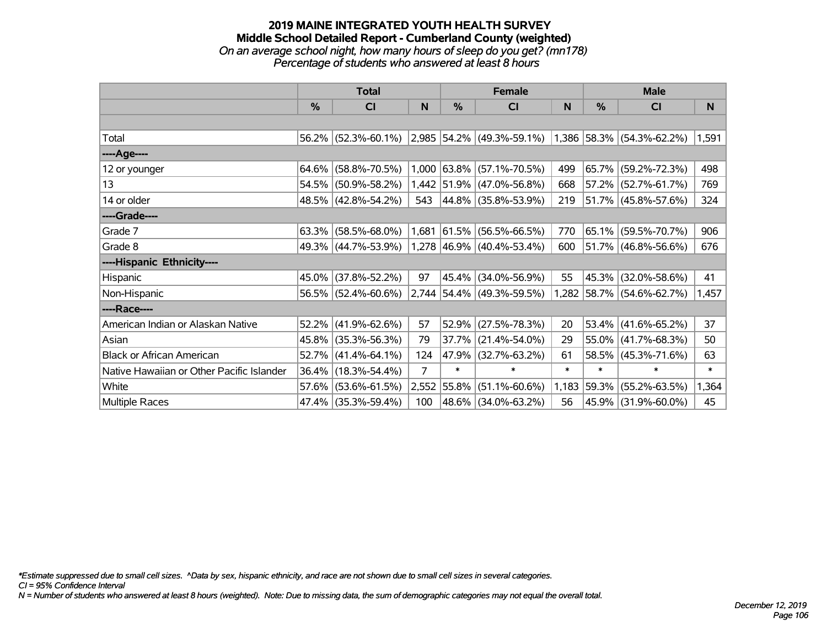#### **2019 MAINE INTEGRATED YOUTH HEALTH SURVEY Middle School Detailed Report - Cumberland County (weighted)** *On an average school night, how many hours of sleep do you get? (mn178) Percentage of students who answered at least 8 hours*

|                                           | <b>Total</b>  |                                               |       | <b>Female</b> |                             | <b>Male</b> |          |                           |        |
|-------------------------------------------|---------------|-----------------------------------------------|-------|---------------|-----------------------------|-------------|----------|---------------------------|--------|
|                                           | $\frac{0}{0}$ | CI                                            | N     | %             | <b>CI</b>                   | N           | %        | <b>CI</b>                 | N      |
|                                           |               |                                               |       |               |                             |             |          |                           |        |
| Total                                     |               | 56.2% (52.3%-60.1%) 2,985 54.2% (49.3%-59.1%) |       |               |                             |             |          | 1,386 58.3% (54.3%-62.2%) | 1,591  |
| ----Age----                               |               |                                               |       |               |                             |             |          |                           |        |
| 12 or younger                             | 64.6%         | $(58.8\% - 70.5\%)$                           |       |               | 1,000 63.8% (57.1%-70.5%)   | 499         | 65.7%    | $(59.2\% - 72.3\%)$       | 498    |
| 13                                        |               | 54.5% (50.9%-58.2%)                           |       |               | 1,442 51.9% (47.0%-56.8%)   | 668         |          | $57.2\%$ (52.7%-61.7%)    | 769    |
| 14 or older                               |               | 48.5% (42.8%-54.2%)                           | 543   |               | $ 44.8\% $ (35.8%-53.9%)    | 219         |          | 51.7% (45.8%-57.6%)       | 324    |
| ----Grade----                             |               |                                               |       |               |                             |             |          |                           |        |
| Grade 7                                   | 63.3%         | $(58.5\% - 68.0\%)$                           | 1,681 | $ 61.5\% $    | $(56.5\% - 66.5\%)$         | 770         | $65.1\%$ | $(59.5\% - 70.7\%)$       | 906    |
| Grade 8                                   |               | 49.3% (44.7%-53.9%)                           |       |               | $1,278$ 46.9% (40.4%-53.4%) | 600         |          | 51.7% (46.8%-56.6%)       | 676    |
| ----Hispanic Ethnicity----                |               |                                               |       |               |                             |             |          |                           |        |
| Hispanic                                  | 45.0%         | $(37.8\% - 52.2\%)$                           | 97    | 45.4%         | $(34.0\% - 56.9\%)$         | 55          | 45.3%    | $(32.0\% - 58.6\%)$       | 41     |
| Non-Hispanic                              |               | 56.5% (52.4%-60.6%)                           |       |               | 2,744 54.4% (49.3%-59.5%)   |             |          | 1,282 58.7% (54.6%-62.7%) | 1,457  |
| ----Race----                              |               |                                               |       |               |                             |             |          |                           |        |
| American Indian or Alaskan Native         | 52.2%         | $(41.9\% - 62.6\%)$                           | 57    | 52.9%         | $(27.5\% - 78.3\%)$         | 20          | 53.4%    | $(41.6\% - 65.2\%)$       | 37     |
| Asian                                     | 45.8%         | $(35.3\% - 56.3\%)$                           | 79    | 37.7%         | $(21.4\% - 54.0\%)$         | 29          | 55.0%    | $(41.7\% - 68.3\%)$       | 50     |
| <b>Black or African American</b>          | 52.7%         | $(41.4\% - 64.1\%)$                           | 124   |               | 47.9% (32.7%-63.2%)         | 61          |          | 58.5% (45.3%-71.6%)       | 63     |
| Native Hawaiian or Other Pacific Islander |               | 36.4% (18.3%-54.4%)                           | 7     | $\ast$        | $\ast$                      | $\ast$      | $\ast$   | $\ast$                    | $\ast$ |
| White                                     |               | 57.6% (53.6%-61.5%)                           |       | 2,552 55.8%   | $(51.1\% - 60.6\%)$         | 1,183       | 59.3%    | $(55.2\% - 63.5\%)$       | 1,364  |
| <b>Multiple Races</b>                     |               | 47.4% (35.3%-59.4%)                           | 100   |               | 48.6% (34.0%-63.2%)         | 56          |          | 45.9% (31.9%-60.0%)       | 45     |

*\*Estimate suppressed due to small cell sizes. ^Data by sex, hispanic ethnicity, and race are not shown due to small cell sizes in several categories.*

*CI = 95% Confidence Interval*

*N = Number of students who answered at least 8 hours (weighted). Note: Due to missing data, the sum of demographic categories may not equal the overall total.*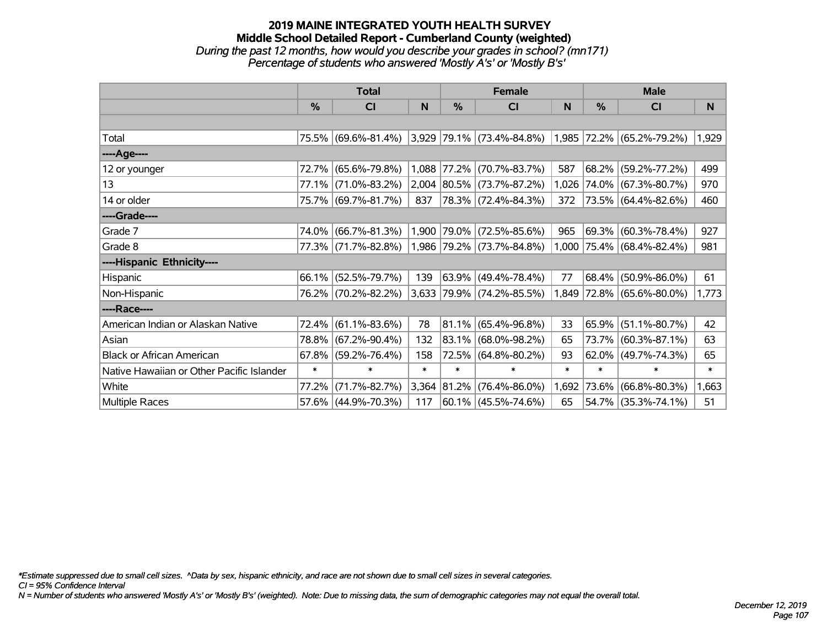### **2019 MAINE INTEGRATED YOUTH HEALTH SURVEY Middle School Detailed Report - Cumberland County (weighted)** *During the past 12 months, how would you describe your grades in school? (mn171) Percentage of students who answered 'Mostly A's' or 'Mostly B's'*

|                                           | <b>Total</b>  |                     |        | <b>Female</b> |                           | <b>Male</b> |               |                           |        |
|-------------------------------------------|---------------|---------------------|--------|---------------|---------------------------|-------------|---------------|---------------------------|--------|
|                                           | $\frac{0}{0}$ | C <sub>l</sub>      | N      | %             | <b>CI</b>                 | N           | $\frac{0}{0}$ | <b>CI</b>                 | N      |
|                                           |               |                     |        |               |                           |             |               |                           |        |
| Total                                     |               | 75.5% (69.6%-81.4%) |        |               | 3,929 79.1% (73.4%-84.8%) | 1,985       |               | 72.2% (65.2%-79.2%)       | 1,929  |
| ----Age----                               |               |                     |        |               |                           |             |               |                           |        |
| 12 or younger                             | 72.7%         | $(65.6\% - 79.8\%)$ |        | 1,088 77.2%   | $(70.7\% - 83.7\%)$       | 587         | 68.2%         | $(59.2\% - 77.2\%)$       | 499    |
| 13                                        |               | 77.1% (71.0%-83.2%) |        |               | 2,004 80.5% (73.7%-87.2%) | 1,026       |               | 74.0% (67.3%-80.7%)       | 970    |
| 14 or older                               |               | 75.7% (69.7%-81.7%) | 837    |               | 78.3% (72.4%-84.3%)       | 372         |               | $73.5\%$ (64.4%-82.6%)    | 460    |
| ----Grade----                             |               |                     |        |               |                           |             |               |                           |        |
| Grade 7                                   | 74.0%         | $(66.7\% - 81.3\%)$ |        | 1,900 79.0%   | $(72.5\% - 85.6\%)$       | 965         |               | 69.3% (60.3%-78.4%)       | 927    |
| Grade 8                                   |               | 77.3% (71.7%-82.8%) |        |               | 1,986 79.2% (73.7%-84.8%) |             |               | 1,000 75.4% (68.4%-82.4%) | 981    |
| ----Hispanic Ethnicity----                |               |                     |        |               |                           |             |               |                           |        |
| Hispanic                                  | 66.1%         | $(52.5\% - 79.7\%)$ | 139    | 63.9%         | $(49.4\% - 78.4\%)$       | 77          | 68.4%         | $(50.9\% - 86.0\%)$       | 61     |
| Non-Hispanic                              |               | 76.2% (70.2%-82.2%) |        |               | 3,633 79.9% (74.2%-85.5%) | 1,849       |               | $ 72.8\% $ (65.6%-80.0%)  | 1,773  |
| ----Race----                              |               |                     |        |               |                           |             |               |                           |        |
| American Indian or Alaskan Native         | 72.4%         | $(61.1\% - 83.6\%)$ | 78     | $ 81.1\% $    | $(65.4\% - 96.8\%)$       | 33          | 65.9%         | $(51.1\% - 80.7\%)$       | 42     |
| Asian                                     | 78.8%         | $(67.2\% - 90.4\%)$ | 132    | 83.1%         | $(68.0\% - 98.2\%)$       | 65          | 73.7%         | $(60.3\% - 87.1\%)$       | 63     |
| <b>Black or African American</b>          | 67.8%         | $(59.2\% - 76.4\%)$ | 158    |               | 72.5% (64.8%-80.2%)       | 93          |               | $62.0\%$ (49.7%-74.3%)    | 65     |
| Native Hawaiian or Other Pacific Islander | $\ast$        | $\ast$              | $\ast$ | $\ast$        | $\ast$                    | $\ast$      | $\ast$        | $\ast$                    | $\ast$ |
| White                                     | 77.2%         | $(71.7\% - 82.7\%)$ |        | 3,364 81.2%   | $(76.4\% - 86.0\%)$       | 1,692       | 73.6%         | $(66.8\% - 80.3\%)$       | 1,663  |
| <b>Multiple Races</b>                     |               | 57.6% (44.9%-70.3%) | 117    |               | $ 60.1\% $ (45.5%-74.6%)  | 65          |               | 54.7% (35.3%-74.1%)       | 51     |

*\*Estimate suppressed due to small cell sizes. ^Data by sex, hispanic ethnicity, and race are not shown due to small cell sizes in several categories.*

*CI = 95% Confidence Interval*

*N = Number of students who answered 'Mostly A's' or 'Mostly B's' (weighted). Note: Due to missing data, the sum of demographic categories may not equal the overall total.*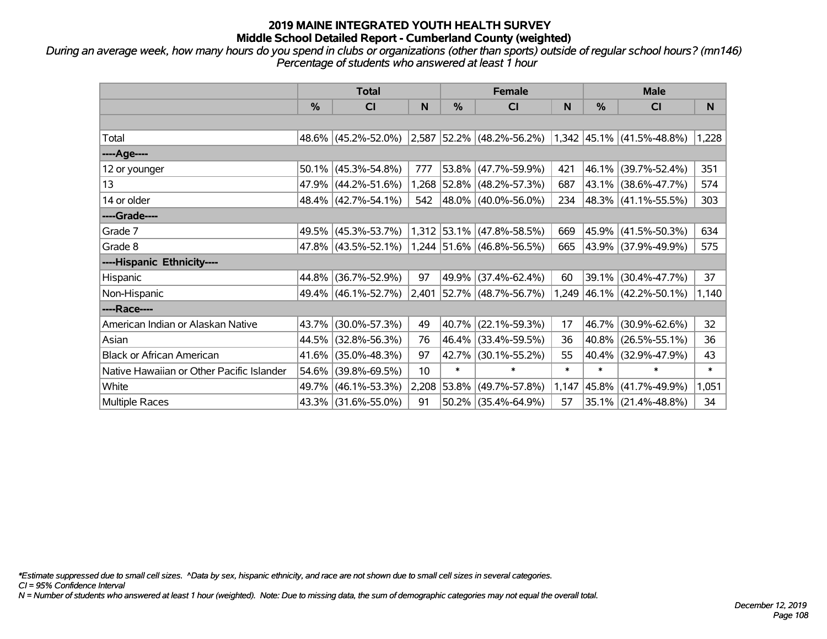*During an average week, how many hours do you spend in clubs or organizations (other than sports) outside of regular school hours? (mn146) Percentage of students who answered at least 1 hour*

|                                           | <b>Total</b> |                     |       | <b>Female</b> |                                                               | <b>Male</b> |        |                           |        |
|-------------------------------------------|--------------|---------------------|-------|---------------|---------------------------------------------------------------|-------------|--------|---------------------------|--------|
|                                           | $\%$         | <b>CI</b>           | N     | %             | <b>CI</b>                                                     | N           | %      | <b>CI</b>                 | N.     |
|                                           |              |                     |       |               |                                                               |             |        |                           |        |
| Total                                     |              | 48.6% (45.2%-52.0%) |       |               | $ 2,587 52.2\% $ (48.2%-56.2%) $ 1,342 45.1\% $ (41.5%-48.8%) |             |        |                           | 1,228  |
| ----Age----                               |              |                     |       |               |                                                               |             |        |                           |        |
| 12 or younger                             | 50.1%        | $(45.3\% - 54.8\%)$ | 777   |               | 53.8% (47.7%-59.9%)                                           | 421         | 46.1%  | $(39.7\% - 52.4\%)$       | 351    |
| 13                                        |              | 47.9% (44.2%-51.6%) |       |               | 1,268 52.8% (48.2%-57.3%)                                     | 687         |        | 43.1% (38.6%-47.7%)       | 574    |
| 14 or older                               |              | 48.4% (42.7%-54.1%) | 542   |               | 48.0%   (40.0%-56.0%)                                         | 234         |        | 48.3% (41.1%-55.5%)       | 303    |
| ----Grade----                             |              |                     |       |               |                                                               |             |        |                           |        |
| Grade 7                                   | 49.5%        | $(45.3\% - 53.7\%)$ |       |               | 1,312 53.1% (47.8%-58.5%)                                     | 669         | 45.9%  | $(41.5\% - 50.3\%)$       | 634    |
| Grade 8                                   |              | 47.8% (43.5%-52.1%) |       |               | 1,244 51.6% (46.8%-56.5%)                                     | 665         |        | 43.9% (37.9%-49.9%)       | 575    |
| ----Hispanic Ethnicity----                |              |                     |       |               |                                                               |             |        |                           |        |
| Hispanic                                  | 44.8%        | $(36.7\% - 52.9\%)$ | 97    | 49.9%         | $(37.4\% - 62.4\%)$                                           | 60          | 39.1%  | $(30.4\% - 47.7\%)$       | 37     |
| Non-Hispanic                              |              | 49.4% (46.1%-52.7%) | 2,401 |               | $ 52.7\% $ (48.7%-56.7%)                                      |             |        | 1,249 46.1% (42.2%-50.1%) | 1,140  |
| ----Race----                              |              |                     |       |               |                                                               |             |        |                           |        |
| American Indian or Alaskan Native         | 43.7%        | $(30.0\% - 57.3\%)$ | 49    | 40.7%         | $(22.1\% - 59.3\%)$                                           | 17          | 46.7%  | $(30.9\% - 62.6\%)$       | 32     |
| Asian                                     | 44.5%        | $(32.8\% - 56.3\%)$ | 76    |               | 46.4% (33.4%-59.5%)                                           | 36          | 40.8%  | $(26.5\% - 55.1\%)$       | 36     |
| <b>Black or African American</b>          | 41.6%        | $(35.0\% - 48.3\%)$ | 97    | 42.7%         | $(30.1\% - 55.2\%)$                                           | 55          | 40.4%  | $(32.9\% - 47.9\%)$       | 43     |
| Native Hawaiian or Other Pacific Islander | 54.6%        | $(39.8\% - 69.5\%)$ | 10    | $\ast$        | $\ast$                                                        | $\ast$      | $\ast$ | $\ast$                    | $\ast$ |
| White                                     | 49.7%        | $(46.1\% - 53.3\%)$ | 2,208 | $ 53.8\% $    | $(49.7\% - 57.8\%)$                                           | 1,147       | 45.8%  | $(41.7\% - 49.9\%)$       | 1,051  |
| <b>Multiple Races</b>                     |              | 43.3% (31.6%-55.0%) | 91    |               | $50.2\%$ (35.4%-64.9%)                                        | 57          |        | 35.1% (21.4%-48.8%)       | 34     |

*\*Estimate suppressed due to small cell sizes. ^Data by sex, hispanic ethnicity, and race are not shown due to small cell sizes in several categories.*

*CI = 95% Confidence Interval*

*N = Number of students who answered at least 1 hour (weighted). Note: Due to missing data, the sum of demographic categories may not equal the overall total.*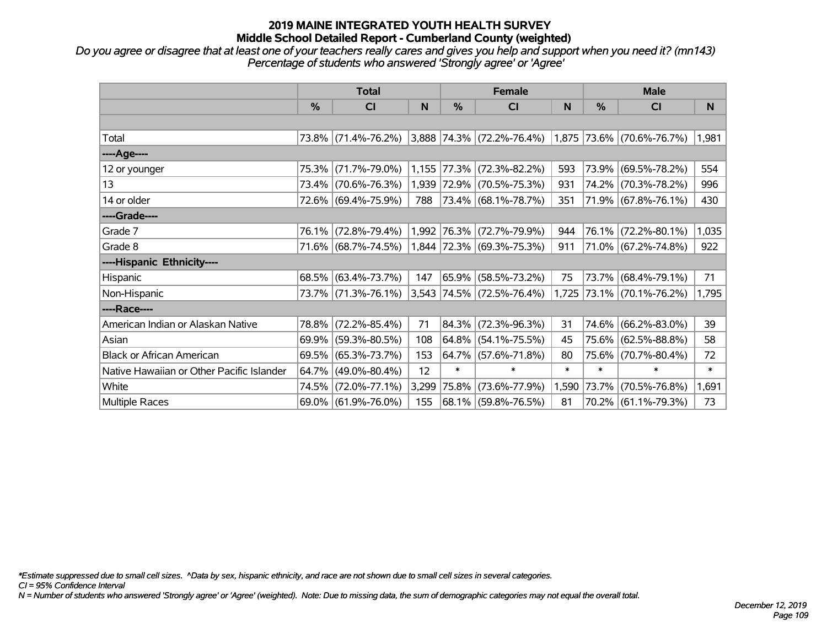# **2019 MAINE INTEGRATED YOUTH HEALTH SURVEY Middle School Detailed Report - Cumberland County (weighted)**

*Do you agree or disagree that at least one of your teachers really cares and gives you help and support when you need it? (mn143) Percentage of students who answered 'Strongly agree' or 'Agree'*

|                                           | <b>Total</b> |                     |       |             | <b>Female</b>             |        | <b>Male</b> |                           |        |
|-------------------------------------------|--------------|---------------------|-------|-------------|---------------------------|--------|-------------|---------------------------|--------|
|                                           | $\%$         | <b>CI</b>           | N     | $\%$        | <b>CI</b>                 | N      | %           | <b>CI</b>                 | N      |
|                                           |              |                     |       |             |                           |        |             |                           |        |
| Total                                     |              | 73.8% (71.4%-76.2%) |       |             | 3,888 74.3% (72.2%-76.4%) |        |             | 1,875 73.6% (70.6%-76.7%) | 1,981  |
| ----Age----                               |              |                     |       |             |                           |        |             |                           |        |
| 12 or younger                             | 75.3%        | $(71.7\% - 79.0\%)$ |       | 1,155 77.3% | $(72.3\% - 82.2\%)$       | 593    | 73.9%       | $(69.5\% - 78.2\%)$       | 554    |
| 13                                        |              | 73.4% (70.6%-76.3%) |       |             | 1,939 72.9% (70.5%-75.3%) | 931    |             | 74.2% (70.3%-78.2%)       | 996    |
| 14 or older                               |              | 72.6% (69.4%-75.9%) | 788   |             | $ 73.4\% $ (68.1%-78.7%)  | 351    |             | 71.9% (67.8%-76.1%)       | 430    |
| ----Grade----                             |              |                     |       |             |                           |        |             |                           |        |
| Grade 7                                   | 76.1%        | $(72.8\% - 79.4\%)$ |       |             | 1,992 76.3% (72.7%-79.9%) | 944    | 76.1%       | $(72.2\% - 80.1\%)$       | 1,035  |
| Grade 8                                   |              | 71.6% (68.7%-74.5%) |       |             | 1,844 72.3% (69.3%-75.3%) | 911    |             | 71.0% (67.2%-74.8%)       | 922    |
| ----Hispanic Ethnicity----                |              |                     |       |             |                           |        |             |                           |        |
| Hispanic                                  |              | 68.5% (63.4%-73.7%) | 147   | 65.9%       | $(58.5\% - 73.2\%)$       | 75     | 73.7%       | $(68.4\% - 79.1\%)$       | 71     |
| Non-Hispanic                              |              | 73.7% (71.3%-76.1%) |       |             | 3,543 74.5% (72.5%-76.4%) | 1,725  |             | $ 73.1\% $ (70.1%-76.2%)  | 1,795  |
| ----Race----                              |              |                     |       |             |                           |        |             |                           |        |
| American Indian or Alaskan Native         | 78.8%        | $(72.2\% - 85.4\%)$ | 71    | 84.3%       | $(72.3\% - 96.3\%)$       | 31     | 74.6%       | $(66.2\% - 83.0\%)$       | 39     |
| Asian                                     | 69.9%        | $(59.3\% - 80.5\%)$ | 108   | 64.8%       | $(54.1\% - 75.5\%)$       | 45     | 75.6%       | $(62.5\% - 88.8\%)$       | 58     |
| <b>Black or African American</b>          | 69.5%        | $(65.3\% - 73.7\%)$ | 153   |             | $64.7\%$ (57.6%-71.8%)    | 80     | 75.6%       | $(70.7\% - 80.4\%)$       | 72     |
| Native Hawaiian or Other Pacific Islander | 64.7%        | $(49.0\% - 80.4\%)$ | 12    | $\ast$      | $\ast$                    | $\ast$ | $\ast$      | $\ast$                    | $\ast$ |
| White                                     | 74.5%        | $(72.0\% - 77.1\%)$ | 3,299 | 75.8%       | $(73.6\% - 77.9\%)$       | 1,590  | 73.7%       | $(70.5\% - 76.8\%)$       | 1,691  |
| Multiple Races                            |              | 69.0% (61.9%-76.0%) | 155   |             | 68.1% (59.8%-76.5%)       | 81     |             | $70.2\%$ (61.1%-79.3%)    | 73     |

*\*Estimate suppressed due to small cell sizes. ^Data by sex, hispanic ethnicity, and race are not shown due to small cell sizes in several categories.*

*CI = 95% Confidence Interval*

*N = Number of students who answered 'Strongly agree' or 'Agree' (weighted). Note: Due to missing data, the sum of demographic categories may not equal the overall total.*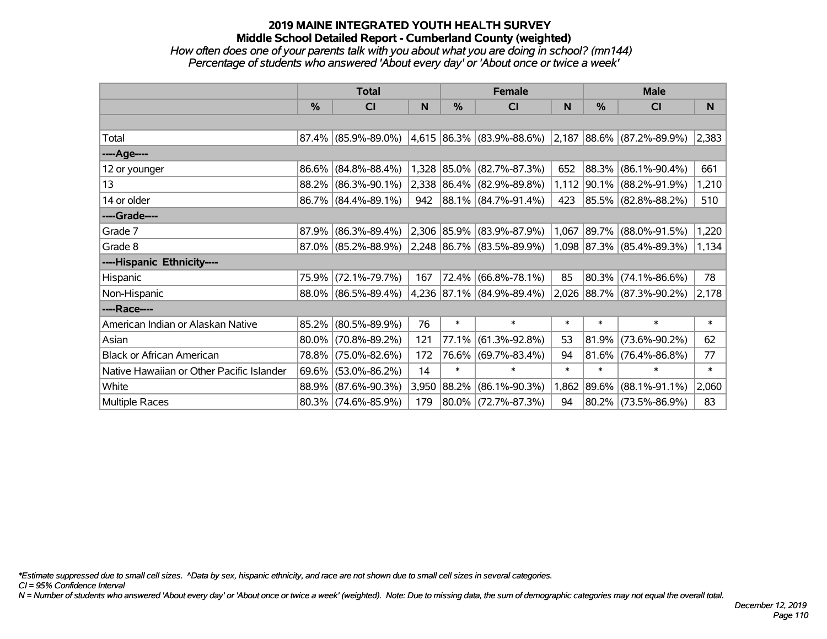# **2019 MAINE INTEGRATED YOUTH HEALTH SURVEY Middle School Detailed Report - Cumberland County (weighted)**

### *How often does one of your parents talk with you about what you are doing in school? (mn144) Percentage of students who answered 'About every day' or 'About once or twice a week'*

|                                           | <b>Total</b>  |                        |       |        | <b>Female</b>                  |        | <b>Male</b> |                                    |        |
|-------------------------------------------|---------------|------------------------|-------|--------|--------------------------------|--------|-------------|------------------------------------|--------|
|                                           | $\frac{0}{0}$ | CI                     | N     | $\%$   | <b>CI</b>                      | N      | $\%$        | <b>CI</b>                          | N      |
|                                           |               |                        |       |        |                                |        |             |                                    |        |
| Total                                     |               | $87.4\%$ (85.9%-89.0%) |       |        | $ 4,615 86.3\% 83.9\% 88.6\% $ |        |             | $ 2,187 88.6\%  (87.2\% - 89.9\%)$ | 2,383  |
| ----Age----                               |               |                        |       |        |                                |        |             |                                    |        |
| 12 or younger                             | $86.6\%$      | $(84.8\% - 88.4\%)$    |       |        | $1,328$ 85.0% (82.7%-87.3%)    | 652    |             | 88.3% (86.1%-90.4%)                | 661    |
| 13                                        | $88.2\%$      | $(86.3\% - 90.1\%)$    |       |        | 2,338 86.4% (82.9%-89.8%)      |        |             | 1,112 90.1% (88.2%-91.9%)          | 1,210  |
| 14 or older                               |               | $86.7\%$ (84.4%-89.1%) | 942   |        | $ 88.1\% $ (84.7%-91.4%)       | 423    |             | 85.5% (82.8%-88.2%)                | 510    |
| ----Grade----                             |               |                        |       |        |                                |        |             |                                    |        |
| Grade 7                                   | 87.9%         | $(86.3\% - 89.4\%)$    |       |        | $ 2,306 85.9\% $ (83.9%-87.9%) | 1,067  |             | 89.7% (88.0%-91.5%)                | 1,220  |
| Grade 8                                   |               | $87.0\%$ (85.2%-88.9%) |       |        | $ 2,248 86.7\% 83.5\% 89.9\% $ |        |             | 1,098 87.3% (85.4%-89.3%)          | 1,134  |
| ----Hispanic Ethnicity----                |               |                        |       |        |                                |        |             |                                    |        |
| Hispanic                                  | 75.9%         | $(72.1\% - 79.7\%)$    | 167   |        | 72.4% (66.8%-78.1%)            | 85     |             | $80.3\%$ (74.1%-86.6%)             | 78     |
| Non-Hispanic                              |               | 88.0% (86.5%-89.4%)    |       |        | 4,236 87.1% (84.9%-89.4%)      |        |             | 2,026 88.7% (87.3%-90.2%)          | 2,178  |
| ----Race----                              |               |                        |       |        |                                |        |             |                                    |        |
| American Indian or Alaskan Native         | $85.2\%$      | $(80.5\% - 89.9\%)$    | 76    | $\ast$ | $\ast$                         | $\ast$ | $\ast$      | $\ast$                             | $\ast$ |
| Asian                                     | $80.0\%$      | $(70.8\% - 89.2\%)$    | 121   | 77.1%  | $(61.3\% - 92.8\%)$            | 53     | 81.9%       | $(73.6\% - 90.2\%)$                | 62     |
| <b>Black or African American</b>          | 78.8%         | $(75.0\% - 82.6\%)$    | 172   |        | 76.6% (69.7%-83.4%)            | 94     |             | $81.6\%$ (76.4%-86.8%)             | 77     |
| Native Hawaiian or Other Pacific Islander | $69.6\%$      | $(53.0\% - 86.2\%)$    | 14    | $\ast$ | $\ast$                         | $\ast$ | $\ast$      | $\ast$                             | $\ast$ |
| White                                     | 88.9%         | $(87.6\% - 90.3\%)$    | 3,950 |        | 88.2% (86.1%-90.3%)            | 1,862  |             | 89.6% (88.1%-91.1%)                | 2,060  |
| Multiple Races                            |               | 80.3% (74.6%-85.9%)    | 179   |        | 80.0% (72.7%-87.3%)            | 94     |             | 80.2% (73.5%-86.9%)                | 83     |

*\*Estimate suppressed due to small cell sizes. ^Data by sex, hispanic ethnicity, and race are not shown due to small cell sizes in several categories.*

*CI = 95% Confidence Interval*

*N = Number of students who answered 'About every day' or 'About once or twice a week' (weighted). Note: Due to missing data, the sum of demographic categories may not equal the overall total.*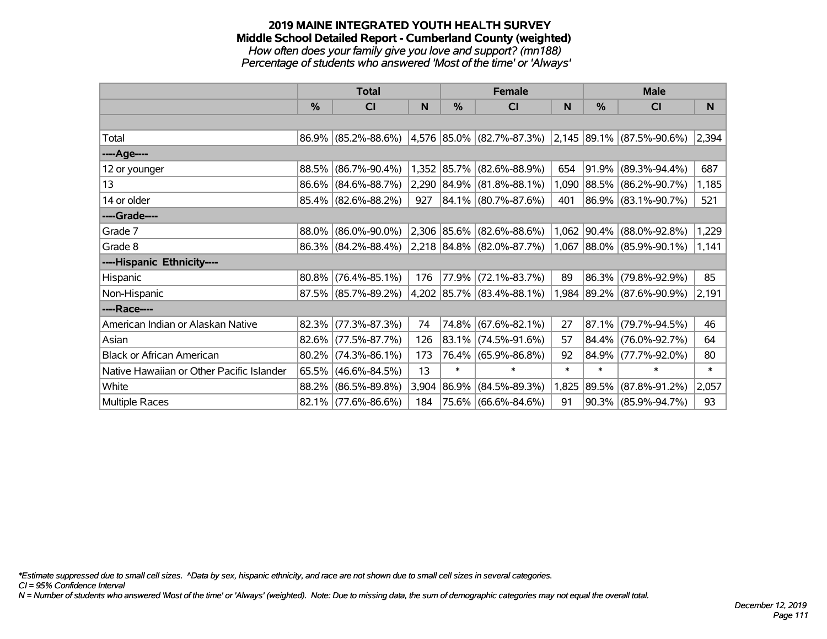#### **2019 MAINE INTEGRATED YOUTH HEALTH SURVEY Middle School Detailed Report - Cumberland County (weighted)** *How often does your family give you love and support? (mn188) Percentage of students who answered 'Most of the time' or 'Always'*

|                                           | <b>Total</b> |                        |       |            | <b>Female</b>                                            |        | <b>Male</b> |                                    |        |
|-------------------------------------------|--------------|------------------------|-------|------------|----------------------------------------------------------|--------|-------------|------------------------------------|--------|
|                                           | %            | <b>CI</b>              | N     | %          | <b>CI</b>                                                | N      | %           | <b>CI</b>                          | N      |
|                                           |              |                        |       |            |                                                          |        |             |                                    |        |
| Total                                     |              | 86.9% (85.2%-88.6%)    |       |            | 4,576  85.0%   (82.7%-87.3%)                             |        |             | $ 2,145 89.1\%  (87.5\% - 90.6\%)$ | 2,394  |
| ----Age----                               |              |                        |       |            |                                                          |        |             |                                    |        |
| 12 or younger                             | 88.5%        | $(86.7\% - 90.4\%)$    |       |            | 1,352 85.7% (82.6%-88.9%)                                | 654    | $ 91.9\% $  | $(89.3\% - 94.4\%)$                | 687    |
| 13                                        | $86.6\%$     | $(84.6\% - 88.7\%)$    |       |            | $2,290$ $ 84.9\% $ (81.8%-88.1%)                         | 1,090  |             | 88.5% (86.2%-90.7%)                | 1,185  |
| 14 or older                               |              | $85.4\%$ (82.6%-88.2%) | 927   |            | $ 84.1\% $ (80.7%-87.6%)                                 | 401    |             | 86.9% (83.1%-90.7%)                | 521    |
| ----Grade----                             |              |                        |       |            |                                                          |        |             |                                    |        |
| Grade 7                                   | 88.0%        | $(86.0\% - 90.0\%)$    |       |            | 2,306 85.6% (82.6%-88.6%)                                |        |             | 1,062 90.4% (88.0%-92.8%)          | 1,229  |
| Grade 8                                   |              | $86.3\%$ (84.2%-88.4%) |       |            | $ 2,218 84.8\% $ (82.0%-87.7%) 1,067 88.0% (85.9%-90.1%) |        |             |                                    | 1,141  |
| ----Hispanic Ethnicity----                |              |                        |       |            |                                                          |        |             |                                    |        |
| Hispanic                                  | 80.8%        | $(76.4\% - 85.1\%)$    | 176   | 77.9%      | $(72.1\% - 83.7\%)$                                      | 89     | 86.3%       | $(79.8\% - 92.9\%)$                | 85     |
| Non-Hispanic                              |              | 87.5% (85.7%-89.2%)    |       |            | 4,202 85.7% (83.4%-88.1%)                                | 1,984  |             | $ 89.2\% $ (87.6%-90.9%)           | 2,191  |
| ----Race----                              |              |                        |       |            |                                                          |        |             |                                    |        |
| American Indian or Alaskan Native         | 82.3%        | $(77.3\% - 87.3\%)$    | 74    |            | 74.8% (67.6%-82.1%)                                      | 27     | $ 87.1\% $  | $(79.7\% - 94.5\%)$                | 46     |
| Asian                                     | 82.6%        | $(77.5\% - 87.7\%)$    | 126   | $ 83.1\% $ | $(74.5\% - 91.6\%)$                                      | 57     | $ 84.4\% $  | $(76.0\% - 92.7\%)$                | 64     |
| <b>Black or African American</b>          | 80.2%        | $(74.3\% - 86.1\%)$    | 173   |            | 76.4% (65.9%-86.8%)                                      | 92     | 84.9%       | $(77.7\% - 92.0\%)$                | 80     |
| Native Hawaiian or Other Pacific Islander | 65.5%        | $(46.6\% - 84.5\%)$    | 13    | $\ast$     | $\ast$                                                   | $\ast$ | $\ast$      | $\ast$                             | $\ast$ |
| White                                     | 88.2%        | $(86.5\% - 89.8\%)$    | 3,904 | 86.9%      | $(84.5\% - 89.3\%)$                                      | 1,825  | $ 89.5\% $  | $(87.8\% - 91.2\%)$                | 2,057  |
| Multiple Races                            |              | 82.1% (77.6%-86.6%)    | 184   |            | 75.6% (66.6%-84.6%)                                      | 91     |             | 90.3% (85.9%-94.7%)                | 93     |

*\*Estimate suppressed due to small cell sizes. ^Data by sex, hispanic ethnicity, and race are not shown due to small cell sizes in several categories.*

*CI = 95% Confidence Interval*

*N = Number of students who answered 'Most of the time' or 'Always' (weighted). Note: Due to missing data, the sum of demographic categories may not equal the overall total.*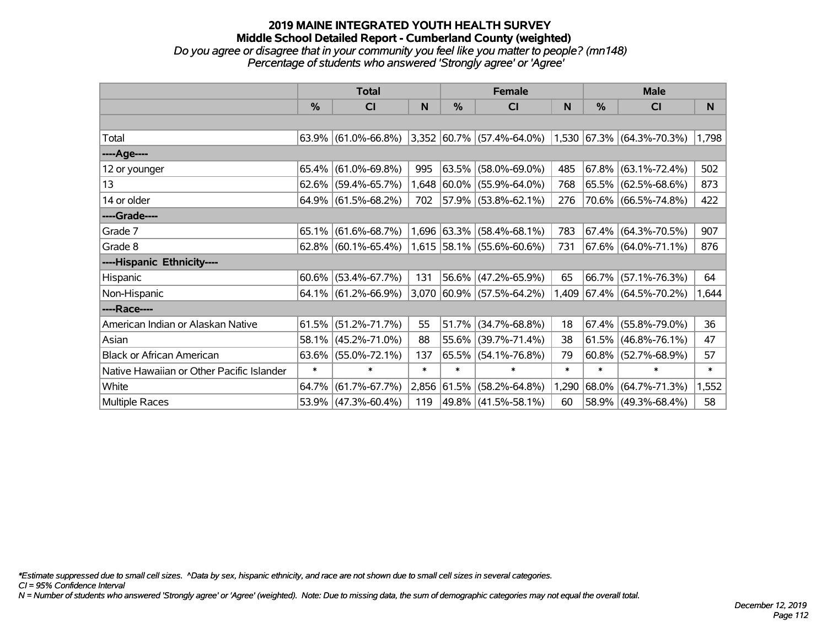#### **2019 MAINE INTEGRATED YOUTH HEALTH SURVEY Middle School Detailed Report - Cumberland County (weighted)** *Do you agree or disagree that in your community you feel like you matter to people? (mn148) Percentage of students who answered 'Strongly agree' or 'Agree'*

|                                           | <b>Total</b> |                        |        |             | <b>Female</b>             |        | <b>Male</b>   |                              |        |
|-------------------------------------------|--------------|------------------------|--------|-------------|---------------------------|--------|---------------|------------------------------|--------|
|                                           | $\%$         | C <sub>l</sub>         | N      | %           | <b>CI</b>                 | N      | $\frac{0}{0}$ | <b>CI</b>                    | N      |
|                                           |              |                        |        |             |                           |        |               |                              |        |
| Total                                     |              | $63.9\%$ (61.0%-66.8%) |        |             | 3,352 60.7% (57.4%-64.0%) |        |               | 1,530 67.3% (64.3%-70.3%)    | 1,798  |
| ----Age----                               |              |                        |        |             |                           |        |               |                              |        |
| 12 or younger                             | 65.4%        | $(61.0\% - 69.8\%)$    | 995    | 63.5%       | $(58.0\% - 69.0\%)$       | 485    |               | 67.8%   (63.1%-72.4%)        | 502    |
| 13                                        |              | $62.6\%$ (59.4%-65.7%) |        |             | 1,648 60.0% (55.9%-64.0%) | 768    |               | 65.5% (62.5%-68.6%)          | 873    |
| 14 or older                               |              | $64.9\%$ (61.5%-68.2%) | 702    |             | 57.9% (53.8%-62.1%)       | 276    |               | 70.6% (66.5%-74.8%)          | 422    |
| ----Grade----                             |              |                        |        |             |                           |        |               |                              |        |
| Grade 7                                   | 65.1%        | $(61.6\% - 68.7\%)$    |        | 1,696 63.3% | $(58.4\% - 68.1\%)$       | 783    |               | 67.4% (64.3%-70.5%)          | 907    |
| Grade 8                                   |              | $62.8\%$ (60.1%-65.4%) |        |             | 1,615 58.1% (55.6%-60.6%) | 731    |               | 67.6% (64.0%-71.1%)          | 876    |
| ----Hispanic Ethnicity----                |              |                        |        |             |                           |        |               |                              |        |
| Hispanic                                  | 60.6%        | $(53.4\% - 67.7\%)$    | 131    |             | 56.6% (47.2%-65.9%)       | 65     | 66.7%         | $(57.1\% - 76.3\%)$          | 64     |
| Non-Hispanic                              |              | $64.1\%$ (61.2%-66.9%) |        |             | 3,070 60.9% (57.5%-64.2%) | 1,409  |               | $ 67.4\%  (64.5\% - 70.2\%)$ | 1,644  |
| ----Race----                              |              |                        |        |             |                           |        |               |                              |        |
| American Indian or Alaskan Native         | 61.5%        | $(51.2\% - 71.7\%)$    | 55     | 51.7%       | $(34.7\% - 68.8\%)$       | 18     | 67.4%         | $(55.8\% - 79.0\%)$          | 36     |
| Asian                                     | 58.1%        | $(45.2\% - 71.0\%)$    | 88     | 55.6%       | $(39.7\% - 71.4\%)$       | 38     | 61.5%         | $(46.8\% - 76.1\%)$          | 47     |
| <b>Black or African American</b>          | 63.6%        | $(55.0\% - 72.1\%)$    | 137    |             | 65.5% (54.1%-76.8%)       | 79     | 60.8%         | $(52.7\% - 68.9\%)$          | 57     |
| Native Hawaiian or Other Pacific Islander | $\ast$       | $\ast$                 | $\ast$ | $\ast$      | $\ast$                    | $\ast$ | $\ast$        | $\ast$                       | $\ast$ |
| White                                     | 64.7%        | $(61.7\% - 67.7\%)$    |        | 2,856 61.5% | $(58.2\% - 64.8\%)$       | 1,290  | $ 68.0\% $    | $(64.7\% - 71.3\%)$          | 1,552  |
| Multiple Races                            |              | $53.9\%$ (47.3%-60.4%) | 119    |             | 49.8% (41.5%-58.1%)       | 60     |               | 58.9% (49.3%-68.4%)          | 58     |

*\*Estimate suppressed due to small cell sizes. ^Data by sex, hispanic ethnicity, and race are not shown due to small cell sizes in several categories.*

*CI = 95% Confidence Interval*

*N = Number of students who answered 'Strongly agree' or 'Agree' (weighted). Note: Due to missing data, the sum of demographic categories may not equal the overall total.*